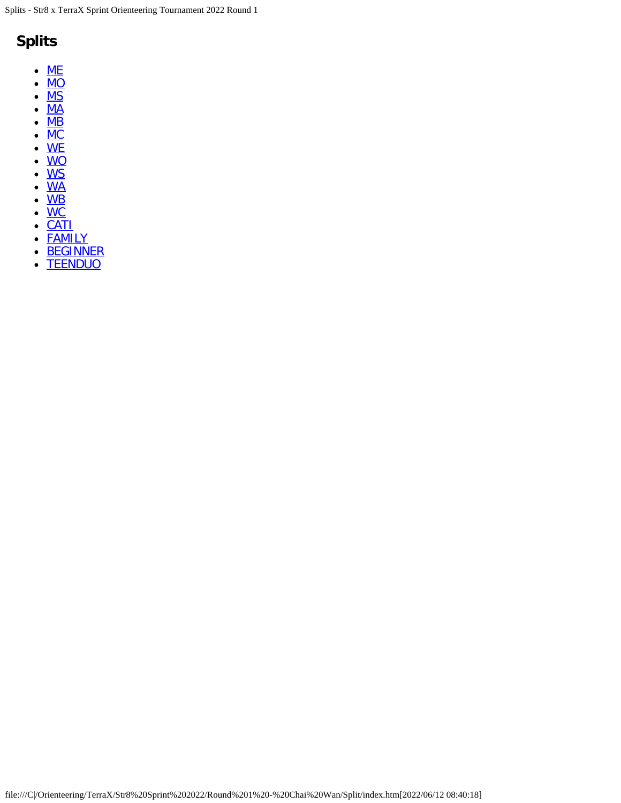## **Splits**

- $\bullet$  [ME](#page-1-0)
- $\bullet$  [MO](#page-7-0)
- $\bullet$  [MS](#page-11-0)
- $\bullet$  [MA](#page-13-0)
- $\bullet$  [MB](#page-18-0)
- $\bullet$  [MC](#page-28-0)
- $\bullet$ <u>[WE](#page-3-0)</u>
- $\bullet$ <u>[WO](#page-9-0)</u>
- <u>[WS](#page-20-0)</u>
- <u>[WA](#page-16-0)</u>
- <u>[WB](#page-22-0)</u>
- <u>[WC](#page-30-0)</u>
- <u>[CATI](#page-32-0)</u>
- [FAMILY](#page-34-0)
- **[BEGINNER](#page-36-0)**  $\bullet$
- **[TEENDUO](#page-24-0)**  $\bullet$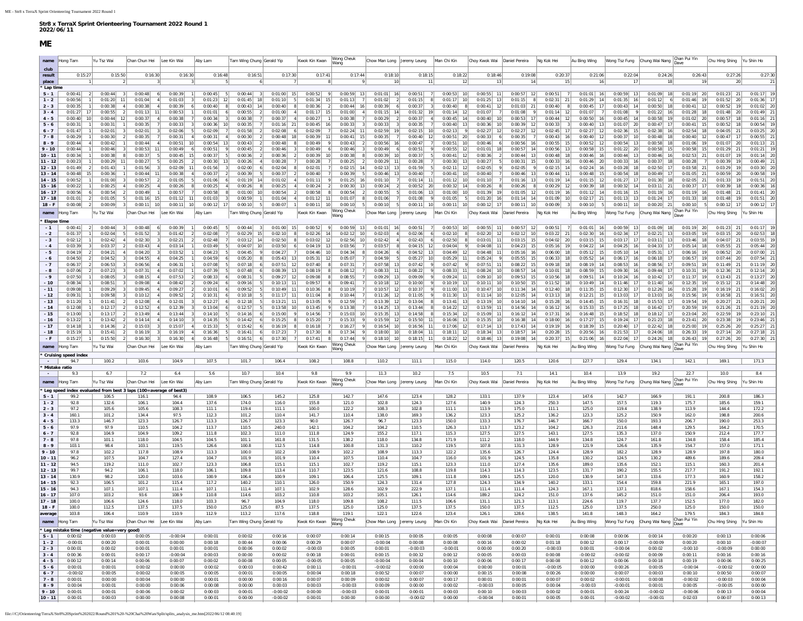| 13 - 14   | 130.9                                         | 98.2       | 120.0         | 103.6       | 100.9   | 106.4                            | 100.9      | 109.1         | 106.4              | 125.5         | 109.1        | 111.8       | 109.1         | 125.5          | 120.0      | 130.9        | 147.3      | 133.6                        | 177.3        | 160.9          | 158.2      |
|-----------|-----------------------------------------------|------------|---------------|-------------|---------|----------------------------------|------------|---------------|--------------------|---------------|--------------|-------------|---------------|----------------|------------|--------------|------------|------------------------------|--------------|----------------|------------|
| $14 - 15$ | 92.3                                          | 106.5      | 101.2         | 115.4       | 117.2   | 140.2                            | 110.1      | 126.0         | 150.9              | 124.3         | 131.4        | 127.8       | 124.3         | 134.9          | 140.2      | 133.1        | 154.4      | 159.8                        | 221.9        | 165.1          | 197.0      |
| $15 - 16$ | 94.3                                          | 107.1      | 107.1         | 111.4       | 107.1   | 111.4                            | 107.1      | 102.9         | 128.6              | 102.9         | 222.9        | 137.1       | 111.4         | 111.4          | 124.3      | 167.1        | 137.1      | 818.6                        | 158.6        | 167.1          | 154.3      |
| $16 - 17$ | 107.0                                         | 103.2      | 93.6          | 108.9       | 110.8   | 114.6                            | 103.2      | 110.8         | 103.2              | 105.1         | 126.1        | 114.6       | 189.2         | 124.2          | 151.0      | 137.6        | 145.2      | 151.0                        | 151.0        | 206.4          | 193.0      |
| $17 - 18$ | 100.0                                         | 106.6      | 124.6         | 118.0       | 103.3   | 96.7                             | 104.9      | 118.0         | 109.8              | 108.2         | 111.5        | 106.6       | 131.1         | 121.3          | 113.1      | 224.6        | 119.7      | 137.7                        | 152.5        | 177.0          | 182.0      |
| $18 - F$  | 100.0                                         | 112.5      | 137.5         | 137.5       | 150.0   | 125.0                            | 87.5       | 137.5         | 125.0              | 125.0         | 137.5        | 137.5       | 150.0         | 137.5          | 112.5      | 125.0        | 137.5      | 250.0                        | 125.0        | 150.0          | 150.0      |
| average   | 103.8                                         | 106.4      | 110.9         | 110.9       | 112.9   | 113.2                            | 117.6      | 118.8         | 119.1              | 122.1         | 122.6        | 123.4       | 126.1         | 128.6          | 138.5      | 141.8        | 148.3      | 164.2                        | 179.5        | 184.3          | 184.8      |
| name      | Hong Tam                                      | Yu Tsz Wai | Chan Chun Hei | Lee Kin Wai | Aby Lam | <b>Fam Wing Chung Gerald Yip</b> |            | Kwok Kin Kwan | Wong Cheuk<br>Wang | Chow Man Long | Jeremy Leung | Man Chi Kin | Choy Kwok Wai | Daniel Pereira | lg Kok Hei | Au Bing Wing |            | Wong Tsz Fung Chung Wai Nang | Chan Pui Yin | Chu Hing Shing | u Shin Ho  |
|           | * Leg mistake time (negative value=very good) |            |               |             |         |                                  |            |               |                    |               |              |             |               |                |            |              |            |                              |              |                |            |
| $S - 1$   | 0:00:02                                       | 0:00:03    | 0:00:05       | $-0:00:04$  | 0:00:01 | 0:00:02                          | 0:00:16    | 0:00:07       | 0:00:14            | 0:00:15       | 0:00:05      | 0:00:05     | 0:00:08       | 0:00:07        | 0:00:01    | 0:00:08      | 0:00:06    | 0:00:14                      | 0:00:20      | 0:00:13        | 0:00:06    |
| $1 - 2$   | $-0:00:01$                                    | 0:00:20    | 0:00:01       | 0:00:00     | 0:00:18 | 0:00:44                          | 0:00:06    | 0:00:29       | 0:00:07            | $-0:00:04$    | 0:00:08      | 0:00:08     | 0:00:16       | 0:00:02        | 0:01:18    | 0:00:12      | 0:00:17    | $-0:00:09$                   | 0:00:20      | 0:00:10        | $-0:00:07$ |
| $2 - 3$   | 0:00:01                                       | 0:00:02    | 0:00:01       | 0:00:01     | 0:00:01 | 0:00:06                          | 0:00:02    | $-0:00:03$    | 0:00:05            | 0:00:01       | $-0:00:03$   | $-0:00:01$  | 0:00:00       | 0:00:20        | $-0:00:03$ | 0:00:01      | $-0:00:04$ | 0:00:02                      | $-0:00:10$   | $-0:00:09$     | 0:00:00    |
| $3 - 4$   | 0:00:36                                       | 0:00:01    | 0:00:17       | $-0:00:04$  | 0:00:03 | 0:00:00                          | 0:00:02    | 0:00:18       | 0:00:01            | 0:00:15       | 0:00:32      | 0:00:12     | 0:00:05       | 0:00:03        | 0:00:08    | $-0:00:02$   | $-0:00:02$ | 0:00:09                      | 0:00:11      | 0:00:16        | 0:00:16    |
| $4 - 5$   | 0:00:12                                       | 0:00:14    | 0:00:06       | 0:00:07     | 0:00:02 | 0:00:08                          | 0:00:05    | $-0:00:05$    | 0:00:05            | $-0:00:04$    | 0:00:04      | 0:00:10     | 0:00:06       | 0:00:17        | 0:00:08    | 0:00:12      | 0:00:06    | 0:00:18                      | 0:00:19      | 0:00:06        | 0:00:25    |
| $5 - 6$   | 0:00:01                                       | 0:00:01    | 0:00:02       | 0:00:00     | 0:00:02 | 0:00:03                          | 0:00:42    | 0:00:11       | $-0:00:01$         | $-0:00:02$    | 0:00:00      | 0:00:04     | 0:00:00       | 0:00:01        | $-0:00:05$ | 0:00:00      | 0:00:26    | 0:00:05                      | $-0:00:04$   | $-0:00:02$     | 0:00:00    |
| $6 - 7$   | $-0:00:02$                                    | 0:00:05    | 0:00:02       | 0:00:05     | 0:00:05 | 0:00:01                          | 0:00:05    | 0:00:04       | 0:00:18            | 0:00:52       | 0:00:07      | 0:00:00     | 0:00:15       | 0:00:08        | 0:00:26    | 0:00:00      | 0:00:07    | 0:00:03                      | 0:00:10      | 0:00:50        | 0:00:07    |
| $7 - 8$   | 0:00:01                                       | 0:00:00    | 0:00:04       | 0:00:00     | 0:00:01 | 0:00:00                          | 0:00:16    | 0:00:07       | 0:00:09            | 0:00:02       | 0:00:07      | 0:00:17     | 0:00:01       | 0:00:01        | 0:00:07    | 0:00:02      | $-0:00:01$ | 0:00:08                      | $-0:00:02$   | $-0:00:03$     | 0:00:04    |
| $8 - 9$   | 0:00:04                                       | 0:00:01    | 0:00:00       | 0:00:06     | 0:00:08 | 0:00:00                          | 0:00:03    | 0:00:03       | $-0:00:03$         | 0:00:09       | 0:00:00      | 0:00:02     | $-0:00:03$    | 0:00:05        | 0:00:04    | $-0:00:03$   | $-0:00:01$ | 0:00:01                      | 0:00:05      | $-0:00:05$     | 0:00:00    |
| $9 - 10$  | 0:00:01                                       | 0:00:01    | 0:00:06       | 0:00:02     | 0:00:03 | 0:00:01                          | $-0:00:02$ | 0:00:00       | $-0:00:03$         | 0:00:01       | 0:00:01      | 0:00:03     | 0:00:10       | 0:00:03        | 0:00:02    | 0:00:01      | 0:00:24    | $-0:00:02$                   | $-0:00:06$   | 0:00:13        | 0:00:04    |
| $10 - 11$ | 0:00:01                                       | 0:00:03    | 0:00:00       | 0:00:08     | 0:00:01 | 0:00:00                          | $-0:00:02$ | 0:00:01       | 0:00:00            | 0:00:00       | $-0:00:02$   | 0:00:00     | $-0:00:04$    | 0:00:01        | 0:00:05    | 0:00:01      | $-0:00:02$ | $-0:00:01$                   | 0:02:03      | 0:00:07        | 0:00:13    |
|           |                                               |            |               |             |         |                                  |            |               |                    |               |              |             |               |                |            |              |            |                              |              |                |            |

**3 - 4** 160.1 101.2 134.4 97.5 112.3 101.2 110.4 141.7 110.4 138.0 169.3 136.2 123.3 125.2 136.2 123.3 125.2 150.9 162.0 198.8 200.6 **4 - 5** 133.3 146.7 123.3 126.7 113.3 126.7 123.3 90.0 126.7 96.7 123.3 150.0 133.3 176.7 146.7 166.7 150.0 193.3 206.7 190.0 253.3 **5 - 6** 97.9 97.9 110.5 104.2 113.7 110.5 240.0 142.1 104.2 104.2 110.5 126.3 113.7 123.2 104.2 126.3 211.6 148.4 129.5 164.2 170.5 **6 - 7** 92.8 104.9 104.9 109.2 111.8 102.3 111.0 111.8 124.9 155.2 117.1 115.3 127.5 127.5 143.1 127.5 135.3 137.0 150.9 212.4 177.7 **7 - 8** 97.8 101.1 118.0 104.5 104.5 101.1 161.8 131.5 138.2 118.0 134.8 171.9 111.2 118.0 144.9 134.8 124.7 161.8 134.8 158.4 185.4 **8 - 9** 103.1 98.4 103.1 119.5 126.6 100.8 112.5 114.8 100.8 131.3 110.2 119.5 107.8 131.3 128.9 121.9 126.6 135.9 154.7 157.0 171.1 **9 - 10** | 97.8 | 102.2 | 117.8 | 108.9 | 113.3 | 100.0 | 102.2 | 108.9 | 102.2 | 108.9 | 113.3 | 122.2 | 135.6 | 126.7 | 124.4 | 128.9 | 182.2 | 128.9 | 128.9 | 197.8 | 180.0 **10 - 11** 96.2 107.5 104.7 127.4 104.7 101.9 101.9 110.4 107.5 110.4 104.7 116.0 101.9 124.5 135.8 130.2 124.5 130.2 489.6 189.6 209.4 **11 - 12** 94.5 | 119.2 | 111.0 | 102.7 | 123.3 | 106.8 | 115.1 | 115.1 | 102.7 | 119.2 | 115.1 | 123.3 | 111.0 | 127.4 | 135.6 | 189.0 | 135.6 | 152.1 | 115.1 | 160.3 | 201.4 **12 - 13** 99.7 94.2 106.1 118.0 106.1 109.8 113.4 110.7 123.5 121.6 108.8 119.8 114.3 114.3 123.5 131.7 190.2 155.5 217.7 191.2 192.1

<span id="page-1-0"></span>

| $7 - 8$      | 0:00:29                     |                 | 0:00:30            | 0:00:35                                                           |    | 0:00:31            | 0:00:31            | 0:00:30                        | 0:00:48            | 0:00:39                       | 0:00:41<br>-151                 | 0:00:35            | 0:00:40            | $0:00:51$ 20       | 0:00:33                  | 0:00:35                       | 0:00:43<br>- 16              | 0:00:40<br>12 <sup>1</sup> | $0:00:37$ 10                 | 0:00:48<br>18                               | 0:00:40                 | $0:00:47$ 17                 | $0:00:55$ 21       |
|--------------|-----------------------------|-----------------|--------------------|-------------------------------------------------------------------|----|--------------------|--------------------|--------------------------------|--------------------|-------------------------------|---------------------------------|--------------------|--------------------|--------------------|--------------------------|-------------------------------|------------------------------|----------------------------|------------------------------|---------------------------------------------|-------------------------|------------------------------|--------------------|
| $8 - 9$      | 0:00:44                     |                 | 0:00:42            | 0:00:44                                                           |    | 0:00:51            | 0:00:54            | 0:00:43<br>13                  | 0:00:48            | 0:00:49                       | 0:00:43                         | 0:00:56            | 0:00:47            | 0:00:51            | 0:00:46                  | 0:00:56                       | 0:00:55                      | 0:00:52<br>12 <sub>1</sub> | 0:00:54<br>13                | 0:00:58                                     | 0:01:06                 | $0:01:07$ 20                 | $0:01:13$ 21       |
| $9 - 10$     | 0:00:44                     |                 | 0:00:46            | 0:00:53                                                           | 11 | 0:00:49            | 0:00:51            | 0:00:45                        | 0:00:46            | 0:00:49                       | 0:00:46                         | 0:00:49            | 0:00:51            | 0:00:55            | 0:01:01<br>12            | 0:00:57                       | $0:00:56$ 13                 | 0:00:58<br><b>15</b>       | $0:01:22$ 20                 | 0:00:58<br>15                               | 0:00:58                 | $0:01:29$ 21                 | 0:01:21            |
| $10 - 11$    | 0:00:34                     |                 | 0:00:38            | 0:00:37                                                           |    | 0:00:45            | 0:00:37            | 0:00:36                        | 0:00:36            | 0:00:39                       | 0:00:38                         | 0:00:39            | 0:00:37            | 0:00:41            | 0:00:36<br>12            | 0:00:44<br>13                 | $0:00:48$ 18                 | 0:00:46<br>- 16            | $0:00:44$ 13                 | 0:00:46<br>16 <sup>1</sup>                  | $0:02:53$ 21            | $0:01:07$ 19                 | $0:01:14$ 20       |
| $11 - 12$    | 0:00:23                     |                 | 0:00:29            | 0:00:27                                                           |    | 0:00:25            | 0:00:30            | 0:00:26<br>-13                 | 0:00:28            | 0:00:28                       | 0:00:25                         | 0:00:29            | 0:00:28            | 0:00:30            | 0:00:27                  | 0:00:31                       | $0:00:33$ 16                 | $0:00:46$ 20               | 0:00:33<br><b>16</b>         | 0:00:37<br>18                               | 0:00:28                 | $0:00:39$ 19                 | 0:00:49            |
| $12 - 13$    | 0:01:49                     |                 | 0:01:43            | 0:01:56                                                           |    | 0:02:09            | 0:01:56            | 0:02:00                        | 0:02:04            | 0:02:01                       | 0:02:15                         | 0:02:13            | 0:01:59            | 0:02:11            | 0:02:05<br>12            | 0:02:05                       | $0:02:15$ 14                 | $0:02:24$ 16               | 0:03:28<br><b>18</b>         | 0:02:50                                     | $0:03:58$ 21            | $0:03:29$ 19                 | 0:03:30            |
| $13 - 14$    | 0:00:48                     | 15 <sup>1</sup> | 0:00:36            | 0:00:44                                                           | 11 | 0:00:38            | 0:00:37            | 0:00:39                        | 0:00:37            | 0:00:40                       | 0:00:39                         | 0:00:46            | 0:00:40            | 0:00:41            | 0:00:40                  | 0:00:46<br>13                 | $0:00:44$ 11                 | 0:00:48<br>15              | $0:00:54$ 18                 | 0:00:49                                     | $0:01:05$ 21            | $0:00:59$ 20                 | 0:00:58            |
| $14 - 15$    | 0:00:52                     |                 | 0:01:00            | 0:00:57                                                           |    | 0:01:05            | 0:01:06            | 0:01:19                        | 0:01:02            | 0:01:11                       | 0:01:25                         | 0:01:10            | 0:01:14            | 0:01:12            | 0:01:10                  | 0:01:16                       | $0:01:19$ 14                 | 0:01:15<br>12              | $0:01:27$ 17                 | 0:01:30<br>18                               | $0:02:05$ 21            | $0:01:33$ 19                 | 0:01:51            |
| $15 - 16$    | 0:00:22                     |                 | 0:00:25            | 0:00:25                                                           |    | 0:00:26            | 0:00:25            | 0:00:26                        | 0:00:25            | 0:00:24                       | 0:00:30                         | 0:00:24            | 0:00:52            | 0:00:32            | 0:00:26                  | 0:00:26                       | $0:00:29$ 12                 | 0:00:39<br>18              | $0:00:32$ 14                 | 0:03:11<br>21                               | 0:00:37                 | $0:00:39$ 18                 | 0:00:36            |
| $16 - 17$    | 0:00:56                     |                 | 0:00:54            | 0:00:49                                                           |    | 0:00:57            | 0:00:58            | 0:01:00<br>10                  | 0:00:54            | 0:00:58                       | 0:00:54                         | 0:00:55            | 0:01:06            | 0:01:00            | 0:01:39                  | 0:01:05<br>12                 | $0:01:19$ 16                 | 0:01:12<br>- 14            | $0:01:16$ 15                 | 0:01:19<br>16                               | 0:01:19                 | $0:01:48$ 21                 | 0:01:41            |
| $17 - 18$    | 0:01:01                     |                 | 0:01:05            | $0:01:16$ 15                                                      |    | $0:01:12$ 1        | 0:01:03            | 0:00:59                        | 0:01:04            | $0:01:12$ 11                  | 0:01:07                         | 0:01:06            | 0:01:08            | 0:01:05            | 0:01:20                  | 0:01:14<br>14                 | $0:01:09$ 10                 | $0:02:17$ 21               | $0:01:13$ 13                 | 0:01:24                                     | 0:01:33                 | $0:01:48$ 19                 | 0:01:51            |
| $18 - F$     | 0:00:08                     |                 | 0:00:09            | $0:00:11$ 10                                                      |    | $0:00:11$ 10       | $0:00:12$ 17       | 0:00:10                        | 0:00:07            | $0:00:11$ 10                  | 0:00:10                         | 0:00:10            | 0:00:11            | 0:00:11            | 0:00:12                  | 0:00:11<br>10                 | 0:00:09                      | 0:00:10                    | $0:00:11$ 10                 | $0:00:20$ 21                                | 0:00:10                 | $0:00:12$ 17                 | 0:00:12            |
| name         | Hong Tam                    |                 | Yu Tsz Wai         | `han Chun Hei                                                     |    | Lee Kin Wai        | Aby Lam            | Tam Wing Chung Gerald Yip      |                    | Kwok Kin Kwan                 | Wong Cheuk                      | Chow Man Long      | Jeremy Leung       | Man Chi Kin        | Choy Kwok Wai            | Daniel Pereira                | Ng Kok Hei                   | Au Bing Wing               | Wong Tsz Fung                | Chung Wai Nang                              | Chan Pui Yin            | Chu Hing Shing               | Yu Shin Ho         |
|              |                             |                 |                    |                                                                   |    |                    |                    |                                |                    |                               | Wana                            |                    |                    |                    |                          |                               |                              |                            |                              |                                             |                         |                              |                    |
| Elapse time  |                             | 21              |                    |                                                                   |    |                    |                    |                                |                    | 0:00:52                       | 13                              |                    |                    |                    | 0:00:55                  | 0:00:57                       |                              | <b>16</b>                  |                              | 18                                          |                         |                              |                    |
| $-1$         | 0:00:41                     |                 | 0:00:44            | 0:00:48                                                           |    | 0:00:39            | 0:00:45            | 0:00:44                        | 0:01:00            |                               | 0:00:59                         | 0:01:01            | 0:00:51            | 0:00:53            | 12                       | 12                            | 0:00:51                      | 0:01:01<br>16 <sup>1</sup> | $0:00:59$ 13                 | 0:01:09                                     | $0:01:19$ 20            | $0:01:23$ 21                 | $0:01:17$ 1        |
| $-2$<br>$-3$ | 0:01:37<br>0:02:12          |                 | 0:02:04<br>0:02:42 | 0:01:52<br>0:02:30                                                |    | 0:01:42<br>0:02:21 | 0:02:08<br>0:02:48 | 0:02:29<br>15<br>0:03:12<br>14 | 0:02:10<br>0:02:50 | 0:02:26<br>14<br>$0:03:02$ 12 | 0:02:12<br>0:02:56<br>$10^{-1}$ | 0:02:03<br>0:02:42 | 0:02:06<br>0:02:43 | 0:02:10<br>0:02:50 | 0:02:20<br>0:03:01<br>11 | 0:02:12<br>10<br>$0:03:15$ 15 | $0:03:22$ 21<br>$0:04:02$ 20 | 0:02:30<br>$0:03:15$ 15    | $0:02:34$ 17<br>$0:03:17$ 17 | 0:02:21<br>13<br>0:03:11<br>13 <sup>1</sup> | 0:03:05<br>$0:03:46$ 18 | $0:03:15$ 20<br>$0:04:07$ 21 | 0:02:53<br>0:03:55 |
| $-4$         | 0:03:39                     |                 | 0:03:37            |                                                                   |    | 0:03:14            |                    |                                | 0:03:50            | $0:04:19$ 13                  | 0:03:56                         |                    | 0:04:15            |                    | 0:04:08                  | 15                            |                              | 14                         | 0:04:25<br><b>16</b>         |                                             | 0:05:14                 | $0:05:55$ 21                 | 0:05:44            |
|              |                             |                 |                    | 0:03:43                                                           |    |                    | 0:03:49            | 0:04:07                        |                    |                               |                                 | 0:03:57            |                    | 0:04:04            |                          | 0:04:23                       | $0:05:16$ 19                 | 0:04:22                    |                              | 0:04:33                                     |                         |                              |                    |
| $-5$         | 0:04:19                     |                 | 0:04:21            | 0:04:20                                                           |    | 0:03:52            | 0:04:23            | 0:04:45                        | 0:04:27            | 0:04:46                       | 0:04:34                         | 0:04:26            | 0:04:52            | 0:04:49            | 0:04:48                  | 0:05:16<br>16                 | $0:06:00$ 18                 | 0:05:12<br><b>15</b>       | $0:05:10$ 14                 | 0:05:31                                     | 0:06:16                 | $0:06:52$ 20                 | 0:07:00            |
| $-6$         | 0:04:50                     |                 | 0:04:52            | 0:04:55                                                           |    | 0:04:25            | 0:04:59            | 0:05:20                        | 0:05:43            | 0:05:31<br>- 12               | 0:05:07                         | 0:04:59            | 0:05:27            | 0:05:29            | 0:05:24                  | 0:05:55<br>15                 | $0:06:33$ 18                 | 0:05:52<br>14              | 0:06:17<br>- 16              | 0:06:18                                     | 0:06:57                 | $0:07:44$ 20                 | 0:07:54            |
| $-7$         | 0:06:37                     | $\sqrt{2}$      | 0:06:53            | 0:06:56                                                           |    | 0:06:31            | 0:07:08            | 0:07:18                        | $0:07:51$ 12       | 0:07:40                       | 0:07:31                         | 0:07:58            | 0:07:42            | 0:07:42            | 0:07:51                  | 0:08:22<br>15                 | $0:09:18$ 18                 | 0:08:19<br>14              | 0:08:53<br><b>16</b>         | 0:08:56<br>17                               | 0:09:51                 | $0:11:49$ 21                 | $0:11:19$ 20       |
| - 8          | 0:07:06                     |                 | 0:07:23            | 0:07:31                                                           |    | 0:07:02            | 0:07:39            | 0:07:48                        | 0:08:39            | 0:08:19                       | 0:08:12                         | 0:08:33            | 0:08:22            | 0:08:33            | $0:08:24$ 10             | 0:08:57<br>14                 | $0:10:01$ 18                 | 0:08:59<br>15              | 0:09:30<br>16                | 0:09:44                                     | 0:10:31                 | $0:12:36$ 21                 | $0:12:14$ 20       |
| $-9$         | 0:07:50                     |                 | 0:08:05            | 0:08:15                                                           |    | 0:07:53            | 0:08:33            | 0:08:31                        | $0:09:27$ 12       | 0:09:08                       | 0:08:55                         | 0:09:29            | 0:09:09            | 0:09:24            | 0:09:10                  | 0:09:53<br>15 <sup>1</sup>    | 0:10:56                      | 0:09:51<br>-14             | $0:10:24$ 16                 | 0:10:42<br>17 <sup>1</sup>                  | $0:11:37$ 19            | $0:13:43$ 21                 | 0:13:27            |
| $-10$        | 0:08:34                     |                 | 0:08:51            | 0:09:08                                                           |    | 0:08:42            | 0:09:24            | 0:09:16                        | $0:10:13$ 1        | 0:09:57                       | 0:09:41                         | 0:10:18            | 0:10:00            | 0:10:19            | 0:10:11<br>13            | 0:10:50<br>15                 | $0:11:52$ 18                 | 0:10:49<br>14              | $0:11:46$ 17                 | 0:11:40<br>16                               | 0:12:35                 | $0:15:12$ 21                 | 0:14:48            |
| $-11$        | 0:09:08                     |                 | 0:09:29            | 0:09:45                                                           |    | 0:09:27            | 0:10:01            | 0:09:52                        | $0:10:49$ 1        | 0:10:36                       | 0:10:19                         | 0:10:57            | 0:10:37            | 0:11:00            | $0:10:47$ 10<br>13       | 0:11:34<br>14                 | $0:12:40$ 18                 | 0:11:35<br>15              | $0:12:30$ 17                 | 0:12:26<br>16 <sup>1</sup>                  | 0:15:28                 | $0:16:19$ 21                 | 0:16:02            |
| $-12$        | 0:09:31                     |                 | 0:09:58            | 0:10:12                                                           |    | 0:09:52            | 0:10:31            | 0:10:18                        | $0:11:17$ 1        | 0:11:04                       | 0:10:44                         | 0:11:26            | 0:11:05            | 0:11:30            | 0:11:14<br>10            | 0:12:05                       | $0:13:13$ 18                 | 0:12:21<br>15              | $0:13:03$ 17                 | 0:13:03<br>16 <sup>1</sup>                  | 0:15:56                 | $0:16:58$ 2                  | $0:16:51$ 20       |
| $-13$        | 0:11:20                     |                 | 0:11:41            | 0:12:08                                                           |    | 0:12:01            | 0:12:27            | 0:12:18                        | $0:13:21$ 1        | 0:13:05                       | 0:12:59                         | 0:13:39            | 0:13:04            | 0:13:41            | 0:13:19<br>13            | 0:14:10<br>14                 | $0:15:28$ 16                 | 0:14:45<br>15              | $0:16:31$ 18                 | 0:15:53<br>17 <sup>1</sup>                  | $0:19:54$ 19            | $0:20:27$ 21                 | $0:20:21$ 20       |
| $-14$        | 0:12:08                     |                 | 0:12:17            | 0:12:52                                                           |    | 0:12:39            | 0:13:04            | 0:12:57                        | 0:13:58            | 0:13:45                       | 0:13:38                         | 0:14:25            | 0:13:44            | $0:14:22$ 12       | 0:13:59<br>11            | 0:14:56<br>14                 | $0:16:12$ 16                 | 0:15:33<br><b>15</b>       | $0:17:25$ 18                 | 0:16:42                                     | 0:20:59                 | $0:21:26$ 21                 | $0:21:19$ 20       |
| $-15$        | 0:13:00                     |                 | 0:13:17            | 0:13:49                                                           |    | 0:13:44            | 0:14:10            | 0:14:16                        | 0:15:00            | 0:14:56                       | 0:15:03                         | 0:15:35            | 0:14:58            | 0:15:34            | 0:15:09                  | 0:16:12                       | 0:17:31                      | 0:16:48<br>15 <sup>1</sup> | 0:18:52                      | 0:18:12                                     | $0:23:04$ 20            | $0:22:59$ 19                 | $0:23:10$ 2        |
| $-16$        | 0:13:22                     |                 | 0:13:42            | 0:14:14                                                           |    | 0:14:10            | 0:14:35            | 0:14:42                        | 0:15:25            | 0:15:20                       | 0:15:33                         | 0:15:59            | 0:15:50            | 0:16:06            | 0:15:35<br>13<br>10      | 0:16:38<br>14                 | $0:18:00$ 16                 | 0:17:27<br><b>15</b>       | $0:19:24$ 17                 | 0:21:23<br>18                               | $0:23:41$ 20            | $0:23:38$ 19                 | 0:23:46            |
| $-17$        | 0:14:18                     |                 | 0:14:36            | 0:15:03                                                           |    | 0:15:07            | 0:15:33            | 0:15:42                        | 0:16:19            | 0:16:18                       | 0:16:27                         | 0:16:54            | 0:16:56            | 0:17:06            | $0:17:14$ 13<br>12       | 0:17:43<br>14                 | $0:19:19$ 16                 | 0:18:39<br>15              | $0:20:40$ 17                 | 0:22:42<br>18                               | 0:25:00                 | $0:25:26$ 20                 | $0:25:27$ 21       |
| $-18$        | 0:15:19                     |                 | 0:15:41            | 0:16:19                                                           |    | 0:16:19            | 0:16:36            | 0:16:41                        | 0:17:23            | 0:17:30                       | 0:17:34                         | 0:18:00            | 0:18:04            | 0:18:11            | 0:18:34<br>-121<br>-13   | 0:18:57                       | $0:20:28$ 15                 | 0:20:56<br>- 16            | $0:21:53$ 17                 | 0:24:06<br>18                               | $0:26:33$ 19            | $0:27:14$ 20                 | $0:27:18$ 21       |
| $-F$         | 0:15:27                     |                 | 0:15:50            | 0:16:30                                                           |    | 0:16:30            | 0:16:48            | 0:16:51                        | 0:17:30            | 0:17:41                       | 0:17:44                         | 0:18:10            | 0:18:15            | 0:18:22            | 0:18:46<br>12<br>13      | 0:19:08                       | $0:20:37$ 15                 | 0:21:06<br><b>16</b>       | $0:22:04$ 17                 | 0:24:26<br>18                               | $0:26:43$ 19            | $0:27:26$ 20                 | $0:27:30$ 2        |
| name         | Hong Tam                    |                 | Yu Tsz Wai         | Chan Chun Hei                                                     |    | Lee Kin Wai        | Aby Lam            | Tam Wing Chung Gerald Yip      |                    | Kwok Kin Kwan                 | Wong Cheuk<br>Wana              | Chow Man Long      | Jeremy Leung       | Jan Chi Kin        | Choy Kwok Wai            | Daniel Pereira                | Ng Kok Hei                   | Au Bing Wing               |                              | Wong Tsz Fung  Chung Wai Nang               | Chan Pui Yin<br>Dave    | Chu Hing Shing               | Yu Shin Ho         |
|              | <b>Cruising speed index</b> |                 |                    |                                                                   |    |                    |                    |                                |                    |                               |                                 |                    |                    |                    |                          |                               |                              |                            |                              |                                             |                         |                              |                    |
|              | 94.7                        |                 | 100.2              | 103.6                                                             |    | 104.9              | 107.5              | 101.7                          | 106.4              | 108.2                         | 108.8                           | 110.2              | 111.1              | 115.0              | 114.0                    | 120.5                         | 120.6                        | 127.7                      | 129.4                        | 134.1                                       | 142.1                   | 169.1                        | 171.3              |
|              | Mistake ratio               |                 |                    |                                                                   |    |                    |                    |                                |                    |                               |                                 |                    |                    |                    |                          |                               |                              |                            |                              |                                             |                         |                              |                    |
|              | 9.3                         |                 | 6.7                | 7.2                                                               |    | 6.4                | 5.6                | 10.7                           | 10.4               | 9.8                           | 9.9                             | 11.3               | 10.2               | 7.5                | 10.5                     | 7.1                           | 14.1                         | 10.4                       | 13.9                         | 19.2                                        | 22.7                    | 10.0                         | 8.4                |
|              | name Hong Tam               |                 | Yu Tsz Wai         | Chan Chun Hei                                                     |    | Lee Kin Wai        | Aby Lam            | Tam Wing Chung Gerald Yip      |                    | Kwok Kin Kwan                 | Wong Cheuk<br>Wana              | Chow Man Long      | Jeremy Leung       | Man Chi Kin        | Choy Kwok Wai            | Daniel Pereira                | Ng Kok Hei                   | Au Bing Wing               | Wong Tsz Fung                | Chung Wai Nang                              | Chan Pui Yin            | Chu Hing Shing               | Yu Shin Ho         |
|              |                             |                 |                    | Leg speed index evaluated from best 3 laps (100=average of best3) |    |                    |                    |                                |                    |                               |                                 |                    |                    |                    |                          |                               |                              |                            |                              |                                             |                         |                              |                    |
| $S - 1$      | 99.2                        |                 | 106.5              | 116.1                                                             |    | 94.4               | 108.9              | 106.5                          | 145.2              | 125.8                         | 142.7                           | 147.6              | 123.4              | 128.2              | 133.1                    | 137.9                         | 123.4                        | 147.6                      | 142.7                        | 166.9                                       | 191.1                   | 200.8                        | 186.3              |
| $1 - 2$      | 92.8                        |                 | 132.6              | 106.1                                                             |    | 104.4              | 137.6              | 174.0                          | 116.0              | 155.8                         | 121.0                           | 102.8              | 124.3              | 127.6              | 140.9                    | 124.3                         | 250.3                        | 147.5                      | 157.5                        | 119.3                                       | 175.7                   | 185.6                        | 159.1              |
| $2 - 3$      | 97.2                        |                 | 105.6              | 105.6                                                             |    | 108.3              | 111.1              | 119.4                          | 111.1              | 100.0                         | 122.2                           | 108.3              | 102.8              | 111.1              | 1139                     | 175.0                         | 111.1                        | 125.0                      | 1194                         | 138.9                                       | 113.9                   | 144.4                        | 172.2              |

**result** 0:15:27 0:15:50 0:16:30 0:16:30 0:16:48 0:16:51 0:17:30 0:17:41 0:17:44 0:18:10 0:18:15 0:18:22 0:18:46 0:19:08 0:20:37 0:21:06 0:22:04 0:24:26 0:26:43 0:27:26 0:27:30 **place** 1 2 3 3 5 6 7 8 9 10 11 12 13 14 15 16 17 18 19 20 21

**S - 1** 0:00:41 2 0:00:44 3 0:00:48 6 0:00:39 1 0:00:45 5 0:00:44 3 0:01:00 15 0:00:52 9 0:00:59 13 0:01:01 16 0:00:51 7 0:00:53 10 0:00:55 11 0:00:57 12 0:00:51 7 0:01:01 16 0:00:59 13 0:01:09 18 0:01:19 20 0:01:23 21 0:01:17 19 1-2 | 0:00:56 | 1 0:01:20 | 11 0:01:04 4 0:01:03 | 3 0:01:23 | 2 0:01:45 | 18 0:01:10 5 0:01:34 | 15 0:01:12 | 0:01:02 | 2 0:01:15 8 0:01:17 | 0 0:01:25 | 13 0:01:15 8 0:02:31 | 21 0:01:15 8 0:02:31 | 21 0:02:31 | 21 0:01:1  $\textbf{2}\cdot\textbf{3}\cdot\textbf{4}\quad \textbf{0.00:58}\quad \textbf{1}\quad \textbf{0.00:38}\quad \textbf{4}\quad \textbf{0.00:9}\quad \textbf{1}\quad \textbf{0.00:9}\quad \textbf{1}\quad \textbf{0.00:9}\quad \textbf{1}\quad \textbf{0.00:9}\quad \textbf{1}\quad \textbf{0.00:10}\quad \textbf{1}\quad \textbf{0.00:11}\quad \textbf{1}\quad \textbf{0.00:10}\quad \textbf{1}\quad \textbf{0.00:10}\quad \textbf{1}\quad \textbf$  $\textbf{3-4} \quad \textbf{4-5} \quad \textbf{0.001.27} \quad \textbf{17} \quad \textbf{0.002.38} \quad \textbf{10.001.39} \quad \textbf{10.001.40} \quad \textbf{10.001.51} \quad \textbf{11} \quad \textbf{0.001.52} \quad \textbf{10.001.53} \quad \textbf{11} \quad \textbf{0.001.54} \quad \textbf{12} \quad \textbf{13.001.55} \quad \textbf{13.001.56} \quad \textbf{14.0$ 

Wong Cheuk |Chow Man Long Jeremy Leung Man Chi Kin |Choy Kwok Wai Daniel Pereira |Ng Kok Hei Au Bing Wing Wong Tsz Fung Chung Wai Nang <mark>Chan Pui Yin |</mark>Chu Hing Shing |Yu Shin Ho

## **ME club**

#### **Str8 x TerraX Sprint Orienteering Tournament 2022 Round 1 2022/06/11**

**name** Hong Tam Yu Tsz Wai Chan Chun Hei Lee Kin Wai Aby Lam Tam Wing Chung Gerald Yip Kwok Kin Kwan Wong Cheuk

**\*** Lap time<br>**S** - 1  $\begin{array}{|c|c|c|c|c|c|}\n\hline\n0:00:41 & 2 & 0:00:44\n\end{array}$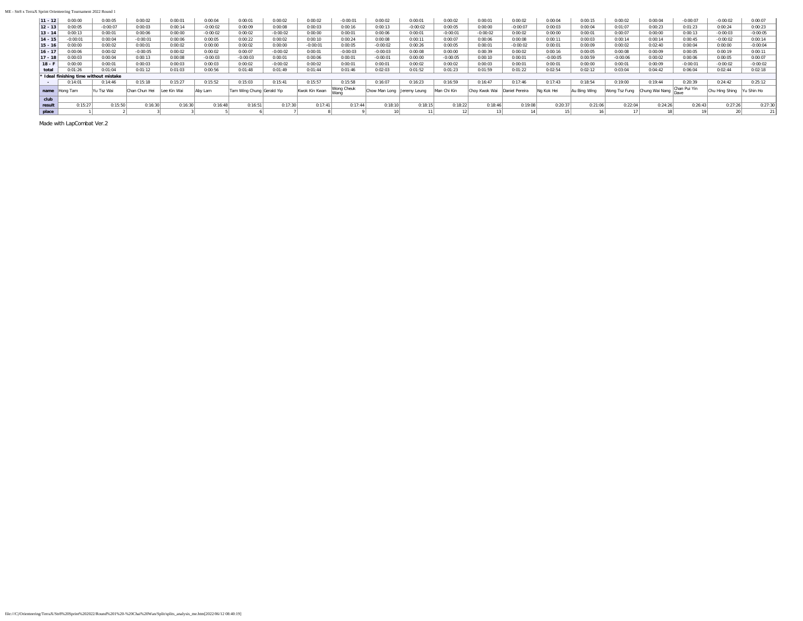#### ME - Str8 x TerraX Sprint Orienteering Tournament 2022 Round 1

|           |                                      |            |               |             |            |                           |            |               |                    |               |              |             |               |                |            |              |               | 0:00:04        |              |                |            |
|-----------|--------------------------------------|------------|---------------|-------------|------------|---------------------------|------------|---------------|--------------------|---------------|--------------|-------------|---------------|----------------|------------|--------------|---------------|----------------|--------------|----------------|------------|
| $11 - 12$ | 0:00:00                              | 0:00:05    | 0:00:02       | 0:00:01     | 0:00:04    | 0:00:01                   | 0:00:02    | 0:00:02       | $-0:00:01$         | 0:00:02       | 0:00:01      | 0:00:02     | 0:00:01       | 0:00:02        | 0:00:04    | 0:00:15      | 0:00:02       |                | $-0:00:07$   | $-0:00:02$     | 0:00:07    |
| $12 - 13$ | 0:00:05                              | $-0:00:07$ | 0:00:03       | 0:00:14     | $-0:00:02$ | 0:00:09                   | 0:00:08    | 0:00:03       | 0:00:16            | 0:00:13       | $-0:00:02$   | 0:00:05     | 0:00:00       | $-0:00:07$     | 0:00:03    | 0:00:04      | 0:01:07       | 0:00:23        | 0:01:23      | 0:00:24        | 0:00:23    |
| $13 - 14$ | 0:00:13                              | 0:00:01    | 0:00:06       | 0:00:00     | $-0:00:02$ | 0:00:02                   | $-0:00:02$ | 0:00:00       | 0:00:01            | 0:00:06       | 0:00:01      | $-0:00:01$  | $-0:00:02$    | 0:00:02        | 0:00:00    | 0:00:01      | 0:00:07       | 0:00:00        | 0:00:13      | $-0:00:03$     | $-0:00:05$ |
| $14 - 15$ | $-0:00:01$                           | 0:00:04    | $-0:00:01$    | 0:00:06     | 0:00:05    | 0:00:22                   | 0:00:02    | 0:00:10       | 0:00:24            | 0:00:08       | 0:00:11      | 0:00:07     | 0:00:06       | 0:00:08        | 0:00:11    | 0:00:03      | 0:00:14       | 0:00:14        | 0:00:45      | $-0:00:02$     | 0:00:14    |
| $15 - 16$ | 0:00:00                              | 0:00:02    | 0:00:01       | 0:00:02     | 0:00:00    | 0:00:02                   | 0:00:00    | $-0:00:01$    | 0:00:05            | $-0:00:02$    | 0:00:26      | 0:00:05     | 0:00:01       | $-0:00:02$     | 0:00:01    | 0:00:09      | 0:00:02       | 0:02:40        | 0:00:04      | 0:00:00        | $-0:00:04$ |
| $16 - 11$ | 0:00:06                              | 0:00:02    | $-0:00:05$    | 0:00:02     | 0:00:02    | 0:00:07                   | $-0:00:02$ | 0:00:01       | $-0:00:03$         | $-0:00:03$    | 0:00:08      | 0:00:00     | 0:00:39       | 0:00:02        | 0:00:16    | 0:00:05      | 0:00:08       | 0:00:09        | 0:00:05      | 0:00:19        | 0:00:11    |
| $17 - 18$ | 0:00:03                              | 0:00:04    | 0:00:13       | 0:00:08     | $-0:00:03$ | $-0:00:03$                | 0:00:01    | 0:00:06       | 0:00:01            | $-0:00:01$    | 0:00:00      | $-0:00:05$  | 0:00:10       | 0:00:01        | $-0:00:05$ | 0:00:59      | $-0:00:06$    | 0:00:02        | 0:00:06      | 0:00:05        | 0:00:07    |
| $18 - F$  | 0:00:00                              | 0:00:01    | 0:00:03       | 0:00:03     | 0:00:03    | 0:00:02                   | $-0:00:02$ | 0:00:02       | 0:00:01            | 0:00:01       | 0:00:02      | 0:00:02     | 0:00:03       | 0:00:01        | 0:00:01    | 0:00:00      | 0:00:01       | 0:00:09        | $-0:00:01$   | $-0:00:02$     | $-0:00:02$ |
| total     | 0:01:26                              | 0:01:04    | 0:01:12       | 0:01:03     | 0:00:56    | 0:01:48                   | 0:01:49    | 0:01:44       | 0:01:46            | 0:02:03       | 0:01:52      | 0:01:23     | 0:01:59       | 0:01:22        | 0:02:54    | 0:02:12      | 0:03:04       | 0:04:42        | 0:06:04      | 0:02:44        | 0:02:18    |
|           | Ideal finishing time without mistake |            |               |             |            |                           |            |               |                    |               |              |             |               |                |            |              |               |                |              |                |            |
|           | 0:14:01                              | 0:14:46    | 0:15:18       | 0:15:27     | 0:15:52    | 0:15:03                   | 0:15:41    | 0:15:57       | 0:15:58            | 0:16:07       | 0:16:23      | 0:16:59     | 0:16:47       | 0:17:46        | 0:17:43    | 0:18:54      | 0:19:00       | 0:19:44        | 0:20:39      | 0:24:42        | 0:25:12    |
| name      | Hong Tam                             | Yu Tsz Wai | Chan Chun Hei | Lee Kin Wai | Aby Lam    | Tam Wing Chung Gerald Yip |            | Kwok Kin Kwan | Wong Cheuk<br>Wang | Chow Man Long | Jeremy Leung | Man Chi Kin | Chov Kwok Wai | Daniel Pereira | Na Kok Hei | Au Bing Wing | Wong Tsz Fung | Chung Wai Nang | Chan Pui Yin | Chu Hina Shina | /u Shin Ho |
| club      |                                      |            |               |             |            |                           |            |               |                    |               |              |             |               |                |            |              |               |                |              |                |            |
| result    | 0:15:27                              | 0:15:50    | 0:16:30       | 0:16:30     | 0:16:48    | 0:16:51                   | 0:17:30    | 0:17:41       | 0:17:44            | 0:18:10       | 0:18:15      | 0:18:22     | 0:18:46       | 0:19:08        | 0:20:37    | 0:21:06      | 0:22:04       | 0:24:26        | 0:26:43      | 0:27:26        | 0:27:30    |
| place     |                                      |            |               |             |            |                           |            |               |                    |               |              |             |               |                |            |              |               |                |              |                |            |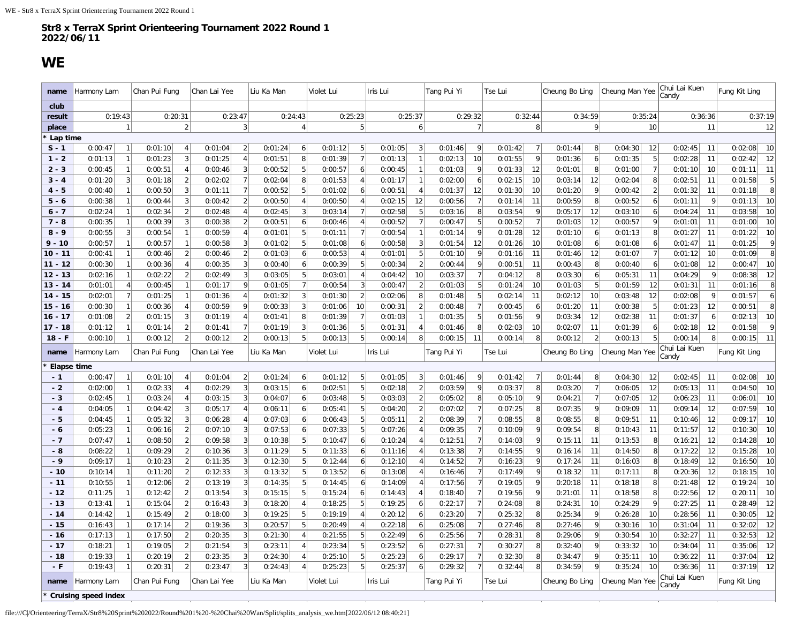## **WE**

<span id="page-3-0"></span>

| name                   | Harmony Lam                           |                | Chan Pui Fung      |                | Chan Lai Yee       |                     | Liu Ka Man                   | Violet Lui         |                      | Iris Lui           |                                  | Tang Pui Yi        |                     | Tse Lui            |                | Cheung Bo Ling     |                     | Cheung Man Yee     |                      | Chui Lai Kuen<br>Candy |                      | Fung Kit Ling             |
|------------------------|---------------------------------------|----------------|--------------------|----------------|--------------------|---------------------|------------------------------|--------------------|----------------------|--------------------|----------------------------------|--------------------|---------------------|--------------------|----------------|--------------------|---------------------|--------------------|----------------------|------------------------|----------------------|---------------------------|
| club                   |                                       |                |                    |                |                    |                     |                              |                    |                      |                    |                                  |                    |                     |                    |                |                    |                     |                    |                      |                        |                      |                           |
| result                 | 0:19:43                               |                | 0:20:31            |                | 0:23:47            |                     | 0:24:43                      | 0:25:23            |                      | 0:25:37            |                                  |                    | 0:29:32             | 0:32:44            |                | 0:34:59            |                     | 0:35:24            |                      | 0:36:36                |                      | 0:37:19                   |
| place                  |                                       | $\mathbf{1}$   |                    | $\overline{2}$ |                    | 3                   | $\overline{4}$               |                    | 5                    |                    | $6\vert$                         |                    | 7                   |                    | 8 <sup>1</sup> |                    | 9 <sup>1</sup>      |                    | 10                   |                        | 11                   | 12                        |
| Lap time               |                                       |                |                    |                |                    |                     |                              |                    |                      |                    |                                  |                    |                     |                    |                |                    |                     |                    |                      |                        |                      |                           |
| $S - 1$                | 0:00:47                               | $\overline{1}$ | 0:01:10            | $\overline{4}$ | 0:01:04            | $\overline{2}$      | 0:01:24<br>6                 | 0:01:12            | 5                    | 0:01:05            | 3                                | 0:01:46            | 9                   | 0:01:42            | 7              | 0:01:44            | 8                   | 0:04:30            | 12                   | 0:02:45                | 11                   | 10<br>0:02:08             |
| $1 - 2$                | 0:01:13                               | $\overline{1}$ | 0:01:23            | 3              | 0:01:25            | $\overline{4}$      | 8<br>0:01:51                 | 0:01:39            | $\overline{7}$       | 0:01:13            | $\mathbf{1}$                     | 0:02:13            | 10                  | 0:01:55            | 9              | 0:01:36            | 6                   | 0:01:35            | 5                    | 0:02:28                | 11                   | 0:02:42<br>12             |
| $2 - 3$                | 0:00:45                               | -1             | 0:00:51            | $\overline{4}$ | 0:00:46            | 3                   | 5<br>0:00:52                 | 0:00:57            | 6                    | 0:00:45            | $\mathbf{1}$                     | 0:01:03            | 9                   | 0:01:33            | 12             | 0:01:01            | 8                   | 0:01:00            | 7                    | 0:01:10                | 10                   | 0:01:11<br>11             |
| $3 - 4$                | 0:01:20                               | 3              | 0:01:18            | $\overline{2}$ | 0:02:02            | $\overline{7}$      | 0:02:04<br>8                 | 0:01:53            | $\overline{4}$       | 0:01:17            | $\mathbf{1}$                     | 0:02:00            | 6                   | 0:02:15            | 10             | 0:03:14            | 12                  | 0:02:04            | 8                    | 0:02:51                | 11                   | $\sqrt{5}$<br>0:01:58     |
| $4 - 5$                | 0:00:40                               |                | 0:00:50            | 3              | 0:01:11            | $\overline{7}$      | 0:00:52<br>5                 | 0:01:02            | 6                    | 0:00:51            | $\overline{4}$                   | 0:01:37            | 12                  | 0:01:30            | 10             | 0:01:20            | 9                   | 0:00:42            | $\left  \right $     | 0:01:32                | 11                   | $\overline{8}$<br>0:01:18 |
| $5 - 6$                | 0:00:38                               |                | 0:00:44            | 3              | 0:00:42            | $\overline{2}$      | 0:00:50<br>$\overline{4}$    | 0:00:50            | $\overline{4}$       | 0:02:15            | 12                               | 0:00:56            | $\overline{7}$      | 0:01:14            | 11             | 0:00:59            | 8                   | 0:00:52            | 6 <sup>1</sup>       | 0:01:11                | 9                    | 10<br>0:01:13             |
| $6 - 7$                | 0:02:24                               |                | 0:02:34            | $\overline{2}$ | 0:02:48            | $\overline{4}$      | 0:02:45<br>3                 | 0:03:14            | $\overline{7}$       | 0:02:58            | 5                                | 0:03:16            | 8                   | 0:03:54            | 9              | 0:05:17            | 12                  | 0:03:10            | $6\vert$             | 0:04:24                | 11                   | 10<br>0:03:58             |
| $7 - 8$                | 0:00:35                               |                | 0:00:39            | 3              | 0:00:38            | $\overline{2}$      | 0:00:51<br>6                 | 0:00:46            | $\overline{4}$       | 0:00:52            | $\overline{7}$                   | 0:00:47            | 5                   | 0:00:52            | $\overline{7}$ | 0:01:03            | 12                  | 0:00:57            | 9                    | 0:01:01                | 11                   | 10<br>0:01:00             |
| $8 - 9$                | 0:00:55                               |                | 0:00:54            | $\mathbf{1}$   | 0:00:59            | $\overline{4}$      | 0:01:01<br>5                 | 0:01:11            | $\overline{7}$       | 0:00:54            | $\mathbf{1}$                     | 0:01:14            | 9                   | 0:01:28            | 12             | 0:01:10            | 6                   | 0:01:13            | 8                    | 0:01:27                | 11                   | $10$<br>0:01:22           |
| $9 - 10$               | 0:00:57                               |                | 0:00:57            | $\mathbf{1}$   | 0:00:58            | 3                   | 0:01:02<br>5                 | 0:01:08            | 6                    | 0:00:58            | $\mathbf{3}$                     | 0:01:54            | 12                  | 0:01:26            | 10             | 0:01:08            | 6                   | 0:01:08            | $6\vert$             | 0:01:47                | 11                   | $\overline{9}$<br>0:01:25 |
| $10 - 11$              | 0:00:41                               |                | 0:00:46            | $\overline{2}$ | 0:00:46            | $\overline{2}$      | 0:01:03<br>6                 | 0:00:53            | $\overline{4}$       | 0:01:01            | 5                                | 0:01:10            | 9                   | 0:01:16            | 11             | 0:01:46            | 12                  | 0:01:07            | 7                    | 0:01:12                | 10                   | $\overline{8}$<br>0:01:09 |
| $11 - 12$              | 0:00:30                               |                | 0:00:36            |                | 0:00:35            | 3                   | 0:00:40<br>6                 | 0:00:39            | 5                    | 0:00:34            | 2                                | 0:00:44            | 9                   | 0:00:51            | 11             | 0:00:43            | 8                   | 0:00:40            | 6 <sup>1</sup>       | 0:01:08                | 12                   | 10<br>0:00:47             |
| $12 - 13$              | 0:02:16                               |                | 0:02:22            |                | 0:02:49            | 3<br>9              | 5<br>0:03:05                 | 0:03:01            | $\overline{4}$       | 0:04:42            | 10                               | 0:03:37            | $\overline{7}$<br>5 | 0:04:12            | 8              | 0:03:30            | 6 <sup>1</sup><br>5 | 0:05:31            | 11                   | 0:04:29                | $\overline{9}$<br>11 | 12<br>0:08:38<br>8        |
| $13 - 14$<br>$14 - 15$ | 0:01:01                               |                | 0:00:45            |                | 0:01:17            |                     | 0:01:05<br>3                 | 0:00:54            | 3<br>$\overline{2}$  | 0:00:47            |                                  | 0:01:03            | 5                   | 0:01:24            | 10             | 0:01:03            |                     | 0:01:59            | 12                   | 0:01:31                | 9                    | 0:01:16<br>6              |
| $15 - 16$              | 0:02:01                               | -1             | 0:01:25            | 4              | 0:01:36            | $\overline{4}$<br>q | 0:01:32                      | 0:01:30            |                      | 0:02:06            | 8                                | 0:01:48            | $\overline{7}$      | 0:02:14            | 11             | 0:02:12            | 10                  | 0:03:48            | $12\,$<br>$\sqrt{5}$ | 0:02:08                | 12                   | 0:01:57<br>8              |
| $16 - 17$              | 0:00:30<br>0:01:08                    | $\overline{2}$ | 0:00:36<br>0:01:15 | 3              | 0:00:59<br>0:01:19 | $\overline{4}$      | 0:00:33<br>3<br>0:01:41<br>8 | 0:01:06<br>0:01:39 | 10<br>$\overline{7}$ | 0:00:31<br>0:01:03 | $\overline{2}$<br>$\overline{1}$ | 0:00:48<br>0:01:35 | 5                   | 0:00:45<br>0:01:56 | 6<br>9         | 0:01:20<br>0:03:34 | 11<br>12            | 0:00:38<br>0:02:38 | 11                   | 0:01:23<br>0:01:37     | 6                    | 0:00:51<br>10<br>0:02:13  |
| $17 - 18$              | 0:01:12                               |                | 0:01:14            | $\overline{2}$ | 0:01:41            | $\overline{7}$      | 0:01:19<br>3                 | 0:01:36            | 5                    | 0:01:31            | $\overline{4}$                   | 0:01:46            | 8                   | 0:02:03            | 10             | 0:02:07            | 11                  | 0:01:39            | 6                    | 0:02:18                | 12                   | $\mathsf{Q}$<br>0:01:58   |
| $18 - F$               | 0:00:10                               | $\mathbf{1}$   | 0:00:12            | $\vert$ 2      | 0:00:12            | $\overline{2}$      | 5<br>0:00:13                 | 0:00:13            | 5                    | 0:00:14            | 8 <sup>1</sup>                   | 0:00:15            | 11                  | 0:00:14            | 8 <sup>1</sup> | 0:00:12            | 2                   | 0:00:13            | 5                    | 0:00:14                | 8 <sup>1</sup>       | 11<br>0:00:15             |
| name                   | Harmony Lam                           |                | Chan Pui Fung      |                | Chan Lai Yee       |                     | Liu Ka Man                   | Violet Lui         |                      | Iris Lui           |                                  | Tang Pui Yi        |                     | Tse Lui            |                | Cheung Bo Ling     |                     | Cheung Man Yee     |                      | Chui Lai Kuen<br>Candv |                      | Fung Kit Ling             |
| Elapse time            |                                       |                |                    |                |                    |                     |                              |                    |                      |                    |                                  |                    |                     |                    |                |                    |                     |                    |                      |                        |                      |                           |
| $-1$                   | 0:00:47                               |                | 0:01:10            | $\overline{4}$ | 0:01:04            | $\overline{2}$      | 0:01:24<br>6                 | 0:01:12            | 5                    | 0:01:05            | $\overline{3}$                   | 0:01:46            | 9                   | 0:01:42            | $\overline{7}$ | 0:01:44            | 8                   | 0:04:30            | 12                   | 0:02:45                | 11                   | 10<br>0:02:08             |
| $-2$                   | 0:02:00                               |                | 0:02:33            |                | 0:02:29            | 3                   | 0:03:15<br>6                 | 0:02:51            | 5                    | 0:02:18            | $\overline{2}$                   | 0:03:59            | 9                   | 0:03:37            | 8              | 0:03:20            | $\overline{7}$      | 0:06:05            | 12                   | 0:05:13                | 11                   | 10<br>0:04:50             |
| $-3$                   | 0:02:45                               |                | 0:03:24            |                | 0:03:15            | 3                   | 0:04:07<br>6                 | 0:03:48            | 5                    | 0:03:03            | $\overline{2}$                   | 0:05:02            | 8                   | 0:05:10            | 9              | 0:04:21            | $\overline{7}$      | 0:07:05            | 12                   | 0:06:23                | 11                   | 0:06:01<br>10             |
| $-4$                   | 0:04:05                               |                | 0:04:42            | 3              | 0:05:17            | $\overline{4}$      | 0:06:11<br>6                 | 0:05:41            | 5                    | 0:04:20            | $\overline{2}$                   | 0:07:02            | $\overline{7}$      | 0:07:25            | 8              | 0:07:35            | 9                   | 0:09:09            | 11                   | 0:09:14                | 12                   | 10<br>0:07:59             |
| $-5$                   | 0:04:45                               |                | 0:05:32            | 3              | 0:06:28            | 4                   | 0:07:03<br>6                 | 0:06:43            | 5                    | 0:05:11            | $\overline{2}$                   | 0:08:39            | $\overline{7}$      | 0:08:55            | 8              | 0:08:55            | 8 <sup>1</sup>      | 0:09:51            | 11                   | 0:10:46                | 12                   | $10$<br>0:09:17           |
| - 6                    | 0:05:23                               |                | 0:06:16            |                | 0:07:10            | 3                   | 0:07:53<br>6                 | 0:07:33            | 5                    | 0:07:26            | $\overline{A}$                   | 0:09:35            | $\overline{7}$      | 0:10:09            | 9              | 0:09:54            | 8                   | 0:10:43            | 11                   | 0:11:57                | 12                   | 10<br>0:10:30             |
| $-7$                   | 0:07:47                               |                | 0:08:50            | $\overline{2}$ | 0:09:58            | 3                   | 0:10:38<br>5                 | 0:10:47            | 6                    | 0:10:24            | $\overline{4}$                   | 0:12:51            | $\overline{7}$      | 0:14:03            | 9              | 0:15:11            | 11                  | 0:13:53            | 8                    | 0:16:21                | 12                   | $10$<br>0:14:28           |
| - 8                    | 0:08:22                               |                | 0:09:29            |                | 0:10:36            | 3                   | 0:11:29<br>5                 | 0:11:33            | 6                    | 0:11:16            | $\overline{4}$                   | 0:13:38            | $\overline{7}$      | 0:14:55            | 9              | 0:16:14            | 11                  | 0:14:50            | 8 <sup>1</sup>       | 0:17:22                | 12                   | 10<br>0:15:28             |
| $-9$                   | 0:09:17                               |                | 0:10:23            |                | 0:11:35            | 3                   | 0:12:30<br>5                 | 0:12:44            | 6                    | 0:12:10            | $\overline{4}$                   | 0:14:52            | $\overline{7}$      | 0:16:23            | 9              | 0:17:24            | 11                  | 0:16:03            | 8 <sup>2</sup>       | 0:18:49                | 12                   | 10<br>0:16:50             |
| $-10$                  | 0:10:14                               |                | 0:11:20            |                | 0:12:33            | 3                   | 0:13:32<br>5                 | 0:13:52            | 6                    | 0:13:08            | $\overline{4}$                   | 0:16:46            | $\overline{7}$      | 0:17:49            | 9              | 0:18:32            | 11                  | 0:17:11            | 8 <sup>1</sup>       | 0:20:36                | 12                   | 10<br>0:18:15             |
| $-11$                  | 0:10:55                               |                | 0:12:06            |                | 0:13:19            | 3                   | 5<br>0:14:35                 | 0:14:45            | 6                    | 0:14:09            | $\overline{4}$                   | 0:17:56            | $\overline{7}$      | 0:19:05            | 9              | 0:20:18            | 11                  | 0:18:18            | 8                    | 0:21:48                | 12                   | 0:19:24<br>10             |
| $-12$                  | 0:11:25                               | -1             | 0:12:42            | $\overline{2}$ | 0:13:54            | 3                   | 0:15:15<br>5                 | 0:15:24            | 6                    | 0:14:43            | $\overline{4}$                   | 0:18:40            | $\overline{7}$      | 0:19:56            | 9              | 0:21:01            | 11                  | 0:18:58            | 8                    | 0:22:56                | 12                   | 10<br>0:20:11             |
| $-13$                  | 0:13:41                               | $\overline{1}$ | 0:15:04            | $\overline{2}$ | 0:16:43            | 3                   | 0:18:20<br>$\overline{4}$    | 0:18:25            | 5                    | 0:19:25            | 6                                | 0:22:17            | $\overline{7}$      | 0:24:08            | 8              | 0:24:31            | 10                  | 0:24:29            | 9                    | 0:27:25                | 11                   | 0:28:49<br>12             |
| $-14$                  | 0:14:42                               |                | 0:15:49            | $\overline{2}$ | 0:18:00            | 3                   | 0:19:25<br>5                 | 0:19:19            | $\overline{4}$       | 0:20:12            | 6                                | 0:23:20            | $\overline{7}$      | 0:25:32            | 8              | 0:25:34            | 9                   | 0:26:28            | 10                   | 0:28:56                | 11                   | $12\,$<br>0:30:05         |
| $-15$                  | 0:16:43                               | -1             | 0:17:14            | $\overline{2}$ | 0:19:36            | 3                   | 0:20:57<br>5                 | 0:20:49            | $\overline{4}$       | 0:22:18            | 6                                | 0:25:08            | $\overline{7}$      | 0:27:46            | 8 <sup>1</sup> | 0:27:46            | 9                   | 0:30:16            | 10                   | 0:31:04                | 11                   | 0:32:02<br>12             |
|                        |                                       |                | 0:17:50            | $\overline{2}$ | 0:20:35            | 3                   | 0:21:30<br>$\overline{4}$    | 0:21:55            | 5                    | 0:22:49            | 6                                | 0:25:56            | $\overline{7}$      | 0:28:31            | 8              | 0:29:06            | 9                   | 0:30:54            | 10                   | 0:32:27                | 11                   | 12<br>0:32:53             |
| $-16$                  | 0:17:13                               |                |                    |                |                    |                     |                              |                    |                      |                    |                                  |                    |                     | 0:30:27            | 8              |                    |                     |                    |                      |                        |                      | 0:35:06                   |
| $-17$                  | 0:18:21                               |                | 0:19:05            | $\overline{2}$ | 0:21:54            | $\overline{3}$      | 0:23:11<br>$\overline{4}$    | 0:23:34            | 5                    | 0:23:52            | 6                                | 0:27:31            | $\overline{7}$      |                    |                | 0:32:40            | $\overline{9}$      | 0:33:32            | 10                   | 0:34:04                | 11                   | 12                        |
| $-18$                  | 0:19:33                               |                | 0:20:19            | $\overline{2}$ | 0:23:35            | 3                   | 0:24:30<br>$\overline{4}$    | 0:25:10            | 5                    | 0:25:23            | 6                                | 0:29:17            | $\overline{7}$      | 0:32:30            | 8              | 0:34:47            | 9                   | 0:35:11            | 10                   | 0:36:22                | 11                   | 0:37:04<br>12             |
| $-F$                   | 0:19:43                               |                | 0:20:31            | $\overline{2}$ | 0:23:47            | 3                   | 0:24:43<br>$\overline{4}$    | 0:25:23            | 5                    | 0:25:37            | $6\vert$                         | 0:29:32            | $\overline{7}$      | 0:32:44            | 8 <sup>1</sup> | 0:34:59            | $\overline{9}$      | 0:35:24            | 10                   | 0:36:36                | 11                   | 12<br>0:37:19             |
| name                   | Harmony Lam<br>* Cruising speed index |                | Chan Pui Fung      |                | Chan Lai Yee       |                     | Liu Ka Man                   | Violet Lui         |                      | Iris Lui           |                                  | Tang Pui Yi        |                     | Tse Lui            |                | Cheung Bo Ling     |                     | Cheung Man Yee     |                      | Chui Lai Kuen<br>Candy |                      | Fung Kit Ling             |

file:///C|/Orienteering/TerraX/Str8%20Sprint%202022/Round%201%20-%20Chai%20Wan/Split/splits\_analysis\_we.htm[2022/06/12 08:40:21]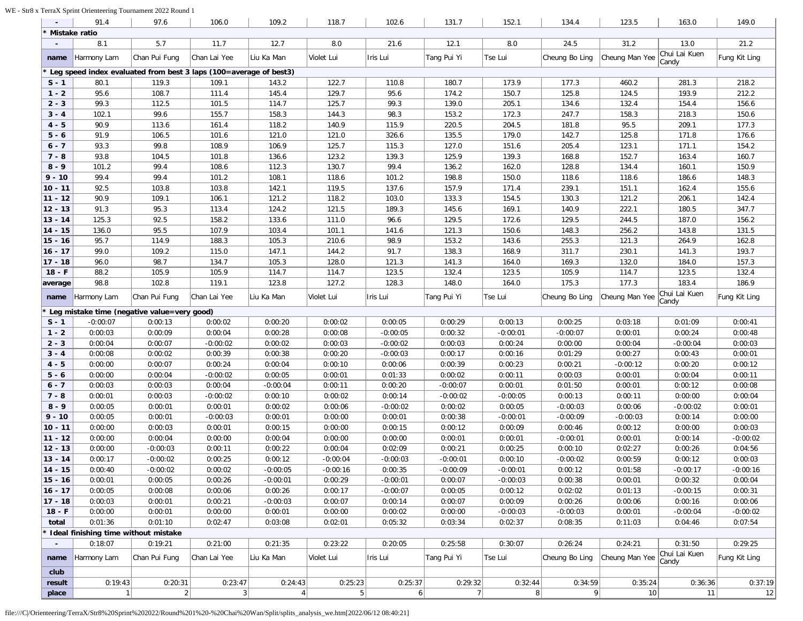### WE - Str8 x TerraX Sprint Orienteering Tournament 2022 Round 1

|                          | 91.4                                                              | 97.6          | 106.0                        | 109.2                     | 118.7                     | 102.6        | 131.7        | 152.1        | 134.4          | 123.5          | 163.0         | 149.0         |
|--------------------------|-------------------------------------------------------------------|---------------|------------------------------|---------------------------|---------------------------|--------------|--------------|--------------|----------------|----------------|---------------|---------------|
|                          | Mistake ratio                                                     |               |                              |                           |                           |              |              |              |                |                |               |               |
| $\overline{\phantom{a}}$ | 8.1                                                               | 5.7           | 11.7                         | 12.7                      | 8.0                       | 21.6         | 12.1         | 8.0          | 24.5           | 31.2           | 13.0          | 21.2          |
| name                     | Harmony Lam                                                       | Chan Pui Fung | Chan Lai Yee                 | Liu Ka Man                | Violet Lui                | Iris Lui     | Tang Pui Yi  | Tse Lui      | Cheung Bo Ling | Cheung Man Yee | Chui Lai Kuen | Fung Kit Ling |
|                          | Leg speed index evaluated from best 3 laps (100=average of best3) |               |                              |                           |                           |              |              |              |                |                | Candy         |               |
| $S - 1$                  | 80.1                                                              | 119.3         | 109.1                        | 143.2                     | 122.7                     | 110.8        | 180.7        | 173.9        | 177.3          | 460.2          | 281.3         | 218.2         |
|                          | 95.6                                                              | 108.7         |                              |                           | 129.7                     |              |              | 150.7        | 125.8          | 124.5          | 193.9         | 212.2         |
| $1 - 2$                  |                                                                   |               | 111.4                        | 145.4                     |                           | 95.6         | 174.2        |              |                |                |               |               |
| $2 - 3$                  | 99.3                                                              | 112.5         | 101.5                        | 114.7                     | 125.7                     | 99.3         | 139.0        | 205.1        | 134.6          | 132.4          | 154.4         | 156.6         |
| $3 - 4$                  | 102.1                                                             | 99.6          | 155.7                        | 158.3                     | 144.3                     | 98.3         | 153.2        | 172.3        | 247.7          | 158.3          | 218.3         | 150.6         |
| 4 - 5                    | 90.9                                                              | 113.6         | 161.4                        | 118.2                     | 140.9                     | 115.9        | 220.5        | 204.5        | 181.8          | 95.5           | 209.1         | 177.3         |
| $5 - 6$                  | 91.9                                                              | 106.5         | 101.6                        | 121.0                     | 121.0                     | 326.6        | 135.5        | 179.0        | 142.7          | 125.8          | 171.8         | 176.6         |
| $6 - 7$                  | 93.3                                                              | 99.8          | 108.9                        | 106.9                     | 125.7                     | 115.3        | 127.0        | 151.6        | 205.4          | 123.1          | 171.1         | 154.2         |
| $7 - 8$                  | 93.8                                                              | 104.5         | 101.8                        | 136.6                     | 123.2                     | 139.3        | 125.9        | 139.3        | 168.8          | 152.7          | 163.4         | 160.7         |
| $8 - 9$                  | 101.2                                                             | 99.4          | 108.6                        | 112.3                     | 130.7                     | 99.4         | 136.2        | 162.0        | 128.8          | 134.4          | 160.1         | 150.9         |
| $9 - 10$                 | 99.4                                                              | 99.4          | 101.2                        | 108.1                     | 118.6                     | 101.2        | 198.8        | 150.0        | 118.6          | 118.6          | 186.6         | 148.3         |
| $10 - 11$                | 92.5                                                              | 103.8         | 103.8                        | 142.1                     | 119.5                     | 137.6        | 157.9        | 171.4        | 239.1          | 151.1          | 162.4         | 155.6         |
| $11 - 12$                | 90.9                                                              | 109.1         | 106.1                        | 121.2                     | 118.2                     | 103.0        | 133.3        | 154.5        | 130.3          | 121.2          | 206.1         | 142.4         |
| $12 - 13$                | 91.3                                                              | 95.3          | 113.4                        | 124.2                     | 121.5                     | 189.3        | 145.6        | 169.1        | 140.9          | 222.1          | 180.5         | 347.7         |
| $13 - 14$                | 125.3                                                             | 92.5          | 158.2                        | 133.6                     | 111.0                     | 96.6         | 129.5        | 172.6        | 129.5          | 244.5          | 187.0         | 156.2         |
| $14 - 15$                | 136.0                                                             | 95.5          | 107.9                        | 103.4                     | 101.1                     | 141.6        | 121.3        | 150.6        | 148.3          | 256.2          | 143.8         | 131.5         |
| $15 - 16$                | 95.7                                                              | 114.9         | 188.3                        | 105.3                     | 210.6                     | 98.9         | 153.2        | 143.6        | 255.3          | 121.3          | 264.9         | 162.8         |
| $16 - 17$                | 99.0                                                              | 109.2         | 115.0                        | 147.1                     | 144.2                     | 91.7         | 138.3        | 168.9        | 311.7          | 230.1          | 141.3         | 193.7         |
| $17 - 18$                | 96.0                                                              | 98.7          | 134.7                        | 105.3                     | 128.0                     | 121.3        | 141.3        | 164.0        | 169.3          | 132.0          | 184.0         | 157.3         |
| $18 - F$                 | 88.2                                                              | 105.9         | 105.9                        | 114.7                     | 114.7                     | 123.5        | 132.4        | 123.5        | 105.9          | 114.7          | 123.5         | 132.4         |
| average                  | 98.8                                                              | 102.8         | 119.1                        | 123.8                     | 127.2                     | 128.3        | 148.0        | 164.0        | 175.3          | 177.3          | 183.4         | 186.9         |
|                          |                                                                   |               | Chan Lai Yee                 | Liu Ka Man                |                           |              |              |              |                |                | Chui Lai Kuen | Fung Kit Ling |
| name                     | Harmony Lam                                                       | Chan Pui Fung |                              |                           | Violet Lui                | Iris Lui     | Tang Pui Yi  | Tse Lui      | Cheung Bo Ling | Cheung Man Yee | Candy         |               |
|                          | Leg mistake time (negative value=very good)                       |               |                              |                           |                           |              |              |              |                |                |               |               |
| $S - 1$                  | $-0:00:07$                                                        | 0:00:13       | 0:00:02                      | 0:00:20                   | 0:00:02                   | 0:00:05      | 0:00:29      | 0:00:13      | 0:00:25        | 0:03:18        | 0:01:09       | 0:00:41       |
| $1 - 2$                  | 0:00:03                                                           | 0:00:09       | 0:00:04                      | 0:00:28                   | 0:00:08                   | $-0:00:05$   | 0:00:32      | $-0:00:01$   | $-0:00:07$     | 0:00:01        | 0:00:24       | 0:00:48       |
| $2 - 3$                  | 0:00:04                                                           | 0:00:07       | $-0:00:02$                   | 0:00:02                   | 0:00:03                   | $-0:00:02$   | 0:00:03      | 0:00:24      | 0:00:00        | 0:00:04        | $-0:00:04$    | 0:00:03       |
| $3 - 4$                  | 0:00:08                                                           | 0:00:02       | 0:00:39                      | 0:00:38                   | 0:00:20                   | $-0:00:03$   |              |              | 0:01:29        | 0:00:27        | 0:00:43       | 0:00:01       |
| $4 - 5$                  |                                                                   |               |                              |                           |                           |              | 0:00:17      | 0:00:16      |                |                |               |               |
|                          | 0:00:00                                                           | 0:00:07       | 0:00:24                      | 0:00:04                   | 0:00:10                   | 0:00:06      | 0:00:39      | 0:00:23      | 0:00:21        | $-0:00:12$     | 0:00:20       | 0:00:12       |
| $5 - 6$                  | 0:00:00                                                           | 0:00:04       | $-0:00:02$                   | 0:00:05                   | 0:00:01                   | 0:01:33      | 0:00:02      | 0:00:11      | 0:00:03        | 0:00:01        | 0:00:04       | 0:00:11       |
| $6 - 7$                  | 0:00:03                                                           | 0:00:03       | 0:00:04                      | $-0:00:04$                | 0:00:11                   | 0:00:20      | $-0:00:07$   | 0:00:01      | 0:01:50        | 0:00:01        | 0:00:12       | 0:00:08       |
| $7 - 8$                  | 0:00:01                                                           | 0:00:03       | $-0:00:02$                   | 0:00:10                   | 0:00:02                   | 0:00:14      | $-0:00:02$   | $-0:00:05$   | 0:00:13        | 0:00:11        | 0:00:00       | 0:00:04       |
| $8 - 9$                  | 0:00:05                                                           | 0:00:01       | 0:00:01                      | 0:00:02                   | 0:00:06                   | $-0:00:02$   | 0:00:02      | 0:00:05      | $-0:00:03$     | 0:00:06        | $-0:00:02$    | 0:00:01       |
| $9 - 10$                 | 0:00:05                                                           | 0:00:01       | $-0:00:03$                   | 0:00:01                   | 0:00:00                   | 0:00:01      | 0:00:38      | $-0:00:01$   | $-0:00:09$     | $-0:00:03$     | 0:00:14       | 0:00:00       |
| $10 - 11$                | 0:00:00                                                           | 0:00:03       | 0:00:01                      | 0:00:15                   | 0:00:00                   | 0:00:15      | 0:00:12      | 0:00:09      | 0:00:46        | 0:00:12        | 0:00:00       | 0:00:03       |
| $11 - 12$                | 0:00:00                                                           | 0:00:04       | 0:00:00                      | 0:00:04                   | 0:00:00                   | 0:00:00      | 0:00:01      | 0:00:01      | $-0:00:01$     | 0:00:01        | 0:00:14       | $-0:00:02$    |
| $12 - 13$                | 0:00:00                                                           | $-0:00:03$    | 0:00:11                      | 0:00:22                   | 0:00:04                   | 0:02:09      | 0:00:21      | 0:00:25      | 0:00:10        | 0:02:27        | 0:00:26       | 0:04:56       |
| $13 - 14$                | 0:00:17                                                           | $-0:00:02$    | 0:00:25                      | 0:00:12                   | $-0:00:04$                | $-0:00:03$   | $-0:00:01$   | 0:00:10      | $-0:00:02$     | 0:00:59        | 0:00:12       | 0:00:03       |
|                          | 0:00:40                                                           | $-0:00:02$    | 0:00:02                      | $-0:00:05$                | $-0:00:16$                | 0:00:35      | $-0:00:09$   | $-0:00:01$   | 0:00:12        | 0:01:58        | $-0:00:17$    | $-0:00:16$    |
| $14 - 15$<br>$15 - 16$   | 0:00:01                                                           | 0:00:05       | 0:00:26                      | $-0:00:01$                | 0:00:29                   | $-0:00:01$   | 0:00:07      | $-0:00:03$   | 0:00:38        | 0:00:01        | 0:00:32       | 0:00:04       |
|                          |                                                                   |               |                              |                           |                           |              |              |              |                |                |               |               |
| $16 - 17$                | 0:00:05                                                           | 0:00:08       | 0:00:06                      | 0:00:26                   | 0:00:17                   | $-0:00:07$   | 0:00:05      | 0:00:12      | 0:02:02        | 0:01:13        | $-0:00:15$    | 0:00:31       |
| $17 - 18$                | 0:00:03                                                           | 0:00:01       | 0:00:21                      | $-0:00:03$                | 0:00:07                   | 0:00:14      | 0:00:07      | 0:00:09      | 0:00:26        | 0:00:06        | 0:00:16       | 0:00:06       |
| $18 - F$                 | 0:00:00                                                           | 0:00:01       | 0:00:00                      | 0:00:01                   | 0:00:00                   | 0:00:02      | 0:00:00      | $-0:00:03$   | $-0:00:03$     | 0:00:01        | $-0:00:04$    | $-0:00:02$    |
| total                    | 0:01:36                                                           | 0:01:10       | 0:02:47                      | 0:03:08                   | 0:02:01                   | 0:05:32      | 0:03:34      | 0:02:37      | 0:08:35        | 0:11:03        | 0:04:46       | 0:07:54       |
| $\sim$                   | Ideal finishing time without mistake<br>0:18:07                   | 0:19:21       |                              |                           |                           |              | 0:25:58      | 0:30:07      | 0:26:24        | 0:24:21        | 0:31:50       | 0:29:25       |
|                          |                                                                   |               | 0:21:00                      | 0:21:35                   | 0:23:22                   | 0:20:05      |              |              |                |                | Chui Lai Kuen |               |
| name                     | Harmony Lam                                                       | Chan Pui Fung | Chan Lai Yee                 | Liu Ka Man                | Violet Lui                | Iris Lui     | Tang Pui Yi  | Tse Lui      | Cheung Bo Ling | Cheung Man Yee | Candy         | Fung Kit Ling |
| club                     |                                                                   |               |                              |                           |                           |              |              |              |                |                |               |               |
| result<br>place          | 0:19:43                                                           | 0:20:31<br>2  | 0:23:47<br>$\lceil 3 \rceil$ | 0:24:43<br>$\overline{4}$ | 0:25:23<br>5 <sup>1</sup> | 0:25:37<br>6 | 0:29:32<br>7 | 0:32:44<br>8 | 0:34:59<br>9   | 0:35:24<br>10  | 0:36:36<br>11 | 0:37:19<br>12 |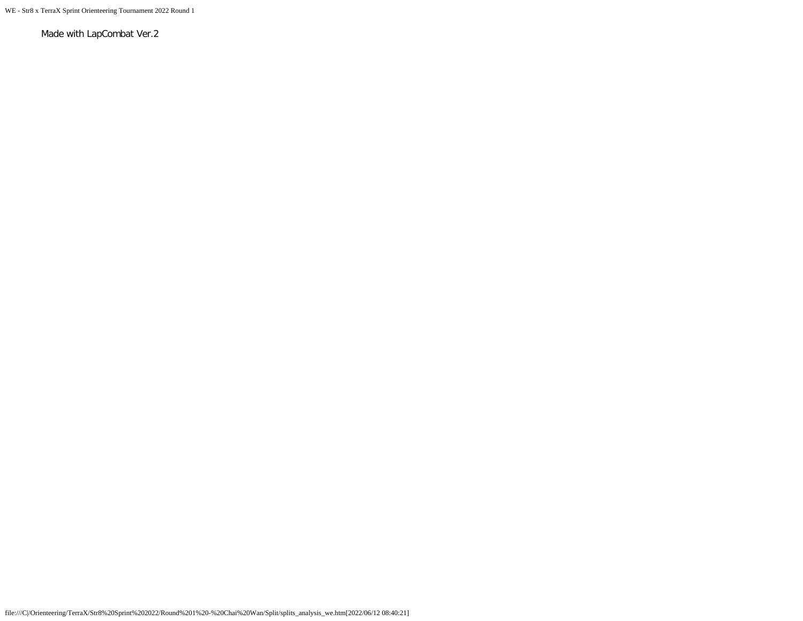WE - Str8 x TerraX Sprint Orienteering Tournament 2022 Round 1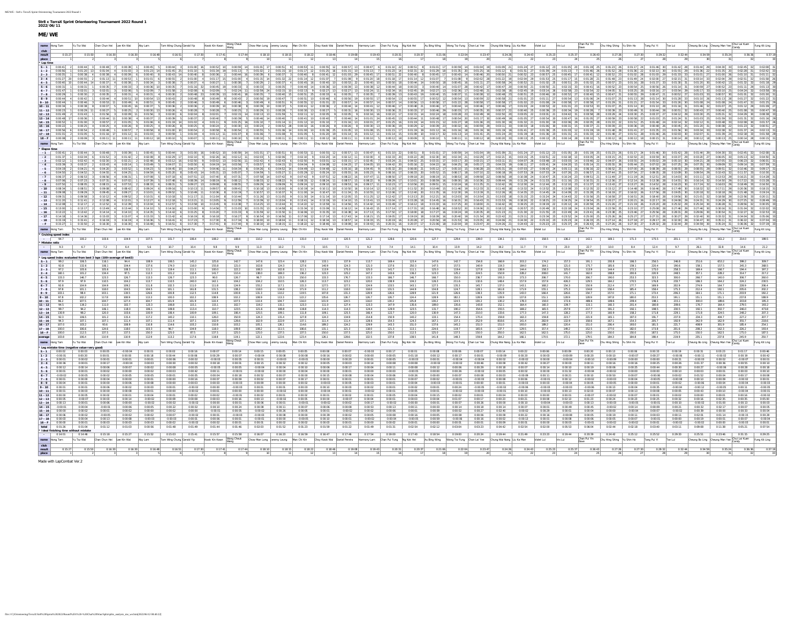| file:///C)/Orienteering/TerraX/Str8%20Sprint%202022/Round%201%20-%20Chai%20Wan/Split/splits_analysis_me_we.htm[2022/06/12 08:40:22] |  |  |
|-------------------------------------------------------------------------------------------------------------------------------------|--|--|

|                        | Yu Tsz Wai                                                      | Chan Chun Hei Lee Kin Wai                                                |                               | Aby Lam               | Tam Wing Chung Gerald Yip          |                         | Kwok Kin Kwan                 |                          |                                                    |                    |                       |                                       |                    |                                                    |                                                                                                                                   |                                             |                                     | Chow Man Long Jioromy Loung Man Chi Kin Choy Kwok Wai Daniel Pereira Harmony Lam Chan Pul Fung Ng Kok Hei Au Bing Wing Wong Tsz Fung Chan Lai Yee Chung Wai Nang Liu Ka Man                                                                                                                                                                                                                                                                                       |                                                                                                                   | Violet Lui             | Iris Lui              |                                                | Chu Hing Shing   Yu Shin Ho            |                       | Tang Pui Yi               | Tse Lui            |                        | Cheung Bo Ling Cheung Man Yee               |                | Fung Kit Ling |
|------------------------|-----------------------------------------------------------------|--------------------------------------------------------------------------|-------------------------------|-----------------------|------------------------------------|-------------------------|-------------------------------|--------------------------|----------------------------------------------------|--------------------|-----------------------|---------------------------------------|--------------------|----------------------------------------------------|-----------------------------------------------------------------------------------------------------------------------------------|---------------------------------------------|-------------------------------------|-------------------------------------------------------------------------------------------------------------------------------------------------------------------------------------------------------------------------------------------------------------------------------------------------------------------------------------------------------------------------------------------------------------------------------------------------------------------|-------------------------------------------------------------------------------------------------------------------|------------------------|-----------------------|------------------------------------------------|----------------------------------------|-----------------------|---------------------------|--------------------|------------------------|---------------------------------------------|----------------|---------------|
|                        |                                                                 |                                                                          |                               |                       | 0:16:51                            |                         |                               |                          | 0:18:10                                            |                    |                       |                                       | 0:19:08            |                                                    |                                                                                                                                   |                                             | 0:22:04                             |                                                                                                                                                                                                                                                                                                                                                                                                                                                                   | 0:24:43                                                                                                           |                        |                       |                                                | 0:27:26                                |                       | 0.29.32                   |                    |                        |                                             |                |               |
|                        |                                                                 |                                                                          |                               |                       |                                    |                         |                               |                          |                                                    |                    |                       |                                       |                    |                                                    |                                                                                                                                   |                                             |                                     |                                                                                                                                                                                                                                                                                                                                                                                                                                                                   |                                                                                                                   |                        |                       |                                                |                                        |                       |                           |                    |                        |                                             |                |               |
|                        |                                                                 |                                                                          |                               |                       |                                    |                         |                               |                          |                                                    |                    |                       |                                       |                    |                                                    |                                                                                                                                   |                                             |                                     | വ്രെങ്ട് വര്ഷ്ട്രായില് വേറില് വേറില് വേറി വേറി മന്റി വെറിന്റ് വര്ഷ്ട്രാത്രി വര്ഷ്ട്രാത്ര പ്രാമി വേറി വേറി വേറി<br>വ്രേഷ്ട്രാത്രി മന്റെ പ്രാമി വര്ഷ്ട്രാത്തിന്റെ മന്റ് വര്ഷ്ട്രാത്രി വര്ഷ്ട്രാത്ര പ്രാമി വേറി വേറി വേറി വെറി വിവി                                                                                                                                                                                                                                  |                                                                                                                   |                        |                       |                                                |                                        |                       |                           |                    |                        |                                             |                |               |
|                        |                                                                 |                                                                          |                               |                       |                                    |                         |                               |                          |                                                    |                    |                       |                                       |                    |                                                    |                                                                                                                                   |                                             |                                     |                                                                                                                                                                                                                                                                                                                                                                                                                                                                   |                                                                                                                   |                        |                       |                                                |                                        |                       |                           |                    |                        |                                             |                |               |
|                        |                                                                 |                                                                          |                               |                       |                                    |                         |                               |                          |                                                    |                    |                       |                                       |                    |                                                    |                                                                                                                                   |                                             |                                     |                                                                                                                                                                                                                                                                                                                                                                                                                                                                   |                                                                                                                   |                        |                       |                                                |                                        |                       |                           |                    |                        |                                             |                |               |
|                        |                                                                 |                                                                          |                               |                       |                                    |                         |                               |                          |                                                    |                    |                       |                                       |                    |                                                    |                                                                                                                                   |                                             |                                     |                                                                                                                                                                                                                                                                                                                                                                                                                                                                   |                                                                                                                   |                        |                       |                                                |                                        |                       |                           |                    |                        |                                             |                |               |
|                        |                                                                 |                                                                          |                               |                       |                                    |                         |                               |                          |                                                    |                    |                       |                                       |                    |                                                    |                                                                                                                                   |                                             | 0.02-36                             | $0:02-48$                                                                                                                                                                                                                                                                                                                                                                                                                                                         |                                                                                                                   |                        |                       |                                                |                                        |                       |                           |                    |                        |                                             |                |               |
|                        |                                                                 |                                                                          |                               |                       |                                    |                         |                               |                          |                                                    |                    |                       |                                       |                    |                                                    |                                                                                                                                   |                                             | 0.00.54                             |                                                                                                                                                                                                                                                                                                                                                                                                                                                                   |                                                                                                                   |                        |                       |                                                |                                        |                       |                           |                    |                        |                                             |                |               |
|                        |                                                                 |                                                                          |                               |                       |                                    |                         |                               |                          |                                                    |                    |                       |                                       |                    |                                                    |                                                                                                                                   |                                             |                                     |                                                                                                                                                                                                                                                                                                                                                                                                                                                                   |                                                                                                                   |                        |                       |                                                |                                        |                       |                           |                    |                        |                                             |                |               |
|                        |                                                                 |                                                                          |                               |                       |                                    |                         |                               |                          |                                                    |                    |                       |                                       |                    |                                                    |                                                                                                                                   |                                             |                                     |                                                                                                                                                                                                                                                                                                                                                                                                                                                                   |                                                                                                                   |                        |                       |                                                |                                        |                       |                           |                    |                        |                                             |                |               |
|                        |                                                                 |                                                                          |                               |                       |                                    |                         |                               |                          |                                                    |                    |                       |                                       |                    |                                                    |                                                                                                                                   |                                             |                                     |                                                                                                                                                                                                                                                                                                                                                                                                                                                                   |                                                                                                                   |                        |                       |                                                |                                        |                       |                           |                    |                        |                                             |                |               |
|                        |                                                                 |                                                                          |                               |                       |                                    |                         |                               |                          |                                                    |                    |                       |                                       |                    |                                                    |                                                                                                                                   |                                             |                                     |                                                                                                                                                                                                                                                                                                                                                                                                                                                                   |                                                                                                                   |                        |                       |                                                |                                        |                       |                           |                    |                        |                                             |                |               |
|                        | 0:00:25                                                         | 0:00:25                                                                  | 4 0:00:26                     |                       |                                    |                         |                               |                          | 0:00:24                                            | 0:00:52            |                       |                                       |                    |                                                    |                                                                                                                                   |                                             | 0.00.32                             |                                                                                                                                                                                                                                                                                                                                                                                                                                                                   |                                                                                                                   |                        |                       |                                                |                                        | 0:00:36               |                           |                    |                        |                                             |                |               |
|                        |                                                                 | 50.01:16                                                                 | 0.01:12                       |                       |                                    |                         |                               |                          | 0:01:06                                            |                    |                       |                                       |                    |                                                    |                                                                                                                                   |                                             |                                     | $0.01:41$ 25<br>$0:01:24$ 20                                                                                                                                                                                                                                                                                                                                                                                                                                      |                                                                                                                   |                        |                       |                                                |                                        | 0:01:51               |                           |                    |                        |                                             |                |               |
|                        |                                                                 | $0:00:09$ 3 $0:00:11$ 11                                                 | $0.00:11$ 11 $0.00:12$        |                       | $0.00:10$ 5                        |                         |                               | $0:00:11$ 11 $0:00:10$ 5 | $0:00:10$ 5                                        | $0.00:11$ 11       |                       |                                       |                    | $0.00:12$ 18 $0.00:11$ 11 $0.00:10$ 5 $0:00:12$ 18 |                                                                                                                                   |                                             |                                     | $0.00:11$ 11 $0.00:12$ 18 $0.00:20$ 33                                                                                                                                                                                                                                                                                                                                                                                                                            | $0:00:13$ 25                                                                                                      | 0:00:13                |                       |                                                |                                        |                       |                           |                    |                        |                                             |                |               |
| hame Hong Tam          |                                                                 | Yu Tsz Wai Chan Chun Hei Lee Kin Wai Aby Lam                             |                               |                       | Tam Wing Chung Gerald Yip          |                         |                               |                          |                                                    |                    |                       |                                       |                    |                                                    | Kwok Kin Kwan Wong Check Chow Man Long Jeremy Leung Man Chi Kin Choy Kwok Wai Daniel Pereira Harmony Lam Chan Pui Fung Ng Kok Hei |                                             |                                     | Au Bing Wing Wong Tsz Fung Chan Lai Yee Chung Wai Nang Liu Ka Man                                                                                                                                                                                                                                                                                                                                                                                                 |                                                                                                                   | Wolet Lui              | Iris Lui              |                                                | Chan Pui Yin Chu Hing Shing Vu Shin Ho |                       | Tang Pul Yi Tse Lui       |                    |                        | Cheung Bo Ling Cheung Man Yee Chui Lai Kuen |                |               |
|                        |                                                                 |                                                                          |                               | 7 0:00:39 1 0:00:45 5 |                                    | 0.00:44 3 0:01:00 16    |                               |                          | 0:00:52 10 0:00:59 14 0:01:01 17 0:00:51 8 0:00:53 |                    |                       |                                       |                    |                                                    |                                                                                                                                   |                                             |                                     |                                                                                                                                                                                                                                                                                                                                                                                                                                                                   |                                                                                                                   |                        |                       |                                                |                                        |                       | $0:01:17$ 24 $0:01:46$ 30 |                    |                        |                                             |                |               |
|                        |                                                                 |                                                                          |                               |                       |                                    |                         |                               |                          |                                                    |                    |                       |                                       |                    |                                                    | 0.03:22<br>4 0:02:33 20                                                                                                           | 0.02:30                                     |                                     | $\begin{array}{c ccccc}\n0.00.59 & 14 & 0.01.04 & 19 \\ \hline\n0.02.34 & 21 & 0.02.29 & 17\n\end{array}$                                                                                                                                                                                                                                                                                                                                                         | $0.02:21$ 15 $0.03:15$ 25 $0.02:51$ 22 $0.02:18$ 13 $0.03:05$ 24 $0.03:15$ 25 $0.02:53$ 23 $0.03:59$ 30 $0.03:37$ |                        |                       |                                                |                                        |                       |                           |                    |                        |                                             |                |               |
|                        |                                                                 |                                                                          |                               |                       |                                    |                         |                               |                          |                                                    |                    |                       |                                       |                    |                                                    |                                                                                                                                   |                                             |                                     |                                                                                                                                                                                                                                                                                                                                                                                                                                                                   |                                                                                                                   |                        |                       |                                                |                                        |                       |                           |                    |                        |                                             |                |               |
|                        |                                                                 |                                                                          |                               |                       |                                    |                         |                               |                          |                                                    |                    |                       |                                       |                    |                                                    |                                                                                                                                   |                                             |                                     |                                                                                                                                                                                                                                                                                                                                                                                                                                                                   |                                                                                                                   |                        |                       |                                                |                                        |                       |                           |                    |                        |                                             |                |               |
|                        |                                                                 |                                                                          |                               |                       |                                    |                         |                               |                          |                                                    |                    |                       |                                       |                    |                                                    |                                                                                                                                   |                                             |                                     |                                                                                                                                                                                                                                                                                                                                                                                                                                                                   |                                                                                                                   |                        |                       |                                                |                                        |                       |                           |                    |                        |                                             |                |               |
|                        |                                                                 |                                                                          |                               |                       |                                    |                         |                               |                          |                                                    |                    |                       |                                       |                    |                                                    |                                                                                                                                   |                                             |                                     |                                                                                                                                                                                                                                                                                                                                                                                                                                                                   |                                                                                                                   |                        |                       |                                                |                                        |                       |                           |                    |                        |                                             |                |               |
|                        |                                                                 |                                                                          |                               |                       |                                    |                         |                               |                          |                                                    |                    |                       |                                       |                    |                                                    |                                                                                                                                   |                                             |                                     |                                                                                                                                                                                                                                                                                                                                                                                                                                                                   |                                                                                                                   |                        |                       |                                                |                                        |                       |                           |                    |                        |                                             |                |               |
|                        |                                                                 |                                                                          |                               |                       |                                    |                         |                               |                          |                                                    |                    |                       |                                       |                    |                                                    |                                                                                                                                   |                                             |                                     |                                                                                                                                                                                                                                                                                                                                                                                                                                                                   |                                                                                                                   |                        |                       |                                                |                                        |                       |                           |                    |                        |                                             |                |               |
|                        |                                                                 |                                                                          |                               |                       |                                    |                         |                               |                          |                                                    |                    |                       |                                       |                    |                                                    |                                                                                                                                   |                                             |                                     |                                                                                                                                                                                                                                                                                                                                                                                                                                                                   |                                                                                                                   |                        |                       |                                                |                                        |                       |                           |                    |                        |                                             |                |               |
|                        |                                                                 |                                                                          |                               |                       |                                    |                         |                               |                          |                                                    |                    |                       |                                       |                    |                                                    |                                                                                                                                   |                                             |                                     |                                                                                                                                                                                                                                                                                                                                                                                                                                                                   |                                                                                                                   |                        |                       |                                                |                                        |                       |                           |                    |                        |                                             |                |               |
|                        |                                                                 |                                                                          |                               |                       |                                    |                         |                               |                          |                                                    |                    |                       |                                       |                    |                                                    |                                                                                                                                   |                                             |                                     |                                                                                                                                                                                                                                                                                                                                                                                                                                                                   |                                                                                                                   |                        |                       |                                                |                                        |                       |                           |                    |                        |                                             |                |               |
|                        | 0.13.42<br>0:14:36                                              |                                                                          |                               |                       |                                    |                         |                               |                          | $0:15:59$ 1<br>$0:16:54$ 10                        | 0:15:50            |                       |                                       |                    |                                                    |                                                                                                                                   |                                             |                                     | $0:22:42$ 21                                                                                                                                                                                                                                                                                                                                                                                                                                                      | 0:21:30                                                                                                           |                        |                       | 0.25.00                                        | 0.23-38<br>0.25-26                     | 0-23:46<br>0:25:27    |                           |                    |                        |                                             |                |               |
|                        |                                                                 |                                                                          |                               |                       |                                    |                         |                               |                          | $0:18:00$ 1                                        | 0:18:04            |                       | $0.18.34$ 13 $0.18.57$                |                    |                                                    | $0:20:19$ 16<br>0:20:28                                                                                                           | 0:20:56                                     | 0:21:53                             | $0:24:06$ 21                                                                                                                                                                                                                                                                                                                                                                                                                                                      | $0:24:30$ 22                                                                                                      |                        |                       | 0.26:33                                        |                                        | 0:27:18               |                           |                    |                        |                                             |                |               |
| hame Hong Tam          | Yu Tsz Wai                                                      | $0:15:50$ 2 $0:16:30$ 3 $0:16:30$ 4 0:16:48<br>Chan Chun Hei Lee Kin Wai |                               | Aby Lam               | Tam Wing Chung Gerald Yip          | $0.16:51$ 6 $0.17:30$ 7 |                               |                          |                                                    |                    |                       |                                       |                    |                                                    |                                                                                                                                   |                                             |                                     | 0.17:41 8 0.17:44 9 0.18:10 10 0.18:15 11 0.18:22 12 0.18:46 13 0.19:08 14 0.19:43 15 0.20:31 16 0.20:37 17 0.21:06 18 0.22:04 19 0.23:47 20 0.24:28 21 0.24:43 22 0.25:27 28 0.25:37 24 0.26:43 25 0.27:36 27:36 27:30 27 0.29<br>kwok Kin Kwan Wang Cheuk   Chow Man Long   Jeremy Leung   Man Chi Kin   Choy Kwok Wai   Daniel Pereira   Harmony Lam   Chan Pui Fung   Ng Kok Hei   Au Bing Wing   Wong Tsz Fung   Chan Lai Yee   Chung Wai Kiang   Liu Ka Man |                                                                                                                   | Wolet Lui              | Iris Lui              | Chan Pui Yin<br>Dave Chu Hing Shing Yu Shin Ho |                                        |                       | Tang Pui Yi               | Tse Lui            |                        | Cheung Bo Ling Cheung Man Yee Chui Lai Kuen |                |               |
| Cruising speed index   |                                                                 |                                                                          |                               |                       |                                    |                         |                               |                          |                                                    |                    |                       |                                       |                    |                                                    |                                                                                                                                   |                                             |                                     |                                                                                                                                                                                                                                                                                                                                                                                                                                                                   |                                                                                                                   |                        |                       |                                                |                                        |                       |                           |                    |                        |                                             |                |               |
| 947                    | 100.2                                                           | 103.6                                                                    | 104.9                         |                       |                                    |                         |                               | 108.8                    |                                                    |                    | 115.0                 | 114.0                                 | 120.5              | 121.2                                              |                                                                                                                                   |                                             |                                     |                                                                                                                                                                                                                                                                                                                                                                                                                                                                   |                                                                                                                   | 158.5                  | 136.2                 | 142.1                                          |                                        | 171.3                 |                           |                    |                        |                                             |                |               |
| Mistake ratio<br>9.3   |                                                                 |                                                                          |                               | 5.6                   | 10.7                               | 10.4                    | 9.8                           | 9.9                      | 11.3                                               | 10.2               | 7.5                   | 10.5                                  | 7.1                | 9.2                                                | 7.4                                                                                                                               | 14.1<br>10.4                                | 13.9                                | 19.2<br>14.2                                                                                                                                                                                                                                                                                                                                                                                                                                                      | 11.7                                                                                                              |                        | 23.0                  | 22.7                                           | 10.0                                   | 8.4                   | 12.4                      |                    | 26.1                   |                                             |                |               |
|                        | Yu Tsz Wai                                                      |                                                                          | Chan Chun Hei Lee Kin Wai     | Aby Lam               | Tam Wing Chung Gerald Yip          |                         | Kwok Kin Kwan Wong Cheuk      |                          | Chow Man Long   Jeremy Leung   Man Chi Kin         |                    |                       | Choy Kwok Wai Daniel Pereira          |                    | Harmony Lam                                        | Chan Pui Fung Ng Kok Hei                                                                                                          | Au Bing Wing                                | Wong Tsz Fung Chan Lai Yee          |                                                                                                                                                                                                                                                                                                                                                                                                                                                                   | Chung Wai Nang Liu Ka Man                                                                                         | Violet Lui             | Iris Lui              | Chan Pui Yin                                   | Chu Hing Shing Yu Shin Ho              |                       | Tang Pul Yi               | Tse Lui            |                        | Theung Bo Ling Cheung Man Yee               |                |               |
| Hong Tam               |                                                                 |                                                                          |                               |                       |                                    |                         |                               |                          |                                                    |                    |                       |                                       |                    |                                                    |                                                                                                                                   |                                             |                                     |                                                                                                                                                                                                                                                                                                                                                                                                                                                                   |                                                                                                                   |                        |                       |                                                |                                        |                       |                           |                    |                        |                                             |                |               |
|                        | eg speed index evaluated from best 3 laps (100=average of best3 |                                                                          |                               |                       |                                    |                         |                               |                          |                                                    |                    |                       |                                       |                    |                                                    |                                                                                                                                   |                                             |                                     |                                                                                                                                                                                                                                                                                                                                                                                                                                                                   |                                                                                                                   |                        |                       |                                                |                                        |                       |                           |                    |                        |                                             |                |               |
|                        |                                                                 |                                                                          |                               |                       |                                    | 145.2                   |                               |                          |                                                    | 123.4              | 128.2                 | 133.1                                 | 137.9              |                                                    | 169.4                                                                                                                             | 147.6                                       |                                     | 154.8                                                                                                                                                                                                                                                                                                                                                                                                                                                             |                                                                                                                   | 174.2                  |                       |                                                | 200.8                                  |                       | 256.5                     | 246.8              |                        |                                             |                |               |
|                        |                                                                 |                                                                          | 108.3                         | 137.6<br>111.1        | 174.0<br>119.4                     | 116.0<br>111.1          | 155.8<br>100.0                | 121.0<br>122.2           | 102.8<br>108.3                                     | 124.3<br>102.8     | 127.6<br>111.1        | 140.9<br>113.9                        | 124.3<br>175.0     | 121.0<br>125.0                                     | 137.6<br>141.7                                                                                                                    | 147.5<br>250.3<br>111.1<br>125.0            | 157.5<br>119.4                      | 140.9<br>127.8<br>138.9                                                                                                                                                                                                                                                                                                                                                                                                                                           | 144.4                                                                                                             | 164.1<br>158.3         | 121.0<br>125.0        | 175.7<br>113.9                                 | 185.6<br>144.4                         | 159.1<br>172.2        | 220.4<br>175.0            | 258.3              | 159.1<br>169.4         | 157.5<br>166.7                              |                |               |
|                        | 101.2                                                           | 134.4                                                                    |                               |                       | 101.2                              | 110.4                   | 1417                          | 110.4                    | 138.0                                              | 169.3              | 136.2                 | 123.3                                 | 125.2              | 147.2                                              | 143.6                                                                                                                             | 136.2<br>123.3                              | 125.2                               | 224.5<br>150.9                                                                                                                                                                                                                                                                                                                                                                                                                                                    | 228.2                                                                                                             | 208.0                  | 141                   |                                                | 198.8                                  | 200.6                 | 220.9                     | 248.5              | 357.1                  | 228.2                                       | 3061           |               |
| 133.3<br>97.9          | 146.7<br>97.9                                                   | 123.3<br>110.5                                                           | 126.7<br>104.2                | 113.3<br>113.7        | 126.7<br>110.5                     | 123.3<br>240.0          | 90.0<br>142.1                 | 126.7<br>104.2           | 96.7<br>104.2                                      | 123.3<br>110.5     | 150.0<br>126.3        | 133.3<br>113.7                        | 176.7<br>123.2     | 133.3<br>120.0                                     | 166.7<br>138.9                                                                                                                    | 146.7<br>166.7<br>104.2<br>126.3            | 150.0<br>211.6                      | 236.7<br>193.3<br>132.6<br>148.4                                                                                                                                                                                                                                                                                                                                                                                                                                  | 173.3<br>157.9                                                                                                    | 206.7<br>157.9         | 170.0<br>426.3        | 206.7<br>129.5                                 | 190.0<br>164.2                         | 253.3<br>170.5        | 323.3<br>176.8            | 300.0<br>233.7     | 266.7<br>186.3         | 140.0<br>164.2                              | 224.2          |               |
|                        | 104.9                                                           | 104.9                                                                    |                               | 111.8                 | 102.3                              | 111.0                   | 111.8                         | 124.9                    | 155.2                                              | 117.1              | 115.3                 | 127.5                                 | 127.5              | 124.9                                              | 133.5                                                                                                                             | 143.1<br>127.5                              | 135.3                               | 137.0                                                                                                                                                                                                                                                                                                                                                                                                                                                             | 143.1                                                                                                             | 168.2                  | 154.3                 | 150.9                                          | 212.4                                  |                       | 169.9                     | 202.9              | 274.9                  | 164.7                                       |                |               |
| 97.8                   | 101.1<br>98.4                                                   | 118.0<br>103.1                                                           | 104.5                         | 104.5<br>126.6        | 101.1<br>100.8                     | 161.8<br>112.5          | 131.5<br>114.8                | 138.2<br>100.8           | 118.0<br>131.3                                     | 134.8<br>110.2     | 171.9<br>119.5        | 111.2<br>107.8                        | 118.0<br>131.3     | 118.0<br>128.9                                     | 131.5<br>126.6                                                                                                                    | 144.9<br>134.8<br>128.9<br>121.9            | 124.7<br>126.6                      | 128.1<br>161.8<br>138.3<br>135.9                                                                                                                                                                                                                                                                                                                                                                                                                                  | 171.9<br>143.0                                                                                                    | 155.1<br>166.4         | 175.3<br>126.6        | 134.8<br>154.7                                 | 158.4<br>157.0                         | 185.4<br>171.1        | 158.4<br>173.4            | 175.3<br>206.3     | 212.4<br>164.1         | 192.1                                       | 205.6          |               |
|                        | 102.2                                                           | 117.8                                                                    | 108.9                         | 113.3                 | 100.0                              | 102.2                   | 108.9                         | 102.2                    | 108.9                                              | 113.3              | 122.2                 | 135.6                                 | 126.7              | 126.7                                              | 126.7                                                                                                                             | 124.4<br>128.9                              | 182.2                               | 128.9<br>128.9                                                                                                                                                                                                                                                                                                                                                                                                                                                    | 137.8                                                                                                             |                        | 128.9                 | 128.9                                          | 197.8                                  | 180.0                 | 253.3                     |                    |                        | 151.1                                       |                |               |
| 94.5                   | 107.5<br>119.2                                                  | 104.7<br>111.0                                                           | 127.4<br>102.7                | 104.7<br>123.3        | 101.9<br>106.8                     | 101.9<br>115.1          | 110.4<br>115.1                | 107.5<br>102.7           | 110.4<br>119.2                                     | 104.7<br>115.1     | 116.0<br>123.3        | 101.9<br>111.0                        | 124.5<br>127.4     | 116.0<br>123.3                                     | 130.2<br>147.9                                                                                                                    | 135.8<br>130.2<br>135.6<br>189.0            | 124.5<br>135.6                      | 130.2<br>130.2<br>143.8<br>152.1                                                                                                                                                                                                                                                                                                                                                                                                                                  | 178.3<br>164.4                                                                                                    | 150.0<br>160.3         | 172.6<br>139.7        | 489.6<br>115.1                                 | 189.6<br>160.3                         | 209.4<br>201.4        | 198.1<br>180.8            | 215.1<br>209.6     | 300.0<br>176.7         | 189.6<br>164.4                              | 203.8<br>279.5 |               |
|                        | 94.2                                                            | 106.1                                                                    | 118.0                         | 106.1                 | 109.8                              | 113.4                   | 110.7                         | 123.5                    | 121.6                                              | 108.8              | 119.8                 | 114.3                                 | 114.3              | 124.4                                              | 129.9                                                                                                                             | 123.5<br>131.7                              | 190.2                               | 154.6<br>155.5                                                                                                                                                                                                                                                                                                                                                                                                                                                    | 169.2                                                                                                             | 165.5                  | 257.9                 | 217.7                                          | 191.2                                  | 192.1                 | 198.5                     | 230.5              | 192.1                  | 302.7                                       | 246.0          |               |
| 130.9<br>923           | 98.2<br>106.5                                                   | 120.0<br>101.2                                                           | 103.6<br>115.4                | 100.9<br>117.2        | 106.4<br>140.2                     | 100.9<br>110.1          | 109.1<br>126.0                | 106.4<br>150.9           | 125.5<br>124.3                                     | 109.1<br>131.4     | 111.8<br>127.8        | 109.1<br>124.3                        | 125.5<br>134.9     | 166.4<br>214.8                                     | 122.7<br>150.9                                                                                                                    | 120.0<br>130.9<br>133.1<br>140.2            | 147.3<br>154.4                      | 210.0<br>133.6<br>170.4<br>159.8                                                                                                                                                                                                                                                                                                                                                                                                                                  | 177.3<br>163.3                                                                                                    | 147.3<br>159.8         | 128.2<br>223.7        | 177.3<br>221.9                                 | 160.9<br>165.1                         | 158.2<br>197.0        | 171.8<br>1917             | 229.1<br>237.9     | 171.8<br>234.3         | 324.5<br>404.7                              | 2272           |               |
|                        | 103.2                                                           | 93.6                                                                     | 108.9                         |                       | 111.4<br>114.6                     | 107.1<br>103.2          | 102.9                         | 128.6                    | 102.9<br>105.1                                     | 222.9<br>126.1     | 137.1                 | 111.4<br>189.2                        | 111.4              | 128.6                                              | 154.3                                                                                                                             | 124.3<br>167.1<br>151.0<br>137.6            | 137.1<br>145.2                      | 252.9<br>818.6<br>151.0<br>1510                                                                                                                                                                                                                                                                                                                                                                                                                                   | 141.4<br>193.0                                                                                                    | 282.9<br>189.2         | 132.9<br>120.4        | 158.6<br>151.0                                 | 167.1<br>206.4                         | 154.3<br>193.0        | 205.7<br>181.5            | 221.7              | 342.9<br>408.9         | 162.9<br>301.9                              | 185.4          |               |
| 1000                   | 106.6                                                           | 124.6                                                                    | 1180                          | 110.8<br>103.3        | 967                                | 104.9                   | 110.8<br>118.0                | 103.2<br>109.8           | 108.2                                              | 111.5              | 114.6<br>106.6        | 131.1                                 | 124.2<br>121.3     | 129.9<br>118.0                                     | 143.3<br>121.3                                                                                                                    | 113.1<br>224.6                              | 119.7                               | 1377<br>165.6                                                                                                                                                                                                                                                                                                                                                                                                                                                     | 129.5                                                                                                             | 157.4                  | 149.2                 | 152.5                                          | 1770                                   | 182.0                 | 173.8                     | 201.6              | 208.2                  | 162.3                                       | 226.2          |               |
| 100.0                  | 1125                                                            | 137.5                                                                    | 137.5                         | 150.0                 | 125.0                              | 87.5                    | 137.5                         | 125.0<br>119 1           | 125.0                                              | 137.5              | 137.5                 | 150.0                                 | 137.5              | 125.0                                              | 150.0<br>112.5                                                                                                                    | 125.0                                       | 137.5                               | 150.0<br>250.0                                                                                                                                                                                                                                                                                                                                                                                                                                                    | 162.5                                                                                                             | 162.5                  | 175.0                 | 125.0<br>179.5                                 | 150.0                                  | 150.0                 | 187.5                     | 175.0              | 150.0                  | 162.5                                       | 175.0<br>245.9 |               |
| 103.8<br>name Hong Tam | 106.4<br>Yu Tsz Wai                                             | 110.9<br>Chan Chun Hei Lee Kin Wai                                       | 110.9                         | 112.9<br>Aby Lam      | 113.2<br>Tam Wing Chung Gerald Yip | 117.6                   | 118.8                         |                          | 122.1<br>Chow Man Long Jeremy Leung Man Chi Kin    | 122.6              | 123.4                 | 126.1<br>Choy Kwok Wai Daniel Pereira | 128.6              | 132.5                                              | 137.8<br>Harmony Lam Chan Pui Fung Ng Kok Hei                                                                                     | 138.5<br>141.8<br>Au Bing Wing              | 148.3<br>Wong Tsz Fung Chan Lai Yee | 159.8<br>164.2                                                                                                                                                                                                                                                                                                                                                                                                                                                    | 166.1<br>Chung Wai Nang Liu Ka Man                                                                                | 170.5<br>Violet Lui    | 172.1<br>Iris Lui     | Chan Pui Yin                                   | 184.3<br>Chu Hing Shing   Yu Shin Ho   | 184.8                 | 198.4<br>Tang Pui Yi      | 219.9<br>Tse Lui   | 235.1                  | 237.8                                       | hui Lai Kuer   | Fung Kit Ling |
|                        |                                                                 |                                                                          |                               |                       |                                    |                         | Kwok Kin Kwan Wong Cheuk      |                          |                                                    |                    |                       |                                       |                    |                                                    |                                                                                                                                   |                                             |                                     |                                                                                                                                                                                                                                                                                                                                                                                                                                                                   |                                                                                                                   |                        |                       |                                                |                                        |                       |                           |                    |                        | Cheung Bo Ling Cheung Man Yee               |                |               |
| 0:00:02                | 0:00:03                                                         |                                                                          | $-0.00.04$                    | 0.00.01               | 0.00.02                            | 0:00:16                 |                               | $0:00:07$ 0:00:14        | 0:00:15                                            | 0:00:05            | 0.00.05               | 0.00.08                               | 0:00:07            | $-0:00:03$                                         | 0:00:17                                                                                                                           | 0.00.08                                     | 0.00.06                             | 0:00:07<br>0:00:14                                                                                                                                                                                                                                                                                                                                                                                                                                                | 0:00:22                                                                                                           | 0:00:06                | 0.00.09               | 0.00:20                                        | 0.00:13                                | 0:00:06               | 0:00:33                   | 0:00:19            |                        | 0.03:23                                     |                |               |
|                        | 0:00:02                                                         |                                                                          |                               |                       | 0:00:06                            | 0:00:06                 |                               |                          | 0.00.01                                            | $-0:00:03$         | $-0:00:01$            |                                       | 0:00:02<br>0:00:20 | 0:00:00<br>0:00:01                                 | 0.00.05                                                                                                                           |                                             |                                     |                                                                                                                                                                                                                                                                                                                                                                                                                                                                   | 0.00.02                                                                                                           | 0.00.03<br>0.00.00     | $-0:00:04$            | $-0:00:10$                                     |                                        |                       | 0:00:00                   |                    |                        |                                             |                |               |
|                        |                                                                 |                                                                          | 0:00:04                       |                       | 0:00:00                            |                         | 0:00:18                       |                          | 0.00:15                                            |                    | 0:00:12               |                                       | 0:00:03            | 0:00:14                                            | 0.00.08                                                                                                                           | 0.00.08                                     | $-0:00:02$                          |                                                                                                                                                                                                                                                                                                                                                                                                                                                                   | 0.00:42                                                                                                           | 0.00:27                | 0.00.03               | 0:00:11                                        |                                        | 0:00:16               | 0:00:25                   | 0.00:26            |                        |                                             |                |               |
| 0:00:12<br>0.00.01     | 0.00:14<br>0.00.01                                              | 0.00.06<br>0.00.02                                                       | 0.00.02<br>0.00.00            | 0.00.02<br>0:00:02    | $0.00 - 08$<br>0:00:03             | 0.00.05<br>0:00:42      | 0.00.05<br>0:00:11            | 0.00.05<br>.00001        | $-0.00-04$<br>$-0:00:02$                           | 0.00.04<br>0:00:00 | 0:00:10<br>0.00:04    | 0:00:06<br>$0.00 - 0.0$               | 0:00:17<br>0:00:01 | 0.00:04<br>0:00:00                                 | 0.00:11<br>0.00.03                                                                                                                | 0.00.08<br>0:00:12<br>$-0:00:05$<br>0:00:00 | 0:00:06<br>0:00:26                  | 0:00:29<br>0:00:18<br>0:00:05<br>.00002                                                                                                                                                                                                                                                                                                                                                                                                                           | 0.00.07<br>0.00.02                                                                                                | $0.00 - 14$<br>0.00.00 | 0.0010<br>0:01:32     | 0:00:19<br>$-0.00 - 04$                        | 0:00:06<br>$-0.00-02$                  | 0:00:25<br>0:00:00    | 0:00:44<br>0.00:00        | 0.00:30<br>0.00:10 | $0.00 - 27$<br>0.00.03 | 0.0000<br>0.00.01                           |                |               |
| $-0.00.02$             | 0.00.05                                                         | 0.00.02                                                                  | 0:00:05                       | 0:00:05               | 0:00:01                            | 0:00:05                 | 0.00:04                       | 0.00:18                  | 0.00.52                                            | 0.00:07            | 0:00:00               | 0:00:15                               | 0:00:08            | 0:00:04                                            | 0.00.06                                                                                                                           | 0.00.26<br>0:00:00                          | 0:00:07                             | 0.00.08<br>0.00:03                                                                                                                                                                                                                                                                                                                                                                                                                                                | 50,000                                                                                                            | 0.00:11                | 0:00:21               | 0:00:10                                        | 0:00:50                                | 0:00:07               | $-0.00.06$                | 0.00.02            | 0.01:52                | 0:00:04                                     |                |               |
| 0.00.04                | 0.00.01                                                         | 0.00.00                                                                  |                               | 0:00:08               | 0:00:00<br>0:00:00                 | 0:00:16<br>0:00:03      | 0.00.03                       | 0.00.09<br>$-0:00:03$    | 0.00.02<br>0:00.09                                 | 0:00:07<br>0:00:00 | 0:00:02               | $-0.00.03$                            | 0:00:01<br>0.00:05 | 0.00.01<br>0.00.03                                 | 0.00.01<br>0.00.01                                                                                                                | 0:00:07<br>0:00:02<br>$-0:00:03$<br>0:00:04 | $-0.00.01$                          | 0:00:00<br>0.00.01                                                                                                                                                                                                                                                                                                                                                                                                                                                | 0.00.06<br>$-0.00.03$                                                                                             | $-0:00:0'$<br>0.00.03  | 0:00:12<br>$-0:00:04$ | 0:00:05                                        | $-0.00.03$<br>$-0.00.05$               | 0:00:04<br>0:00:00    | 0.00.01                   | 0.00.02            | 0:00:10<br>$-0:00:06$  | 0:00:04                                     |                |               |
| 0:00:01                | 0.00.01                                                         |                                                                          |                               |                       | 0:00:01                            | $-0.00.02$              |                               | $-0:00:03$               | 0:00.01                                            | 0:00:01            | 0:00:03               |                                       | 0:00:03            | 0.00.02                                            | 0.00.01                                                                                                                           | 0:00:02<br>0:00:01                          | 0:00:24                             | $-0.00.05$                                                                                                                                                                                                                                                                                                                                                                                                                                                        | 0:00:06                                                                                                           | $-0:00:03$             | $-0:00:03$            | $-0:00:06$                                     | 0:00:13                                | 0.00:04               | 0.00:35                   |                    | $-0:00:12$             |                                             |                |               |
| 0.00.00                | 0.0005                                                          | 0:00:02                                                                  | 0:00:01                       | 0:00:04               | 0:00:01                            | $-0.00.02$<br>0.00.02   | 0.00.02                       | $-0.00.01$               | 0:00:00<br>0:00:02                                 | 0.00(01)           | 0:00:00               | 0:00:01                               | 0.00.0<br>0.00.02  | 0.00.01                                            | 0.00.0<br>0.00.05                                                                                                                 | 0:00:04<br>0:00:15                          | 0:00:02                             | 0.00.0<br>0.00.01<br>0.00.04                                                                                                                                                                                                                                                                                                                                                                                                                                      | 0.00.03                                                                                                           | 0.00.00                | 0.00:01               | 0.00.07                                        | .0.00.02                               | 0.00.07               | 0.00.01                   | 0:00:02            | 0.00.00                | 0:00:01                                     |                |               |
| 0.00.05                | $-0.00.07$                                                      | 0:00:03                                                                  | 0:00:14                       | .0.00.02              | 0:00:09                            | 0.00.08                 | 0.00.03                       | 0.00:16                  | 0:00:13                                            | $-0:00:02$         | 0:00:05               | 0.00:00                               | $-0.00.07$         | 0.00.04                                            | 0:00:01                                                                                                                           | 0:00:03<br>0:00:04                          | 0:01:07                             | 0.00:17<br>0.00:23                                                                                                                                                                                                                                                                                                                                                                                                                                                | 0.00.21                                                                                                           | 0:00:08                | 0:02:13               | 0:01:23                                        | 0.00:24                                | 0.00:23               | 0.00.25                   | 0:00:32            | 0:00:16                | 0:02:35                                     |                |               |
| 0:00:13                | 0:00:01                                                         | 0.00.06                                                                  | 0.00.00                       | $-0:00:02$            | 0:00:02<br>0:00:22                 | $-0:00:02$              | 0:00:00                       | 0:00:01<br>0.00:24       | 0.00.06<br>0.00.08                                 | 0.00.01<br>0.00:11 | 0.0001                | $-0:00:02$                            | 0:00:02<br>0:00:08 | 0:00:17<br>0:00:53                                 | $-0.00.02$<br>0.00:13                                                                                                             | 0.00.00<br>0.00.01<br>0.00:11<br>0.00.03    | 0:00:07<br>0:00:14                  | 0:00:26<br>0:00:00                                                                                                                                                                                                                                                                                                                                                                                                                                                | 0:00:10                                                                                                           | $-0.00.04$<br>0.00.01  | $-0.00:03$            | 0:00:13                                        | $-0:00:03$<br>$-0:00:02$               | $-0:00:05$<br>0:00:14 | -0.00.01                  | 0.00:10            | -0.00.02<br>0.00:32    | 0.01:00                                     | 0:00:13        |               |
| 0:00:00                | 0.00:02                                                         | 0.00.01                                                                  | 0.00.02                       | 0:00:00               | 0:00:02                            | 0:00:00                 | $-0.00.01$                    | 0:00:05                  | $-0:00:02$                                         | 0.00.26            | 0:00:05               | 0:00:01                               | $-0.00.02$         | 0:00:02                                            | 0.00.06<br>0.00.01                                                                                                                | 0:00.09                                     | 0:00:02                             | 0:00:27<br>0:02:40                                                                                                                                                                                                                                                                                                                                                                                                                                                | $-0.00.02$                                                                                                        | 0.00:29                | 0.00.01               | 0:00:04                                        | 0:00:00                                | $-0.00.04$            | 0:00:07                   | $-0.00.02$         | 0.00.39                | 0:00:00                                     | 0:00:33        |               |
|                        | 0.00.02<br>0.00.04                                              | $-0.00.05$<br>0.00:13                                                    | 0.00.08                       | $-0:00:03$            | 0:00:07<br>$-0:00:03$              | $-0.00.02$              |                               | $-0.00.03$<br>0.00.01    | $-0.00.03$<br>$-0:00:01$                           | 0.00.08            | 0:00:00<br>$-0:00:05$ | 0:00:39<br>0:00:10                    | 0:00:02<br>0:00:01 | 0:00:05<br>$-0.00.02$                              | 0.00.08<br>$-0.00:04$                                                                                                             | 0.00:16<br>0:00:05<br>$-0:00:05$<br>0:00:59 | 0:00:08                             | 0:00:06                                                                                                                                                                                                                                                                                                                                                                                                                                                           | 0.00:22<br>0.00:1                                                                                                 | 0.00:16                | $-0:00:08$            |                                                | 0:00:19<br>0:00:05                     | 0:00:11<br>0:00:07    | 0.00:03                   | 0.00:11<br>0.00.00 | 0.00:19                | 0:01:14                                     |                |               |
| 0.00.00                | 0.00.01                                                         | 0.00.03                                                                  | 0.00.03                       | 0:00:03               | 0:00:02                            | $-0.00.02$              | 0.00:02                       | 0.00.01                  | 0.00.01                                            | 0:00:02            | 0:00:02               | 0:00:03                               | 0:00:01            | 0.00.00                                            | 0.00.02                                                                                                                           | 0.00.01<br>0:00:00                          | 0:00:01                             | 0:00:01<br>0.00:09                                                                                                                                                                                                                                                                                                                                                                                                                                                | 0.00.01                                                                                                           | 0.00.00                | 0:00:03               | .0:00:01                                       | $-0.00.02$                             | $-0.00.02$            | 0.00.01                   | .00002             | $-0.00.02$             | 0.00.00                                     | .0.00.0        |               |
| 0.01:26                | 0.01:04                                                         | 0.01:12                                                                  | 0:01:03                       | 0:00:56               | 0:01:48                            | 0:01:49                 | 0.01:44                       | 0.01:46                  | 0.02:03                                            | 0.01:52            | 0:01:23               | 0:01:59                               | 0:01:22            | 0.01:49                                            | 0.01:31                                                                                                                           | 0:02:54<br>0:02:12                          | 0:03:04                             | 0:03:23<br>0.04:42                                                                                                                                                                                                                                                                                                                                                                                                                                                | 0.02:54                                                                                                           | 0.02.00                | 0:05:53               | 0:06:04                                        | 0:02:44                                | 0:02:18               | 0.03:40                   | 0.03:11            | 0.09.08                | 0:11:38                                     |                |               |
| 0:14:01                | deal finishing time without mistake<br>0:14:46                  |                                                                          | $0:15:18$ $0:15:27$ $0:15:52$ |                       | $0:15:03$ $0:15:41$                |                         | $0:15:57$ $0:15:58$ $0:16:07$ |                          |                                                    | 0:16:23            | $0:16:59$ $0:16:47$   |                                       | 0:17:46            | 0:17:54                                            | 0:19:00 0:17:43                                                                                                                   | 0:18:54                                     | 0:19:00                             | 0:20:24<br>0:19:44                                                                                                                                                                                                                                                                                                                                                                                                                                                | 0:21:49                                                                                                           | 0:23:23                | 0:19:44               | $0:20:39$ $0:24:42$                            |                                        | 0:25:12               | 0.25:52                   | 0.29.33 0.25.51    |                        | 0:23:46                                     | 0:31:15        |               |
| long Tam               | ru Tsz Wai                                                      | Chan Chun Hei Lee Kin Wai                                                |                               | Aby Lam               | Tam Wing Chung Gerald Yip          |                         | Kwok Kin Kwan                 | Wong Cheuk               | Chow Man Long Jeremy Leung                         |                    | Man Chi Kin           | Choy Kwok Wal Daniel Pereira          |                    | mony Lam                                           | Chan Pui Fung Ng Kok Hei                                                                                                          | Au Bing Wing                                | Wong Tsz Fung Chan Lai Yee          |                                                                                                                                                                                                                                                                                                                                                                                                                                                                   | Chung Wai Nang Liu Ka Man                                                                                         | Violet Lui             |                       | Chan Pui Yin                                   | Chu Hing Shing Mu Shin Ho              |                       | Tang Pui Yi               | Tse Lui            | houng Bo Ling          | Thoung Man Yee Chui Lai Kuen                |                |               |
|                        |                                                                 |                                                                          |                               |                       |                                    |                         |                               |                          |                                                    |                    |                       |                                       |                    |                                                    |                                                                                                                                   |                                             |                                     |                                                                                                                                                                                                                                                                                                                                                                                                                                                                   |                                                                                                                   |                        |                       |                                                |                                        |                       |                           |                    |                        |                                             |                |               |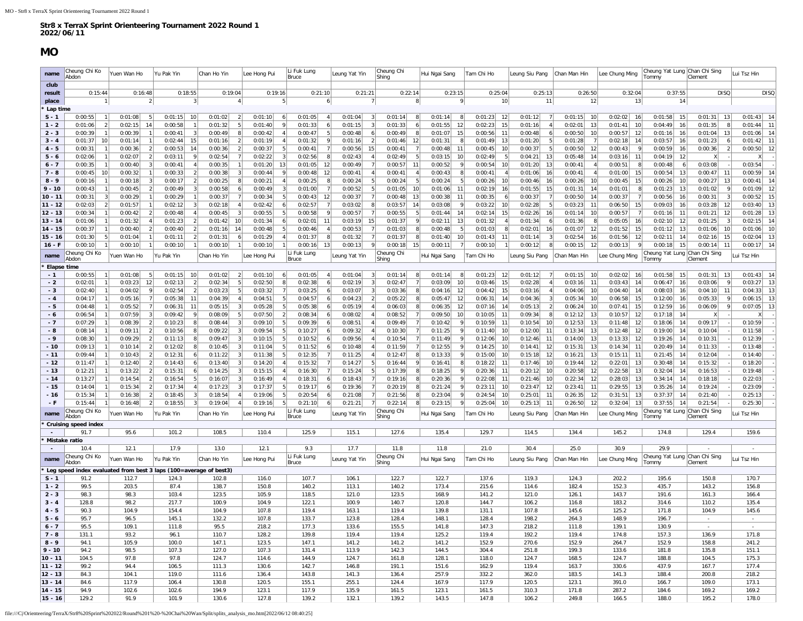### **MO**

<span id="page-7-0"></span>

| name                   | Cheung Chi Ko<br>Abdon                                            | Yuen Wan Ho                                            | Yu Pak Yin                | Chan Ho Yin                          | Lee Hong Pui       | Li Fuk Lung<br>Bruce                      | Leung Yat Yin                     | Cheung Chi<br>Shing                                  | Hui Ngai Sang                  | Tam Chi Ho                     | eung Siu Pang                  | Chan Man Hin                   | Lee Chung Ming                  | heung Yat Lung<br>ommy                         | Chan Chi Sing<br>Clement            | Lui Tsz Hin                    |
|------------------------|-------------------------------------------------------------------|--------------------------------------------------------|---------------------------|--------------------------------------|--------------------|-------------------------------------------|-----------------------------------|------------------------------------------------------|--------------------------------|--------------------------------|--------------------------------|--------------------------------|---------------------------------|------------------------------------------------|-------------------------------------|--------------------------------|
| club                   |                                                                   |                                                        |                           |                                      |                    |                                           |                                   |                                                      |                                |                                |                                |                                |                                 |                                                |                                     |                                |
| result                 | 0:15:44                                                           | 0:16:48                                                | 0:18:55                   | 0:19:04                              | 0:19:16            | 0:21:10                                   | 0:21:21                           | 0:22:14                                              | 0:23:15                        | 0:25:04                        | 0:25:13                        | 0:26:50                        | 0:32:04                         | 0:37:55                                        | <b>DISQ</b>                         | <b>DISQ</b>                    |
| place                  | 11                                                                | $\left  \right $                                       | 3                         | $\vert$ 4                            | -51                | 6 <sup>1</sup>                            | 7                                 | 8                                                    | -9                             | 10                             | 11                             | 12                             | 13                              | 14                                             |                                     |                                |
| Lap time<br>$S - 1$    | 0:00:55<br>11                                                     | 0:01:08<br>- 5                                         | 0:01:15<br>10             | 0:01:02<br>$\vert$ 2                 | 0:01:10            | 0:01:05<br>$\overline{4}$                 | 0:01:04<br>-3                     | 0:01:14<br>8                                         | 0:01:14                        | 0:01:23<br>12                  | 0:01:12<br>$\overline{7}$      | 0:01:15<br>10                  | 0:02:02<br><b>16</b>            | 0:01:58<br>15                                  | 0:01:31<br>13                       | 0:01:43<br>14                  |
| $1 - 2$                | 0:01:06<br>$\mathcal{D}$                                          | 14<br>0:02:15                                          | 0:00:58                   | 0:01:32<br>-5                        | 0:01:40            | 0:01:33<br>6                              | 0:01:15                           | 0:01:33<br>6                                         | 0:01:55<br>12                  | 15<br>0:02:23                  | 0:01:16                        | 13<br>0:02:01                  | 0:01:41<br>10                   | 0:04:49<br>16                                  | 0:01:35<br>8                        | 0:01:44<br>11                  |
| $2 - 3$                | 0:00:39                                                           | 0:00:39                                                | 0:00:41                   | 0:00:49                              | 0:00:42            | 5<br>0:00:47                              | 0:00:48                           | 0:00:49                                              | 0:01:07<br>15                  | 0:00:56<br>11                  | 0:00:48                        | 0:00:50<br>10                  | 0:00:57<br>12                   | 0:01:16<br>16                                  | 0:01:04<br>13                       | 14<br>0:01:06                  |
| $3 - 4$                | 0:01:37<br>10 <sup>1</sup>                                        | 0:01:14<br>$\overline{1}$                              | 0:02:44<br>15             | 0:01:16                              | 0:01:19            | 0:01:32<br>-91                            | 0:01:16                           | 0:01:46<br>12                                        | 0:01:31                        | 0:01:49<br>13                  | 0:01:20<br>-5                  | 0:01:28                        | 0:02:18<br>14                   | 0:03:57<br>16                                  | 0:01:23<br>6                        | 11<br>0:01:42                  |
| $4 - 5$<br>$5 - 6$     | 0:00:31<br>0:02:06                                                | 0:00:36<br>$\overline{2}$<br>0:02:07<br>$\overline{2}$ | 0:00:53<br>14<br>0:03:11  | 0:00:36<br>$\overline{2}$<br>0:02:54 | 0:00:37<br>0:02:22 | 0:00:41<br><b>71</b><br>0:02:56<br>8      | 0:00:56<br>15<br>0:02:43          | 0:00:41<br>- 7 I<br>0:02:49<br>5                     | 0:00:48<br>11<br>0:03:15<br>10 | 0:00:45<br>10<br>0:02:49<br>5  | 0:00:37<br>-5<br>13<br>0:04:21 | 0:00:50<br>12<br>14<br>0:05:48 | 0:00:43<br>0:03:16<br>11        | 0:00:59<br>16<br>12<br>0:04:19                 | 0:00:36<br>$\overline{\phantom{a}}$ | 12<br>0:00:50                  |
| $6 - 7$                | 0:00:35                                                           | 0:00:40<br>3                                           | 0:00:41                   | 0:00:35                              | 0:01:20<br>13      | 0:01:05<br>12                             | 0:00:49                           | 0:00:57<br>11                                        | 0:00:52                        | 0:00:54<br>10                  | 0:01:20<br>13                  | 0:00:41                        | 0:00:51<br>Æ                    | 0:00:48<br>-6                                  | 0:03:08                             | 0:03:54                        |
| $7 - 8$                | 0:00:45<br>10 <sup>1</sup>                                        | 0:00:32                                                | 0:00:33                   | 0:00:38                              | 0:00:44            | 0:00:48<br>12                             | 0:00:41                           | 0:00:41                                              | 0:00:43                        | 0:00:41                        | 0:01:06<br>16                  | 0:00:41                        | 0:01:00<br>15                   | 0:00:54<br>13                                  | 0:00:47<br>11                       | 14<br>0:00:59                  |
| $8 - 9$                | 0:00:16                                                           | 0:00:18<br>$\vert$ 3                                   | 0:00:17                   | 0:00:25                              | 0:00:21            | 0:00:25<br>-81                            | 0:00:24                           | 0:00:24<br>- 5                                       | 0:00:24                        | 0:00:26<br>10                  | 0:00:46<br>16                  | 0:00:26<br>10                  | 15<br>0:00:45                   | 0:00:26<br>10                                  | 0:00:27<br>13                       | 14<br>0:00:41                  |
| $9 - 10$<br>$10 - 11$  | 0:00:43<br>0:00:31                                                | 0:00:45<br>$\vert$ 2<br>0:00:29                        | 0:00:49<br>0:00:29        | 0:00:58<br>0:00:37                   | 0:00:49<br>0:00:34 | 0:01:00<br>0:00:43<br>12                  | 0:00:52<br>0:00:37                | 0:01:05<br>10<br>0:00:48<br>13                       | 0:01:06<br>11<br>0:00:38<br>11 | 0:02:19<br>16<br>0:00:35<br>6  | 0:01:55<br>15<br>0:00:37       | 0:01:31<br>14<br>0:00:50<br>14 | 0:01:01<br>0:00:37              | 0:01:23<br>13<br>0:00:56<br>16                 | 0:01:02<br>0:00:31                  | 12<br>0:01:09<br>15<br>0:00:52 |
| $11 - 12$              | 0:02:03<br>$\overline{2}$                                         | 0:01:57<br>$\overline{1}$                              | 0:02:12                   | 0:02:18                              | 0:02:42            | 0:02:57<br>$\overline{7}$                 | 0:03:02                           | 0:03:57<br>14                                        | 0:03:08                        | 0:03:22<br>10                  | 0:02:28                        | 0:03:23<br>11                  | 0:06:50<br>15                   | 0:09:03<br>16                                  | 12<br>0:03:28                       | 13<br>0:03:40                  |
| $12 - 13$              | 0:00:34                                                           | 0:00:42<br>$\mathcal{P}$                               | 0:00:48                   | 0:00:45                              | 0:00:55            | 0:00:58<br>9                              | 0:00:57                           | 0:00:55<br>5                                         | 0:01:44<br>14                  | 0:02:14<br>15                  | 0:02:26<br>16                  | 0:01:14<br>10                  | 0:00:57                         | 0:01:16<br>11                                  | 0:01:21<br>12                       | 13<br>0:01:28                  |
| $13 - 14$              | 0:01:06                                                           | 0:01:32<br>$\mathbf{A}$                                | 0:01:23                   | 0:01:42<br>10                        | 0:01:34            | 0:02:01<br>11                             | 0:03:19<br>15                     | 0:01:37<br>9                                         | 0:02:11<br>13                  | 0:01:32                        | 0:01:34                        | 0:01:36                        | 0:05:05<br>16                   | 0:02:10<br>12                                  | 0:01:25                             | 14<br>0:02:1                   |
| $14 - 15$              | 0:00:37                                                           | 0:00:40<br>$\overline{2}$                              | 0:00:40                   | 0:01:16<br>14                        | 0:00:48            | 0:00:46<br>-4                             | 0:00:53                           | 0:01:03<br>-8                                        | 0:00:48<br>-5                  | 0:01:03<br>8                   | 0:02:01<br>16                  | 0:01:07<br>12                  | 0:01:52<br>15                   | 0:01:12<br>13                                  | 0:01:06<br>10                       | 10<br>0:01:06                  |
| $15 - 16$<br>$16 - F$  | 0:01:30<br>5 <sup>1</sup><br>0:00:10                              | 0:01:04<br>0:00:10                                     | 0:01:11<br>0:00:10        | 0:01:31<br>0:00:10                   | 0:01:29<br>0:00:10 | 0:01:37<br>-8<br>13<br>0:00:16            | 0:01:32<br>0:00:13<br>$\mathsf Q$ | 0:01:37<br>-81<br>0:00:18<br>15                      | 0:01:40<br>10<br>0:00:11       | 0:01:43<br>11<br>0:00:10       | 0:01:14<br>3<br>0:00:12        | 0:02:54<br>16<br>0:00:15<br>12 | 0:01:56<br>12<br>0:00:13        | 0:02:11<br>14<br>0:00:18<br>15                 | 0:02:16<br>- 15<br>0:00:14<br>11    | 13<br>0:02:04<br>14<br>0:00:17 |
|                        | Cheung Chi Ko                                                     |                                                        |                           |                                      |                    | Li Fuk Lung                               |                                   | Cheung Chi                                           |                                |                                |                                |                                |                                 | Cheung Yat Lung                                | Chan Chi Sing                       |                                |
| name<br>Elapse time    | Abdon                                                             | Yuen Wan Ho                                            | Yu Pak Yin                | Chan Ho Yin                          | Lee Hong Pui       | Bruce                                     | Leung Yat Yin                     | Shing                                                | Hui Ngai Sang                  | Tam Chi Ho                     | Leung Siu Pang                 | Chan Man Hin                   | Lee Chung Ming                  | Tomm\                                          | Clement                             | ui Tsz Hin                     |
| $-1$                   | 0:00:55                                                           | 0:01:08<br>-5                                          | 0:01:15<br>10             | 0:01:02<br>$\overline{2}$            | 0:01:10            | 0:01:05<br>4 <sup>1</sup>                 | 0:01:04<br>3                      | 0:01:14<br>8                                         | 0:01:14                        | 0:01:23<br>12                  | 0:01:12                        | 0:01:15<br>10                  | 0:02:02<br>- 16                 | 0:01:58<br>15                                  | 0:01:31<br>13                       | 0:01:43<br>14                  |
| $-2$                   | 0:02:01                                                           | 0:03:23<br>12                                          | 0:02:13                   | 0:02:34<br>.5                        | 0:02:50            | 0:02:38<br>6 <sup>1</sup>                 | 0:02:19<br>3                      | 0:02:47<br>$\overline{7}$                            | 0:03:09<br>10                  | 0:03:46<br>15                  | 0:02:28                        | 11<br>0:03:16                  | 0:03:43<br>14                   | 0:06:47<br>16                                  | 0:03:06                             | 13<br>0:03:27                  |
| - 3                    | 0:02:40                                                           | -9<br>0:04:02                                          | 0:02:54                   | 0:03:23<br>5                         | 0:03:32            | 0:03:25<br>6                              | 0:03:07                           | 0:03:36<br>8                                         | 12<br>0:04:16                  | 0:04:42<br>15                  | 0:03:16                        | 0:04:06<br>10                  | 0:04:40<br>14                   | 16<br>0:08:03                                  | 0:04:10<br>11                       | 13<br>0:04:33                  |
| $-4$                   | 0:04:17                                                           | 0:05:16<br>7                                           | 0:05:38<br>-11            | 0:04:39                              | 0:04:51            | 0:04:57<br>6                              | 0:04:23                           | 0:05:22<br>-81                                       | 0:05:47<br>12                  | 0:06:31<br>14                  | 0:04:36                        | 0:05:34<br>10                  | 0:06:58<br>15                   | 0:12:00<br>16                                  | 0:05:33                             | 13<br>0:06:15                  |
| - 5<br>- 6             | 0:04:48<br>0:06:54                                                | 0:05:52<br>$\overline{7}$<br>0:07:59<br>$\vert$ 3      | 0:06:31<br>-11<br>0:09:42 | 0:05:15<br>0:08:09<br>-5             | 0:05:28<br>0:07:50 | 0:05:38<br>6<br>0:08:34<br>6 <sup>1</sup> | 0:05:19<br>0:08:02                | 0:06:03<br>$\lvert R \rvert$<br>0:08:52<br><b>71</b> | 0:06:35<br>12<br>0:09:50<br>10 | 0:07:16<br>14<br>0:10:05<br>11 | 0:05:13<br>0:09:34             | 0:06:24<br>10<br>13<br>0:12:12 | 0:07:41<br>15<br>0:10:57<br>-12 | 0:12:59<br>16<br>14<br>0:17:18                 | 0:06:09<br>X                        | 13<br>0:07:05                  |
| $-7$                   | 0:07:29                                                           | 0:08:39<br>$\overline{2}$                              | 0:10:23                   | 0:08:44                              | 0:09:10            | 0:09:39<br>6                              | 0:08:51                           | 0:09:49                                              | 0:10:42                        | 0:10:59<br>11                  | 0:10:54<br>10                  | 0:12:53<br>13                  | 0:11:48<br>12                   | 0:18:06<br>14                                  | 0:09:17                             | 0:10:59                        |
| - 8                    | 0:08:14                                                           | $\overline{2}$<br>0:09:11                              | 0:10:56                   | 0:09:22                              | 0:09:54            | 0:10:27<br>6                              | 0:09:32                           | 0:10:30                                              | 0:11:25                        | 0:11:40<br>10                  | 0:12:00<br>11                  | 13<br>0:13:34                  | 0:12:48<br>12                   | 0:19:00<br>14                                  | 0:10:04                             | 0:11:58                        |
| - 9                    | 0:08:30                                                           | 0:09:29<br>$\overline{2}$                              | 0:11:13                   | 0:09:47                              | 0:10:15            | 0:10:52<br>6                              | 0:09:56                           | 0:10:54<br>$\overline{7}$                            | 0:11:49                        | 0:12:06<br>10                  | 0:12:46<br>11                  | 0:14:00<br>13                  | 0:13:33<br>12                   | 0:19:26<br>14                                  | 0:10:31                             | 0:12:39                        |
| $-10$                  | 0:09:13                                                           | 0:10:14<br>$\mathcal{P}$                               | 0:12:02                   | 0:10:45                              | 0:11:04            | 0:11:52<br>6                              | 0:10:48                           | 0:11:59                                              | 0:12:55                        | 0:14:25<br>10                  | 0:14:41<br>12                  | 0:15:31<br>13                  | 0:14:34<br>-11                  | 0:20:49<br>14                                  | 0:11:33                             | 0:13:48                        |
| $-11$<br>$-12$         | 0:09:44<br>0:11:47                                                | 0:10:43<br>$\mathcal{P}$<br>0:12:40<br>$\mathcal{P}$   | 0:12:31<br>0:14:43        | 0:11:22<br>0:13:40                   | 0:11:38<br>0:14:20 | 0:12:35<br>0:15:32<br>$\overline{7}$      | 0:11:25<br>0:14:27                | 0:12:47<br>0:16:44<br>-91                            | 0:13:33<br>0:16:41             | 0:15:00<br>10<br>0:18:22<br>11 | 0:15:18<br>12<br>0:17:46<br>10 | 0:16:21<br>13<br>0:19:44<br>12 | 0:15:11<br>11<br>0:22:01<br>13  | 0:21:45<br>14<br>0:30:48<br>14                 | 0:12:04<br>0:15:32                  | 0:14:40<br>0:18:20             |
| $-13$                  | 0:12:21                                                           | 0:13:22<br>$\vert$ 2                                   | 0:15:31                   | 0:14:25                              | 0:15:15            | 0:16:30<br>$\overline{7}$                 | 0:15:24                           | 0:17:39<br>-81                                       | 0:18:25                        | 0:20:36<br>11                  | 0:20:12<br>10                  | 12<br>0:20:58                  | 0:22:58<br>-13                  | 0:32:04<br>14                                  | 0:16:53                             | 0:19:48                        |
| $-14$                  | 0:13:27                                                           | 0:14:54<br>$\mathcal{P}$                               | 0:16:54                   | 0:16:07                              | 0:16:49            | 0:18:31<br>6                              | 0:18:43                           | 0:19:16<br>$\lvert R \rvert$                         | 0:20:36                        | 0:22:08<br>11                  | 0:21:46<br>10                  | 0:22:34<br>12                  | 0:28:03<br>13                   | 0:34:14<br>14                                  | 0:18:18                             | 0:22:03                        |
| - 15                   | 0:14:04                                                           | 0:15:34<br>$\overline{2}$                              | 0:17:34                   | 0:17:23                              | 0:17:37            | 0:19:17<br>6                              | 0:19:36                           | 0:20:19                                              | 0:21:24                        | 0:23:11<br>10 <sup>1</sup>     | 0:23:47<br>12                  | 0:23:41<br>11                  | 0:29:55<br>13                   | 0:35:26<br>14                                  | 0:19:24                             | 0:23:09                        |
| $-16$                  | 0:15:34                                                           | 0:16:38                                                | 0:18:45                   | 0:18:54                              | 0:19:06            | 0:20:54                                   | 0:21:08                           | 0:21:56                                              | 0:23:04                        | 0:24:54<br>10                  | 0:25:01<br>11                  | 0:26:35<br>12                  | 0:31:51<br>13                   | 0:37:37<br>14                                  | 0:21:40                             | 0:25:13                        |
| $-F$                   | 0:15:44<br>Cheung Chi Ko                                          | 0:16:48<br>$\mathfrak{p}$                              | 0:18:55                   | 0:19:04                              | 0:19:16            | 0:21:10<br>Li Fuk Lung                    | 0:21:21                           | 0:22:14<br>Cheung Chi                                | 0:23:15                        | 0:25:04<br>10                  | 0:25:13<br>11                  | 12<br>0:26:50                  | 0:32:04<br>-13                  | 0:37:55<br>14<br>Cheung Yat Lung Chan Chi Sing | 0:21:54                             | 0:25:30                        |
| name                   | Abdon                                                             | Yuen Wan Ho                                            | Yu Pak Yin                | Chan Ho Yin                          | Lee Hong Pui       | Bruce                                     | Leung Yat Yin                     | Shing                                                | Hui Ngai Sang                  | Tam Chi Ho                     | Leung Siu Pang                 | Chan Man Hin                   | Lee Chung Ming                  | Tomm                                           | Clement                             | ui Tsz Hin                     |
|                        | <b>Cruising speed index</b><br>91.7                               | 95.6                                                   | 101.2                     | 108.5                                | 110.4              | 125.9                                     | 115.1                             | 127.6                                                | 135.4                          | 129.7                          | 114.5                          | 134.4                          | 145.2                           | 174.8                                          | 129.4                               | 159.6                          |
|                        | Mistake ratio                                                     |                                                        |                           |                                      |                    |                                           |                                   |                                                      |                                |                                |                                |                                |                                 |                                                |                                     |                                |
|                        | 10.4                                                              | 12.1                                                   | 17.9                      | 13.0                                 | 12.1               | 9.3                                       | 17.7                              | 11.8<br>Cheung Chi                                   | 11.8                           | 21.0                           | 30.4                           | 25.0                           | 30.9                            | 29.9<br>Cheung Yat Lung Chan Chi Sing          |                                     | $\sim$                         |
| name                   | Cheung Chi Ko<br>Abdon                                            | Yuen Wan Ho                                            | Yu Pak Yin                | Chan Ho Yin                          | Lee Hong Pui       | Li Fuk Lung<br>Bruce                      | Leung Yat Yin                     | Shing                                                | Hui Ngai Sang                  | Tam Chi Ho                     | Leung Siu Pang                 | Chan Man Hin                   | Lee Chung Ming                  | Tommy                                          | Clement                             | ui Tsz Hin                     |
|                        | Leg speed index evaluated from best 3 laps (100=average of best3) |                                                        |                           |                                      |                    |                                           |                                   |                                                      |                                |                                |                                |                                |                                 |                                                |                                     |                                |
| $S - 1$<br>$1 - 2$     | 91.2<br>99.5                                                      | 112.7<br>203.5                                         | 124.3<br>87.4             | 102.8<br>138.7                       | 116.0<br>150.8     | 107.7<br>140.2                            | 106.1<br>113.1                    | 122.7<br>140.2                                       | 122.7<br>173.4                 | 137.6<br>215.6                 | 119.3<br>114.6                 | 124.3<br>182.4                 | 202.2<br>152.3                  | 195.6<br>435.7                                 | 150.8<br>143.2                      | 170.7<br>156.8                 |
| $2 - 3$                | 98.3                                                              | 98.3                                                   | 103.4                     | 123.5                                | 105.9              | 118.5                                     | 121.0                             | 123.5                                                | 168.9                          | 141.2                          | 121.0                          | 126.1                          | 143.7                           | 191.6                                          | 161.3                               | 166.4                          |
| $3 - 4$                | 128.8                                                             | 98.2                                                   | 217.7                     | 100.9                                | 104.9              | 122.1                                     | 100.9                             | 140.7                                                | 120.8                          | 144.7                          | 106.2                          | 116.8                          | 183.2                           | 314.6                                          | 110.2                               | 135.4                          |
| $4 - 5$                | 90.3                                                              | 104.9                                                  | 154.4                     | 104.9                                | 107.8              | 119.4                                     | 163.1                             | 119.4                                                | 139.8                          | 131.1                          | 107.8                          | 145.6                          | 125.2                           | 171.8                                          | 104.9                               | 145.6                          |
| $5 - 6$                | 95.7                                                              | 96.5                                                   | 145.1                     | 132.2                                | 107.8              | 133.7                                     | 123.8                             | 128.4                                                | 148.1                          | 128.4                          | 198.2                          | 264.3                          | 148.9                           | 196.7                                          | $\sim$                              |                                |
| $6 - 7$<br>$7 - 8$     | 95.5<br>131.1                                                     | 109.1<br>93.2                                          | 111.8<br>96.1             | 95.5<br>110.7                        | 218.2<br>128.2     | 177.3<br>139.8                            | 133.6<br>119.4                    | 155.5<br>119.4                                       | 141.8<br>125.2                 | 147.3<br>119.4                 | 218.2<br>192.2                 | 111.8<br>119.4                 | 139.1<br>174.8                  | 130.9<br>157.3                                 | $\sim$<br>136.9                     | $\sim$<br>171.8                |
| $8 - 9$                | 94.1                                                              | 105.9                                                  | 100.0                     | 147.1                                | 123.5              | 147.1                                     | 141.2                             | 141.2                                                | 141.2                          | 152.9                          | 270.6                          | 152.9                          | 264.7                           | 152.9                                          | 158.8                               | 241.2                          |
| $9 - 10$               | 94.2                                                              | 98.5                                                   | 107.3                     | 127.0                                | 107.3              | 131.4                                     | 113.9                             | 142.3                                                | 144.5                          | 304.4                          | 251.8                          | 199.3                          | 133.6                           | 181.8                                          | 135.8                               | 151.1                          |
| $10 - 11$              | 104.5                                                             | 97.8                                                   | 97.8                      | 124.7                                | 114.6              | 144.9                                     | 124.7                             | 161.8                                                | 128.1                          | 118.0                          | 124.7                          | 168.5                          | 124.7                           | 188.8                                          | 104.5                               | 175.3                          |
| $11 - 12$              | 99.2                                                              | 94.4                                                   | 106.5                     | 111.3                                | 130.6              | 142.7                                     | 146.8                             | 191.1                                                | 151.6                          | 162.9                          | 119.4                          | 163.7                          | 330.6                           | 437.9                                          | 167.7                               | 177.4                          |
| $12 - 13$              | 84.3                                                              | 104.1                                                  | 119.0                     | 111.6                                | 136.4              | 143.8                                     | 141.3                             | 136.4                                                | 257.9                          | 332.2                          | 362.0                          | 183.5                          | 141.3                           | 188.4                                          | 200.8                               | 218.2                          |
| $13 - 14$<br>$14 - 15$ | 84.6<br>94.9                                                      | 117.9<br>102.6                                         | 106.4<br>102.6            | 130.8<br>194.9                       | 120.5<br>123.1     | 155.1<br>117.9                            | 255.1<br>135.9                    | 124.4<br>161.5                                       | 167.9<br>123.1                 | 117.9<br>161.5                 | 120.5<br>310.3                 | 123.1<br>171.8                 | 391.0<br>287.2                  | 166.7<br>184.6                                 | 109.0<br>169.2                      | 173.1<br>169.2                 |
| $15 - 16$              | 129.2                                                             | 91.9                                                   | 101.9                     | 130.6                                | 127.8              | 139.2                                     | 132.1                             | 139.2                                                | 143.5                          | 147.8                          | 106.2                          | 249.8                          | 166.5                           | 188.0                                          | 195.2                               | 178.0                          |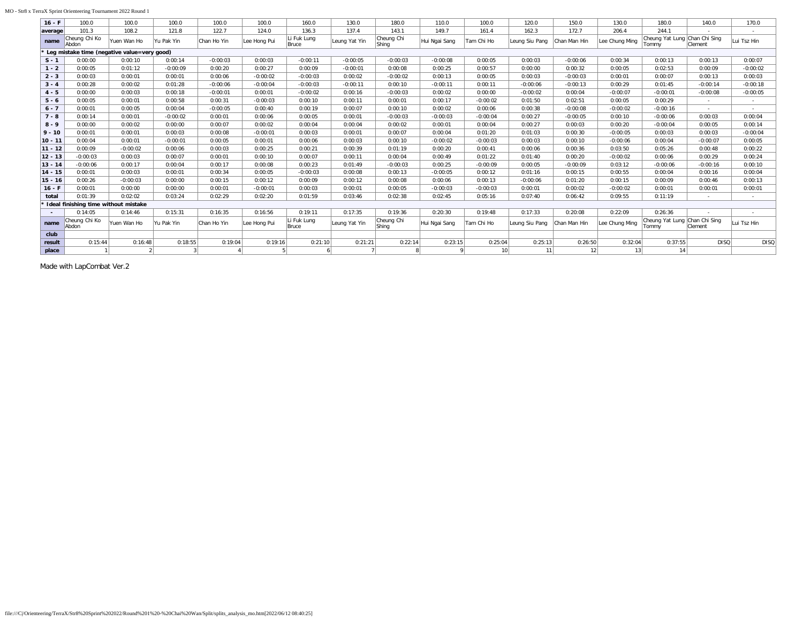#### MO - Str8 x TerraX Sprint Orienteering Tournament 2022 Round 1

| $16 - F$  | 100.0                                         | 100.0       | 100.0      | 100.0       | 100.0        | 160.0                | 130.0         | 180.0                      | 110.0         | 100.0      | 120.0           | 150.0         | 130.0          | 180.0                                  | 140.0          | 170.0       |
|-----------|-----------------------------------------------|-------------|------------|-------------|--------------|----------------------|---------------|----------------------------|---------------|------------|-----------------|---------------|----------------|----------------------------------------|----------------|-------------|
| average   | 101.3                                         | 108.2       | 121.8      | 122.7       | 124.0        | 136.3                | 137.4         | 143.1                      | 149.7         | 161.4      | 162.3           | 172.7         | 206.4          | 244.1                                  |                |             |
| name      | Cheung Chi Ko<br>Abdon                        | Yuen Wan Ho | Yu Pak Yin | Chan Ho Yin | Lee Hong Pui | Li Fuk Lung<br>Bruce | Leung Yat Yin | Cheung Chi<br><b>Shing</b> | Hui Ngai Sang | Tam Chi Ho | Leung Siu Pang  | IChan Man Hin | Lee Chung Ming | Cheung Yat Lung Chan Chi Sing<br>Tommv | <b>Clement</b> | Lui Tsz Hin |
|           | * Leg mistake time (negative value=very good) |             |            |             |              |                      |               |                            |               |            |                 |               |                |                                        |                |             |
| $S - 1$   | 0:00:00                                       | 0:00:10     | 0:00:14    | $-0:00:03$  | 0:00:03      | $-0:00:11$           | $-0:00:05$    | $-0:00:03$                 | $-0:00:08$    | 0:00:05    | 0:00:03         | $-0:00:06$    | 0:00:34        | 0:00:13                                | 0:00:13        | 0:00:07     |
| $1 - 2$   | 0:00:05                                       | 0:01:12     | $-0:00:09$ | 0:00:20     | 0:00:27      | 0:00:09              | $-0:00:01$    | 0:00:08                    | 0:00:25       | 0:00:57    | 0:00:00         | 0:00:32       | 0:00:05        | 0:02:53                                | 0:00:09        | $-0:00:02$  |
| $2 - 3$   | 0:00:03                                       | 0:00:01     | 0:00:01    | 0:00:06     | $-0:00:02$   | $-0:00:03$           | 0:00:02       | $-0:00:02$                 | 0:00:13       | 0:00:05    | 0:00:03         | $-0:00:03$    | 0:00:01        | 0:00:07                                | 0:00:13        | 0:00:03     |
| $3 - 4$   | 0:00:28                                       | 0:00:02     | 0:01:28    | $-0:00:06$  | $-0:00:04$   | $-0:00:03$           | $-0:00:11$    | 0:00:10                    | $-0:00:11$    | 0:00:11    | $-0:00:06$      | $-0:00:13$    | 0:00:29        | 0:01:45                                | $-0:00:14$     | $-0:00:18$  |
| $4 - 5$   | 0:00:00                                       | 0:00:03     | 0:00:18    | $-0:00:01$  | 0:00:01      | $-0:00:02$           | 0:00:16       | $-0:00:03$                 | 0:00:02       | 0:00:00    | $-0:00:02$      | 0:00:04       | $-0:00:07$     | $-0:00:01$                             | $-0:00:08$     | $-0:00:05$  |
| $5 - 6$   | 0:00:05                                       | 0:00:01     | 0:00:58    | 0:00:31     | $-0:00:03$   | 0:00:10              | 0:00:11       | 0:00:01                    | 0:00:17       | $-0:00:02$ | 0:01:50         | 0:02:51       | 0:00:05        | 0:00:29                                | $\sim$         | $\sim$      |
| $6 - 7$   | 0:00:01                                       | 0:00:05     | 0:00:04    | $-0:00:05$  | 0:00:40      | 0:00:19              | 0:00:07       | 0:00:10                    | 0:00:02       | 0:00:06    | 0:00:38         | $-0:00:08$    | $-0:00:02$     | $-0:00:16$                             | $\sim$         | $\sim$      |
| $7 - 8$   | 0:00:14                                       | 0:00:01     | $-0:00:02$ | 0:00:01     | 0:00:06      | 0:00:05              | 0:00:01       | $-0:00:03$                 | $-0:00:03$    | $-0:00:04$ | 0:00:27         | $-0:00:05$    | 0:00:10        | $-0:00:06$                             | 0:00:03        | 0:00:04     |
| $8 - 9$   | 0:00:00                                       | 0:00:02     | 0:00:00    | 0:00:07     | 0:00:02      | 0:00:04              | 0:00:04       | 0:00:02                    | 0:00:01       | 0:00:04    | 0:00:27         | 0:00:03       | 0:00:20        | $-0:00:04$                             | 0:00:05        | 0:00:14     |
| $9 - 10$  | 0:00:01                                       | 0:00:01     | 0:00:03    | 0:00:08     | $-0:00:01$   | 0:00:03              | 0:00:01       | 0:00:07                    | 0:00:04       | 0:01:20    | 0:01:03         | 0:00:30       | $-0:00:05$     | 0:00:03                                | 0:00:03        | $-0:00:04$  |
| $10 - 11$ | 0:00:04                                       | 0:00:01     | $-0:00:01$ | 0:00:05     | 0:00:01      | 0:00:06              | 0:00:03       | 0:00:10                    | $-0:00:02$    | $-0:00:03$ | 0:00:03         | 0:00:10       | $-0:00:06$     | 0:00:04                                | $-0:00:07$     | 0:00:05     |
| $11 - 12$ | 0:00:09                                       | $-0:00:02$  | 0:00:06    | 0:00:03     | 0:00:25      | 0:00:21              | 0:00:39       | 0:01:19                    | 0:00:20       | 0:00:41    | 0:00:06         | 0:00:36       | 0:03:50        | 0:05:26                                | 0:00:48        | 0:00:22     |
| $12 - 13$ | $-0:00:03$                                    | 0:00:03     | 0:00:07    | 0:00:01     | 0:00:10      | 0:00:07              | 0:00:11       | 0:00:04                    | 0:00:49       | 0:01:22    | 0:01:40         | 0:00:20       | $-0:00:02$     | 0:00:06                                | 0:00:29        | 0:00:24     |
| $13 - 14$ | $-0:00:06$                                    | 0:00:17     | 0:00:04    | 0:00:17     | 0:00:08      | 0:00:23              | 0:01:49       | $-0:00:03$                 | 0:00:25       | $-0:00:09$ | 0:00:05         | $-0:00:09$    | 0:03:12        | $-0:00:06$                             | $-0:00:16$     | 0:00:10     |
| $14 - 15$ | 0:00:01                                       | 0:00:03     | 0:00:01    | 0:00:34     | 0:00:05      | $-0:00:03$           | 0:00:08       | 0:00:13                    | $-0:00:05$    | 0:00:12    | 0:01:16         | 0:00:15       | 0:00:55        | 0:00:04                                | 0:00:16        | 0:00:04     |
| $15 - 16$ | 0:00:26                                       | $-0:00:03$  | 0:00:00    | 0:00:15     | 0:00:12      | 0:00:09              | 0:00:12       | 0:00:08                    | 0:00:06       | 0:00:13    | $-0:00:06$      | 0:01:20       | 0:00:15        | 0:00:09                                | 0:00:46        | 0:00:13     |
| $16 - F$  | 0:00:01                                       | 0:00:00     | 0:00:00    | 0:00:01     | $-0:00:01$   | 0:00:03              | 0:00:01       | 0:00:05                    | $-0:00:03$    | $-0:00:03$ | 0:00:01         | 0:00:02       | $-0:00:02$     | 0:00:01                                | 0:00:01        | 0:00:01     |
| total     | 0:01:39                                       | 0:02:02     | 0:03:24    | 0:02:29     | 0:02:20      | 0:01:59              | 0:03:46       | 0:02:38                    | 0:02:45       | 0:05:16    | 0:07:40         | 0:06:42       | 0:09:55        | 0:11:19                                |                |             |
|           | * Ideal finishing time without mistake        |             |            |             |              |                      |               |                            |               |            |                 |               |                |                                        |                |             |
|           | 0:14:05                                       | 0:14:46     | 0:15:31    | 0:16:35     | 0:16:56      | 0:19:11              | 0:17:35       | 0:19:36                    | 0:20:30       | 0:19:48    | 0:17:33         | 0:20:08       | 0:22:09        | 0:26:36                                |                | $\sim$      |
| name      | Cheung Chi Ko<br>Abdon                        | Yuen Wan Ho | Yu Pak Yin | Chan Ho Yin | Lee Hong Pui | Li Fuk Lung<br>Bruce | Leung Yat Yin | Cheung Chi<br>Shina        | Hui Ngai Sang | Tam Chi Ho | Leung Siu Pang  | Chan Man Hin  | Lee Chung Ming | Cheung Yat Lung Chan Chi Sing<br>Tommv | Clement        | Lui Tsz Hin |
| club      |                                               |             |            |             |              |                      |               |                            |               |            |                 |               |                |                                        |                |             |
| result    | 0:15:44                                       | 0:16:48     | 0:18:55    | 0:19:04     | 0:19:16      | 0:21:10              | 0:21:21       | 0:22:14                    | 0:23:15       | 0:25:04    | 0:25:13         | 0:26:50       | 0:32:04        | 0:37:55                                | <b>DISQ</b>    | <b>DISQ</b> |
| place     |                                               |             |            |             |              |                      |               |                            |               | 10         | 11 <sup>1</sup> | 12            |                | 14                                     |                |             |
|           |                                               |             |            |             |              |                      |               |                            |               |            |                 |               |                |                                        |                |             |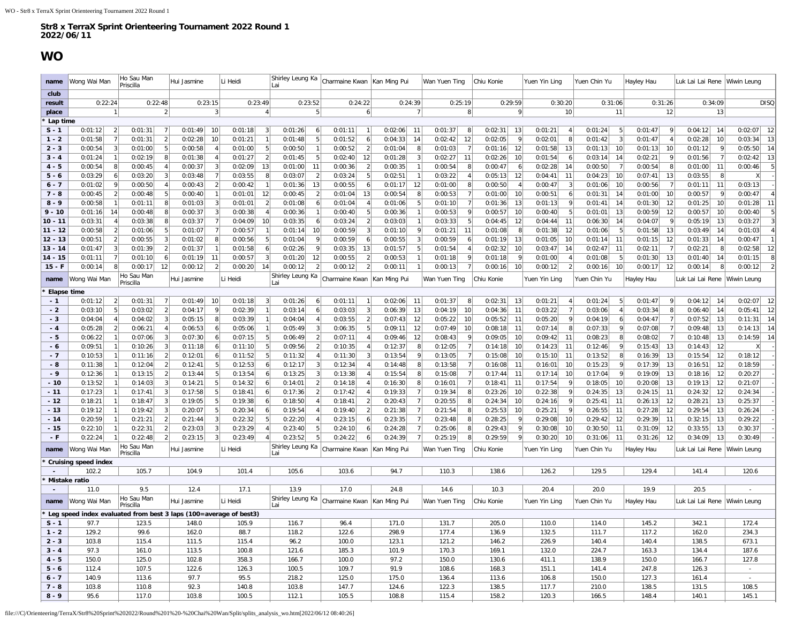### **WO**

<span id="page-9-0"></span>

| name                | Wong Wai Man                         | Ho Sau Man<br>Priscilla                                            | Hui Jasmine   | Li Heidi                  | Shirley Leung Ka<br>Lai         | Charmaine Kwan                             | Kan Ming Pui   | Wan Yuen Ting             | Chiu Konie                 | Yuen Yin Ling             | Yuen Chin Yu   | Hayley Hau      | Luk Lai Lai Rene           | Wiwin Leung                    |
|---------------------|--------------------------------------|--------------------------------------------------------------------|---------------|---------------------------|---------------------------------|--------------------------------------------|----------------|---------------------------|----------------------------|---------------------------|----------------|-----------------|----------------------------|--------------------------------|
| club                |                                      |                                                                    |               |                           |                                 |                                            |                |                           |                            |                           |                |                 |                            |                                |
| result              | 0:22:24                              | 0:22:48                                                            | 0:23:15       | 0:23:49                   | 0:23:52                         | 0:24:22                                    | 0:24:39<br>-7  | 0:25:19<br>8              | 0:29:59<br>9               | 0:30:20<br>10             | 0:31:06        | 0:31:26         | 0:34:09<br>13              | <b>DISQ</b>                    |
| place<br>' Lap time |                                      |                                                                    | 3             | 4                         | 5                               | 6                                          |                |                           |                            |                           | 11             | 12              |                            |                                |
| $S - 1$             | 0:01:12<br>$\overline{2}$            | 0:01:31<br>$\overline{7}$                                          | 0:01:49<br>10 | 0:01:18<br>$\lceil$       | 0:01:26<br>6 <sup>1</sup>       | 0:01:11<br>$\mathbf{1}$                    | 0:02:06<br>-11 | 8<br>0:01:37              | 13<br>0:02:31              | 0:01:21<br>$\overline{4}$ | 0:01:24<br>-5  | 0:01:47<br>9    | 0:04:12<br>14              | 0:02:07<br>-12                 |
| $1 - 2$             | 0:01:58                              | 0:01:31                                                            | 0:02:28<br>10 | $\mathbf{1}$<br>0:01:21   | $\overline{5}$<br>0:01:48       | 0:01:52<br>6                               | 0:04:33<br>14  | 12<br>0:02:42             | 0:02:05<br>9               | 0:02:01<br>8              | 0:01:42        | 0:01:47         | 0:02:28<br>10              | 0:03:34<br>13                  |
| $2 - 3$             | 0:00:54<br>3                         | 0:01:00<br>-5                                                      | 0:00:58       | 0:01:00<br>5 <sub>5</sub> | 0:00:50<br>$\mathbf{1}$         | $\left  \right $<br>0:00:52                | 0:01:04<br>8   | 0:01:03<br>$\overline{7}$ | 0:01:16<br>12              | 0:01:58<br>13             | 0:01:13<br>10  | 0:01:13<br>10   | 0:01:12<br>9               | 0:05:50<br>14                  |
| $3 - 4$             | 0:01:24                              | 0:02:19                                                            | 0:01:38       | 0:01:27<br>$\overline{2}$ | 5<br>0:01:45                    | 12<br>0:02:40                              | 0:01:28<br>3   | 0:02:27<br>11             | 0:02:26<br>10              | 0:01:54<br>-6             | 0:03:14<br>14  | 0:02:21         | 0:01:56                    | 13<br>0:02:42                  |
| $4 - 5$             | 0:00:54                              | 0:00:45                                                            | 0:00:37<br>3  | 0:02:09<br>13             | 0:01:00<br>11                   | $\overline{2}$<br>0:00:36                  | 0:00:35        | 0:00:54<br>8              | 0:00:47<br>61              | 0:02:28<br>14             | 0:00:50        | 0:00:54         | 0:01:00<br>11              | 5<br>0:00:46                   |
| $5 - 6$             | 0:03:29                              | 0:03:20                                                            | 0:03:48       | 0:03:55<br>8              | 0:03:07<br>$\overline{2}$       | 5<br>0:03:24                               | 0:02:51        | 0:03:22                   | 12<br>0:05:13              | 0:04:41<br>11             | 0:04:23<br>10  | 0:07:41<br>13   | 8<br>0:03:55               | X                              |
| $6 - 7$             | 0:01:02                              | 0:00:50                                                            | 0:00:43<br>2  | 0:00:42<br>1              | 13<br>0:01:36                   | 0:00:55<br>6                               | 12<br>0:01:17  | 0:01:00<br>8              | 0:00:50<br>$\overline{4}$  | 0:00:47<br>-3             | 0:01:06<br>10  | 0:00:56         | 0:01:11<br>-11             | 0:03:13                        |
| $7 - 8$             | 0:00:45                              | 0:00:48                                                            | 0:00:40       | 0:01:01<br>12             | $\overline{2}$<br>0:00:45       | 13<br>0:01:04                              | 0:00:54<br>8   | 0:00:53                   | 0:01:00<br>10              | 0:00:51<br>-6             | 0:01:31<br>14  | 0:01:00<br>-10  | 0:00:57<br>9               | 0:00:47                        |
| $8 - 9$             | 0:00:58                              | 0:01:11                                                            | 0:01:03<br>3  | $\overline{2}$<br>0:01:01 | 0:01:08<br>6                    | 0:01:04<br>$\overline{4}$                  | 0:01:06<br>5   | 0:01:10                   | 13<br>0:01:36              | 0:01:13                   | 0:01:41<br>14  | 0:01:30<br>12   | 0:01:25<br>10              | 0:01:28<br>11                  |
| $9 - 10$            | 0:01:16<br>14                        | 0:00:48                                                            | 0:00:37<br>3  | 0:00:38                   | 0:00:36                         | 5<br>0:00:40                               | 0:00:36        | 0:00:53<br>-9             | 0:00:57<br>10 <sup>1</sup> | 0:00:40<br>-5             | 0:01:01<br>13  | 0:00:59<br>12   | 0:00:57<br>10 <sup>1</sup> | 5<br>0:00:40                   |
| $10 - 11$           | 0:03:31                              | 0:03:38                                                            | 0:03:37       | 10<br>0:04:09             | 6<br>0:03:35                    | $\overline{2}$<br>0:03:24                  | 0:03:03        | 5<br>0:03:33              | 12<br>0:04:45              | 0:04:44<br>11             | 0:06:30<br>-14 | 0:04:07         | 0:05:19<br>13              | 0:03:27<br>3                   |
| $11 - 12$           | 0:00:58                              | 0:01:06                                                            | 0:01:07       | 0:00:57                   | 0:01:14<br>10                   | 0:00:59                                    | 0:01:10<br>9   | 0:01:21<br>11             | 0:01:08<br>8               | 0:01:38<br>12             | 0:01:06        | 0:01:58<br>-13  | 0:03:49<br>-14             | 0:01:03                        |
| $12 - 13$           | 0:00:51                              | 0:00:55                                                            | 0:01:02<br>8  | 5<br>0:00:56              | 9<br>0:01:04                    | 0:00:59<br>6                               | 0:00:55<br>3   | 0:00:59<br>6              | 13<br>0:01:19              | 0:01:05<br>10             | 0:01:14<br>-11 | 0:01:15<br>12   | 0:01:33<br>-14             | 0:00:47                        |
| $13 - 14$           | 0:01:47                              | 0:01:39                                                            | 0:01:37       | 0:01:58<br>6              | 0:02:26<br>9                    | 13<br>0:03:35                              | 0:01:57        | 0:01:54                   | 0:02:32<br>10              | 0:03:47<br>14             | 0:02:47<br>11  | 0:02:11         | 0:02:21                    | 0:02:58<br>12                  |
| $14 - 15$           | 0:01:11                              | 0:01:10                                                            | 0:01:19<br>11 | $\overline{3}$<br>0:00:57 | 12<br>0:01:20<br>$\overline{2}$ | $\overline{2}$<br>0:00:55<br>$\mathcal{P}$ | 0:00:53        | 0:01:18<br>9              | 9<br>0:01:18               | 0:01:00<br>-4             | 0:01:08<br>-5  | 0:01:30<br>13   | 0:01:40<br>-14             | 0:01:15<br>8<br>$\overline{2}$ |
| $15 - F$            | 0:00:14                              | 0:00:17<br>12<br>Ho Sau Man                                        | 0:00:12       | 0:00:20<br>14             | 0:00:12<br>Shirley Leung Ka     | 0:00:12                                    | 0:00:11        | 0:00:13                   | 0:00:16<br>10 <sup>1</sup> | 0:00:12<br>$\overline{2}$ | 0:00:16<br>10  | 0:00:17<br>12   | 0:00:14                    | 0:00:12                        |
| name<br>Elapse time | Wong Wai Man                         | Priscilla                                                          | Hui Jasmine   | Li Heidi                  | Lai                             | Charmaine Kwan                             | Kan Ming Pui   | Wan Yuen Ting             | Chiu Konie                 | Yuen Yin Ling             | Yuen Chin Yu   | Hayley Hau      | Luk Lai Lai Rene           | Wiwin Leung                    |
| $-1$                | 0:01:12<br>2                         | 0:01:31<br>- 7                                                     | 0:01:49<br>10 | 0:01:18<br>3              | 0:01:26<br>6 <sup>1</sup>       | 0:01:11                                    | 0:02:06<br>-11 | 0:01:37<br>8              | 0:02:31<br>13              | 0:01:21<br>$\overline{4}$ | 0:01:24<br>5   | 0:01:47         | 0:04:12<br>-14             | 0:02:07<br>12                  |
| $-2$                | 0:03:10                              | 0:03:02                                                            | 0:04:17       | 0:02:39<br>1              | 0:03:14<br>6 <sup>1</sup>       | 3<br>0:03:03                               | 13<br>0:06:39  | 0:04:19<br>10             | 11<br>0:04:36              | 0:03:22                   | 0:03:06        | 0:03:34         | 0:06:40<br>14              | 0:05:41<br>12                  |
| $-3$                | 0:04:04                              | 0:04:02                                                            | 0:05:15<br>8  | 0:03:39<br>1              | 0:04:04<br>4 <sup>1</sup>       | $\overline{2}$<br>0:03:55                  | 0:07:43<br>12  | 0:05:22<br>10             | 0:05:52<br>11              | 0:05:20<br>- 9            | 0:04:19        | 0:04:47         | 0:07:52<br>13              | 0:11:31<br>14                  |
| $-4$                | 0:05:28                              | 0:06:21                                                            | 0:06:53<br>6  | 0:05:06                   | 0:05:49<br>3                    | 0:06:35<br>5                               | 0:09:11<br>12  | 0:07:49<br>10             | 0:08:18<br>11              | 0:07:14<br>-8             | 0:07:33        | 0:07:08         | 0:09:48<br>13              | 0:14:13<br>14                  |
| $-5$                | 0:06:22                              | 0:07:06                                                            | 0:07:30<br>6  | 5<br>0:07:15              | $\left  \right $<br>0:06:49     | 0:07:11<br>4                               | 12<br>0:09:46  | 0:08:43<br>-9             | 0:09:05<br>10              | 0:09:42<br>11             | 0:08:23        | 0:08:02         | 0:10:48<br>13              | 0:14:59<br>14                  |
| - 6                 | 0:09:51                              | 0:10:26                                                            | 0:11:18       | 5<br>0:11:10              | 0:09:56<br>$\overline{2}$       | 0:10:35                                    | 0:12:37        | 0:12:05                   | 0:14:18<br>10              | 0:14:23<br>11             | 0:12:46        | 0:15:43<br>13   | 12<br>0:14:43              |                                |
| $-7$                | 0:10:53                              | 0:11:16                                                            | 0:12:01<br>6  | 5 <sup>2</sup><br>0:11:52 | 0:11:32<br>$\overline{4}$       | 3<br>0:11:30                               | 0:13:54<br>9   | 0:13:05                   | 0:15:08<br>10              | 0:15:10<br>11             | 0:13:52        | 0:16:39<br>13   | 0:15:54<br>12              | 0:18:12                        |
| - 8                 | 0:11:38                              | 0:12:04                                                            | 0:12:41<br>5  | 0:12:53<br>6              | 3<br>0:12:17                    | 0:12:34                                    | 0:14:48<br>8   | 0:13:58                   | 0:16:08<br>11              | 0:16:01<br>10             | 0:15:23        | 0:17:39<br>13   | 0:16:51<br>12              | 0:18:59                        |
| $-9$                | 0:12:36                              | 0:13:15                                                            | 0:13:44<br>5  | 6<br>0:13:54              | 3<br>0:13:25                    | 0:13:38                                    | 0:15:54<br>8   | 0:15:08                   | 11<br>0:17:44              | 10<br>0:17:14             | 0:17:04        | 0:19:09<br>13   | 12<br>0:18:16              | 0:20:27                        |
| $-10$               | 0:13:52                              | 0:14:03                                                            | 0:14:21       | 0:14:32<br>6              | $\overline{2}$<br>0:14:01       | 0:14:18                                    | 0:16:30<br>8   | 0:16:01                   | 0:18:41<br>11              | 0:17:54                   | 0:18:05<br>10  | 0:20:08<br>-13  | 0:19:13<br>12              | 0:21:07                        |
| $-11$               | 0:17:23                              | 0:17:41                                                            | 0:17:58<br>5  | 0:18:41<br>6              | $\overline{2}$<br>0:17:36       | 0:17:42                                    | 0:19:33        | 8<br>0:19:34              | 0:23:26<br>10              | 0:22:38                   | 13<br>0:24:35  | 0:24:15<br>- 11 | 0:24:32<br>12              | 0:24:34                        |
| $-12$               | 0:18:21                              | 0:18:47                                                            | 0:19:05       | 0:19:38<br>6              | 0:18:50                         | 0:18:41                                    | 0:20:43        | 0:20:55<br>8              | 0:24:34<br>10              | 0:24:16                   | 0:25:41<br>11  | 0:26:13<br>-12  | 0:28:21<br>13              | 0:25:37                        |
| $-13$               | 0:19:12                              | 0:19:42                                                            | 0:20:07<br>5  | 0:20:34<br>6              | 0:19:54<br>$\overline{4}$       | 2 <br>0:19:40                              | 0:21:38        | 0:21:54<br>8              | 10<br>0:25:53              | 0:25:21                   | 0:26:55<br>-11 | 0:27:28<br>-12  | 0:29:54<br>13              | 0:26:24                        |
| - 14                | 0:20:59                              | 0:21:21                                                            | 0:21:44       | 0:22:32<br>5              | 0:22:20                         | 0:23:15<br>6                               | 0:23:35        | 0:23:48<br>8              | 0:28:25<br>9               | 0:29:08<br>10             | 0:29:42<br>12  | 0:29:39<br>-11  | 0:32:15<br>13              | 0:29:22                        |
| $-15$               | 0:22:10                              | 0:22:31                                                            | 0:23:03<br>3  | 0:23:29                   | 5<br>0:23:40<br>5               | 0:24:10<br>6                               | 0:24:28        | 0:25:06<br>8<br>8         | 9<br>0:29:43<br>9          | 0:30:08<br>10             | 11<br>0:30:50  | 0:31:09<br>-12  | 0:33:55<br>13              | 0:30:37                        |
| - F                 | 0:22:24                              | 0:22:48<br>Ho Sau Man                                              | 0:23:15       | 0:23:49                   | 0:23:52<br>Shirley Leung Ka     | 0:24:22<br>6                               | 0:24:39        | 0:25:19                   | 0:29:59                    | 0:30:20<br>10             | 0:31:06<br>11  | 0:31:26<br>-12  | 0:34:09<br>-13             | 0:30:49                        |
| name                | Wong Wai Man                         | Priscilla                                                          | Hui Jasmine   | Li Heidi                  | Lai                             | Charmaine Kwan                             | Kan Ming Pui   | Wan Yuen Ting             | Chiu Konie                 | Yuen Yin Ling             | Yuen Chin Yu   | Hayley Hau      | Luk Lai Lai Rene           | Wiwin Leung                    |
|                     | <b>Cruising speed index</b><br>102.2 | 105.7                                                              | 104.9         | 101.4                     | 105.6                           | 103.6                                      | 94.7           | 110.3                     | 138.6                      | 126.2                     | 129.5          | 129.4           | 141.4                      | 120.6                          |
|                     | Mistake ratio                        |                                                                    |               |                           |                                 |                                            |                |                           |                            |                           |                |                 |                            |                                |
|                     | 11.0                                 | 9.5                                                                | 12.4          | 17.1                      | 13.9                            | 17.0                                       | 24.8           | 14.6                      | 10.3                       | 20.4                      | 20.0           | 19.9            | 20.5                       |                                |
| name                | Wong Wai Mar                         | Ho Sau Man<br>Priscilla                                            | Hui Jasmine   | Li Heidi                  | Shirley Leung Ka<br>Lai         | Charmaine Kwan                             | Kan Ming Pui   | Wan Yuen Ting             | Chiu Konie                 | Yuen Yin Ling             | Yuen Chin Yu   | Hayley Hau      | Luk Lai Lai Rene           | Wiwin Leung                    |
|                     |                                      | Eleg speed index evaluated from best 3 laps (100=average of best3) |               |                           |                                 |                                            |                |                           |                            |                           |                |                 |                            |                                |
| $S - 1$             | 97.7                                 | 123.5                                                              | 148.0         | 105.9                     | 116.7                           | 96.4                                       | 171.0          | 131.7                     | 205.0                      | 110.0                     | 114.0          | 145.2           | 342.1                      | 172.4                          |
| $1 - 2$             | 129.2                                | 99.6                                                               | 162.0         | 88.7                      | 118.2                           | 122.6                                      | 298.9          | 177.4                     | 136.9                      | 132.5                     | 111.7          | 117.2           | 162.0                      | 234.3                          |
| $2 - 3$             | 103.8                                | 115.4                                                              | 111.5         | 115.4                     | 96.2                            | 100.0                                      | 123.1          | 121.2                     | 146.2                      | 226.9                     | 140.4          | 140.4           | 138.5                      | 673.1                          |
| $3 - 4$             | 97.3                                 | 161.0                                                              | 113.5         | 100.8                     | 121.6                           | 185.3                                      | 101.9          | 170.3                     | 169.1                      | 132.0                     | 224.7          | 163.3           | 134.4                      | 187.6                          |
| $4 - 5$             | 150.0                                | 125.0                                                              | 102.8         | 358.3                     | 166.7                           | 100.0                                      | 97.2           | 150.0                     | 130.6                      | 411.1                     | 138.9          | 150.0           | 166.7                      | 127.8                          |
| $5 - 6$             | 112.4                                | 107.5                                                              | 122.6         | 126.3                     | 100.5                           | 109.7                                      | 91.9           | 108.6                     | 168.3                      | 151.1                     | 141.4          | 247.8           | 126.3                      | $\sim$                         |
| $6 - 7$             | 140.9                                | 113.6                                                              | 97.7          | 95.5                      | 218.2                           | 125.0                                      | 175.0          | 136.4                     | 113.6                      | 106.8                     | 150.0          | 127.3           | 161.4                      | $\sim$                         |
| $7 - 8$             | 103.8                                | 110.8                                                              | 92.3          | 140.8                     | 103.8                           | 147.7                                      | 124.6          | 122.3                     | 138.5                      | 117.7                     | 210.0          | 138.5           | 131.5                      | 108.5                          |
| $8 - 9$             | 95.6                                 | 117.0                                                              | 103.8         | 100.5                     | 112.1                           | 105.5                                      | 108.8          | 115.4                     | 158.2                      | 120.3                     | 166.5          | 148.4           | 140.1                      | 145.1                          |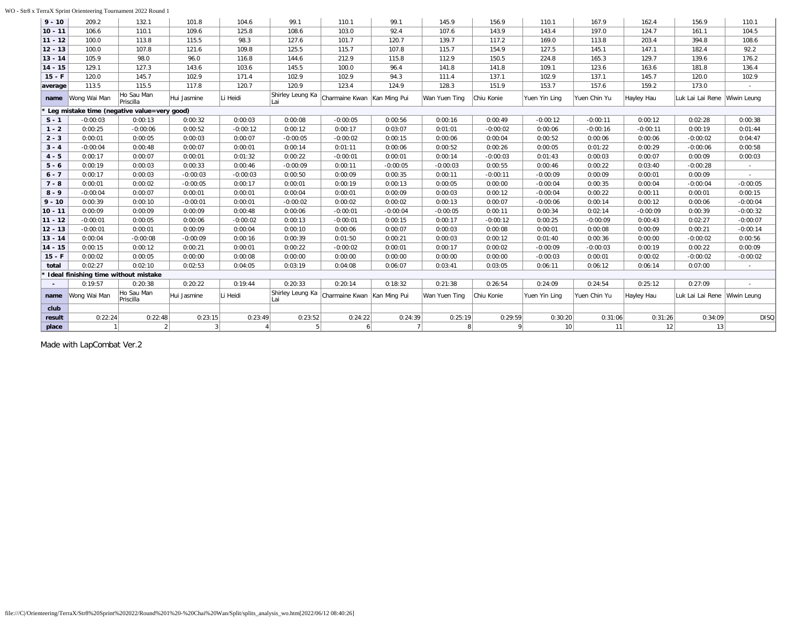### WO - Str8 x TerraX Sprint Orienteering Tournament 2022 Round 1

| $9 - 10$  | 209.2                                | 132.1                                       | 101.8          | 104.6          | 99.1             | 110.1                       | 99.1           | 145.9         | 156.9       | 110.1           | 167.9        | 162.4      | 156.9                        | 110.1       |
|-----------|--------------------------------------|---------------------------------------------|----------------|----------------|------------------|-----------------------------|----------------|---------------|-------------|-----------------|--------------|------------|------------------------------|-------------|
| $10 - 11$ | 106.6                                | 110.1                                       | 109.6          | 125.8          | 108.6            | 103.0                       | 92.4           | 107.6         | 143.9       | 143.4           | 197.0        | 124.7      | 161.1                        | 104.5       |
| $11 - 12$ | 100.0                                | 113.8                                       | 115.5          | 98.3           | 127.6            | 101.7                       | 120.7          | 139.7         | 117.2       | 169.0           | 113.8        | 203.4      | 394.8                        | 108.6       |
| $12 - 13$ | 100.0                                | 107.8                                       | 121.6          | 109.8          | 125.5            | 115.7                       | 107.8          | 115.7         | 154.9       | 127.5           | 145.1        | 147.1      | 182.4                        | 92.2        |
| $13 - 14$ | 105.9                                | 98.0                                        | 96.0           | 116.8          | 144.6            | 212.9                       | 115.8          | 112.9         | 150.5       | 224.8           | 165.3        | 129.7      | 139.6                        | 176.2       |
| $14 - 15$ | 129.1                                | 127.3                                       | 143.6          | 103.6          | 145.5            | 100.0                       | 96.4           | 141.8         | 141.8       | 109.1           | 123.6        | 163.6      | 181.8                        | 136.4       |
| $15 - F$  | 120.0                                | 145.7                                       | 102.9          | 171.4          | 102.9            | 102.9                       | 94.3           | 111.4         | 137.1       | 102.9           | 137.1        | 145.7      | 120.0                        | 102.9       |
| average   | 113.5                                | 115.5                                       | 117.8          | 120.7          | 120.9            | 123.4                       | 124.9          | 128.3         | 151.9       | 153.7           | 157.6        | 159.2      | 173.0                        |             |
| name      | Wong Wai Man                         | Ho Sau Man<br>Priscilla                     | Hui Jasmine    | Li Heidi       | Shirley Leung Ka | Charmaine Kwan Kan Ming Pui |                | Wan Yuen Ting | Chiu Konie  | Yuen Yin Ling   | Yuen Chin Yu | Hayley Hau | Luk Lai Lai Rene Wiwin Leung |             |
|           |                                      | Leg mistake time (negative value=very good) |                |                |                  |                             |                |               |             |                 |              |            |                              |             |
| $S - 1$   | $-0:00:03$                           | 0:00:13                                     | 0:00:32        | 0:00:03        | 0:00:08          | $-0:00:05$                  | 0:00:56        | 0:00:16       | 0:00:49     | $-0:00:12$      | $-0:00:11$   | 0:00:12    | 0:02:28                      | 0:00:38     |
| $1 - 2$   | 0:00:25                              | $-0:00:06$                                  | 0:00:52        | $-0:00:12$     | 0:00:12          | 0:00:17                     | 0:03:07        | 0:01:01       | $-0:00:02$  | 0:00:06         | $-0:00:16$   | $-0:00:11$ | 0:00:19                      | 0:01:44     |
| $2 - 3$   | 0:00:01                              | 0:00:05                                     | 0:00:03        | 0:00:07        | $-0:00:05$       | $-0:00:02$                  | 0:00:15        | 0:00:06       | 0:00:04     | 0:00:52         | 0:00:06      | 0:00:06    | $-0:00:02$                   | 0:04:47     |
| $3 - 4$   | $-0:00:04$                           | 0:00:48                                     | 0:00:07        | 0:00:01        | 0:00:14          | 0:01:11                     | 0:00:06        | 0:00:52       | 0:00:26     | 0:00:05         | 0:01:22      | 0:00:29    | $-0:00:06$                   | 0:00:58     |
| $4 - 5$   | 0:00:17                              | 0:00:07                                     | 0:00:01        | 0:01:32        | 0:00:22          | $-0:00:01$                  | 0:00:01        | 0:00:14       | $-0:00:03$  | 0:01:43         | 0:00:03      | 0:00:07    | 0:00:09                      | 0:00:03     |
| $5 - 6$   | 0:00:19                              | 0:00:03                                     | 0:00:33        | 0:00:46        | $-0:00:09$       | 0:00:11                     | $-0:00:05$     | $-0:00:03$    | 0:00:55     | 0:00:46         | 0:00:22      | 0:03:40    | $-0:00:28$                   |             |
| $6 - 7$   | 0:00:17                              | 0:00:03                                     | $-0:00:03$     | $-0:00:03$     | 0:00:50          | 0:00:09                     | 0:00:35        | 0:00:11       | $-0:00:11$  | $-0:00:09$      | 0:00:09      | 0:00:01    | 0:00:09                      | $\sim$      |
| $7 - 8$   | 0:00:01                              | 0:00:02                                     | $-0:00:05$     | 0:00:17        | 0:00:01          | 0:00:19                     | 0:00:13        | 0:00:05       | 0:00:00     | $-0:00:04$      | 0:00:35      | 0:00:04    | $-0:00:04$                   | $-0:00:05$  |
| $8 - 9$   | $-0:00:04$                           | 0:00:07                                     | 0:00:01        | 0:00:01        | 0:00:04          | 0:00:01                     | 0:00:09        | 0:00:03       | 0:00:12     | $-0:00:04$      | 0:00:22      | 0:00:11    | 0:00:01                      | 0:00:15     |
| $9 - 10$  | 0:00:39                              | 0:00:10                                     | $-0:00:01$     | 0:00:01        | $-0:00:02$       | 0:00:02                     | 0:00:02        | 0:00:13       | 0:00:07     | $-0:00:06$      | 0:00:14      | 0:00:12    | 0:00:06                      | $-0:00:04$  |
| $10 - 11$ | 0:00:09                              | 0:00:09                                     | 0:00:09        | 0:00:48        | 0:00:06          | $-0:00:01$                  | $-0:00:04$     | $-0:00:05$    | 0:00:11     | 0:00:34         | 0:02:14      | $-0:00:09$ | 0:00:39                      | $-0:00:32$  |
| $11 - 12$ | $-0:00:01$                           | 0:00:05                                     | 0:00:06        | $-0:00:02$     | 0:00:13          | $-0:00:01$                  | 0:00:15        | 0:00:17       | $-0:00:12$  | 0:00:25         | $-0:00:09$   | 0:00:43    | 0:02:27                      | $-0:00:07$  |
| $12 - 13$ | $-0:00:01$                           | 0:00:01                                     | 0:00:09        | 0:00:04        | 0:00:10          | 0:00:06                     | 0:00:07        | 0:00:03       | 0:00:08     | 0:00:01         | 0:00:08      | 0:00:09    | 0:00:21                      | $-0:00:14$  |
| $13 - 14$ | 0:00:04                              | $-0:00:08$                                  | $-0:00:09$     | 0:00:16        | 0:00:39          | 0:01:50                     | 0:00:21        | 0:00:03       | 0:00:12     | 0:01:40         | 0:00:36      | 0:00:00    | $-0:00:02$                   | 0:00:56     |
| $14 - 15$ | 0:00:15                              | 0:00:12                                     | 0:00:21        | 0:00:01        | 0:00:22          | $-0:00:02$                  | 0:00:01        | 0:00:17       | 0:00:02     | $-0:00:09$      | $-0:00:03$   | 0:00:19    | 0:00:22                      | 0:00:09     |
| $15 - F$  | 0:00:02                              | 0:00:05                                     | 0:00:00        | 0:00:08        | 0:00:00          | 0:00:00                     | 0:00:00        | 0:00:00       | 0:00:00     | $-0:00:03$      | 0:00:01      | 0:00:02    | $-0:00:02$                   | $-0:00:02$  |
| total     | 0:02:27                              | 0:02:10                                     | 0:02:53        | 0:04:05        | 0:03:19          | 0:04:08                     | 0:06:07        | 0:03:41       | 0:03:05     | 0:06:11         | 0:06:12      | 0:06:14    | 0:07:00                      |             |
|           | Ideal finishing time without mistake |                                             |                |                |                  |                             |                |               |             |                 |              |            |                              |             |
|           | 0:19:57                              | 0:20:38                                     | 0:20:22        | 0:19:44        | 0:20:33          | 0:20:14                     | 0:18:32        | 0:21:38       | 0:26:54     | 0:24:09         | 0:24:54      | 0:25:12    | 0:27:09                      | ×.          |
| name      | Wong Wai Man                         | Ho Sau Man<br>Priscilla                     | Hui Jasmine    | Li Heidi       | Shirley Leung Ka | Charmaine Kwan Kan Ming Pui |                | Wan Yuen Ting | Chiu Konie  | Yuen Yin Ling   | Yuen Chin Yu | Hayley Hau | Luk Lai Lai Rene Wiwin Leung |             |
| club      |                                      |                                             |                |                |                  |                             |                |               |             |                 |              |            |                              |             |
| result    | 0:22:24                              | 0:22:48                                     | 0:23:15        | 0:23:49        | 0:23:52          | 0:24:22                     | 0:24:39        | 0:25:19       | 0:29:59     | 0:30:20         | 0:31:06      | 0:31:26    | 0:34:09                      | <b>DISQ</b> |
| place     |                                      |                                             | 3 <sup>1</sup> | $\overline{A}$ | 5 <sup>1</sup>   | 6 <sup>1</sup>              | $\overline{7}$ | 8             | $\mathbf Q$ | 10 <sup>1</sup> | 11           | 12         | 13                           |             |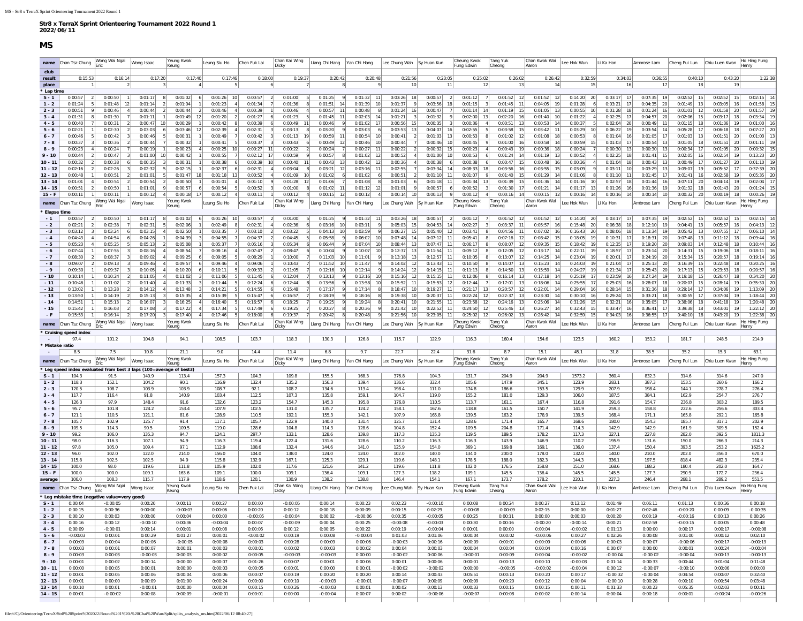<span id="page-11-0"></span>

| club                   |                                |                                                                             |                           |                           |                                       |                                           |                                |                                                  |                                                          |                                            |                         |                                        |                                                          |                                   |                                             |                                              |                                  |                                |                                   |                              |
|------------------------|--------------------------------|-----------------------------------------------------------------------------|---------------------------|---------------------------|---------------------------------------|-------------------------------------------|--------------------------------|--------------------------------------------------|----------------------------------------------------------|--------------------------------------------|-------------------------|----------------------------------------|----------------------------------------------------------|-----------------------------------|---------------------------------------------|----------------------------------------------|----------------------------------|--------------------------------|-----------------------------------|------------------------------|
| result<br>place        | 0:15:53                        | 0:16:14<br>$\overline{2}$                                                   | 0:17:20                   | 0:17:40                   | 0:17:46                               | 0:18:00<br>5                              | 0:19:37<br>6                   | 0:20:42<br>8 <sup>1</sup>                        | 0:20:48                                                  | 0:21:56<br>10                              | 0:23:05                 | 0:25:02<br>11                          | 0:26:02<br>13<br>12                                      | 0:26:42<br>14                     | 0:32:59<br>15                               | 0:34:03<br>16                                | 0:36:55<br>17                    | 0:40:10<br>18                  | 0:43:20<br>19                     | 1:22:38                      |
| * Lap time             |                                |                                                                             |                           |                           |                                       |                                           |                                |                                                  |                                                          |                                            |                         |                                        |                                                          |                                   |                                             |                                              |                                  |                                |                                   |                              |
| $S - 1$                | 0:00:57<br> 2                  | 0:00:50                                                                     | 0:01:17<br>-8             | 0:01:02                   | 6<br>$0:01:26$ 10                     | 0:00:57                                   | 0:01:00<br>$\left  \right $    | 0:01:25<br>9<br>5 <sub>l</sub>                   | $0:01:32$ 11                                             | $0:03:26$ 18                               | 0:00:57                 | 2 <br>$0:01:12$ 7                      | $0:01:52$ 12                                             | $0:01:52$ 12                      | $0:14:20$ 20                                | $0:03:17$ 17                                 | $0:07:35$ 19                     | $0:02:52$ 15                   | $0:02:52$ 15                      | $0:02:15$ 14                 |
| $1 - 2$                | 0:01:24<br>5 <sub>1</sub>      | $0:01:48$ 12                                                                | 0:01:14<br>$\overline{2}$ | 0:01:04                   | 0:01:23<br>1                          | 4<br>0:01:34                              | 0:01:36                        | 0:01:51<br>14                                    | 0:01:39<br>10                                            | 0:01:37<br>9                               | 0:03:56                 | 18<br>0:01:15                          | $\left  \frac{3}{2} \right $<br>0:01:45<br>11            | 0:04:05<br>19                     | 0:01:28<br>6                                | 0:03:21<br>17                                | 0:04:35<br>20                    | 0:01:49<br>13                  | 0:03:05<br>16                     | 0:01:58                      |
| $2 - 3$<br>$3 - 4$     | 0:00:51<br>9<br>0:01:31<br>-8  | 0:00:46<br>$\sim$ 4<br>0:01:30<br>7                                         | 0:00:44<br>2<br>0:01:11   | 0:00:44<br>0:01:49        | 0:00:46<br>$\vert$ 2<br>0:01:20<br>12 | 0:00:39<br>4<br>0:01:27<br>2 <sup>1</sup> | 0:00:46<br>0:01:23<br>-5<br>6  | 0:00:57<br>11<br>$\overline{4}$<br>0:01:45<br>11 | 0:00:48<br> 8 <br>0:02:03<br>14                          | 16<br>0:01:24<br>0:01:21<br>3 <sup>1</sup> | 0:00:47<br>0:01:32      | 7<br>$0:01:14$ 14<br>$0:02:00$ 13<br>9 | 15<br>0:01:19<br>0:02:20<br>16                           | $0:01:05$ 13<br>$0:01:40$ 10      | $0:00:55$ 10<br>0:01:22<br>4 <sup>1</sup>   | 0:01:28<br>18<br>0:02:25<br>17               | 0:01:24<br>16<br>0:04:57<br>20   | 12<br>0:01:01<br>15<br>0:02:06 | $0:01:58$ 20<br>0:03:17<br>18     | 0:01:57<br>0:03:34           |
| $4 - 5$                | 0:00:40                        | 0:00:31<br>$\sqrt{2}$                                                       | 0:00:47<br>10             | 0:00:29                   | 0:00:42                               | 0:00:39<br>8                              | 0:00:49<br>- 11                | 0:00:46<br>-91                                   | 0:01:02<br>17                                            | 0:00:56<br>15                              | 0:00:35                 | 0:00:36                                | 0:00:51<br>13<br>4                                       | $0:00:53$ 14                      | 0:00:37<br>- 51                             | 0:02:04<br>20                                | 0:00:49<br>- 11                  | 0:01:15<br>18                  | $0:01:36$ 19                      | 0:01:00                      |
| $5 - 6$                | 0:02:21                        | 0:02:30                                                                     | 0:03:03                   | 0:03:46                   | 12<br>0:02:39                         | 0:02:31                                   | 0:03:13                        | 0:03:20                                          | 0:03:03                                                  | 0:03:53<br>13                              | 0:04:07                 | 0:02:55                                | 5 <sup>1</sup><br>0:03:58<br>15                          | 0:03:42                           | 0:03:29<br>10                               | 0:06:22<br>19                                | 0:03:54<br>14                    | 0:05:28<br>17                  | 0:06:18<br>18                     | 0:07:27                      |
| $6 - 7$                | 0:00:46                        | 0:00:42                                                                     | 0:00:46                   | 0:00:31                   | 0:00:49                               | 0:00:42                                   | 0:01:13<br>19                  | 0:00:59<br>11                                    | 0:00:54<br>10                                            | 0:00:41                                    | 0:01:03                 | 0:00:53<br>13                          | 8<br>0:01:02<br>12                                       | 0:01:08<br>-18                    | 0:00:53                                     | 0:01:04<br>16                                | 0:01:05<br>17                    | 0:01:03<br>13                  | 0:01:51<br>- 20                   | 0:01:03                      |
| $7 - 8$<br>$8 - 9$     | 0:00:37<br>0:00:23<br>4        | 0:00:36<br>0:00:24                                                          | 0:00:44<br>0:00:19        | 0:00:32<br>0:00:23        | 0:00:41<br>0:00:25                    | 5 <sub>5</sub><br>0:00:37<br>0:00:27      | 0:00:43                        | 0:00:49<br>12<br>0:00:24<br>7                    | $0:00:46$ 10                                             | 0:00:44<br>0:00:22<br>$\overline{2}$       | 0:00:46                 | 0:00:45<br>10<br>15                    | 9<br>0:01:00<br>16                                       | $0:00:58$ 14                      | 0:00:59<br>- 15                             | 17<br>0:01:03                                | 0:00:54<br>-13                   | 0:01:05<br>18<br>0:00:34       | $0:01:51$ 20<br>0:01:05<br>- 20   | 0:01:11<br>0:00:32           |
| $9 - 10$               | 0:00:44<br>$\vert$ 2           | 0:00:47<br>$\vert$ 3                                                        | 0:01:00<br>10             | 0:00:42                   | 4<br>0:00:55                          | 10<br>7<br>0:02:12                        | 11<br>0:00:22<br>17<br>0:00:59 | 0:00:57<br>8                                     | 0:00:27<br>11<br>0:01:02<br>12                           | 0:00:52<br>$-4$                            | 0:00:32<br>0:01:00      | 0:00:23<br>0:00:53<br>10               | 0:00:43<br>19<br>4<br>0:01:24<br>14<br>6                 | $0:00:36$ 18<br>$0:01:19$ 13      | 0:00:24<br>0:00:52                          | 0:00:30<br> 13 <br>$\sim$ 4<br>0:02:25<br>18 | 0:00:30<br> 13 <br>0:01:41<br>15 | 17<br>0:02:05<br>16            | 0:02:54<br>19                     | $0:13:23$ 20                 |
| $10 - 11$              | 0:00:32<br>-21                 | 0:00:38<br>-61                                                              | 0:00:35                   | 0:00:31                   | 0:00:38                               | 0:00:39<br>6                              | 0:00:40<br>10<br>- 11          | 0:00:43<br>13                                    | 0:00:42<br>12                                            | 0:00:36<br>$\sim$                          | 0:00:38                 | 0:00:38                                | 6<br>0:00:47<br>15                                       | 0:00:48<br>- 16                   | 0:00:36                                     | -41<br>0:01:04<br><b>18</b>                  | 0:00:43<br>13                    | 0:00:49<br>17                  | 0:01:27<br>- 20                   | 0:01:10                      |
| $11 - 12$              | 0:02:16<br>$\overline{2}$      | 0:02:26<br>3 <sup>1</sup>                                                   | 0:02:32                   | 0:02:15                   | 0:02:37                               | 0:02:31<br>6                              | 0:03:04                        | 0:03:21<br>12                                    | 0:03:16<br>11                                            | 0:02:55<br><b>7</b>                        | 0:03:34                 | $0:08:33$ 18<br><b>14</b>              | 0:03:56<br>16                                            | 0:03:55<br>- 15                   | 0:03:09                                     | - 91<br>0:03:11<br>10 <sup>1</sup>           | 0:03:29<br>13                    | 0:09:07<br>19                  | 0:05:52<br>17                     | 0:37:39<br>- 20              |
| $12 - 13$              | 0:00:48                        | 0:00:51<br>$\overline{2}$                                                   | 0:01:01                   | 0:01:47                   | 0:01:18<br>18                         | 0:00:52<br>13                             | 0:01:09<br>10                  | 0:01:02                                          | 0:01:02                                                  | 0:00:51<br>-21                             | 0:01:10                 | 0:01:07                                | 0:01:40<br>- 91<br>15                                    | 0:01:29<br>-14                    | 0:01:06                                     | 0:01:10                                      | 0:01:45<br>17                    | 0:01:41<br>16                  | 0:02:58                           | 0:05:35                      |
| $13 - 14$<br>$14 - 15$ | 0:01:01<br>0:00:51             | 0:00:54<br>0:00:50                                                          | 0:00:54<br>0:01:01        | 0:00:50<br>0:00:57        | 0:01:01<br>6<br>0:00:54               | 0:01:10<br>5 <sub>5</sub><br>0:00:52      | 0:01:28<br>12<br>0:01:00       | 0:01:06<br>7 <sup>1</sup><br>0:01:02<br>11       | 0:01:08<br>0:01:12<br>12                                 | 0:01:03<br>6<br>0:01:01<br>-91             | 0:01:18<br>0:00:57      | 0:01:34<br>13<br>0:00:52               | 0:01:39<br>15<br>$\left  \cdot \right $<br>0:01:30<br>17 | 0:01:36<br>-14<br>0:01:21<br>-14  | 0:01:16<br>10 <sup>1</sup><br>0:01:17<br>13 | 0:02:57<br>18<br>$0:01:26$ 16                | 0:01:44<br>16<br>0:01:36<br>19   | 0:07:11<br>20<br>0:01:32<br>18 | 0:04:14<br>0:01:43<br>- 20        | 0:02:04<br>0:01:24           |
| $15 - F$               | 0:00:11                        | 0:00:11                                                                     | 0:00:12                   | $\frac{4}{3}$<br>0:00:18  | -17<br>0:00:12                        | $\left 4\right $<br>0:00:11               | 0:00:12                        | $\frac{4}{3}$<br>$0:00:15$ 12                    | 0:00:12<br>$\left 4\right $                              | $0:00:14$ 10                               | 0:00:13                 | 9<br>0:00:12                           | 4<br>14<br>0:00:16                                       | $0:00:15$ 12                      | $0:00:16$ 14                                | $0:00:16$ 14                                 | 0:00:14<br>10                    | $0:00:32$ 20                   | $0:00:19$ 18                      | $0:00:26$ 19                 |
| name                   | Chan Tsz Chung                 | Wong Wai Ngai                                                               | Wong Isaac                | Yeung Kwok                | Leung Siu Ho                          | Chen Fuk Lai                              | Chan Kai Wing                  | Liang Chi Hang                                   | Yan Chi Hang                                             | Lee Chung Wah Sy Huan Kun                  |                         | Cheung Kwok                            | Tang Yuk                                                 | Chan Kwok Wai                     | ee Hok Wun                                  | Li Ka Hon                                    | Ambrose Lam                      | Cheng Pui Lun                  | Chiu Luen Kwan                    | Ho Hing Fung                 |
| * Elapse time          |                                |                                                                             |                           | Keung                     |                                       |                                           | Dicky                          |                                                  |                                                          |                                            |                         | Fung Edwin                             | Cheong                                                   | Aaron                             |                                             |                                              |                                  |                                |                                   |                              |
| $-1$                   | 0:00:57<br>$\left  \right $    | 0:00:50                                                                     | 0:01:17                   | 0:01:02                   | $0:01:26$ 10<br>-6                    | 0:00:57                                   | 0:01:00                        | 0:01:25                                          | $0:01:32$ 11                                             | $0:03:26$ 18                               | 0:00:57                 | 0:01:12<br>$\frac{2}{2}$               | $0:01:52$ 12                                             | $0:01:52$ 12                      | $0:14:20$ 20                                | 0:03:17<br>17                                | 0:07:35<br>-19                   | $0:02:52$ 15                   | 0:02:52<br>- 15                   | $0:02:15$ 14                 |
| $-2$                   | 0:02:21<br>$\overline{2}$      | 7<br>0:02:38                                                                | 0:02:31                   | 0:02:06                   | 1<br>0:02:49                          | 8<br>0:02:31                              | 0:02:36                        | 10<br>6<br>0:03:16                               | 0:03:11<br>9                                             | 15<br>0:05:03                              | 0:04:53                 | 14<br>0:02:27                          | $\vert$ 3<br>11<br>0:03:37                               | $0:05:57$ 16                      | $0:15:48$ 20                                | 18<br>0:06:38                                | 0:12:10<br>19                    | 0:04:41<br>13                  | 0:05:57<br>16                     | $0:04:13$ 12                 |
| $-3$                   | 0:03:12<br>3                   | 0:03:24<br>6 <sup>1</sup>                                                   | 0:03:15                   | 0:02:50<br>4 <sup>1</sup> | 0:03:35                               | $\overline{7}$<br>0:03:10                 | 0:03:22                        | 0:04:13<br>10                                    | 0:03:59<br>9                                             | 0:06:27<br>15                              | 0:05:40                 | 12<br>0:03:41                          | 8<br>0:04:56<br>11                                       | $0:07:02$ 16                      | $0:16:43$ 20                                | 0:08:06<br>18                                | 0:13:34<br>19                    | 0:05:42<br>13                  | 0:07:55<br>17                     | $0:06:10$ 14                 |
| $-4$                   | 0:04:43<br>$\sim$              | 0:04:54<br>6 <sup>1</sup>                                                   | 0:04:26                   | 0:04:39                   | 0:04:55<br>$\overline{\mathbf{3}}$    | 7<br>0:04:37                              | 0:04:45                        | 0:05:58<br>9                                     | 0:06:02<br>10                                            | 0:07:48<br> 14                             | 0:07:12                 | 11<br>0:05:41                          | 8 <br>0:07:16<br>12                                      | $0:08:42$ 15                      | $0:18:05$ 19                                | 0:10:31<br>17                                | 0:18:31<br>20                    | 0:07:48<br>13                  | 0:11:12<br>18                     | 0:09:44                      |
| $-5$<br>$-6$           | 0:05:23<br>4<br>0:07:44        | 0:05:25<br>- 51<br>0:07:55<br>$\vert$ 3                                     | 0:05:13<br>0:08:16        | 0:05:08<br>0:08:54        | 0:05:37<br>0:08:16                    | 0:05:16<br>7<br>0:07:47<br>4 <sup>1</sup> | 0:05:34<br>0:08:47             | 0:06:44<br>9<br>0:10:04<br>9                     | 0:07:04<br>10 <sup>1</sup><br>0:10:07<br>10 <sup>1</sup> | $0:08:44$ 13<br>0:12:37<br>13              | 0:07:47<br>0:11:54      | 0:06:17<br>11<br>0:09:12<br>- 11       | 8<br>0:08:07<br>12<br>0:12:05<br>- 81<br>12              | $0:09:35$ 15<br>$0:13:17$ 14      | $0:18:42$ 19<br>$0:22:11$ 19                | $0:12:35$ 17<br>0:18:57<br>17                | 0:19:20<br>20<br>0:23:14<br>-20  | 0:09:03<br>14<br>0:14:31<br>15 | $0:12:48$ 18<br>0:19:06<br>- 18   | 0:10:44<br>0:18:11           |
| $-7$                   | 0:08:30                        | 0:08:37<br>$\vert$ 3                                                        | 0:09:02                   | 0:09:25                   | 0:09:05                               | 0:08:29<br>-51                            | 0:10:00                        | 0:11:03<br>10 <sup>1</sup>                       | 0:11:01<br>-9                                            | 0:13:18<br>13                              | 0:12:57                 | 0:10:05<br>11                          | 8<br>0:13:07<br>12                                       | $0:14:25$ 14                      | $0:23:04$ 19                                | 0:20:01<br>17 <sup>1</sup>                   | 0:24:19<br>20                    | 0:15:34<br>15                  | 0:20:57<br>18                     | 0:19:14                      |
| - 8                    | 0:09:07                        | 0:09:13                                                                     | 0:09:46                   | 0:09:57                   | 0:09:46                               | 0:09:06                                   | 0:10:43                        | 0:11:52<br>10 <sup>1</sup>                       | 0:11:47                                                  | 0:14:02<br>12                              | 0:13:43                 | 0:10:50                                | 8<br>0:14:07<br>13                                       | 0:15:23                           | $0:24:03$ 19                                | 0:21:04<br>17                                | 0:25:13<br>- 20                  | 0:16:39<br>15                  | $0:22:48$ 18                      | 0:20:25                      |
| $-9$                   | 0:09:30                        | 0:09:37                                                                     | 0:10:05                   | 0:10:20                   | 6<br>0:10:11                          | 0:09:33                                   | 0:11:05                        | 0:12:16<br>10 <sup>1</sup>                       | 0:12:14                                                  | 0:14:24<br>12                              | 0:14:15                 | 0:11:13<br>11                          | 8<br>0:14:50<br>13                                       | 0:15:59<br>14                     | $0:24:27$ 19                                | $0:21:34$ 17                                 | 0:25:43<br>- 20                  | 15<br>0:17:13                  | 0:23:53<br>18                     | 0:20:57                      |
| $-10$<br>$-11$         | 0:10:14<br>0:10:46             | 0:10:24<br>0:11:02<br>$\left  \right $                                      | 0:11:05<br>0:11:40        | 0:11:02<br>0:11:33        | 0:11:06<br>0:11:44                    | 0:11:45<br>5<br>0:12:24                   | 0:12:04<br>0:12:44             | 0:13:13<br>9<br>0:13:56<br>9                     | 0:13:16<br>10<br>0:13:58<br>10                           | $0:15:16$ 12<br>$0:15:52$ 11               | 0:15:15<br>$0:15:53$ 12 | 11<br>0:12:06<br>0:12:44               | 8<br>0:16:14<br>13<br>7<br>0:17:01<br>13                 | 0:17:18<br>- 14<br>0:18:06<br>-14 | $0:25:19$ 17<br>$0:25:55$ 17                | 0:23:59<br>16<br>0:25:03<br>16               | 0:27:24<br>19<br>0:28:07<br>18   | 0:19:18<br>15<br>0:20:07<br>15 | 0:26:47<br>-18<br>0:28:14<br>- 19 | $0:34:20$ 20<br>$0:35:30$ 20 |
| $-12$                  | 0:13:02<br>$\overline{1}$      | 0:13:28<br>$\vert$ 2                                                        | 0:14:12                   | 0:13:48                   | $\overline{\mathbf{3}}$<br>0:14:21    | 5 <sub>1</sub><br>0:14:55                 | 0:15:48                        | 0:17:17<br>9                                     | 0:17:14<br>8                                             | $0:18:47$ 10                               | 0:19:27                 | $0:21:17$ 13<br>11                     | 0:20:57<br>12                                            | 0:22:01<br>- 14                   | $0:29:04$ 16                                | 0:28:14<br>15                                | 0:31:36<br>18                    | $0:29:14$ 17                   | 0:34:06<br>- 19                   | 1:13:09<br>- 20              |
| $-13$                  | 0:13:50                        | 0:14:19<br> 2                                                               | 0:15:13                   | 0:15:35                   | 4<br>0:15:39                          | 5 <sub>1</sub><br>0:15:47                 | 0:16:57<br>6                   | 0:18:19<br>9                                     | 0:18:16<br>- 81                                          | $0:19:38$ 10                               | 0:20:37                 | $0:22:24$ 12<br>11                     | 0:22:37<br>13                                            | $0:23:30$ 14                      | $0:30:10$ 16                                | $0:29:24$ 15                                 | 0:33:21<br>18                    | 0:30:55<br>17                  | 0:37:04<br>19                     | $1:18:44$ 20                 |
| $-14$                  | 0:14:51                        | 0:15:13<br>$\vert$ 2                                                        | 0:16:07                   | 0:16:25                   | 0:16:40<br>$\left 4\right $           | 5 <sub>1</sub><br>0:16:57                 | 0:18:25                        | 0:19:25<br>9                                     | 0:19:24<br>- 8                                           | 0:20:41<br>10                              | 0:21:55                 | $0:23:58$ 12<br>-11                    | 0:24:16<br>13                                            | 0:25:06<br>-14                    | $0:31:26$ 15                                | 0:32:21<br>16                                | 0:35:05<br>17                    | 0:38:06<br>18                  | 0:41:18<br>19                     | 1:20:48                      |
| $-15$                  | 0:15:42                        | 0:16:03<br>2                                                                | 0:17:08                   | 0:17:22                   | 0:17:34<br>4 <sup>1</sup>             | 0:17:49<br>- 5                            | 0:19:25                        | 0:20:27<br>8                                     | 0:20:36                                                  | $0:21:42$ 10                               | 0:22:52                 | $0:24:50$ 12                           | 0:25:46<br>13                                            | 0:26:27<br>-14                    | 0:32:43<br>15                               | $0:33:47$ 16                                 | 0:36:41<br>17                    | 0:39:38<br>18                  | 0:43:01<br>19                     | 1:22:12                      |
| - F                    | 0:15:53                        | 0:16:14<br>Wong Wai Ngai                                                    | 0:17:20                   | 0:17:40<br>Yeung Kwok     | 0:17:46                               | 0:18:00                                   | 0:19:37<br>Chan Kai Wing       | 0:20:42                                          | 0:20:48                                                  | $0:21:56$ 10                               | 0:23:05                 | $0:25:02$ 12<br>Cheung Kwok            | 0:26:02<br>13<br><b>Tang Yuk</b>                         | $0:26:42$ 14<br>Chan Kwok Wai     | $0:32:59$ 15                                | $0:34:03$ 16                                 | $0:36:55$ 17                     | $0:40:10$ 18                   | $0:43:20$ 19                      | $1:22:38$ 20<br>Ho Hing Fung |
| name                   | Chan Tsz Chung                 |                                                                             | Wong Isaac                | Keung                     | Leung Siu Ho                          | Chen Fuk Lai                              | Dicky                          | Liang Chi Hang                                   | Yan Chi Hang                                             | Lee Chung Wah                              | Sy Huan Kun             | Fung Edwin                             | Cheong                                                   | Aaron                             | Lee Hok Wun                                 | Li Ka Hon                                    | Ambrose Lam                      | Cheng Pui Lun                  | Chiu Luen Kwan                    |                              |
|                        | * Cruising speed index<br>97.4 | 101.2                                                                       | 104.8                     |                           |                                       | 103.7                                     | 118.3                          |                                                  |                                                          |                                            | 122.9                   | 116.3                                  | 160.4                                                    | 154.6                             | 123.5                                       | 160.2                                        | 153.2                            | 181.7                          | 248.5                             |                              |
|                        |                                |                                                                             |                           |                           |                                       |                                           |                                |                                                  |                                                          |                                            |                         |                                        |                                                          |                                   |                                             |                                              |                                  |                                |                                   |                              |
| $\sim$                 |                                |                                                                             |                           | 94.1                      | 108.5                                 |                                           |                                | 130.3                                            | 126.8                                                    | 115.7                                      |                         |                                        |                                                          |                                   |                                             |                                              |                                  |                                |                                   | 214.9                        |
| * Mistake ratio        | 8.5                            | 7.5                                                                         | 10.8                      | 21.1                      | 9.0                                   | 14.4                                      | 11.4                           | 6.8                                              | 9.7                                                      | 22.7                                       | 22.4                    | 31.6                                   | 8.7                                                      | 15.1                              | 45.1                                        | 31.8                                         | 38.5                             | 35.2                           | 15.3                              | 63.1                         |
|                        |                                |                                                                             |                           | Yeung Kwok                |                                       |                                           | Chan Kai Wing                  |                                                  |                                                          |                                            |                         | Cheung Kwok                            | Tang Yuk                                                 | Chan Kwok Wai                     |                                             |                                              |                                  |                                |                                   | Ho Hing Fung                 |
| name                   | Chan Tsz Chung Wong Wai Ngai   |                                                                             | Wong Isaac                | Keung                     | Leung Siu Ho                          | Chen Fuk Lai                              | Dicky                          | Liang Chi Hang                                   | Yan Chi Hang                                             | Lee Chung Wah                              | Sy Huan Kun             | Fung Edwin                             | Cheong                                                   | Aaron                             | ee Hok Wun                                  | Li Ka Hon                                    | Ambrose Lam                      | Cheng Pui Lun                  | Chiu Luen Kwan                    | Henry                        |
| $S - 1$                | 104.3                          | * Leg speed index evaluated from best 3 laps (100=average of best3)<br>91.5 | 140.9                     | 113.4                     | 157.3                                 | 104.3                                     | 109.8                          | 155.5                                            | 168.3                                                    | 376.8                                      | 104.3                   | 131.7                                  | 204.9                                                    | 204.9                             | 1573.2                                      | 360.4                                        | 832.3                            | 314.6                          | 314.6                             | 247.0                        |
| $1 - 2$                | 118.3                          | 152.1                                                                       | 104.2                     | 90.1                      | 116.9                                 | 132.4                                     | 135.2                          | 156.3                                            | 139.4                                                    | 136.6                                      | 332.4                   | 105.6                                  | 147.9                                                    | 345.                              | 123.9                                       | 283.1                                        | 387.3                            | 153.5                          | 260.6                             | 166.2                        |
| $2 - 3$                | 120.5                          | 108.7                                                                       | 103.9                     | 103.9                     | 108.7                                 | 92.1                                      | 108.7                          | 134.6                                            | 113.4                                                    | 198.4                                      | 111.0                   | 174.8                                  | 186.6                                                    | 153.5                             | 129.9                                       | 207.9                                        | 198.4                            | 144.1                          | 278.7                             | 276.4                        |
| $3 - 4$                | 117.7                          | 116.4                                                                       | 91.8                      | 140.9                     | 103.4                                 | 112.5                                     | 107.3                          | 135.8                                            | 159.1                                                    | 104.7                                      | 119.0                   | 155.2                                  | 181.0                                                    | 129.3                             | 106.0                                       | 187.5                                        | 384.1                            | 162.9                          | 254.7                             | 276.7                        |
| $4 - 5$<br>$5 - 6$     | 126.3<br>95.7                  | 97.9<br>101.8                                                               | 148.4<br>124.2            | 91.6<br>153.4             | 132.6<br>107.9                        | 123.2<br>102.5                            | 154.7<br>131.0                 | 145.3<br>135.7                                   | 195.8<br>124.2                                           | 176.8<br>158.1                             | 110.5<br>167.6          | 113.7<br>118.8                         | 161.1<br>161.5                                           | 167.4<br>150.7                    | 116.8<br>141.9                              | 391.6<br>259.3                               | 154.7<br>158.8                   | 236.8<br>222.6                 | 303.2<br>256.6                    | 189.5<br>303.4               |
| $6 - 7$                | 121.1                          | 110.5                                                                       | 121.1                     | 81.6                      | 128.9                                 | 110.5                                     | 192.1                          | 155.3                                            | 142.1                                                    | 107.9                                      | 165.8                   | 139.5                                  | 163.2                                                    | 178.9                             | 139.5                                       | 168.4                                        | 171.1                            | 165.8                          | 292.1                             | 165.8                        |
| $7 - 8$                | 105.7                          | 102.9                                                                       | 125.7                     | 91.4                      | 117.1                                 | 105.7                                     | 122.9                          | 140.0                                            | 131.4                                                    | 125.7                                      | 131.4                   | 128.6                                  | 171.4                                                    | 165.7                             | 168.6                                       | 180.0                                        | 154.3                            | 185.7                          | 317.1                             | 202.9                        |
| $8 - 9$                | 109.5                          | 114.3                                                                       | 90.5                      | 109.5                     | 119.0                                 | 128.6                                     | 104.8                          | 114.3                                            | 128.6                                                    | 104.8                                      | 152.4                   | 109.5                                  | 204.8                                                    | 171.4                             | 114.3                                       | 142.9                                        | 142.9                            | 161.9                          | 309.5                             | 152.4                        |
| $9 - 10$<br>$10 - 11$  | 99.2<br>98.0                   | 106.0                                                                       | 135.3                     | 94.7                      | 124.1                                 | 297.7                                     | 133.1                          | 128.6                                            | 139.8                                                    | 117.3                                      | 135.3                   | 119.5                                  | 189.5                                                    | 178.2                             | 117.3                                       | 327.1                                        | 227.8                            | 282.0                          | 392.5                             | 1811.3                       |
| $11 - 12$              | 97.8                           | 116.3<br>105.0                                                              | 107.1<br>109.4            | 94.9<br>97.1              | 116.3<br>112.9                        | 119.4<br>108.6                            | 122.4<br>132.4                 | 131.6<br>144.6                                   | 128.6<br>141.0                                           | 110.2<br>125.9                             | 116.3<br>154.0          | 116.3<br>369.1                         | 143.9<br>169.8                                           | 146.9<br>169.1                    | 110.2<br>136.0                              | 195.9<br>137.4                               | 131.6<br>150.4                   | 150.0<br>393.5                 | 266.3<br>253.2                    | 214.3<br>1625.2              |
| $12 - 13$              | 96.0                           | 102.0                                                                       | 122.0                     | 214.0                     | 156.0                                 | 104.0                                     | 138.0                          | 124.0                                            | 124.0                                                    | 102.0                                      | 140.0                   | 134.0                                  | 200.0                                                    | 178.0                             | 132.0                                       | 140.0                                        | 210.0                            | 202.0                          | 356.0                             | 670.0                        |
| $13 - 14$              | 115.8                          | 102.5                                                                       | 102.5                     | 94.9                      | 115.8                                 | 132.9                                     | 167.1                          | 125.3                                            | 129.1                                                    | 119.6                                      | 148.1                   | 178.5                                  | 188.0                                                    | 182.3                             | 144.3                                       | 336.1                                        | 197.5                            | 818.4                          | 482.3                             | 235.4                        |
| $14 - 15$              | 100.0                          | 98.0                                                                        | 119.6                     | 111.8                     | 105.9                                 | 102.0                                     | 117.6                          | 121.6                                            | 141.2                                                    | 119.6                                      | 111.8                   | 102.0                                  | 176.5                                                    | 158.8                             | 151.0                                       | 168.6                                        | 188.2                            | 180.4                          | 202.0                             | 164.7                        |
| $15 - F$               | 100.0<br>106.0                 | 100.0<br>108.3                                                              | 109.1<br>115.7            | 163.6<br>117.9            | 109.1<br>118.6                        | 100.0<br>120.1                            | 109.1<br>130.9                 | 136.4<br>138.2                                   | 109.1<br>138.8                                           | 127.3<br>146.4                             | 118.2<br>154.1          | 109.1<br>167.1                         | 145.5<br>173.7                                           | 136.4<br>178.2                    | 145.5<br>220.1                              | 145.5<br>227.3                               | 127.3<br>246.4                   | 290.9<br>268.1                 | 172.7<br>289.2                    | 236.4<br>551.5               |
| average                |                                | Wong Wai Ngai                                                               |                           | Yeung Kwok                |                                       |                                           | Chan Kai Wing                  |                                                  |                                                          |                                            |                         | Cheung Kwok                            | Tang Yuk                                                 | Chan Kwok Wai                     |                                             |                                              |                                  |                                |                                   | Ho Hing Fung                 |
| name                   | Chan Tsz Chung                 | Eric                                                                        | Wong Isaac                | Keung                     | Leung Siu Ho                          | Chen Fuk Lai                              | Dicky                          | Liang Chi Hang                                   | Ƴan Chi Hang                                             | Lee Chung Wah                              | Sy Huan Kun             | Fung Edwin                             | Cheong                                                   | Aaron                             | ee Hok Wun.                                 | i Ka Hon                                     | Ambrose Lam                      | Cheng Pui Lun                  | Chiu Luen Kwan                    | Henry                        |
|                        |                                | * Leg mistake time (negative value=very good)                               |                           |                           |                                       |                                           |                                |                                                  |                                                          |                                            |                         |                                        |                                                          |                                   |                                             |                                              |                                  |                                |                                   |                              |
| $S - 1$<br>$1 - 2$     | 0:00:04<br>0:00:15             | $-0:00:05$<br>0:00:36                                                       | 0:00:20<br>0:00:00        | 0:00:11<br>$-0:00:03$     | 0:00:27<br>0:00:06                    | 0:00:00<br>0:00:20                        | $-0:00:05$<br>0:00:12          | 0:00:14<br>0:00:18                               | 0:00:23<br>0:00:09                                       | 0:02:23<br>0:00:15                         | $-0:00:10$<br>0:02:29   | 0:00:08<br>$-0:00:08$                  | 0:00:24<br>$-0:00:09$                                    | 0:00:27<br>0:02:15                | 0:13:12<br>0:00:00                          | 0:01:49<br>0:01:27                           | 0:06:11<br>0:02:46               | 0:01:13<br>$-0:00:20$          | 0:00:36<br>0:00:09                | 0:00:18<br>$-0:00:35$        |
| $2 - 3$                | 0:00:10                        | 0:00:03                                                                     | 0:00:00                   | 0:00:04                   | 0:00:00                               | $-0:00:05$                                | $-0:00:04$                     | 0:00:02                                          | $-0:00:06$                                               | 0:00:35                                    | $-0:00:05$              | 0:00:25                                | 0:00:11                                                  | 0:00:00                           | 0:00:03                                     | 0:00:20                                      | 0:00:19                          | $-0:00:16$                     | 0:00:13                           | 0:00:26                      |
| $3 - 4$                | 0:00:16                        | 0:00:12                                                                     | $-0.00:10$                | 0:00:36                   | $-0.00:04$                            | 0:00:07                                   | $-0.00:09$                     | 0:00:04                                          | 0:00:25                                                  | 0:00:08                                    | 0:00:03                 | 0:00:30                                | 0:00:16                                                  | $-0.00:20$                        | $-0.00:14$                                  | 0:00:21                                      | 0:02:59                          | $-0.00:15$                     | 0:00:05                           | 0:00:48                      |
| $4 - 5$                | 0:00:09                        | $-0:00:01$                                                                  | 0:00:14                   | 0:00:01                   | 0:00:08                               | 0:00:06                                   | 0:00:12                        | 0:00:05                                          | 0:00:22                                                  | 0:00:19                                    | $-0:00:04$              | 0:00:01                                | 0:00:00                                                  | 0:00:04                           | $-0:00:02$                                  | 0:01:13                                      | 0:00:00                          | 0:00:17                        | 0:00:17                           | $-0:00:08$                   |
| $5 - 6$<br>$6 - 7$     | $-0:00:03$<br>0:00:09          | 0:00:01<br>0:00:04                                                          | 0:00:29<br>0:00:06        | 0:01:27<br>$-0:00:05$     | 0:00:01<br>0:00:08                    | $-0:00:02$<br>0:00:03                     | 0:00:19<br>0:00:28             | 0:00:08<br>0:00:09                               | $-0:00:04$<br>0:00:06                                    | 0:01:03<br>$-0:00:03$                      | 0:01:06<br>0:00:16      | 0:00:04<br>0:00:09                     | 0:00:02<br>0:00:01                                       | $-0:00:06$<br>0:00:09             | 0:00:27<br>0:00:06                          | 0:02:26<br>0:00:03                           | 0:00:08<br>0:00:07               | 0:01:00<br>$-0:00:06$          | 0:00:12<br>0:00:17                | 0:02:10<br>$-0:00:19$        |
| $7 - 8$                | 0:00:03                        | 0:00:01                                                                     | 0:00:07                   | 0:00:01                   | 0:00:03                               | 0:00:01                                   | 0:00:02                        | 0:00:03                                          | 0:00:02                                                  | 0:00:04                                    | 0:00:03                 | 0:00:04                                | 0:00:04                                                  | 0:00:04                           | 0:00:16                                     | 0:00:07                                      | 0:00:00                          | 0:00:01                        | 0:00:24                           | $-0:00:04$                   |
| $8 - 9$                | 0:00:03                        | 0:00:03                                                                     | $-0:00:03$                | 0:00:03                   | 0:00:02                               | 0:00:05                                   | $-0:00:03$                     | $-0:00:03$                                       | 0:00:00                                                  | $-0:00:02$                                 | 0:00:06                 | $-0:00:01$                             | 0:00:09                                                  | 0:00:04                           | $-0:00:02$                                  | $-0:00:04$                                   | $-0:00:02$                       | $-0:00:04$                     | 0:00:13                           | $-0:00:13$                   |
| $9 - 10$               | 0:00:01                        | 0:00:02                                                                     | 0:00:14                   | 0:00:00                   | 0:00:07                               | 0:01:26                                   | 0:00:07                        | 0:00:01                                          | 0:00:06                                                  | 0:00:01                                    | 0:00:06                 | 0:00:01                                | 0:00:13                                                  | 0:00:10                           | $-0:00:03$                                  | 0:01:14                                      | 0:00:33                          | 0:00:44                        | 0:01:04                           | 0:11:48                      |
| $10 - 11$              | 0:00:00                        | 0:00:05                                                                     | 0:00:01                   | 0:00:00                   | 0:00:03                               | 0:00:05                                   | 0:00:01                        | 0:00:00                                          | 0:00:01                                                  | $-0:00:02$                                 | $-0:00:02$              | 0:00:00                                | $-0:00:05$                                               | $-0:00:02$                        | $-0:00:04$                                  | 0:00:12                                      | $-0:00:07$                       | $-0:00:10$                     | 0:00:06                           | 0:00:00                      |
| $11 - 12$<br>$12 - 13$ | 0:00:01<br>0:00:01             | 0:00:05<br>0:00:00                                                          | 0:00:06<br>0:00:09        | 0:00:04<br>0:01:00        | 0:00:06<br>0:00:24                    | 0:00:07<br>0:00:00                        | 0:00:19<br>0:00:10             | 0:00:20<br>$-0:00:03$                            | 0:00:20<br>$-0:00:01$                                    | 0:00:14<br>$-0:00:07$                      | 0:00:43<br>0:00:09      | 0:05:51<br>0:00:09                     | 0:00:13<br>0:00:20                                       | 0:00:20<br>0:00:12                | 0:00:17<br>0:00:04                          | $-0:00:32$<br>$-0:00:10$                     | $-0:00:04$<br>0:00:28            | 0:04:54<br>0:00:10             | 0:00:07<br>0:00:54                | 0:32:40<br>0:03:48           |
| $13 - 14$              | 0:00:10                        | 0:00:01                                                                     | $-0:00:01$                | 0:00:00                   | 0:00:04                               | 0:00:15                                   | 0:00:26                        | $-0:00:03$                                       | 0:00:01                                                  | 0:00:02                                    | 0:00:13                 | 0:00:33                                | 0:00:15                                                  | 0:00:15                           | 0:00:11                                     | 0:01:33                                      | 0:00:23                          | 0:05:35                        | 0:02:03                           | 0:00:11                      |
| $14 - 15$              | 0:00:01                        | $-0:00:02$                                                                  | 0:00:08                   | 0:00:09                   | $-0:00:01$                            | 0:00:01                                   | 0:00:00                        | $-0:00:04$                                       | 0:00:07                                                  | 0:00:02                                    | $-0:00:06$              | $-0:00:07$                             | 0:00:08                                                  | 0:00:02                           | 0:00:14                                     | 0:00:04                                      | 0:00:18                          | 0:00:01                        | $-0:00:24$                        | $-0:00:26$                   |

Liang Chi Hang Yan Chi Hang Lee Chung Wah Sy Huan Kun

Cheung Kwok<br>Fung Edwin

Tang Yuk Cheong

Chan Kwok Wai Aaron Lee Hok Wun Li Ka Hon Ambrose Lam Cheng Pui Lun Chiu Luen Kwan Ho Hing Fung

Ho Hing Fung<br>Henry

**MS**

**name** Chan Tsz Chung Wong Wai Ngai Wong Isaac Yeung Kwok

Keung Leung Siu Ho Chen Fuk Lai Chan Kai Wing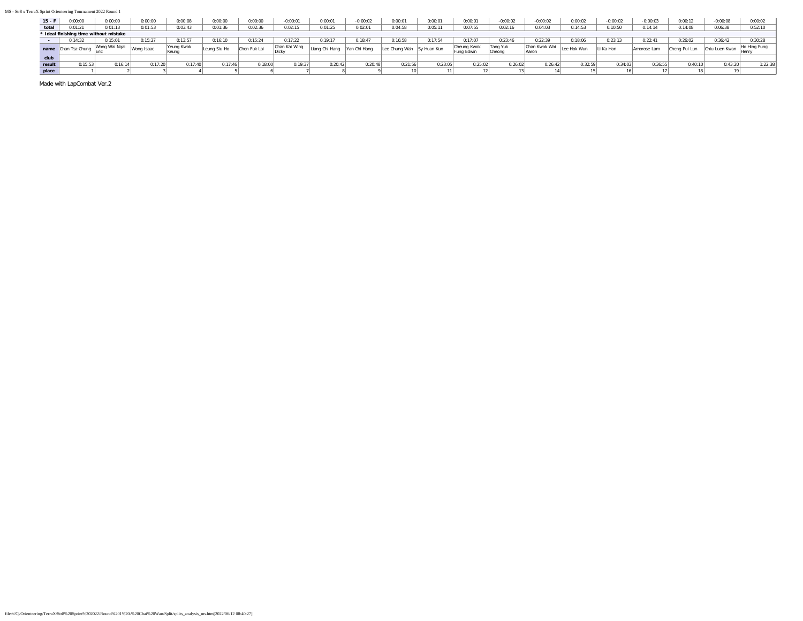| $15 - F$ | 0:00:00        | 0:00:00                                | 0:00:00 | 0:00:08             | 0:00:00     | 0:00:00      | $-0:00:01$    | 0:00:01  | $-0:00:02$   | 0:00:01       | 0:00:01     | 0:00:01                   | $-0:00:02$         | $-0:00:02$                    | 0:00:02     | $-0:00:02$ | $-0:00:03$  | 0:00:12       | $-0:00:08$     | 0:00:02      |
|----------|----------------|----------------------------------------|---------|---------------------|-------------|--------------|---------------|----------|--------------|---------------|-------------|---------------------------|--------------------|-------------------------------|-------------|------------|-------------|---------------|----------------|--------------|
| total    | 0:01:21        | 0:01:13                                | 0:01:53 | 0:03:43             | 0:01:36     | 0:02:36      | 0:02:15       | 0:01:25  | 0:02:0       | 0:04:58       | 0:05:11     | 0:07:55                   | 0:02:16            | 0:04:03                       | 0:14:53     | 0:10:50    | 0:14:14     | 0:14:08       | 0:06:38        | 0:52:10      |
|          |                | * Ideal finishing time without mistake |         |                     |             |              |               |          |              |               |             |                           |                    |                               |             |            |             |               |                |              |
|          | 32             | 0:15:01                                | :15:27  | 0:13:57             | 0:16:10     | 0:15:24      | 0:17:22       | 0:19:17  | 0:18:47      | 0:16:58       | 0:17:54     | 0:17:07                   | 0:23:46            | 0:22:39                       | 0:18:06     | 0:23:13    | 0:22:41     | 0:26:02       | 0:36:42        | 0:30:28      |
| name     | Chan Tsz Chung |                                        |         | Yeung Kwok<br>Keuna | eung Siu Ho | Chen Fuk Lai | Chan Kai Wing | Chi Hang | Yan Chi Hand | Lee Chung Wah | Sy Huan Kun | Cheung Kwok<br>'una Edwin | Tang Yuk<br>Cheona | Chan Kwok Wai<br><b>Aaron</b> | Lee Hok Wun | Li Ka Hon  | Ambrose Lam | Cheng Pui Lun | Chiu Luen Kwan | Ho Hing Fung |
|          |                |                                        |         |                     |             |              |               |          |              |               |             |                           |                    |                               |             |            |             |               |                |              |
| result   | 0:15:53        | 0:16:14                                | 0:17:20 | $0.17 - 40$         | 0:17:46     | 0:18:00      | 0:19:37       | 0:20:42  | 0:20:48      | 0:21:56       | 0:23:05     | 0:25:02                   | 0:26:02            | 0:26:42                       | 0:32:59     | 0:34:03    | 0:36:55     | 0:40:10       | 0:43:20        | :22:38       |
| place    |                |                                        |         |                     |             |              |               |          |              |               |             |                           |                    |                               |             |            |             |               |                |              |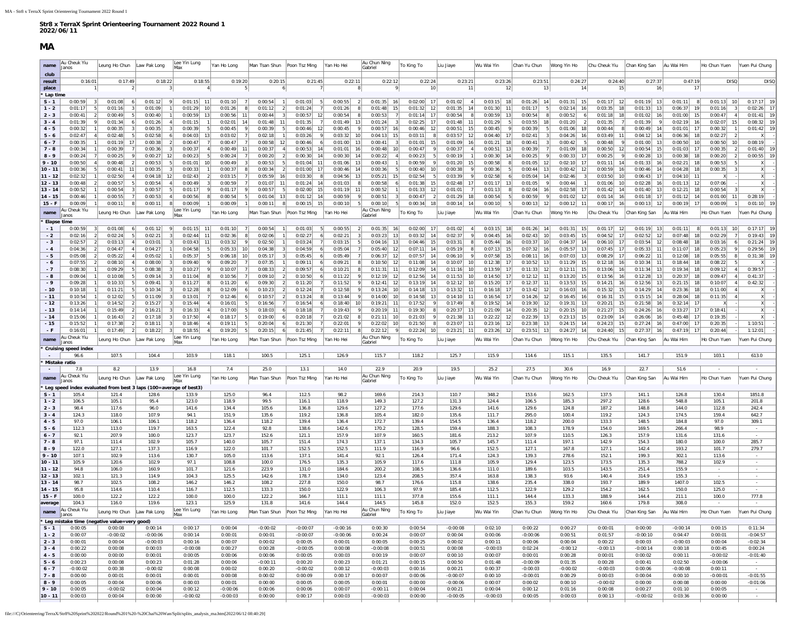### **MA**

<span id="page-13-0"></span>

| name                   | Au Cheuk Yiu<br>Janos         | Leung Ho Chun   Law Pak Long                                      |                                                        | Lee Yin Lung<br>Max                          | Yan Ho Long                                                | Man Tsan Shun   Poon Tsz Ming        |                               | Yan Ho Hei                       | Au Chun Ning<br>Gabriel        | To King To                                 | Liu Jiaye                      | Wu Wai Yin                            | Chan Yu Chun                          | Wong Yin Ho                           | Chu Cheuk Yiu                              | Chan King San                         | Au Wai Him                     | Ho Chun Yuen                                           | Yuen Pui Chung           |
|------------------------|-------------------------------|-------------------------------------------------------------------|--------------------------------------------------------|----------------------------------------------|------------------------------------------------------------|--------------------------------------|-------------------------------|----------------------------------|--------------------------------|--------------------------------------------|--------------------------------|---------------------------------------|---------------------------------------|---------------------------------------|--------------------------------------------|---------------------------------------|--------------------------------|--------------------------------------------------------|--------------------------|
| club                   |                               |                                                                   |                                                        |                                              |                                                            |                                      |                               |                                  |                                |                                            |                                |                                       |                                       |                                       |                                            |                                       |                                |                                                        |                          |
| result                 | 0:16:01                       | 0:17:49                                                           | 0:18:22                                                | 0:18:55                                      | 0:19:20                                                    | 0:20:15                              | 0:21:45                       | 0:22:11                          | 0:22:12                        | 0:22:24                                    | 0:23:21                        | 0:23:26                               | 0:23:51                               | 0:24:27                               | 0:24:40                                    | 0:27:37                               | 0:47:19                        | <b>DISQ</b>                                            | <b>DISQ</b>              |
| place<br>' Lap time    |                               |                                                                   |                                                        | 3                                            | $\vert$ 4                                                  | 6                                    |                               |                                  |                                | 10                                         | 11                             | 12                                    | 13                                    | 14                                    | 15                                         |                                       | 17                             |                                                        |                          |
| $S - 1$                | 0:00:59                       | $\overline{\mathbf{3}}$<br>0:01:08<br>6                           | 0:01:12                                                | -9<br>0:01:15<br>11                          | 0:01:10                                                    | 0:00:54                              | 0:01:03<br>- 5                | 0:00:55<br>$\vert$ 2             | 0:01:35<br>16                  | 0:02:00<br>17                              | 0:01:02                        | $0:03:15$ 18                          | 0:01:26<br>14                         | 15<br>0:01:31                         | 0:01:17<br>12                              | 0:01:19<br>13                         | 0:01:11<br>8                   | $0:01:13$ 10                                           | 0:17:17                  |
| $1 - 2$                | 0:01:17                       | 5<br>0:01:16<br>3                                                 | 0:01:09                                                | 0:01:29<br>10                                | 0:01:26<br>8                                               | 0:01:12<br>2                         | 0:01:24<br>7                  | 0:01:26<br>8                     | 0:01:48<br>15                  | 0:01:32<br>12                              | 0:01:35<br>14                  | 0:01:30<br>11                         | 0:01:17<br>5                          | 0:02:14<br>16                         | 0:03:35<br>18                              | 0:01:33<br>13                         | 0:06:37<br>19                  | 0:01:16<br>3 <sup>1</sup>                              | 0:02:26<br>-17           |
| $2 - 3$                | 0:00:41                       | $\vert$ 2<br>0:00:49                                              | 5 <sup>1</sup><br>0:00:40                              | 0:00:59<br>13                                | 0:00:56<br>11                                              | 0:00:44<br>-3                        | 0:00:57<br>12                 | 0:00:54<br>8                     | 0:00:53<br>$\overline{7}$      | 0:01:14<br>17                              | 0:00:54                        | 0:00:59<br>13                         | 0:00:54                               | 0:00:52<br>8<br>6                     | 0:01:18<br>18                              | 0:01:02<br>16                         | 0:01:00<br>15                  | 0:00:47<br>$\sim$                                      | 0:01:41<br><b>19</b>     |
| $3 - 4$                | 0:01:39                       | 0:01:34<br>- 9                                                    | 0:01:26<br>6                                           | 0:01:15<br>$\vert$ 4                         | 1<br>0:02:01<br>14                                         | 0:01:48<br>11                        | 0:01:35<br>7 <sup>1</sup>     | 0:01:49<br>13                    | 0:01:24<br>3                   | 0:02:25<br>17 <sup>1</sup>                 | 0:01:48<br>11                  | 0:01:29<br>- 5                        | 0:03:55<br>18                         | 0:01:20<br>$\overline{2}$             | 0:01:35<br>7 <sup>1</sup>                  | 0:01:39                               | 0:02:19<br>16<br>9             | 0:02:07<br>15                                          | 0:08:32<br>19            |
| $4 - 5$<br>$5 - 6$     | 0:00:32<br>0:02:47            | 0:00:35<br>$\vert$ 3<br>0:02:48                                   | 0:00:35<br>0:02:58<br>5 <sub>1</sub>                   | 0:00:39<br>$\vert$ 3<br>0:04:03<br>13<br>6   | 5 <sup>1</sup><br>0:00:45<br>0:03:02                       | 0:00:39<br>0:02:18                   | 0:00:46<br>12<br>0:03:26      | 0:00:45<br>- 91<br>0:03:32<br>10 | 0:00:57<br>16<br>0:04:13<br>15 | 0:00:46<br>12<br>0:03:11<br>8              | 0:00:51<br>15<br>0:03:57<br>12 | 0:00:45<br>9<br>0:04:40<br>17         | 0:00:39<br>-5<br>0:02:41              | 0:01:06<br>18<br>0:04:26<br>16        | 0:00:44<br>8 <sup>1</sup><br>0:03:49<br>11 | 0:00:49<br>14<br>0:04:12              | 0:01:01<br>17<br>0:06:36<br>18 | 0:00:32<br>0:02:27                                     | 0:01:42                  |
| $6 - 7$                | 0:00:35                       | 0:01:19<br>17                                                     | 0:00:38                                                | $\overline{2}$<br>0:00:47                    | 7<br>0:00:47                                               | 0:00:58<br>12                        | 0:00:46                       | 0:01:00<br>13                    | 0:00:41<br>3                   | 0:01:01<br>15                              | 0:01:09<br>16                  | 0:01:21<br>18                         | 0:00:41                               | 0:00:42<br>5 <sub>1</sub><br>3        | 0:00:48<br>9                               | 0:01:00<br>13                         | 0:00:50<br>10                  | 0:00:50<br>10                                          | 0:08:19                  |
| $7 - 8$                | 0:00:34                       | 0:00:39<br>$\mathbf{1}$                                           | 0:00:36<br>7 <sup>1</sup>                              | $\vert$ 3<br>0:00:37                         | 4<br>0:00:49<br>11                                         | 0:00:37<br>$\left 4\right $          | 0:00:53<br>14                 | 0:01:01<br>16                    | 0:00:48<br>10 <sup>1</sup>     | 0:00:47<br>9                               | 0:00:37                        | 0:00:51<br>13                         | 0:00:39                               | 18<br>0:01:09<br>7                    | 12<br>0:00:50                              | 0:00:54<br>15                         | 0:01:03<br>17                  | 0:00:35<br>$\overline{2}$                              | 0:01:40<br>19            |
| $8 - 9$                | 0:00:24                       | 0:00:25<br>7                                                      | 9<br>0:00:27                                           | 12<br>0:00:23                                | 5 <sup>1</sup><br>0:00:24                                  | 0:00:20<br>$\overline{2}$            | 0:00:30<br>14                 | 0:00:30<br>14                    | 0:00:22<br>$\vert$             | 0:00:23<br>5 <sup>1</sup>                  | 0:00:19                        | 0:00:30<br>14                         | 0:00:25                               | 0:00:33<br>17<br>9                    | 0:00:25<br>9                               | 0:00:28<br>13                         | 0:00:38<br>18                  | 0:00:20<br>-21                                         | 0:00:55<br>19            |
| $9 - 10$               | 0:00:50                       | 0:00:48                                                           | 0:00:53<br>$\overline{2}$                              | 0:01:01<br>-51                               | 10<br>0:00:49                                              | 0:00:53                              | 0:01:04<br>11                 | 0:01:06<br>13                    | 0:00:43                        | 0:00:59<br>9                               | 0:01:20<br>15                  | 0:00:58                               | 0:01:05<br>12                         | 0:02:10<br>17                         | 0:01:11<br>14                              | 0:01:33                               | 0:02:21<br>18                  | 0:00:53<br>-5                                          |                          |
| $10 - 11$<br>$11 - 12$ | 0:00:36<br>0:02:32            | 0:00:41<br>11<br>0:02:50                                          | 0:00:35<br>$\vert$<br>0:04:18                          | 0:00:33<br>$\vert$ 3<br>12<br>0:02:43        | $\left  \right $<br>0:00:37<br>$\left  \right $<br>0:03:15 | 0:00:34<br>0:05:59<br>16             | 0:01:00<br>17<br>0:03:30<br>8 | 0:00:46<br>-14<br>0:04:56<br>13  | 0:00:36<br>5<br>0:05:21<br>15  | 0:00:40<br>10<br>0:02:54<br>5 <sup>1</sup> | 0:00:38<br>0:03:39             | 0:00:36<br>0:02:58<br>6               | 0:00:44<br>13<br>0:05:04<br>14        | 0:00:42<br>12<br>0:02:46<br>$\vert$ 3 | 0:00:59<br>16<br>0:03:50<br>10             | 0:00:46<br>14<br>0:06:43<br>17        | 0:04:28<br>18<br>0:04:10<br>11 | 0:00:35                                                | X                        |
| $12 - 13$              | 0:00:48                       | 0:00:57<br>$\overline{2}$                                         | 0:00:54<br>-51                                         | 0:00:49<br>4                                 | 3<br>0:00:59                                               | 0:01:07<br>11                        | 0:01:24<br>-14                | 0:01:03<br>-8                    | 0:00:58<br>6                   | 0:01:38<br>15 <sup>1</sup>                 | 0:02:48<br>17                  | 0:01:17<br>13                         | 0:01:05                               | 9<br>0:00:44<br>$\overline{1}$        | 0:01:06<br>10                              | 0:02:28<br>-16                        | 0:01:13<br>12                  | 0:07:06                                                | $\mathsf{x}$             |
| $13 - 14$              | 0:00:52                       | 0:00:54                                                           | 0:00:57                                                | -5<br>0:01:17                                | -91<br>0:01:17                                             | 0:00:57                              | 0:02:00<br>15                 | 0:01:19<br>11                    | 0:00:52                        | 0:01:33<br>12                              | 0:01:01                        | 0:01:13                               | 0:02:04<br>16                         | 0:02:58<br>17 <sup>1</sup>            | 0:01:42<br>14                              | 0:01:40<br>13                         | 0:12:21<br>18                  | 0:00:54                                                |                          |
| $14 - 15$              | 0:00:46                       | 0:00:55                                                           | 7<br>0:00:53                                           | 0:00:56<br>$\vert$                           | 8<br>0:00:54                                               | 0:01:04<br>13                        | 0:01:12<br>14                 | 0:00:59<br>9                     | 0:00:51                        | 0:00:47<br>$\left  \right $                | 0:01:29<br>18                  | 0:00:54                               | 0:00:59                               | 9<br>0:01:02<br>12                    | 0:01:14<br>16                              | 0:01:18<br>17                         | 0:01:12<br>14                  | 0:01:00<br>11                                          | 0:28:19                  |
| $15 - F$               | 0:00:09                       | 0:00:11                                                           | 8 <sup>1</sup><br>0:00:11                              | 8 <sup>1</sup><br>0:00:09                    | 0:00:09                                                    | 0:00:11<br>8                         | 0:00:15<br>15                 | 0:00:10                          | 0:00:10                        | 0:00:34<br>18                              | 0:00:14<br>14                  | 0:00:10                               | 0:00:13<br>12                         | 0:00:12<br>11                         | 0:00:17<br>16                              | $0:00:13$ 12                          | 0:00:19<br>17                  | 0:00:09                                                | 0:01:10                  |
| name                   | Au Cheuk Yiu<br>lanos         | eung Ho Chun                                                      | Law Pak Long                                           | Lee Yin Lung<br>Max                          | Yan Ho Long                                                | Man Tsan Shun                        | Poon Tsz Ming                 | Yan Ho Hei                       | Au Chun Ning<br>Gabriel        | To King To                                 | Liu Jiaye                      | Wu Wai Yin                            | Chan Yu Chun                          | Wong Yin Ho                           | Chu Cheuk Yiu                              | Chan King San                         | Au Wai Him                     | Ho Chun Yuen                                           | Yuen Pui Chung           |
| <b>Elapse time</b>     |                               |                                                                   |                                                        |                                              |                                                            |                                      |                               |                                  |                                |                                            |                                |                                       |                                       |                                       |                                            |                                       |                                |                                                        |                          |
| $-1$                   | 0:00:59                       | 0:01:08<br>$\vert$ 3                                              | 0:01:12<br>6                                           | -91<br>0:01:15<br>11                         | 0:01:10                                                    | 0:00:54                              | 0:01:03<br>- 5                | 0:00:55<br>- 21                  | $0:01:35$ 16                   | 0:02:00<br>17                              | 0:01:02                        | 0:03:15<br>18                         | 0:01:26<br>14                         | $0:01:31$ 15                          | 0:01:17<br>12                              | $0:01:19$ 13                          | 0:01:11<br>-81                 | $0:01:13$ 10                                           | 0:17:17                  |
| $-2$<br>$-3$           | 0:02:16<br>0:02:57            | 0:02:24<br>0:03:13                                                | 5 <sub>1</sub><br>0:02:21<br>4 <sup>1</sup>            | 0:02:44<br>11<br>0:03:43<br>11               | 0:02:36<br>0:03:32                                         | 0:02:06                              | 0:02:27                       | 0:02:21<br>0:03:15               | 0:03:23<br>13                  | 0:03:32<br>14                              | 0:02:37                        | 0:04:45                               | 0:02:43<br>10                         | 0:03:45<br>15<br>0:04:37              | 0:04:52<br>17<br>17                        | 0:02:52<br>12<br>0:03:54              | 0:07:48<br>18                  | 0:02:29<br>0:03:16                                     | 0:19:43<br>0:21:24       |
| $-4$                   | 0:04:36                       | 0:04:47<br>$\overline{2}$                                         | 0:03:01<br>4 <sup>1</sup><br>0:04:27                   | 0:04:58                                      | 5 <sub>1</sub><br>0:05:33<br>10                            | 0:02:50<br>0:04:38                   | 0:03:24<br>0:04:59<br>6       | 0:05:04                          | 0:04:16<br>13<br>0:05:40<br>12 | 0:04:46<br>15<br>0:07:11<br> 14            | 0:03:31<br>0:05:19             | 0:05:44<br>-16<br>0:07:13<br>15       | 0:03:37<br>10<br>0:07:32<br>16        | 14<br>0:05:57<br>13                   | 0:06:10<br>0:07:45<br>17                   | 12<br>0:05:33<br>11                   | 0:08:48<br>18<br>0:11:07<br>18 | 6 <sup>1</sup><br>0:05:23<br>9                         | 0:29:56                  |
| $-5$                   | 0:05:08                       | 0:05:22<br>-2                                                     | 0:05:02<br>$\vert$                                     | 0:05:37                                      | 5<br>0:06:18<br>10                                         | 0:05:17                              | 0:05:45<br>6                  | 0:05:49                          | 0:06:37<br>12                  | 0:07:57<br>14                              | 0:06:10                        | 0:07:58<br>15                         | 0:08:11<br>16                         | 0:07:03<br>13                         | 0:08:29<br>17                              | 0:06:22<br>11                         | 0:12:08<br>18                  | 0:05:55<br>8 <sup>1</sup>                              | 0:31:38                  |
| $-6$                   | 0:07:55                       | 0:08:10                                                           | $\vert$<br>0:08:00                                     | $\vert$ 3<br>0:09:40                         | 9<br>0:09:20                                               | 0:07:35                              | 0:09:11                       | 0:09:21                          | 0:10:50<br>12                  | 0:11:08<br>14                              | 0:10:07<br>10                  | 0:12:38<br>17                         | 0:10:52<br>13                         | 0:11:29<br>15                         | 0:12:18<br>16                              | 0:10:34                               | 0:18:44<br>18                  | 0:08:22                                                |                          |
| $-7$                   | 0:08:30                       | 0:09:29                                                           | 5 <sup>1</sup><br>0:08:38                              | 0:10:27<br>$\mathbf{3}$                      | 9<br>0:10:07                                               | 0:08:33                              | 0:09:57                       | 0:10:21                          | 0:11:31<br>11                  | 0:12:09<br>14                              | 0:11:16<br>10                  | 0:13:59<br>17                         | 0:11:33<br>12                         | 0:12:11<br>15                         | 0:13:06<br>16                              | 0:11:34<br>13                         | 0:19:34<br>18                  | 0:09:12                                                | 0:39:57                  |
| - 8<br>$-9$            | 0:09:04<br>0:09:28            | 0:10:08<br>0:10:33                                                | 5 <sub>1</sub><br>0:09:14<br>5 <sup>1</sup><br>0:09:41 | $\vert$ 3<br>0:11:04<br>0:11:27<br>$\vert$ 3 | 8<br>0:10:56<br>8<br>0:11:20<br>6                          | 0:09:10<br>0:09:30<br>$\overline{2}$ | 0:10:50<br>0:11:20            | 0:11:22<br>0:11:52<br>- 9        | 0:12:19<br>12<br>0:12:41<br>12 | 0:12:56<br>14<br>0:13:19<br>14             | 0:11:53<br>10<br>0:12:12<br>10 | 0:14:50<br>17<br>0:15:20<br>17        | 0:12:12<br>11<br>0:12:37<br>11        | 0:13:20<br>15<br>15<br>0:13:53        | 0:13:56<br>16<br>0:14:21<br>16             | 0:12:28<br>13<br>0:12:56<br><b>13</b> | 0:20:37<br>18<br>0:21:15<br>18 | 0:09:47<br>4 <sup>1</sup><br>0:10:07<br>4 <sup>1</sup> | 0:41:37<br>0:42:32       |
| $-10$                  | 0:10:18                       | 0:11:21                                                           | 5 <sub>1</sub><br>0:10:34                              | $\vert$ 3<br>0:12:28                         | 8<br>0:12:09<br>6                                          | 0:10:23                              | 0:12:24                       | 0:12:58<br>-91                   | 0:13:24<br>10                  | 0:14:18<br>13                              | 0:13:32<br>11                  | 0:16:18<br>17                         | 0:13:42<br>12                         | 0:16:03<br>16                         | 0:15:32<br>15                              | 0:14:29<br>14                         | 0:23:36<br>18                  | 0:11:00<br>$\overline{4}$                              |                          |
| $-11$                  | 0:10:54                       | 0:12:02                                                           | 5 <sub>1</sub><br>0:11:09                              | 0:13:01                                      | 7<br>0:12:46                                               | 0:10:57                              | 0:13:24                       | 0:13:44<br>- 9                   | 0:14:00<br>10                  | 0:14:58<br>13                              | 0:14:10                        | 0:16:54<br>17                         | 0:14:26<br>12                         | 0:16:45<br>16                         | 0:16:3'<br>15                              | 0:15:15<br>14                         | 0:28:04<br>18                  | 0:11:35                                                |                          |
| - 12                   | 0:13:26                       | 0:14:52                                                           | $\overline{2}$<br>0:15:27                              | 0:15:44                                      | $\left 4\right $<br>0:16:01                                | 0:16:56                              | 0:16:54                       | 0:18:40<br>10                    | 0:19:21<br>11                  | 0:17:52<br>9                               | 0:17:49                        | 0:19:52<br>14                         | 0:19:30<br>12                         | 0:19:31<br>13                         | 0:20:21<br>15                              | 0:21:58<br>16                         | 0:32:14<br>17                  |                                                        |                          |
| $-13$                  | 0:14:14                       | 0:15:49                                                           | $\overline{2}$<br>0:16:21                              | $\vert$ 3<br>0:16:33                         | 4<br>0:17:00                                               | 0:18:03                              | 0:18:18                       | 0:19:43                          | 0:20:19<br>11                  | 0:19:30<br>8 <sup>1</sup>                  | 0:20:37<br>13                  | 0:21:09<br>14                         | 0:20:35<br>12                         | 0:20:15<br>10 <sup>1</sup>            | 0:21:27<br>15                              | 0:24:26<br>16                         | 0:33:27<br>17                  | 0:18:41                                                | X                        |
| $-14$<br>- 15          | 0:15:06<br>0:15:52            | 0:16:43<br>-21<br>0:17:38                                         | 0:17:18<br>$\overline{2}$<br>0:18:11                   | 0:17:50<br>$\vert$ 3<br>$\vert$ 3<br>0:18:46 | 4<br>0:18:17<br>$\vert$ 4<br>0:19:11                       | 0:19:00<br>0:20:04                   | 0:20:18<br>0:21:30            | 0:21:02<br>-8<br>0:22:01         | 0:21:11<br>10<br>0:22:02<br>10 | 0:21:03<br>9<br>0:21:50<br>8 <sup>1</sup>  | 0:21:38<br>11<br>0:23:07       | 0:22:22<br><b>12</b><br>0:23:16<br>12 | 0:22:39<br><b>13</b><br>0:23:38<br>13 | 15<br>0:23:13<br>0:24:15<br>14        | 0:23:09<br>14<br>0:24:23<br>15             | 0:26:06<br>-16<br>0:27:24<br>16       | 0:45:48<br>17<br>0:47:00<br>17 | 0:19:35<br>0:20:35                                     | 1:10:51                  |
| $-F$                   | 0:16:01                       | 0:17:49                                                           | $\vert$ 2<br>0:18:22                                   | $\vert$ 3<br>0:18:55                         | $\vert$<br>0:19:20                                         | 0:20:15                              | 0:21:45                       | 0:22:11<br>8                     | 0:22:12                        | 0:22:24<br>10                              | 0:23:21<br>11                  | 0:23:26<br>12                         | 0:23:51<br>13                         | 0:24:27<br>14                         | 0:24:40<br>15                              | 0:27:37<br>- 16                       | 0:47:19<br>17                  | 0:20:44                                                | 1:12:01                  |
| name                   | lu Cheuk Yiu                  | eung Ho Chun                                                      | Law Pak Long                                           | Lee Yin Lung                                 | Yan Ho Long                                                | Man Tsan Shun                        | Poon Tsz Ming                 | Yan Ho Hei                       | Au Chun Ning                   | To King To                                 | Liu Jiaye                      | Wu Wai Yin                            | Chan Yu Chun                          | Wong Yin Ho                           | Chu Cheuk Yiu                              | Chan King San                         | Au Wai Him                     | Ho Chun Yuen                                           | Yuen Pui Chung           |
|                        | lanos<br>Cruising speed index |                                                                   |                                                        | Max                                          |                                                            |                                      |                               |                                  | Gabriel                        |                                            |                                |                                       |                                       |                                       |                                            |                                       |                                |                                                        |                          |
| $\sim$                 | 96.6                          | 107.5                                                             | 104.4                                                  | 103.9                                        | 118.1                                                      | 100.5                                | 125.1                         | 126.9                            | 115.7                          | 118.2                                      | 125.7                          | 115.9                                 | 114.6                                 | 115.1                                 | 135.5                                      | 141.7                                 | 151.9                          | 103.1                                                  | 613.0                    |
|                        | Mistake ratio                 |                                                                   |                                                        |                                              |                                                            |                                      |                               |                                  |                                |                                            |                                |                                       |                                       |                                       |                                            |                                       |                                |                                                        |                          |
|                        | 7.8                           | 8.2                                                               | 13.9                                                   | 16.8                                         | 7.4                                                        | 25.0                                 | 13.1                          | 14.0                             | 22.9                           | 20.9                                       | 19.5                           | 25.2                                  | 27.5                                  | 30.6                                  | 16.9                                       | 22.7                                  | 51.6                           |                                                        |                          |
| name                   | Au Cheuk Yiu<br>Janos         | Leung Ho Chun                                                     | Law Pak Long                                           | Lee Yin Lung<br>Max                          | Yan Ho Long                                                | Man Tsan Shun                        | Poon Tsz Ming                 | Yan Ho Hei                       | Au Chun Ning<br>Gabriel        | To King To                                 | Liu Jiaye                      | Wu Wai Yin                            | Chan Yu Chun                          | Wong Yin Ho                           | Chu Cheuk Yiu                              | Chan King San                         | Au Wai Him                     | Ho Chun Yuen                                           | Yuen Pui Chung           |
|                        |                               | Leg speed index evaluated from best 3 laps (100=average of best3) |                                                        |                                              |                                                            |                                      |                               |                                  |                                |                                            |                                |                                       |                                       |                                       |                                            |                                       |                                |                                                        |                          |
| $S - 1$                | 105.4                         | 121.4                                                             | 128.6                                                  | 133.9                                        | 125.0                                                      | 96.4                                 | 112.5                         | 98.2                             | 169.6                          | 214.3                                      | 110.7                          | 348.2                                 | 153.6                                 | 162.5                                 | 137.5                                      | 141.1                                 | 126.8                          | 130.4                                                  | 1851.8                   |
| $1 - 2$<br>$2 - 3$     | 106.5<br>98.4                 | 105.1<br>117.6                                                    | 95.4<br>96.0                                           | 123.0<br>141.6                               | 118.9<br>134.4                                             | 99.5<br>105.6                        | 116.1<br>136.8                | 118.9<br>129.6                   | 149.3<br>127.2                 | 127.2<br>177.6                             | 131.3<br>129.6                 | 124.4<br>141.6                        | 106.5<br>129.6                        | 185.3<br>124.8                        | 297.2<br>187.2                             | 128.6<br>148.8                        | 548.8<br>144.0                 | 105.1<br>112.8                                         | 201.8<br>242.4           |
| $3 - 4$                | 124.3                         | 118.0                                                             | 107.9                                                  | 94.1                                         | 151.9                                                      | 135.6                                | 119.2                         | 136.8                            | 105.4                          | 182.0                                      | 135.6                          | 111.7                                 | 295.0                                 | 100.4                                 | 119.2                                      | 124.3                                 | 174.5                          | 159.4                                                  | 642.7                    |
| $4 - 5$                | 97.0                          | 106.1                                                             | 106.1                                                  | 118.2                                        | 136.4                                                      | 118.2                                | 139.4                         | 136.4                            | 172.7                          | 139.4                                      | 154.5                          | 136.4                                 | 118.2                                 | 200.0                                 | 133.3                                      | 148.5                                 | 184.8                          | 97.0                                                   | 309.1                    |
| $5 - 6$                | 112.3                         | 113.0                                                             | 119.7                                                  | 163.5                                        | 122.4                                                      | 92.8                                 | 138.6                         | 142.6                            | 170.2                          | 128.5                                      | 159.4                          | 188.3                                 | 108.3                                 | 178.9                                 | 154.0                                      | 169.5                                 | 266.4                          | 98.9                                                   |                          |
| $6 - 7$<br>$7 - 8$     | 92.1<br>97.1                  | 207.9                                                             | 100.0                                                  | 123.7<br>105.7                               | 123.7                                                      | 152.6                                | 121.1                         | 157.9<br>174.3                   | 107.9<br>137.1                 | 160.5<br>134.3                             | 181.6<br>105.7                 | 213.2<br>145.7                        | 107.9                                 | 110.5<br>197.1                        | 126.3                                      | 157.9                                 | 131.6<br>180.0                 | 131.6<br>100.0                                         | 285.7                    |
| $8 - 9$                | 122.0                         | 111.4<br>127.1                                                    | 102.9<br>137.3                                         | 116.9                                        | 140.0<br>122.0                                             | 105.7<br>101.7                       | 151.4<br>152.5                | 152.5                            | 111.9                          | 116.9                                      | 96.6                           | 152.5                                 | 111.4<br>127.1                        | 167.8                                 | 142.9<br>127.1                             | 154.3<br>142.4                        | 193.2                          | 101.7                                                  | 279.7                    |
| $9 - 10$               | 107.1                         | 102.9                                                             | 113.6                                                  | 130.7                                        | 105.0                                                      | 113.6                                | 137.1                         | 141.4                            | 92.1                           | 126.4                                      | 171.4                          | 124.3                                 | 139.3                                 | 278.6                                 | 152.1                                      | 199.3                                 | 302.1                          | 113.6                                                  |                          |
| $10 - 11$              | 105.9                         | 120.6                                                             | 102.9                                                  | 97.1                                         | 108.8                                                      | 100.0                                | 176.5                         | 135.3                            | 105.9                          | 117.6                                      | 111.8                          | 105.9                                 | 129.4                                 | 123.5                                 | 173.5                                      | 135.3                                 | 788.2                          | 102.9                                                  |                          |
| $11 - 12$              | 94.8                          | 106.0                                                             | 160.9                                                  | 101.7                                        | 121.6                                                      | 223.9                                | 131.0                         | 184.6                            | 200.2                          | 108.5                                      | 136.6                          | 111.0                                 | 189.6                                 | 103.5                                 | 143.5                                      | 251.4                                 | 155.9                          |                                                        |                          |
| $12 - 13$<br>$13 - 14$ | 102.1<br>98.7                 | 121.3<br>102.5                                                    | 114.9<br>108.2                                         | 104.3<br>146.2                               | 125.5<br>146.2                                             | 142.6<br>108.2                       | 178.7<br>227.8                | 134.0<br>150.0                   | 123.4<br>98.7                  | 208.5<br>176.6                             | 357.4<br>115.8                 | 163.8<br>138.6                        | 138.3<br>235.4                        | 93.6<br>338.0                         | 140.4<br>193.7                             | 314.9<br>189.9                        | 155.3<br>1407.0                | 102.5                                                  |                          |
| $14 - 15$              | 95.8                          | 114.6                                                             | 110.4                                                  | 116.7                                        | 112.5                                                      | 133.3                                | 150.0                         | 122.9                            | 106.3                          | 97.9                                       | 185.4                          | 112.5                                 | 122.9                                 | 129.2                                 | 154.2                                      | 162.5                                 | 150.0                          | 125.0                                                  |                          |
| $15 - F$               | 100.0                         | 122.2                                                             | 122.2                                                  | 100.0                                        | 100.0                                                      | 122.2                                | 166.7                         | 111.1                            | 111.1                          | 377.8                                      | 155.6                          | 111.1                                 | 144.4                                 | 133.3                                 | 188.9                                      | 144.4                                 | 211.1                          | 100.0                                                  | 777.8                    |
| average                | 104.3                         | 116.0                                                             | 119.6                                                  | 123.1                                        | 125.9                                                      | 131.8                                | 141.6                         | 144.4                            | 144.5                          | 145.8                                      | 152.0                          | 152.5                                 | 155.3                                 | 159.2                                 | 160.6                                      | 179.8                                 | 308.0                          |                                                        |                          |
| name                   | Au Cheuk Yiu                  | Leung Ho Chun                                                     | Law Pak Long                                           | Lee Yin Lung<br>Max                          | Yan Ho Long                                                | Man Tsan Shun                        | Poon Tsz Ming                 | Yan Ho Hei                       | Au Chun Ning<br>Gabriel        | To King To                                 | Liu Jiaye                      | Wu Wai Yin                            | Chan Yu Chun                          | Wong Yin Ho                           | Chu Cheuk Yiu                              | Chan King San                         | Au Wai Him                     | Ho Chun Yuen                                           | Yuen Pui Chung           |
|                        |                               | * Leg mistake time (negative value=very good)                     |                                                        |                                              |                                                            |                                      |                               |                                  |                                |                                            |                                |                                       |                                       |                                       |                                            |                                       |                                |                                                        |                          |
| $S - 1$                | 0:00:05                       | 0:00:08                                                           | 0:00:14                                                | 0:00:17                                      | 0:00:04                                                    | $-0:00:02$                           | $-0:00:07$                    | $-0:00:16$                       | 0:00:30                        | 0:00:54                                    | $-0:00:08$                     | 0:02:10                               | 0:00:22                               | 0:00:27                               | 0:00:01                                    | 0:00:00                               | $-0:00:14$                     | 0:00:15                                                | 0:11:34                  |
| $1 - 2$<br>$2 - 3$     | 0:00:07<br>0:00:01            | $-0:00:02$<br>0:00:04                                             | $-0:00:06$<br>$-0:00:03$                               | 0:00:14<br>0:00:16                           | 0:00:01<br>0:00:07                                         | 0:00:01<br>0:00:02                   | $-0:00:07$<br>0:00:05         | $-0:00:06$<br>0:00:01            | 0:00:24<br>0:00:05             | 0:00:07<br>0:00:25                         | 0:00:04<br>0:00:02             | 0:00:06<br>0:00:11                    | $-0:00:06$<br>0:00:06                 | 0:00:51<br>0:00:04                    | 0:01:57<br>0:00:22                         | $-0:00:10$<br>0:00:03                 | 0:04:47<br>$-0:00:03$          | 0:00:01<br>0:00:04                                     | $-0:04:57$<br>$-0:02:34$ |
| $3 - 4$                |                               |                                                                   |                                                        |                                              |                                                            | 0:00:28                              | $-0:00:05$                    | 0:00:08                          | $-0:00:08$                     | 0:00:51                                    | 0:00:08                        | $-0:00:03$                            | 0:02:24                               | $-0:00:12$                            | $-0:00:13$                                 | $-0:00:14$                            | 0:00:18                        | 0:00:45                                                | 0:00:24                  |
|                        |                               |                                                                   |                                                        |                                              |                                                            |                                      |                               |                                  |                                |                                            |                                |                                       |                                       |                                       |                                            |                                       |                                |                                                        |                          |
| $4 - 5$                | 0:00:22<br>0:00:00            | 0:00:08<br>0:00:00                                                | 0:00:03<br>0:00:01                                     | $-0:00:08$<br>0:00:05                        | 0:00:27<br>0:00:06                                         | 0:00:06                              | 0:00:05                       | 0:00:03                          | 0:00:19                        | 0:00:07                                    | 0:00:10                        | 0:00:07                               | 0:00:01                               | 0:00:28                               | 0:00:01                                    | 0:00:02                               | 0:00:11                        | $-0:00:02$                                             | $-0:01:40$               |
| $5 - 6$                | 0:00:23                       | 0:00:08                                                           | 0:00:23                                                | 0:01:28                                      | 0:00:06                                                    | $-0:00:11$                           | 0:00:20                       | 0:00:23                          | 0:01:21                        | 0:00:15                                    | 0:00:50                        | 0:01:48                               | $-0:00:09$                            | 0:01:35                               | 0:00:28                                    | 0:00:41                               | 0:02:50                        | $-0:00:06$                                             | $\sim$                   |
| $6 - 7$                | $-0:00:02$                    | 0:00:38                                                           | $-0:00:02$                                             | 0:00:08                                      | 0:00:02                                                    | 0:00:20                              | $-0:00:02$                    | 0:00:12                          | $-0:00:03$                     | 0:00:16                                    | 0:00:21                        | 0:00:37                               | $-0:00:03$                            | $-0:00:02$                            | $-0:00:03$                                 | 0:00:06                               | $-0:00:08$                     | 0:00:11                                                | $\sim$                   |
| $7 - 8$                | 0:00:00                       | 0:00:01                                                           | 0:00:01                                                | 0:00:01                                      | 0:00:08                                                    | 0:00:02                              | 0:00:09                       | 0:00:17                          | 0:00:07                        | 0:00:06                                    | $-0:00:07$                     | 0:00:10                               | $-0:00:01$                            | 0:00:29                               | 0:00:03                                    | 0:00:04                               | 0:00:10                        | $-0:00:01$                                             | $-0:01:55$               |
| $8 - 9$<br>$9 - 10$    | 0:00:05<br>0:00:05            | 0:00:04<br>$-0:00:02$                                             | 0:00:06<br>0:00:04                                     | 0:00:03<br>0:00:12                           | 0:00:01<br>$-0:00:06$                                      | 0:00:00<br>0:00:06                   | 0:00:05<br>0:00:06            | 0:00:05<br>0:00:07               | 0:00:01<br>$-0:00:11$          | 0:00:00<br>0:00:04                         | $-0:00:06$<br>0:00:21          | 0:00:07<br>0:00:04                    | 0:00:02<br>0:00:12                    | 0:00:10<br>0:01:16                    | $-0:00:02$<br>0:00:08                      | 0:00:00<br>0:00:27                    | 0:00:08<br>0:01:10             | 0:00:00<br>0:00:05                                     | $-0:01:06$               |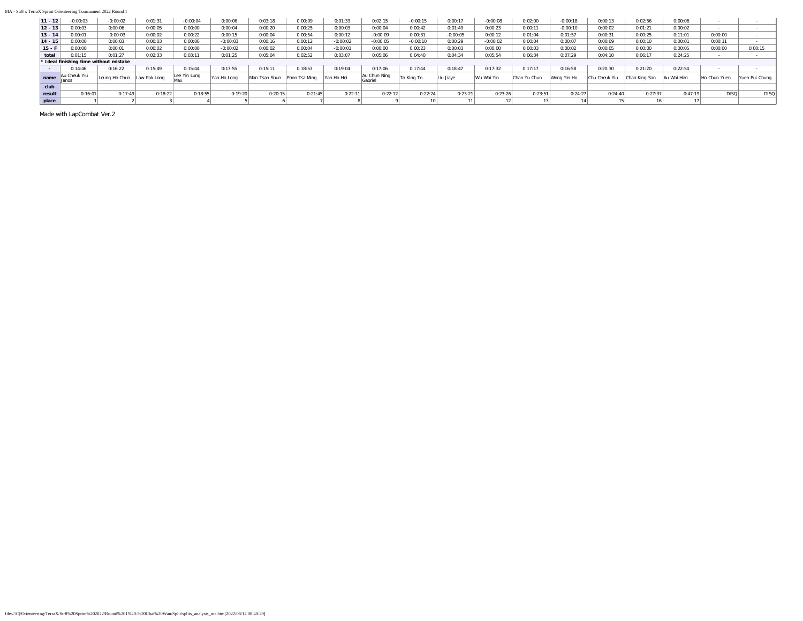#### MA - Str8 x TerraX Sprint Orienteering Tournament 2022 Round 1

| $11 - 12$       | $-0:00:03$                   | $-0:00:02$                             | 0:01:31 | $-0:00:04$   | 0:00:06     | 0:03:18       | 0:00:09       | 0:01:33    | 0:02:15                 | $-0:00:15$ | 0:00:17    | 0:00:08    | 0:02:00      | $-0:00:18$  | 0:00:13       | 0:02:56       | 0:00:06    |              |                |
|-----------------|------------------------------|----------------------------------------|---------|--------------|-------------|---------------|---------------|------------|-------------------------|------------|------------|------------|--------------|-------------|---------------|---------------|------------|--------------|----------------|
| $12 - 13$       | 0:00:03                      | 0:00:06                                | 0:00:05 | 0:00:00      | 0:00:04     | 0:00:20       | 0:00:25       | 0:00:03    | 0:00:04                 | 0:00:42    | 0:01:49    | 0:00:23    | 0:00:11      | $-0:00:10$  | 0:00:02       | 0:01:21       | 0:00:02    |              |                |
| $13 - 14$       | 0:00:01                      | $-0:00:03$                             | 0:00:02 | 0:00:22      | 0:00:15     | 0:00:04       | 0:00:54       | 0:00:12    | $-0:00:09$              | 0:00:31    | $-0:00:05$ | 0:00:12    | 0:01:04      | 0:01:57     | 0:00:31       | 0:00:25       | 0:11:01    | 0:00:00      |                |
| $14 - 15$       | 0:00:00                      | 0:00:03                                | 0:00:03 | 0:00:06      | $-0:00:03$  | 0:00:16       | 0:00:12       | $-0:00:02$ | $-0:00:05$              | $-0:00:10$ | 0:00:29    | $-0:00:02$ | 0:00:04      | 0:00:07     | 0:00:09       | 0:00:10       | 0:00:01    | 0:00:11      |                |
| $15 - 1$        | 0:00:00                      | 0:00:01                                | 0:00:02 | 0:00:00      | $-0:00:02$  | 0:00:02       | 0:00:04       | $-0:00:01$ | 0:00:00                 | 0:00:23    | 0:00:03    | 0:00:00    | 0:00:03      | 0:00:02     | 0:00:05       | 0:00:00       | 0:00:05    | 0:00:00      | 0:00:15        |
| total           | 0:01:15                      | 0:01:27                                | 0:02:33 | 0:03:11      | 0:01:25     | 0:05:04       | 0:02:52       | 0:03:07    | 0:05:06                 | 0:04:40    | 0:04:34    | 0:05:54    | 0:06:34      | 0:07:29     | 0:04:10       | 0:06:17       | 0:24:25    |              |                |
|                 |                              | * Ideal finishing time without mistake |         |              |             |               |               |            |                         |            |            |            |              |             |               |               |            |              |                |
| <b>Contract</b> | 0:14:46                      | 0:16:22                                | 0:15:49 | 0:15:44      | 0:17:55     | 0:15:11       | 0:18:53       | 0:19:04    | 0:17:06                 | 0:17:44    | 0:18:47    | 0:17:32    | 0:17:17      | 0:16:58     | 0:20:30       | 0:21:20       | 0:22:54    |              |                |
| name            | Au Cheuk Yiu<br><b>Janos</b> | Leung Ho Chun Law Pak Long             |         | Lee Yin Lung | Yan Ho Long | Man Tsan Shun | Poon Tsz Mina | Yan Ho Hei | Au Chun Ning<br>Gabriel | To King To | Liu Jiaye  | Wu Wai Yin | Chan Yu Chun | Wong Yin Ho | Chu Cheuk Yiu | Chan King San | Au Wai Him | Ho Chun Yuen | Yuen Pui Chuna |
|                 |                              |                                        |         |              |             |               |               |            |                         |            |            |            |              |             |               |               |            |              |                |
| club            |                              |                                        |         |              |             |               |               |            |                         |            |            |            |              |             |               |               |            |              |                |
| result          | 0:16:01                      | 0:17:49                                | 0:18:22 | 0:18:55      | 0:19:20     | 0:20:15       | 0:21:45       | 0:22:11    | 0:22:12                 | 0:22:24    | 0:23:21    | 0:23:26    | 0:23:51      | 0:24:27     | 0:24:40       | 0:27:37       | 0:47:19    | <b>DISQ</b>  | <b>DISQ</b>    |
| place           |                              |                                        |         |              |             |               |               |            |                         |            |            |            |              |             |               |               |            |              |                |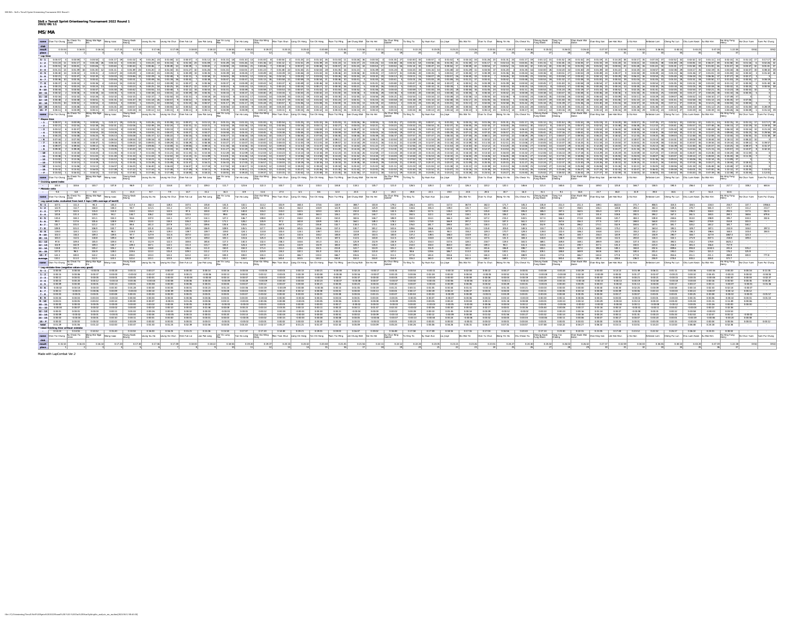|                    | MS/MA                                                             |                        |                    |                       |                          |                           |                       |                                                                                                                                |                       |                        |                               |                             |                       |                                                                                                                                                                                                                                |                      |                       |                      |                                                                                                                                                  |                                 |                          |                    |                                               |                    |                       |                         |                                                                                                    |                          |                             |                                                                              |                        |                                                     |                                     |                       |                            |                               |                        |                                                                                                              |                       |                                              |                             |
|--------------------|-------------------------------------------------------------------|------------------------|--------------------|-----------------------|--------------------------|---------------------------|-----------------------|--------------------------------------------------------------------------------------------------------------------------------|-----------------------|------------------------|-------------------------------|-----------------------------|-----------------------|--------------------------------------------------------------------------------------------------------------------------------------------------------------------------------------------------------------------------------|----------------------|-----------------------|----------------------|--------------------------------------------------------------------------------------------------------------------------------------------------|---------------------------------|--------------------------|--------------------|-----------------------------------------------|--------------------|-----------------------|-------------------------|----------------------------------------------------------------------------------------------------|--------------------------|-----------------------------|------------------------------------------------------------------------------|------------------------|-----------------------------------------------------|-------------------------------------|-----------------------|----------------------------|-------------------------------|------------------------|--------------------------------------------------------------------------------------------------------------|-----------------------|----------------------------------------------|-----------------------------|
|                    | name Chan Tsz Chung Au Cheuk Yiu Wong Wai Ngai Wong Isaac         |                        |                    |                       |                          |                           |                       |                                                                                                                                |                       |                        |                               |                             |                       | Neung Kende Loung Hu Deun Mein Line Ruku Luw Paktong Lae Wan Hu Pan Hu Dean Dun Man Hung Dean Humang Pan Turkhang Poon Turkhang Lee Chung Wan Yan Ho Hu Dean Man To King To Sy Huan Kun Liuzane                                |                      |                       |                      |                                                                                                                                                  |                                 |                          |                    |                                               |                    |                       |                         | Wu Wai Yin Chan Yu Chun Wong Yin Ho Chu Cheuk Yiu Cheung Kwok                                      |                          |                             | Tang Yuk<br>Choong                                                           |                        | Chan Kwok Wal Chan King San Lee Hok Wun Li Ka Hon   |                                     |                       |                            |                               |                        | Ambrose Lam Cheng Pui Lun Chiu Luen Kwan Au Wai Him                                                          |                       | Ho Hing Fung his Chun Yuen Yuen Pui Chung    |                             |
| result             |                                                                   |                        | 0:16:0             | 0-34-34               | $0.17 - 20$              | $0.17 - 40$               | 0-17-46               | $0-17-40$                                                                                                                      | 0:18.00               | 0:18:22                | 0-18-55                       | 0.19-30                     | $0.19-17$             | 0.20-15                                                                                                                                                                                                                        | 0.2042               | 0.3548                | 0-21-45              | 0-21-56                                                                                                                                          | $0.22 - 1$                      | $0.22 - 12$              | $0.72 - 34$        | 0-23-05                                       | $0.21 - 21$        | 0-23-36               | 0-23-51                 | $0.24 - 22$                                                                                        | $0.34 - 40$              | $0.25 - 0.2$                | $0.36 - 02$                                                                  | 0.26-42                | 0:27:32                                             | $0.32 - 60$                         | 0.34.03               | 0.36-55                    | $0.40-1$                      | $0.43 - 20$            |                                                                                                              |                       |                                              |                             |
| $s - 1$            |                                                                   |                        |                    |                       |                          |                           |                       |                                                                                                                                |                       |                        |                               |                             |                       |                                                                                                                                                                                                                                |                      |                       |                      |                                                                                                                                                  |                                 |                          |                    |                                               |                    |                       |                         |                                                                                                    |                          |                             |                                                                              |                        |                                                     |                                     |                       |                            |                               |                        |                                                                                                              |                       |                                              |                             |
| $1 - 2$            | $0.00557 - 4$<br>$0.01:24$ 11                                     | 0.01:17                | non-sal            | 0:01:48 26            | $0.01:14$ 4              | 0.01:04                   | 0:01:23               | 0.00.50 1 0.01:17 19 0.01:02 9 0.01:26 23 0.01:08 12 0.00:57 4 0.01:12 15 0.01:15 18 0.01:10 13                                |                       | 0.01:09                | 0.01:29 16                    | 0.01:26                     | 0.01:36               | 0.01.00 8 0.00:54 2 0.01:25 22 0.01:32 26 0.01:32 11 0.03:26 36 0.00:55 3 0.02:55 3 0.02:00 30 0.02:00 30 0.02:57 4 0.01:02 9 0.03:15 34<br>0.01:12                                                                            | 0:01:51 29           | 0:01:39 24            | 0.01:24              | 0:01:37                                                                                                                                          | 0:01:26                         | $0.01:48$ 26             | 0.01:32            | 0.03:56                                       | 0.01:35            | 0.01:30               | $0.01 - 17$             | 0.01:26 23 0.01:31 25 0.01:17 19 0.01:12 15 0.01:52 28 0.01:52 28 0.01:19 21 0.14:20 38 0.03:17 35 |                          | 0.01-15                     |                                                                              | 0.01:45 25 0.04:05 37  |                                                     | $0.01:33$ 19 0.01:28                | 0.03:21               | $0.04 - 15$                | $0.07:35$ $37$ $0.02:52$ $32$ | 0-03-52 12             | not to be                                                                                                    | $0.0218$ 11           |                                              |                             |
| $2 - 3$            | $0.01 - 11$ 11                                                    |                        | $0.01 - 10$        |                       | $0.01 - 11$              |                           |                       |                                                                                                                                |                       |                        | $0.00 - 59$ 24<br>$0.01 - 15$ | $0.02 - 01$                 |                       | 0.01-48                                                                                                                                                                                                                        |                      |                       |                      | $0.01 - 21$                                                                                                                                      | $0.01 - 40$ 2                   |                          |                    |                                               |                    |                       |                         |                                                                                                    |                          |                             |                                                                              |                        |                                                     |                                     |                       |                            |                               |                        |                                                                                                              |                       |                                              |                             |
|                    | 0.00.40                                                           | $0.00-32$              |                    | non-to 12             |                          | 0-01-49                   |                       |                                                                                                                                |                       | 0-01-26<br>0.00:35     |                               |                             | $0.01 - 23$           |                                                                                                                                                                                                                                | 0-01-45 21           |                       |                      |                                                                                                                                                  |                                 | 0.01-24                  | $80.0228$ 33       |                                               |                    |                       |                         |                                                                                                    |                          |                             | $0.02 - 20$                                                                  | p.m.4n 2n<br>0.00:53   | 0.01-19 18                                          | $0.01 - 22$<br>0.001                | 0.02-25               |                            |                               |                        |                                                                                                              |                       |                                              |                             |
|                    | 0.02.21                                                           |                        |                    |                       |                          |                           |                       |                                                                                                                                | $0.02 - 11$           | 0.02:58                | nos-ntl                       |                             |                       |                                                                                                                                                                                                                                |                      |                       |                      | n-ns-ss 24                                                                                                                                       |                                 |                          |                    |                                               |                    |                       |                         |                                                                                                    |                          |                             |                                                                              | 0.03:42 21             | 0.04-12 30                                          | $0.03 - 25$                         | 0.06-22               |                            |                               |                        |                                                                                                              |                       |                                              |                             |
|                    | 0.00 AA<br>0.0013                                                 | n on u                 | 0.0035             | non-az<br>0.00%       | 0-DD-A4                  | 0.00.93                   | COLOR AND             | 0.00.30                                                                                                                        | $0.00 - 17$           | 0.00:38<br>o on w      | $0.00 - 47$<br>0.00137        | $0.00 - 47$<br>$0.00 - 49$  | 0.0043                |                                                                                                                                                                                                                                |                      |                       | COLOR IN             | 0:00:43<br>$0.00 - 44$                                                                                                                           | <b>ABLAY</b>                    | D.OD-48                  |                    |                                               |                    |                       |                         |                                                                                                    |                          |                             | <b>Antan</b>                                                                 | Am.sell                | $0.00 - 41 - 27$                                    |                                     |                       |                            | 0.01.05                       |                        |                                                                                                              |                       |                                              |                             |
|                    |                                                                   |                        |                    |                       |                          |                           |                       |                                                                                                                                |                       |                        |                               |                             |                       |                                                                                                                                                                                                                                |                      |                       |                      |                                                                                                                                                  |                                 |                          |                    |                                               |                    |                       |                         |                                                                                                    |                          |                             |                                                                              |                        |                                                     |                                     |                       |                            |                               |                        |                                                                                                              |                       |                                              |                             |
|                    |                                                                   |                        |                    |                       |                          |                           |                       |                                                                                                                                |                       |                        |                               |                             |                       |                                                                                                                                                                                                                                |                      |                       |                      |                                                                                                                                                  |                                 |                          |                    |                                               |                    |                       |                         |                                                                                                    |                          |                             |                                                                              |                        |                                                     |                                     |                       |                            |                               |                        |                                                                                                              |                       |                                              |                             |
|                    | $10 - 11$ 0.00.32<br>0:02:16                                      | $0.02 - 32$            | 0.00:36            | 0:00:38 14            | 0:00:35                  | 0:00:31                   | 0:00:38               | 0.00:41 22                                                                                                                     | 0.00:39 19<br>0.02:31 | 0.00:35<br>$0.04:18$ 2 | 0.00:33<br>0.02:43            | 0.00:37                     | $0.00.40$ 20          | 0:00:34                                                                                                                                                                                                                        | $0:00:43$ 25         | 0:00:42               | $0.01.00$ 3          | $0:00:36$ 8                                                                                                                                      | $0.00:46$ 28<br>0.04:56         | 0.00:36                  | 0.00:40 20         | 0.00:38 14                                    | $0.00.38$ 14       |                       | 0.00.36 8 0.00.44 2     | $0.00 - 42$ 2                                                                                      | 0:00:59 33               |                             | 0:00:38 14 0:00:47 30 0:00:48 31                                             |                        | 0.00:46 28                                          | $0.00:36$ 8                         | 0.01:04 35            | 0.00:43 25<br>$0.03:29$ 20 | $0.00.49$ 32<br>0:09:07       | 0.01:27<br>0:05:52     | $0.04 - 28$ 38<br>0:04:10                                                                                    |                       | 0:01:10 36 0:00:35                           |                             |
|                    | $2 - 13$ 0.00.48                                                  | 0:00:48                |                    | 0.0054                | 0-00-54                  | $0.00 - 50$               | 0:01:01               | o m-sa                                                                                                                         | 0.00:52               | $0.00:54$ 8            | 0.00, 49<br>0.01:17           | 0.00:59                     |                       |                                                                                                                                                                                                                                |                      | 0:01:02               | $0:01:24$ 2          | 0:00:51                                                                                                                                          | 0.01:03 15<br>$0.01 - 19$       | 0.00:58<br>$0.00 - 5.2$  |                    |                                               |                    | 0.01:17 25            | 0:01:05 16<br>n-no-na   | 0.00:44<br>0-02-58                                                                                 | 0:01:06 17<br>0-01-42 29 | $0:01:07$ 19<br>$0-0.1-3.4$ |                                                                              |                        |                                                     | 0.01:06<br>$0.01-1$                 | 0.01:10               | 0.01:45 32<br>0.03:44      | 0.01:41 31<br>0-07-11         | 0.02.58 36             |                                                                                                              |                       | 0:00:54                                      |                             |
| $13 - 14$          | 0:01:01 10<br>0.0081                                              | 0:00:52<br>ALOD 0      |                    | 0-00-50               | $n$ on $n$               | $0.00 - 57$               | $0.00 - 44$           | om-ssl                                                                                                                         | 0.01:10<br>0.0052     | 0.00:57<br>0.0055      | DOD-5A                        | 0.00%                       | $0.01 - 00$           | 0.01:04                                                                                                                                                                                                                        | 0.01.02              | $0.01 \cdot 12$ 25    | $0.01 - 12$ %        | 0.01.03<br>0.0101                                                                                                                                | om-sel tall                     | 0.00551                  | 0.00147            | 0.00-57                                       | 0.01-29            | 0.00%                 | 0-00-59                 |                                                                                                    | emed to emerge to        | 0.005                       | $0.01 - 10$                                                                  | $0.01 - 21$            | $0.01 - 18$                                         | $0.01 - 17$                         | 0.02:5<br>$0.01 - 26$ | 0.01-36                    | not to                        | 0:04:14 36<br>not at 1 | 0:12:27<br>$0-01-12$                                                                                         | 0-01-24               |                                              |                             |
| $15 - F$           | $0.00.11$ 8                                                       |                        | 0.00.09            | 0:00:11               | 8 0:00:12                |                           | 0:00:18 33 0:00:12 14 | $0.00:11$ 8 0.00:11                                                                                                            |                       | 0.00:11                | 0.00:09                       | 0.00:09                     | 0.00.12               | 14 0:00:11                                                                                                                                                                                                                     | 8 0:00:15 26         | $0:00:12$ 14          | $0.00:15$ 26         | $0:00:14$ 23 0.00:10 5                                                                                                                           |                                 | 0.00:10                  |                    | 5 0.00:34 38 0.00:13 20 0.00:14 23            |                    | 0:00:10               | 0:00:13 20              |                                                                                                    | 0:00:12 14 0:00:17 32    | 0:00:12                     | $0:00:16$ 29                                                                 | 0.00:15 26             | 0.00:13 20                                          | $0.00:16$ 29                        | 0.00:16               | $0.00:14$ 23               | 0.00.32 37                    | 0.00:19 34             | 0.00:19                                                                                                      | $0:00:26$ 36          |                                              |                             |
|                    | name Chan Tsz Chung Au Cheuk Ylu                                  |                        |                    |                       | Wong Wai Ngai Wong Isaac |                           |                       | <sup>Feung</sup> Kwok Loung Siu Ho Loung Ho Chun Chen Fuk Lai Law Pak Long Lee Yin Lung Yan Ho Long<br>Ceung                   |                       |                        |                               |                             |                       | Chan Kai Wing   Man Tsan Shun   Liang Chi Hang   Yan Chi Hang   Poon Tsz Ming   Los Chung Wah   Yan Ho Hei                                                                                                                     |                      |                       |                      |                                                                                                                                                  |                                 |                          |                    | Au Chun Ning To King To Sy Huan Kun Liu Jiaya |                    |                       |                         | Wu Wai Yin Chan Yu Chun Wong Yin Ho Chu Cheuk Yiu Cheung Kaok                                      |                          |                             | Tang Yuk<br>Chiong                                                           |                        | Chan Kwok Wal Chan King San Lee Hok Wun   Li Ka Hon |                                     |                       |                            |                               |                        | Ambrose Lam Cheng Pui Lun Chiu Luen Kwan Au Wai Him                                                          | Ho Hing Fung          |                                              | Ho Chun Yuen Yuen Pul Chung |
|                    |                                                                   |                        |                    | 0:00:50               |                          | contact to contact        |                       | cotos 12                                                                                                                       |                       |                        | $0.01 - 15$ 18                | $0.01 - 10$ 13              |                       | 8 non-sal                                                                                                                                                                                                                      | 0.01.25 22           |                       |                      |                                                                                                                                                  |                                 |                          |                    | $0.00557 - 400102$                            |                    |                       |                         | not at 18                                                                                          | $0.01.17$ 19             |                             |                                                                              |                        |                                                     |                                     |                       |                            |                               | 0.0252 12              | $0.01 - 11$                                                                                                  |                       |                                              |                             |
| $-1$               |                                                                   | 0.00:57 4 0.00.59      |                    |                       |                          |                           | $9$ 0:01:25 23        | 0.02:21 4 0.02:16 3 0.02:38 16 0.02:31 12 0.02:06 1 0.02:49 19 0.02:24 7 0.02:31 11 0.02:21 4 0.02:44 18 0.02:36 13 0.02:36 13 | $0.00:57 - 4$         | 0.01:12 15             |                               |                             |                       |                                                                                                                                                                                                                                |                      | $0:01:32$ 26          | $0.01.03$ 11         | $0.03.26$ 36<br>0.03:16 22 0.03:11 21 0.02:27 8 0.05:03 32 0.02:21 4 0.03:23 23 0.03:32 24 0.04:53 31 0.02:37 15 0.04:45 29 0.02:43 17 0.03:45 2 | 0:00:55 3 0:01:35 27 0:02:00 30 |                          |                    |                                               |                    |                       | 0:03:15 34 0:01:26 23   |                                                                                                    |                          |                             | 0.01:12 15 0.01:52 28 0.01:52 28 0.01:19 21 0:14:20 38 0.03:17 35 0.07:35 37 |                        |                                                     |                                     |                       |                            | $0.02:52$ 32                  |                        | 0.02.27 8 0.03.37 25 0.05.57 33 0.02.52 20 0.15.48 38 0.06.38 35 0.12.10 37 0.04.41 28 0.05.57 33 0.07.48 36 | 0-04-11 27            |                                              |                             |
|                    |                                                                   | 0.0257                 |                    |                       |                          |                           |                       |                                                                                                                                |                       | $0.03 - 01$            | n-m-41                        | 0.06.33                     |                       |                                                                                                                                                                                                                                |                      |                       |                      | 0.04-27                                                                                                                                          | $0.03 - 15$                     |                          |                    |                                               |                    |                       |                         |                                                                                                    |                          |                             |                                                                              | 0.08-45                |                                                     | 0.164                               |                       | 0.38.33                    |                               |                        |                                                                                                              |                       |                                              |                             |
|                    | $-4$ 0.04-43<br>0.05:23                                           | n-sa-w                 | 0.05.08            | 0.04-54<br>0.05-25    | COLOR<br>0-05-11         | COL 15                    |                       |                                                                                                                                | $0.04 - 17$           | $0.04 - 27$<br>0.05:02 | not st<br>0.05-37             | 0.06-18                     |                       |                                                                                                                                                                                                                                |                      |                       | COLSS.               | 0.07-48<br>$0.08 - 44$                                                                                                                           | 0.05 OA<br>0.05-49              | COL 45                   |                    |                                               |                    |                       |                         |                                                                                                    |                          |                             |                                                                              |                        | $0.05 - 11$                                         | 0-18-05<br>$0.18 - 42$              | 0.10.11               |                            |                               |                        |                                                                                                              |                       |                                              |                             |
|                    |                                                                   |                        |                    |                       |                          |                           |                       |                                                                                                                                |                       |                        |                               |                             |                       |                                                                                                                                                                                                                                |                      |                       |                      |                                                                                                                                                  |                                 |                          |                    |                                               |                    |                       |                         |                                                                                                    |                          |                             |                                                                              |                        |                                                     |                                     |                       |                            |                               |                        |                                                                                                              |                       |                                              |                             |
|                    | 0.08:30                                                           |                        | 0.0830             | 0.08.37               | 0.09.02                  | 0:09:25                   | 0.09.05               | $0.09 - 29$                                                                                                                    | 0.08:29               | 0.08:38                | 0.10:27                       | 0:30:07                     | 0:10:00               | 0.08.33                                                                                                                                                                                                                        |                      |                       |                      | $0.13:18$ 29                                                                                                                                     | 0.10:21                         |                          |                    |                                               |                    |                       |                         |                                                                                                    |                          |                             |                                                                              | 0.14:25                | 0.11:34                                             | 0.23:04                             | 0.20:01               |                            | 0:15:34                       | 0:20:57                |                                                                                                              |                       | 0:09:12                                      |                             |
|                    | 0.09.30                                                           | 0.09.28                |                    |                       |                          |                           |                       |                                                                                                                                |                       |                        |                               |                             |                       |                                                                                                                                                                                                                                |                      |                       |                      |                                                                                                                                                  |                                 |                          |                    |                                               |                    |                       |                         |                                                                                                    |                          |                             |                                                                              |                        |                                                     |                                     |                       |                            |                               |                        |                                                                                                              |                       |                                              |                             |
|                    | 0-10-14<br>$-11$ 0-10-46                                          | 0:10:18<br>0-10-54     |                    | $0.11 - 0.2$          |                          |                           |                       |                                                                                                                                |                       | $0.11 - 00$            | $0.13 - 01$                   |                             |                       |                                                                                                                                                                                                                                |                      |                       |                      |                                                                                                                                                  |                                 |                          |                    |                                               |                    |                       |                         |                                                                                                    |                          |                             |                                                                              |                        |                                                     | 0-25-58                             |                       |                            |                               | 0-28-14                |                                                                                                              |                       | 0:11:00                                      |                             |
|                    | 0:13:02                                                           | 0:12:26                |                    |                       |                          |                           |                       |                                                                                                                                |                       |                        |                               |                             |                       |                                                                                                                                                                                                                                |                      |                       |                      |                                                                                                                                                  |                                 |                          |                    |                                               |                    |                       |                         |                                                                                                    |                          |                             |                                                                              |                        |                                                     |                                     |                       |                            |                               |                        |                                                                                                              |                       |                                              |                             |
|                    |                                                                   |                        |                    |                       |                          |                           |                       |                                                                                                                                |                       |                        |                               |                             |                       |                                                                                                                                                                                                                                |                      |                       |                      |                                                                                                                                                  |                                 |                          |                    |                                               |                    |                       |                         |                                                                                                    |                          |                             |                                                                              |                        |                                                     |                                     |                       |                            |                               |                        |                                                                                                              |                       |                                              |                             |
|                    | $0:14:51$ 1<br>$-15$ 0:15:42 1                                    | 0:15:06<br>0:15:52     |                    | 0:15:13               |                          | $0.16.07$ 4 $0.16.25$     |                       |                                                                                                                                |                       | 0:17:18<br>$0.18 - 11$ | 0:17:50<br>0-18-46            | 0:18:17                     | 0:18.25               |                                                                                                                                                                                                                                |                      | 0-20-36               |                      | 0.21:42                                                                                                                                          | 0.21:02<br>0.22.01 19           |                          |                    |                                               |                    |                       |                         |                                                                                                    |                          |                             |                                                                              | $0.26:27$ 29           |                                                     | 0:31:26<br>0:32:43                  |                       | 0-36-43                    |                               |                        |                                                                                                              |                       | 1:20:48 37 0:19:35<br>0-20-35                |                             |
|                    | $0:15:53$ 1                                                       |                        | 0:16:01            | $0:16:14$ 3           |                          |                           |                       | 0:17:20 4 0:17:40 5 0:17:46 6 0:17:49 7 0:18:00 8 0:18:22 9 0:18:55 10                                                         |                       |                        |                               |                             |                       | 01920 11 01937 12 02015 13 02042 14 02048 15 02145 16 02156 17 02147 18 02212 19 02212 19 02212 19 02326 21 02326 21 02326 23 02326 23 02326 24 02427 25 02427 26 0250 27 02602 27 02602 28 02147 29 02129 27 02239 31 03403 2 |                      |                       |                      |                                                                                                                                                  |                                 |                          |                    |                                               |                    |                       |                         |                                                                                                    |                          |                             |                                                                              |                        |                                                     |                                     |                       | $0.36:55$ 33               |                               | 0:40:10 34 0:43:20     |                                                                                                              | $1:22:38$ 3           |                                              |                             |
|                    | name Chan Tsz Chung Au Check You                                  |                        |                    |                       | Wong Wai Ngai Wong Isaac |                           |                       | Teung Kwok Exung Siu Ho Loung Ho Chun Chen Fuk Lai Law Pak Long Lee Yin Lung Van Ho Long Chan P                                |                       |                        |                               |                             |                       | Chan Kai Wing Man Tsan Shun Liang Chi Hang Yan Chi Hang Poon Tsa Ming Lee Chung Wah Tan Ho Hai Au Chun Ning To King To Sy Huan Kun Liu Jaye                                                                                    |                      |                       |                      |                                                                                                                                                  |                                 |                          |                    |                                               |                    |                       |                         | Wu Wai Yin Chan Yu Chun Wong Yin Ho Chu Cheuk Yiu Chinang Kwok Tang Yuk                            |                          |                             |                                                                              | Aaron                  | Chan Kwsk Wal Chan King San Lee Hok Wan Li Ka Hon   |                                     |                       |                            |                               |                        | Ambrose Lam Cheng Pui Lun Chiu Luen Kwan Au Wai Him                                                          |                       | Ho Hing Fung   Ho Chun Yuen   Yuen Pul Chung |                             |
|                    | * Cruising speed index                                            |                        |                    |                       |                          |                           |                       |                                                                                                                                |                       |                        |                               |                             |                       |                                                                                                                                                                                                                                |                      |                       |                      |                                                                                                                                                  |                                 |                          |                    |                                               |                    |                       |                         |                                                                                                    |                          |                             |                                                                              |                        |                                                     |                                     |                       |                            |                               |                        |                                                                                                              |                       |                                              |                             |
|                    | 100.4<br>Mistake ratio                                            |                        | 104.6              |                       |                          | 103.7 107.8 96.9          | 111.7                 | 114.8                                                                                                                          | 107.0                 |                        |                               |                             |                       | 1093 111.7 2256 222.3 103.7 125.3 135.3                                                                                                                                                                                        |                      |                       | 134.8                |                                                                                                                                                  | 118.1 135.7 121.0 126.5         |                          |                    | 128.3                                         | 135.7              | 126.3                 | 120.2                   | 120.1                                                                                              | 146.6                    | 121.4                       | 165.6                                                                        | 156.6                  | 149.0                                               | 125.8                               | 166.7                 | 158.5                      | 190.5                         | 256.4                  | 163.9                                                                                                        |                       |                                              |                             |
|                    | 9.4                                                               |                        | 6.8                | 8.4                   | 11.5                     |                           | 21.4 0.7              | 7.9 14.7                                                                                                                       |                       | 15.1                   | 16.3                          |                             |                       | 8.9   11.6   27.0   6.5                                                                                                                                                                                                        |                      | 8.6 12.4              |                      | 23.5                                                                                                                                             | 14.2 24.3 19.8                  |                          |                    | 22.1                                          | 10.0               | 23.5                  | 28.5                    | 30.7                                                                                               | 36.0                     |                             | $31.1$ $9.1$ $16.6$ $23.7$                                                   |                        |                                                     | 46.0                                | 31.9                  | 39.0                       | 34.6                          | 15.7                   | 51.4                                                                                                         | 63.6                  |                                              |                             |
|                    |                                                                   |                        |                    |                       | Wong Wai Ngai Wong Isaac | feung Kwok                |                       | Loung Siu Ho Loung Ho Chun Chen Fuk Lai Law Pak Long                                                                           |                       |                        | Lee Yin Lung<br>Man Ho Long   |                             |                       | Chan Kai Wing Man Tsan Shun Liang Chi Hang Yan Chi Hang Poon Tsz Ming Los Chung Wah Tsin Ho Hei                                                                                                                                |                      |                       |                      |                                                                                                                                                  |                                 | Au Chun Ning<br>Cahriel  |                    | Sy Huan Kun Liu Jime                          |                    |                       |                         | Wu Wai Yin Chan Yu Chun Wong Yin Ho Chu Cheuk Yiu                                                  |                          | Choung Kwok<br>Fung Edwin   | Tang Yuk<br>Chiong                                                           | Chan Kwok Wai          |                                                     | Chan King San Lee Hok Wun Li Ka Hon |                       |                            |                               |                        | Ambrose Lam Cheng Pui Lun Chiu Luen Kwan Au Wai Him                                                          |                       | his Chun Yuen Yuen Pul Chung                 |                             |
|                    | name Chan Tsz Chung Au Litera                                     | Au Cheuk Ylu           |                    |                       |                          |                           |                       |                                                                                                                                |                       |                        |                               |                             |                       |                                                                                                                                                                                                                                |                      |                       |                      |                                                                                                                                                  |                                 |                          |                    |                                               |                    |                       |                         |                                                                                                    |                          |                             |                                                                              |                        |                                                     |                                     |                       |                            |                               |                        |                                                                                                              |                       |                                              |                             |
|                    | Leg speed index evaluated from best 3 laps (100=average of best3) |                        |                    |                       |                          |                           |                       |                                                                                                                                |                       |                        |                               |                             |                       |                                                                                                                                                                                                                                |                      |                       |                      |                                                                                                                                                  |                                 |                          |                    |                                               |                    |                       |                         |                                                                                                    |                          |                             |                                                                              |                        |                                                     |                                     |                       |                            |                               |                        |                                                                                                              |                       |                                              |                             |
| $S - 1$            | 107.5                                                             |                        | 111.3              | 94.3                  | 145.3                    | 117.0                     |                       |                                                                                                                                |                       | 135.8                  |                               |                             |                       |                                                                                                                                                                                                                                |                      |                       |                      |                                                                                                                                                  | 103.8                           |                          | 226.4              |                                               |                    |                       |                         |                                                                                                    |                          |                             |                                                                              |                        |                                                     |                                     |                       |                            |                               |                        |                                                                                                              |                       |                                              |                             |
|                    | $1 - 2$ 122.9                                                     |                        | 112.7              | 158.0                 | 108.3                    |                           | 121.5                 | 111.2                                                                                                                          | 137.6                 | 101.0<br>100.0         | 130.2<br>147.5                | 125.9                       | 140.5                 | 105.4                                                                                                                                                                                                                          | 162.4                | 144.9<br>120.0        | 122.9<br>142.5       | 142.0                                                                                                                                            | 125.9<br>135.0                  | 158.0                    | 134.6              | 345.4                                         | 139.0              |                       |                         |                                                                                                    | 314.6                    | 109.8                       | 153.7                                                                        | 358.5                  | 136.1                                               | 128.8                               |                       | 402.4                      | 159.5<br>152.5                | 270.7                  | 581.0                                                                                                        | 172.7                 | 111.2                                        |                             |
| $3 - 4$            | 120.8                                                             |                        | 111.4              |                       |                          |                           |                       | 24.8                                                                                                                           | 115.5                 | 114.2                  | 99.6                          |                             |                       |                                                                                                                                                                                                                                |                      |                       | 126.7                | 107.5                                                                                                                                            | 144.7                           | 1115                     |                    |                                               |                    |                       |                         |                                                                                                    |                          |                             |                                                                              |                        |                                                     |                                     |                       |                            | 167.3                         |                        |                                                                                                              |                       |                                              |                             |
| $4 - 5$<br>$5 - 6$ | 130.4<br>22.7                                                     |                        | 104.3<br>117.6     | 333.3<br>305.6        | 153.3<br>128.9           | 0.8 <sub>A</sub><br>150.2 | 137.0<br>1120         | 114.1<br>1183                                                                                                                  | 127.2<br>106 T        | 114.1<br>125.4         | 127.2<br>1711                 | 146.7<br>128.2              | 150 8                 | 127.2                                                                                                                                                                                                                          | 150.0<br>340.8       | 202.2<br>128.9        | 150.0<br>145.1       | 182.6<br>164.1                                                                                                                                   | 146.7<br>149 %                  | 185.9<br>178.2           | 150.0<br>134.5     | 114.1                                         | <b>TAA 1</b>       |                       | 127.2                   | 215.2                                                                                              | 1415                     | 117.4                       | 166.3<br>167.6                                                               | 172.8<br>T5A 31        | 159.8<br>177.5                                      | 120.7                               | ADA T<br>269 O        | 159.8<br>164.8             | 244.6<br>231.0                | 313.0<br>266.2         | 798.9<br>278.9                                                                                               | 195.7<br>314.8        | 104.3<br>2.005                               |                             |
| $6 - 7$            | 132.7                                                             |                        | 101.0              | 121.2                 | 132.7                    | 89.4                      | 141.3                 | 227.9                                                                                                                          | 121.2                 | 109.6                  | 135.6                         | A 271                       |                       | 167.3                                                                                                                                                                                                                          | 170.2                | 155.8                 | 132.7                | 118.3                                                                                                                                            | 7732                            | 118.3                    | 176.0              | 181.7                                         | 199.0              | 233.7                 | 138.3                   | 121.2                                                                                              | 118.5                    | 152.0                       | 178.8                                                                        | 196.2                  | 173.1                                               | 152.9                               | 184.6                 | 187.5                      | 181.7                         | 320.2                  | 144.7                                                                                                        | 1817                  | 144.2                                        |                             |
| 8.9                | 109.9<br>1190                                                     |                        | 0.001<br>124.1     | 7283                  | me v                     | TIAN                      | 120 1                 | 120 1                                                                                                                          | 1107                  | 1107                   | 119.0                         |                             | 1138                  |                                                                                                                                                                                                                                | 124.1                | 136.6<br>1927         | 155.2                | 1118                                                                                                                                             | 155.2                           | 142.6<br>1118            | <b>1100</b>        |                                               |                    | 166.3                 | 1201                    | 170.7                                                                                              |                          | 110.0                       | 777.4                                                                        | 184.2                  | 144 8                                               |                                     | 155.2                 | 195.2                      | 1750                          | <b>116.2</b>           | 106 A                                                                                                        | 210.9<br>165.5        | 104.0<br>1014                                |                             |
| $9 - 10$           | 102.3                                                             |                        | 116.3              | 109.3                 | 139.5                    | 97.7                      | 127.9                 | 111.6                                                                                                                          | 307.0                 | 123.3                  | 1419                          | 1140                        |                       | 123.3                                                                                                                                                                                                                          | 132.6                | 144.2                 | 148.8                | 120.9                                                                                                                                            | 153.5                           | 100.0                    | 137.2              | 139.5                                         |                    | 134.9                 | 151.2                   | 302.3                                                                                              |                          | 123.3                       | 195.3                                                                        | 183.7                  | 216.3                                               | 120.9                               | 337.2                 | 234.9                      | 290.7                         | 404.7                  | 327.9                                                                                                        | 1867.4                | 123.3                                        |                             |
|                    | 3000                                                              |                        | 112.5              |                       |                          |                           |                       | $\overline{\mathbf{z}}$                                                                                                        | 121.0                 | 100.4                  |                               |                             |                       |                                                                                                                                                                                                                                |                      | 1117                  | 187.5                | 112.5                                                                                                                                            | 1418                            | 112.5                    |                    |                                               |                    |                       |                         |                                                                                                    |                          |                             |                                                                              | 1500                   |                                                     |                                     |                       | 1144                       | 7571                          | 2719                   | 837.5                                                                                                        | 218.8                 | 109.4                                        |                             |
| $11 - 12$<br>12.11 | 97.8<br>102.9                                                     |                        | 109.4<br>332.9     | 105.0<br>309.3        | 109.4                    |                           | 112.9<br>167.1        | 122.3<br>122.1                                                                                                                 | 108.6<br>111.4        | 185.6<br>115.7         | 117.3<br>105.0                | 140.3<br>136.4              | 132.4<br>1479         | 258.3<br>343 6                                                                                                                                                                                                                 | 144.6<br>132.9       | 141.0<br>112.9        | 151.1<br>180.0       | 125.9<br>109.3                                                                                                                                   | 212.9<br>135.0                  | 230.9<br>124.3           | 125.2<br>210.0     | 154.0                                         | 157.6              | 128.1                 | 218.7                   |                                                                                                    | 165.5<br>1414            | 1436                        | 169.8<br>214.3                                                               | 169.1<br>190.7         | 289.9<br>117.1                                      | 136.0<br>141.4                      | 137.4<br>150.0        | 150.4<br>225.0             | 393.5<br>216.4                | 253.2<br>181.4         | 179.9<br>156.4                                                                                               | 1625.2<br>7179        |                                              |                             |
| $13 - 14$          | 118.8                                                             |                        | 101.3              | 105.2                 | 105.2                    | 97.4                      | 118.8                 | 105.2                                                                                                                          | 136.4                 | 1110                   | 150.0                         | 150.0                       | 1714                  | 1110                                                                                                                                                                                                                           | 128.6                | 132.5                 | 233.8                | 122.7                                                                                                                                            | 1570                            | 101.3                    | 181.2              | 1519                                          | 118.8              | 142.2                 | 241.6                   | 346.8                                                                                              | 1987                     | 1833                        | 107.0                                                                        | 187.0                  | 1048                                                | 148.1                               | 344.8                 | 202.6                      | 839.6                         | 494.8                  | 14415                                                                                                        | 241.6                 | 105.2                                        |                             |
|                    | 107.0<br>1222                                                     |                        | 96.5<br>1000       | 304.9<br>122.2        | TITT                     | 119.6<br>2000             | 113.3<br>7777         | 115.4<br>122.2                                                                                                                 | 109.1<br>122.2        | 111.2<br>122.2         | 117.5<br>1000                 | 1000                        | 125.9                 |                                                                                                                                                                                                                                | 366.7                | 151.0<br>7777         | 151.0<br>166.7       | 128.0<br>155.6                                                                                                                                   | 123.8<br>1111                   | 107.0<br>1111            | 98.6<br>377.8      | 119.6<br>144.4                                | 155 A              | 111.1                 | 123.8<br>1444           | 130.1<br>7777                                                                                      | 155.2<br>1880            | TTT T                       | 188.8<br>177.8                                                               | 169.9<br>166.7         | 163.6<br>144.4                                      | 1778                                | 180.4<br>177.8        | 201.4<br>155 A             | 193.0<br>WKA                  | 216.1<br>211.1         | 151.0<br>2111                                                                                                | 176.2<br>288.0        | 125.9<br>330.0                               |                             |
| average            | 110.1                                                             |                        | 111.0              | 112.5                 | 120.1                    | 122.4                     | 123.1                 | 123.5                                                                                                                          | 124.8                 | 127.3                  | 131.1                         | 134.0                       | 136.0                 | 140.4                                                                                                                                                                                                                          | 141.5                | 144.2                 | 150.8                | 152.0                                                                                                                                            | 153.8                           | 153.9                    | 155.3              | 160.0                                         | 161.8              | 162.4                 | 165.3                   | 169.5                                                                                              | 171.0                    | 173.5                       | 180.4                                                                        | 185.1                  | 191.4                                               | 228.6                               | 236.0                 | 255.9                      | 278.4                         | 300.3                  | 328.0                                                                                                        | 572.7                 |                                              |                             |
|                    | name Chan Tsz Chung                                               | as Chouk You           |                    | Wong Wai Ngai<br>Eric | Wong Isaac               |                           |                       | Young Kwok Leung Siu Ho Leung Ho Chun Chen Fuk Lai                                                                             |                       | Law Pak Long           | Lee Yin Lung                  | Yan Ho Long                 |                       | <b>Chan Kai Wing</b> Man Tsan Shun Liang Chi Hang Tsin Chi Hang                                                                                                                                                                |                      |                       | Poon Tsz Ming        | Lee Chung Wah Yan Ho Hei                                                                                                                         |                                 | Au Chun Ning<br>Gabriel  |                    | Sy Huan Kun                                   | Liu Jiane          | Wu Wai Yin            | Chan Yu Chan            | Wong Yin Ho                                                                                        | Chu Chouk Yiu            |                             | Tang Yuk<br>Chiong                                                           | Chan Kwok Wal          |                                                     | Chan King San Lee Hok Wun           | Li Ka Hon             | Ambrose Lam                | heng Pul Lun                  |                        | Chiu Luen Kean Au Wal Him                                                                                    | Ho Hing Fung          | Ho Chun Yuen                                 |                             |
|                    | Leg mistake time (negative value=very good                        |                        |                    |                       |                          |                           |                       |                                                                                                                                |                       |                        |                               |                             |                       |                                                                                                                                                                                                                                |                      |                       |                      |                                                                                                                                                  |                                 |                          |                    |                                               |                    |                       |                         |                                                                                                    |                          |                             |                                                                              |                        |                                                     |                                     |                       |                            |                               |                        |                                                                                                              |                       |                                              |                             |
|                    | 0:00:04<br>0.00-15                                                |                        | 0.00:04<br>omes    | $-0.00005$<br>0.00117 | $0.00-25$                | $0.00 - 11$               | 0.00:27               | 0.00.02                                                                                                                        | n-nn-m                | 0:00:14<br>$-0.0006$   | 0:00:16                       | 0.00.02                     |                       | 0.0011                                                                                                                                                                                                                         | $0.00 - 10$          | $0.02 - 21$           | $-0.00.08$           | 0.02.23<br>0.00-16                                                                                                                               | $-0.00-17$<br>0.0007            | 0.00.33<br>0.00 %        | 0:00:53<br>000 06  | $0.02 - 28$                                   | 0.00110<br>0.00.02 | 0-02-08<br>omor       | $0.00 - 22$<br>-0.00 05 | $0.00-52$                                                                                          | $0.01 - 55$              | 0.00001                     | 0.00-24<br>$-0.0008$                                                         | 0.00.29<br>0.0218      | n on m<br>.00000                                    | 0.00.02                             | $0.01 - 27$           | 0:04:11<br>0.0247          | 0:01:11<br>$-0.00221$         | D. DD-TA<br>0.00-30    | $-0.00-16$<br>0.04-45                                                                                        | 0.00220<br>.00031     | $0.00 - 0.2$                                 |                             |
| $1 - 2$            | 0:00:11                                                           |                        | 0.00:01            | 0.00:05               | 0.00:00<br>0.00:01       | $-0.0002$<br>0.00:05      | 0.00:07<br>0.00:01    | $-0.00.02$<br>0:00:03                                                                                                          | 0:00:21<br>$-0.00:04$ | $-0.00:04$             | 0:00:13<br>0:00:14            |                             |                       |                                                                                                                                                                                                                                | 0.00:03              | 0.00:08<br>$-0.00.05$ | $-0.0008$<br>0.00:03 | 0.00:37                                                                                                                                          | 0:00:00                         | 0:00:05                  |                    |                                               |                    |                       | 0:00:06                 |                                                                                                    |                          |                             |                                                                              | 0:00:02                | 0:00:02                                             |                                     | 0:00:21               | 0:00:21                    | $-0.00:15$                    | 0:00:15                | $-0.00.06$                                                                                                   | 0.00:30               |                                              |                             |
|                    | $3 - 4$ 0.00.15                                                   |                        | 0:00:20            | 0.00:12               | $-0.00:10$               | 0.00:36                   | $-0.00.04$            | 0.00:08                                                                                                                        | 0.00.06               | 0:00:04                | $-0.00:09$                    | 0:00.28                     | 0.00:09               | 0:00:30                                                                                                                                                                                                                        | 0.00:03              | 0.00:23               | $-0.00.07$           | $-0.00.08$                                                                                                                                       | 0.00:07                         | 0.00.07                  | 0:00:50            | 0.00.05                                       | 0:00.06            | $-0.00:06$            | 0:02:24                 |                                                                                                    |                          | 0.00.29                     |                                                                              | $-0.00.18$             | $-0.00:13$                                          | $-0.00:13$                          | 0:00:19               | 0:02.58                    | $-0.00.18$                    | 0.00.04                | 0.00:16                                                                                                      | 0.00:50               |                                              |                             |
|                    | 0.00.09<br>$5 - 6$ - 0.00:02                                      |                        | 0:00:18            |                       |                          |                           | 0.00:00               | 0.00:05                                                                                                                        | 0:00:01               | 0.000<br>0:00:23       | 0.000<br>0:01:24              |                             |                       |                                                                                                                                                                                                                                | 0.00:04              | 0.00:2<br>0.00.06     | 0.00:05<br>0.02.15   | 0.00.28<br>0.01:05                                                                                                                               | $0.00 - 19$                     | 0:00:20<br>0:01:21       | 0.001              |                                               |                    |                       |                         |                                                                                                    |                          |                             |                                                                              | 0.00:0<br>0.00:00      |                                                     |                                     |                       |                            | $0.00-17$<br>0.00.58          | $0.00-12$<br>0:00:14   |                                                                                                              | 0.02:18               |                                              |                             |
| $6 - 7$            | 0:00:11                                                           |                        | $-0.00:01$         | 0.00.06               | 0.00:09                  | $-0.00.03$                | 0.00:10               | 0.00:39                                                                                                                        | 0.00:05               | 0:00:00                | 0.0008                        | 0:00:04                     | 0:00:31               | 0:00:22                                                                                                                                                                                                                        | 0:00:12              | 0.00:08               | 0.00:01              | 0.00:00                                                                                                                                          | 0.00:13                         | 0.00:07                  | 0:00:1             |                                               | 0.00.22            | 0:00:3                | 0:00:0                  | 0:00:00                                                                                            | 0.00.03                  | 0.00:1                      | 0.00:05                                                                      | 0.02.14                | 0.00:08                                             | 0:00:09                             | 0:00.06               | 0:00:10                    | $-0.00:03$                    | 0:00:22                | $-0.00:07$                                                                                                   | $-0.00.12$            | 0.00:1                                       |                             |
| $7 - 8$            | 0-DD 03                                                           |                        | $-0.00 - 01$       |                       |                          |                           |                       |                                                                                                                                | $0.00 - 0.0$          | $0.00 - 01$            | 0.00.01<br>0.00.01            |                             |                       | o-no on                                                                                                                                                                                                                        | .00002               |                       | o m os               | 0.00 04                                                                                                                                          | $0.00-15$<br>$0.00 - 0.4$       |                          | $-0.00 - 0.01$     | 0:00:07                                       |                    |                       |                         |                                                                                                    | $.0.00 - 0.1$            | o m on                      | $0.00 - 11$                                                                  |                        | $0.00 - 0.1$                                        | p-gp-pp                             |                       | 0.00.01                    | 0.00.01<br>0.0003             | 0-00-25<br>$0.00 - 15$ | o-no-ge<br>0-00 OK                                                                                           | $-0.00-0.7$           | 0.0011                                       |                             |
| $8 - 9$            | 0.0004<br>0:00:01                                                 | 0:00:04                | 0:00.05            | 0:00:04<br>0:00:02    | $-0.00:02$               | 0.00:04                   | 0.00.03<br>0.00.03    | 0.00:03<br>$-0.00.01$                                                                                                          | 0.00:06<br>0.01:26    | 0.00:06<br>0.00:06     | 0.00.13                       | 0.00.00<br>$-0.00.04$       | $-0.00.02$<br>0:00:06 | 0:00.08                                                                                                                                                                                                                        | $-0.00.01$           | 0:00:01<br>0.00:05    | 0.00.04<br>0.00:06   | 0.00:01<br>0:00:01                                                                                                                               | 0:00:08                         | $-0.00.01$<br>$-0.00:09$ | 0:00:05            |                                               |                    |                       | 0:00:02                 |                                                                                                    | 0.00:08                  | 0.00:07                     | 0.00:13                                                                      | 0.00:06<br>0:00:12     | 0:00:29                                             |                                     | $-0.00.02$            | 0:00:33                    | 0:00:43                       | 0.01:04                | 0.01:11                                                                                                      | $-0.00:10$<br>0:11:49 | 0.00:00                                      |                             |
| 0.11               | conon                                                             |                        | omet               | o on os               | $0.00 - 00$              | 0.00-00                   | 0.00-02               | 0.00 M                                                                                                                         | n on os               | omm                    | $0.00 - 01$                   | 0.00001                     | omm                   | 0.0011                                                                                                                                                                                                                         | ogge                 | $0.00 - 01$           | 0.0017               | $-0.00 - 0.2$                                                                                                                                    | nonn                            | .0003                    | coop               | $0.00 - 01$                                   | 0.00008            | $-0.00-0.4$           | o mine.                 | omes                                                                                               | $0.00 - 12$              | $0.00 - 01$                 | $-0.0006$                                                                    | $-0.00 - 0.2$          | $-0.00 - 0.2$                                       | 0.0004                              | $0.00 - 11$           | 0.00008                    | $-0.00112$                    | omes                   | $AT-TDO$                                                                                                     | $0.00 - 00$           | $0.00 - 00$                                  |                             |
| $11 - 12$          | $-0.00:04$<br>o-no-os                                             |                        | 0.00:07            | 0.00:02               |                          |                           | 0.00:02               | 0:00:10                                                                                                                        | 0.00.02               | 0:01:46                | 0:00.08                       | 0:00:23                     |                       | 0.03:35                                                                                                                                                                                                                        | 0.00:13              | 0.00:1                | 0.00.23              | 0.00:11                                                                                                                                          | 0:01:47                         | 0.02.33                  | $-0.00.02$         |                                               |                    |                       | $0.02 - 12$             |                                                                                                    | 0.00-26                  | 0.05:44                     | 0.00:06                                                                      | 0:00:17                | 0:03:16                                             | 0:00:14                             | $-0.0014$             | $-0.00 - 11$               | 0:04:42                       | $-0.00:04$             | 0.00:22                                                                                                      | 0:32:36<br>$77 - 500$ |                                              |                             |
| $13 - 14$          | 0.00.09                                                           |                        | $-0.00:02$         | 0.00:01               | $-0.000$                 | 0.00:00                   | 0.00:04               | 0.0005                                                                                                                         | 0:00:15               | 0:00:01                | 0:00:20                       | 0:00:14                     | 0:00:25               | 0:00:04                                                                                                                                                                                                                        | $-0.00.03$           | 0.00:00               | 0.00:51              | 0.00:02                                                                                                                                          | 0.00.09                         | $-0.00:10$               | 0.00.28            | 0.00:12                                       | $-0.00:09$         | 0:00:08               | 0:01:02                 | 0.01:56                                                                                            | 0.00:27                  | 0.00:32                     | 0.00:14                                                                      | 0.00:16                | 0:00:24                                             | 0:00:11                             | 0:01:31               | 0:00:23                    | 0:05:33                       | 0.02.02                | 0.10:57                                                                                                      | 0.00:12               | 0.00a                                        |                             |
| $14 - 15$          | 0:00:03                                                           |                        | $-0.00:04$         | 0.00:01               | 0.00:10                  | 0.00:11                   | 0.00:01               | 0.00:00                                                                                                                        | 0:00:01               | 0:00:01                | 0.00.03                       | $-0.00:06$                  | 0:00:02               | 0:00:15                                                                                                                                                                                                                        | $-0.00.03$ 0.00.08   |                       | 0.00:08              | 0.00:05                                                                                                                                          | $-0.0006$                       | $-0.00.07$               | $-0.00:13$         | $-0.00.04$                                    | 0:00:24            | $-0.00:06$            | 0:00:02                 | 0.00:05                                                                                            | 0.00:04                  | $-0.00.06$                  | 0.00:11                                                                      | 0.00:06                | 0.00.07                                             | 0.00.17                             | 0.00.07               | 0:00:20                    | 0:00:01                       | $-0.00:19$             | $-0.00:06$                                                                                                   | $-0.00.20$            | 0.00.08                                      |                             |
|                    | $15 - F$ 0:00:02<br>0:01:29                                       |                        | 0:00:00<br>0:01:06 | 0:00:02<br>0:01:22    | 0.00:02<br>$0.02 - 0.0$  | 0.00.09<br>0.03:47        | 0.00:02<br>0.01:43    | 0.00:01<br>0.01:24                                                                                                             | 0.00:01<br>0.02:39    | 0:00:01<br>0.02:46     | $-0.00.01$<br>0.03.05         | $-0.00.02$<br>0.01:43       | 0:00:01<br>$0-02-17$  | 0:00:02<br>0-05-27                                                                                                                                                                                                             | 0:00:03<br>$0:01-21$ | 0.00:00<br>0:01:47    | 0.00.03<br>0.02:42   | 0.00:03<br>0.05:09                                                                                                                               | $-0.00.02$<br>$0.03 - 0.0$      | 0.00:01<br>0.05-24       | 0:00:23<br>0.04:26 | 0:00:01<br>0.05:06                            | 0.00.02<br>0.04:26 | $-0.00:01$<br>0-05-33 | 0:00:02<br>0:06:47      | 0:00:01<br>0:02:33                                                                                 | 0.00:04<br>0-03-57       | 0.00.01<br>0.07:48          | 0.00:01<br>0.02:22                                                           | 0.00:01<br>$0.04 - 27$ | 0.00:00<br>0.06:32                                  | 0.00.05<br>0-15-11                  | 0:00:01<br>0:10:51    | 0:00:00<br>0:14:23         | 0:00:15<br>0.13.53            | $-0.00:04$<br>0:06:48  | 0:00:04<br>0:24:18                                                                                           | 0.00:06<br>0:52:36    | 0.00.01                                      |                             |
|                    | * Ideal finishing time without mistake                            |                        |                    |                       |                          |                           |                       |                                                                                                                                |                       |                        |                               |                             |                       |                                                                                                                                                                                                                                |                      |                       |                      |                                                                                                                                                  |                                 |                          |                    |                                               |                    |                       |                         |                                                                                                    |                          |                             |                                                                              |                        |                                                     |                                     |                       |                            |                               |                        |                                                                                                              |                       |                                              |                             |
|                    | 0.14:24                                                           | 0-14-95<br>J Chouk You |                    | 0.14.52               | 0:15:20                  | 0.13:53<br>Young Karok    | 0:16:03               | 0.16:25                                                                                                                        | 0:15:21               | 0:15:36                | 0:15:50                       | 0:17:37                     | 0:17:20               | $0.14 - 48$                                                                                                                                                                                                                    | 0:19:21              | 0:19.01               | 0.19.03              | 0.16:47                                                                                                                                          | 0:19:02                         | 0.16:48                  | 0:17:58            | 0:17:59                                       | 0:18:55            | 0:17:55               | 0:17:04                 | 0:16:56                                                                                            | 0:20:43                  | 0:17:14                     | 0.23:40                                                                      | 0.22:15                | 0.21:05                                             | 0:17:48                             | 0:23:12               | 0:22:32                    | 0:26:17                       | $0.36 - 32$            | 0.23.01                                                                                                      | 0.30.02               |                                              |                             |
|                    | name Chan Tsz Chung                                               |                        |                    |                       | Wong Wai Ngai Wong Isaac |                           |                       | Leung Siu Ho Leung Ho Chun Chen Fuk Lai                                                                                        |                       | Law Pak Long           |                               | Lee Yin Lung<br>Man Ho Long |                       | Chan Kai Wing Man Tsan Shun Liang Chi Hang Yan Chi Hang                                                                                                                                                                        |                      |                       | Poon Tsz Ming        | Lee Chung With Tran Ho Hel                                                                                                                       |                                 | Au Chun Ning To King To  |                    | Sy Huan Kun                                   | Liu Jiane          | Why Wai Yin           |                         | Chan Yu Chun Wong Yin Ho                                                                           | Ohu Check You            | Cheung Kwok<br>Fung Edwin   | Tang Yuk                                                                     |                        | Chan Kwok Wal paun King San Loo Hok Wun             |                                     | Li Ka Hon             | Ambrose Lam                | Cheng Pul Lun                 |                        | Chiu Luon Kwan Au Wai Him                                                                                    | rlo Hing Fung         | Ho Chun Yuen                                 |                             |
|                    |                                                                   |                        |                    |                       |                          |                           |                       |                                                                                                                                |                       |                        |                               |                             |                       |                                                                                                                                                                                                                                |                      |                       |                      |                                                                                                                                                  |                                 |                          |                    |                                               |                    |                       |                         |                                                                                                    |                          |                             |                                                                              |                        |                                                     |                                     |                       |                            |                               |                        |                                                                                                              |                       |                                              |                             |

Made with LapCombat Ver.2

file:///C|/Orienteering/TerraX/Str8%20Sprint%202022/Round%201%20-%20Chai%20Wan/Split/splits\_analysis\_ms\_ma.htm[2022/06/12 08:40:30]

MS/MA - Str8 x TerraX Sprint Orienteering Tournament 2022 Round 1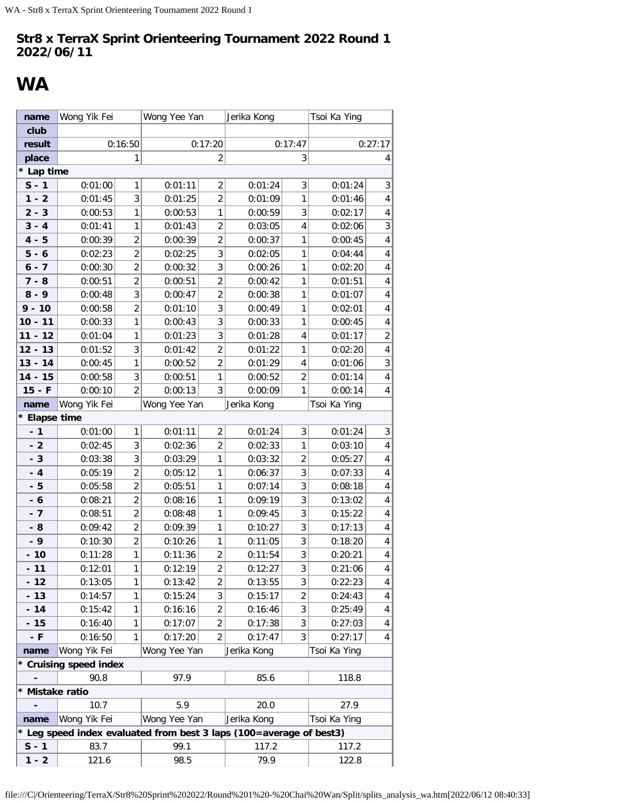## <span id="page-16-0"></span>**WA**

| name            | Wong Yik Fei           |                | Wong Yee Yan |                | Jerika Kong                                                         |                | Tsoi Ka Ying |                         |
|-----------------|------------------------|----------------|--------------|----------------|---------------------------------------------------------------------|----------------|--------------|-------------------------|
| club            |                        |                |              |                |                                                                     |                |              |                         |
| result          |                        | 0:16:50        |              | 0:17:20        |                                                                     | 0:17:47        |              | 0:27:17                 |
| place           |                        | 1              |              | 2              |                                                                     | 3              |              | 4                       |
| * Lap time      |                        |                |              |                |                                                                     |                |              |                         |
| $S - 1$         | 0:01:00                | 1              | 0:01:11      | $\overline{2}$ | 0:01:24                                                             | 3              | 0:01:24      | 3                       |
| $1 - 2$         | 0:01:45                | 3              | 0:01:25      | $\overline{2}$ | 0:01:09                                                             | $\mathbf{1}$   | 0:01:46      | 4                       |
| $2 - 3$         | 0:00:53                | $\mathbf{1}$   | 0:00:53      | 1              | 0:00:59                                                             | 3              | 0:02:17      | 4                       |
| $3 - 4$         | 0:01:41                | 1              | 0:01:43      | $\overline{2}$ | 0:03:05                                                             | 4              | 0:02:06      | 3                       |
| $4 - 5$         | 0:00:39                | $\overline{2}$ | 0:00:39      | $\overline{2}$ | 0:00:37                                                             | 1              | 0:00:45      | 4                       |
| $5 - 6$         | 0:02:23                | $\overline{2}$ | 0:02:25      | 3              | 0:02:05                                                             | 1              | 0:04:44      | $\overline{\mathbf{4}}$ |
| $6 - 7$         | 0:00:30                | $\overline{2}$ | 0:00:32      | 3              | 0:00:26                                                             | 1              | 0:02:20      | 4                       |
| $7 - 8$         | 0:00:51                | $\overline{2}$ | 0:00:51      | $\overline{c}$ | 0:00:42                                                             | 1              | 0:01:51      | 4                       |
| $8 - 9$         | 0:00:48                | 3              | 0:00:47      | $\overline{2}$ | 0:00:38                                                             | 1              | 0:01:07      | 4                       |
| $9 - 10$        | 0:00:58                | $\overline{2}$ | 0:01:10      | 3              | 0:00:49                                                             | 1              | 0:02:01      | 4                       |
| $10 - 11$       | 0:00:33                | $\mathbf{1}$   | 0:00:43      | 3              | 0:00:33                                                             | 1              | 0:00:45      | $\overline{\mathbf{4}}$ |
| $11 - 12$       | 0:01:04                | 1              | 0:01:23      | 3              | 0:01:28                                                             | 4              | 0:01:17      | $\overline{2}$          |
| $12 - 13$       | 0:01:52                | 3              | 0:01:42      | $\overline{2}$ | 0:01:22                                                             | 1              | 0:02:20      | 4                       |
| $13 - 14$       | 0:00:45                | 1              | 0:00:52      | $\overline{2}$ | 0:01:29                                                             | 4              | 0:01:06      | $\sqrt{3}$              |
| $14 - 15$       | 0:00:58                | 3              | 0:00:51      | 1              | 0:00:52                                                             | $\overline{2}$ | 0:01:14      | 4                       |
| $15 - F$        | 0:00:10                | $\overline{2}$ | 0:00:13      | 3              | 0:00:09                                                             | 1              | 0:00:14      | 4                       |
| name            | Wong Yik Fei           |                | Wong Yee Yan |                | Jerika Kong                                                         |                | Tsoi Ka Ying |                         |
| * Elapse time   |                        |                |              |                |                                                                     |                |              |                         |
| $-1$            | 0:01:00                | 1              | 0:01:11      | $\overline{2}$ | 0:01:24                                                             | 3              | 0:01:24      | 3                       |
| $-2$            | 0:02:45                | 3              | 0:02:36      | $\overline{2}$ | 0:02:33                                                             | 1              | 0:03:10      | 4                       |
| $-3$            | 0:03:38                | 3              | 0:03:29      | 1              | 0:03:32                                                             | $\overline{2}$ | 0:05:27      | 4                       |
| $-4$            | 0:05:19                | $\overline{2}$ | 0:05:12      | 1              | 0:06:37                                                             | 3              | 0:07:33      | 4                       |
| $-5$            | 0:05:58                | $\overline{2}$ | 0:05:51      | $\mathbf{1}$   | 0:07:14                                                             | 3              | 0:08:18      | $\overline{\mathbf{4}}$ |
| $-6$            | 0:08:21                | $\overline{2}$ | 0:08:16      | $\mathbf{1}$   | 0:09:19                                                             | 3              | 0:13:02      | 4                       |
| $-7$            | 0:08:51                | $\overline{2}$ | 0:08:48      | $\mathbf{1}$   | 0:09:45                                                             | 3              | 0:15:22      | 4                       |
| - 8             | 0:09:42                | $\overline{2}$ | 0:09:39      | 1              | 0:10:27                                                             | 3              | 0:17:13      | $\overline{\mathbf{4}}$ |
| $-9$            | 0:10:30                | $\overline{2}$ | 0:10:26      | 1              | 0:11:05                                                             | 3              | 0:18:20      | $\pmb{4}$               |
| $-10$           | 0:11:28                | 1              | 0:11:36      | $\overline{2}$ | 0:11:54                                                             | 3              | 0:20:21      | 4                       |
| $-11$           | 0:12:01                | 1              | 0:12:19      | 2              | 0:12:27                                                             | 3              | 0:21:06      | 4                       |
| $-12$           | 0:13:05                | 1              | 0:13:42      | $\overline{2}$ | 0:13:55                                                             | 3              | 0:22:23      | 4                       |
| $-13$           | 0:14:57                | 1              | 0:15:24      | 3              | 0:15:17                                                             | 2              | 0:24:43      | 4                       |
| $-14$           | 0:15:42                | 1              | 0:16:16      | $\overline{c}$ | 0:16:46                                                             | 3              | 0:25:49      | 4                       |
| $-15$           | 0:16:40                | 1              | 0:17:07      | 2              | 0:17:38                                                             | 3              | 0:27:03      | 4                       |
| - F             | 0:16:50                | 1              | 0:17:20      | $\overline{2}$ | 0:17:47                                                             | 3              | 0:27:17      | 4                       |
| name            | Wong Yik Fei           |                | Wong Yee Yan |                | Jerika Kong                                                         |                | Tsoi Ka Ying |                         |
|                 | * Cruising speed index |                |              |                |                                                                     |                |              |                         |
|                 | 90.8                   |                | 97.9         |                | 85.6                                                                |                | 118.8        |                         |
| * Mistake ratio |                        |                |              |                |                                                                     |                |              |                         |
|                 | 10.7                   |                | 5.9          |                | 20.0                                                                |                | 27.9         |                         |
| name            | Wong Yik Fei           |                | Wong Yee Yan |                | Jerika Kong                                                         |                | Tsoi Ka Ying |                         |
|                 |                        |                |              |                | * Leg speed index evaluated from best 3 laps (100=average of best3) |                |              |                         |
| $S - 1$         | 83.7                   |                | 99.1         |                | 117.2                                                               |                | 117.2        |                         |
| $1 - 2$         | 121.6                  |                | 98.5         |                | 79.9                                                                |                | 122.8        |                         |

file:///C|/Orienteering/TerraX/Str8%20Sprint%202022/Round%201%20-%20Chai%20Wan/Split/splits\_analysis\_wa.htm[2022/06/12 08:40:33]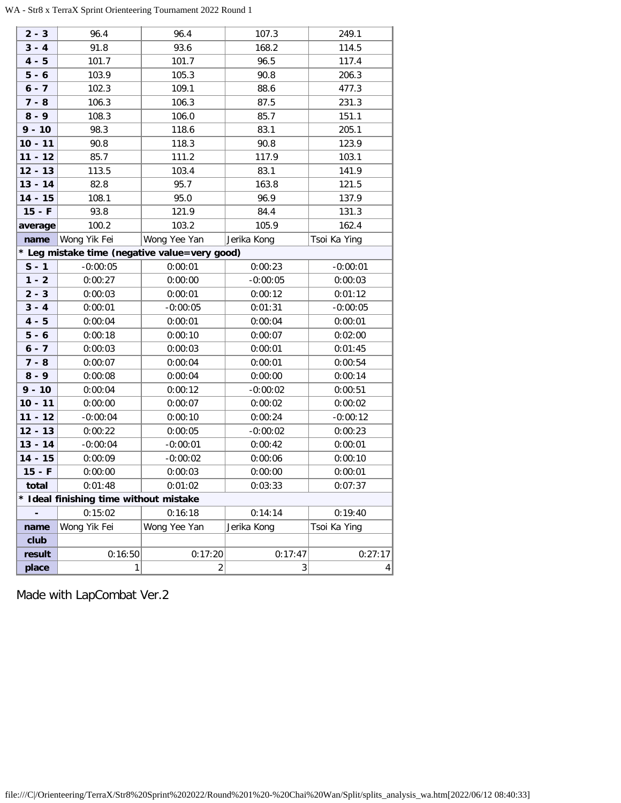| $2 - 3$   | 96.4                                   | 96.4                                          | 107.3       | 249.1           |
|-----------|----------------------------------------|-----------------------------------------------|-------------|-----------------|
| $3 - 4$   | 91.8                                   | 93.6                                          | 168.2       | 114.5           |
| $4 - 5$   | 101.7                                  | 101.7                                         | 96.5        | 117.4           |
| $5 - 6$   | 103.9                                  | 105.3                                         | 90.8        | 206.3           |
| $6 - 7$   | 102.3                                  | 109.1                                         | 88.6        | 477.3           |
| $7 - 8$   | 106.3                                  | 106.3                                         | 87.5        | 231.3           |
| $8 - 9$   | 108.3                                  | 106.0                                         | 85.7        | 151.1           |
| $9 - 10$  | 98.3                                   | 118.6                                         | 83.1        | 205.1           |
| $10 - 11$ | 90.8                                   | 118.3                                         | 90.8        | 123.9           |
| $11 - 12$ | 85.7                                   | 111.2                                         | 117.9       | 103.1           |
| $12 - 13$ | 113.5                                  | 103.4                                         | 83.1        | 141.9           |
| $13 - 14$ | 82.8                                   | 95.7                                          | 163.8       | 121.5           |
| $14 - 15$ | 108.1                                  | 95.0                                          | 96.9        | 137.9           |
| $15 - F$  | 93.8                                   | 121.9                                         | 84.4        | 131.3           |
| average   | 100.2                                  | 103.2                                         | 105.9       | 162.4           |
| name      | Wong Yik Fei                           | Wong Yee Yan                                  | Jerika Kong | Tsoi Ka Ying    |
|           |                                        | * Leg mistake time (negative value=very good) |             |                 |
| $S - 1$   | $-0:00:05$                             | 0:00:01                                       | 0:00:23     | $-0:00:01$      |
| $1 - 2$   | 0:00:27                                | 0:00:00                                       | $-0:00:05$  | 0:00:03         |
| $2 - 3$   | 0:00:03                                | 0:00:01                                       | 0:00:12     | 0:01:12         |
| $3 - 4$   | 0:00:01                                | $-0:00:05$                                    | 0:01:31     | $-0:00:05$      |
| $4 - 5$   | 0:00:04                                | 0:00:01                                       | 0:00:04     | 0:00:01         |
| $5 - 6$   | 0:00:18                                | 0:00:10                                       | 0:00:07     | 0:02:00         |
| $6 - 7$   | 0:00:03                                | 0:00:03                                       | 0:00:01     | 0:01:45         |
| $7 - 8$   | 0:00:07                                | 0:00:04                                       | 0:00:01     | 0:00:54         |
| $8 - 9$   | 0:00:08                                | 0:00:04                                       | 0:00:00     | 0:00:14         |
| $9 - 10$  | 0:00:04                                | 0:00:12                                       | $-0:00:02$  | 0:00:51         |
| $10 - 11$ | 0:00:00                                | 0:00:07                                       | 0:00:02     | 0:00:02         |
| $11 - 12$ | $-0:00:04$                             | 0:00:10                                       | 0:00:24     | $-0:00:12$      |
| $12 - 13$ | 0:00:22                                | 0:00:05                                       | $-0:00:02$  | 0:00:23         |
| $13 - 14$ | $-0:00:04$                             | $-0:00:01$                                    | 0:00:42     | 0:00:01         |
| $14 - 15$ | 0:00:09                                | $-0:00:02$                                    | 0:00:06     | 0:00:10         |
| $15 - F$  | 0:00:00                                | 0:00:03                                       | 0:00:00     | 0:00:01         |
| total     | 0:01:48                                | 0:01:02                                       | 0:03:33     | 0:07:37         |
|           | * Ideal finishing time without mistake |                                               |             |                 |
|           | 0:15:02                                | 0:16:18                                       | 0:14:14     | 0:19:40         |
| name      | Wong Yik Fei                           | Wong Yee Yan                                  | Jerika Kong | Tsoi Ka Ying    |
| club      |                                        |                                               |             |                 |
| result    | 0:16:50                                | 0:17:20                                       | 0:17:47     | 0:27:17         |
| place     | 1                                      | $\overline{c}$                                | 3           | $\vert 4 \vert$ |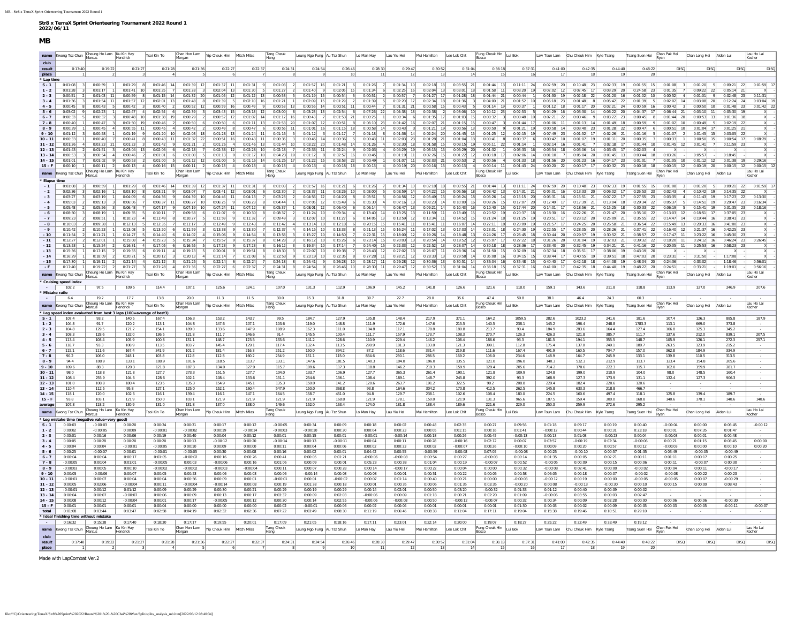#### <span id="page-18-0"></span>name Kwong Tsz Chun Cheung Ho Lam Ku Kin Hay<br>Hendrick Tsoi Kin To Morgan Morgan Chan Hon Lam Yip Cheuk Him Mitch Milas Tang Cheuk **club result** 0:17:40 0:19:22 0:21:27 0:21:28 0:21:36 0:22:27 0:22:37 0:24:31 0:24:54 0:26:46 0:28:30 0:29:47 0:30:52 0:31:04 0:36:18 0:37:31 0:41:00 0:42:35 0:44:40 0:48:22 DISQ DISQ DISQ DISQ **place** 1 2 2 3 4 5 6 7 8 9 10 11 12 13 14 15 16 17 18 19 20 **\*** Lap times **S - 1** 0:01:08 3 0:00:59 1 0:01:29 8 0:01:46 14 0:01:39 12 0:01:37 11 0:01:31 9 0:01:03 2 0:01:57 16 0:01:21 6 0:01:26 7 0:01:34 10 0:02:18 18 0:03:55 21 0:01:44 13 0:11:11 24 0:02:59 20 0:10:48 23 0:02:33 19 0:01:55 15 0:01:08 3 0:01:20 5 0:09:21 22 0:01:59 17 1-2 | 0:01:28| 3| 0:01:17| 1| 0:01:41| 10| 0:01:35| 7| 0:01:28| 3| 0:02:04| 13| 0:01:30| 5| 0:01:27| 2| 0:01:40| 9| 0:02:05| 15| 0:01:36| 16| 0:02:25| 16| 0:02:26| 15| 0:02:06| 13| 0:01:30| 18| 0:02:06| 13| 0:03:20| 19| 0:0 2-3 | 0:00:51 2| 0:01:03| 11 0:00:59| 8| 0:01:15| 14 0:01:32 20 0:01:05| 12 0:01:12 13| 0:00:53| 5| 0:01:19| 15| 0:00:51| 2| 0:00:51| 2| 0:01:28| 18| 0:01:28| 18| 0:01:44| 21| 0:00:44| 21| 0:00:44| 21| 0:00:44| 21| 0:00:44| 3-4 0.01:36 3 0.01:56 11 0.01:57 12 0.02:01 13 0.01:48 8 0.01:39 5 0.02:10 16 0.01:21 1 0.02:09 15 0.01:39 5 0.02:20 17 0.02:20 17 0.02:20 17 0.02:20 18 0.01:36 3 0.04:00 21 0.01:36 21 0.01:48 8 0.05:42 21 0.02:08 19 0.03:0 4-5 | 0:00:45 | 8| 0:00:43 | 5| 0:00:42 | 3| 0:00:40 | 2| 0:00:50 12 | 0:00:59 16 | 0:00:49 9 | 0:00:55 | 13| 0:00:55 | 14 | 0:00:51 | 11 | 0:00:44 | 7 | 0:00:49 | 0:00:38 | 15 | 0:00:48 | 5 | 0:00:43 | 5 | 0:00:14 | 19 | 0 5-6 | 0:03:02 9 | 0:02:23 1 | 0:02:47 4 | 0:02:54 6 | 0:02:39 3 | 0:03:39 15 | 0:03:18 12 | 0:03:28 13 | 0:03:28 13 | 0:02:54 6 | 0:07:26 | 22 | 0:03:38 18 | 0:03:38 18 | 0:03:38 19 | 0:03:06 10 | 0:10:12 23 | 0:02:53 5 | 0 6-7 | 0.00.33| 5| 0.00.32| 3| 0.00.48| 10| 0.01:38| 19| 0.00.29| 2| 0.00:52| 12| 0.01:12| 14| 0.01:12| 14| 0.00:43| 7| 0.01:53| 21| 0.00:35| 1| 0.00:34| 6| 0.01:36| 15| 0.00:38| 15| 0.00:48| 10| 0.00:48| 10| 0.02:21| 22| 0. 7-8 | 0:00:40 | 1 0:00:47 | 3 | 0:01:50 | 19 | 0:00:46 | 2 | 0:00:50 6 | 0:00:50 6 | 0:01:11 | 13 | 0:01:53 | 20 | 0:01:57 | 12 | 0:00:57 | 8 | 0:06:10 | 25 | 0:01:42 | 16 | 0:02:07 | 21 | 0:00:15 | 15 | 0:00:47 | 3 | 0:01: 8-9 0:00:39 1 0:00:45 4 0:00:55 11 0:00:45 4 0:00:42 2 0:00:49 8 0:00:47 6 0:00:55 11 0:01:15 18 0:00:45 8 0:00:45 3 0:01:21 19 0:00:56 13 0:00:50 9 0:01:21 19 0:00:56 14 0:00:58 14 0:00:40 23 0:00:47 6 0:00:47 6 0:00:51 10 9-10 0.01:12 3 0.00:58 1 0.01:19 9 0.01:20 10 0.02:03 18 0.01:28 13 0.01:24 11 0.01:16 5 0.01:12 3 0.01:17 7 0.01:36 14 0.02:24 20 0.01:45 15 0.01:45 12 0.02:16 17 0.02:29 21 0.01:45 17 0.02:24 21 0.01:45 15 0.01:45 15 0.03 10-11 0:00:33| 1| 0:00:40| 7| 0:00:41| 8| 0:00:43| 11| 0:01:32| 22| 0:00:51| 16| 0:00:43| 11| 0:00:35| 3| 0:00:45| 14| 0:00:36| 5| 0:00:43| 11| 0:00:38| 21| 0:01:36| 5| 0:00:48| 11| 0:00:38| 23| 0:00:48| 11| 0:00:38| 23| 0: 11 - 12 0:01:26 4 0:03:23 21 0:01:23 31 0:01:24 9 0:01:21 21 0:01:24 4 0:01:46 13 0:01:44 10 0:03:22 20 0:01:48 14 0:01:26 4 0:02:30 18 0:03:15 0:03:15 19 0:05:11 21 0:01:14 1 0:02:14 16 0:01:41 7 0:02:18 17 0:01:45 12 0:01 12 - 13 0:01:43 2 0:01:51 3 0:03:04 13 0:02:06 6 0:02:18 7 0:02:38 12 0:02:28 10 0:02:18 7 0:02:38 11 0:02:39 11 0:02:39 11 0:02:39 11 0:02:39 11 0:02:39 11 0:02:39 11 0:02:28 10 0:02:39 11 0:02:28 11 0:02:39 11 0:02:39 11 13-14 0:00:53 3 0:00:54 4 0:00:46 2 0:01:01 6 0:01:00 5 0:01:13 9 0:01:13 19 0:01:13 19 0:01:12 8 0:02:57 16 0:00:45 11 0:01:19 11 0:02:26 15 0:01:22 12 0:03:28 17 0:02:06 14 0:01:10 7 0:05:04 20 0:01:48 13 0:03:44 18 0:03: 14-15 0:01:01 7 0:01:02 9 0:00:53 2 0:01:00 5 0:01:12 12 0:01:00 5 0:01:16 14 0:01:25 17 0:03:25 22 0:00:49 1| 0:01:07 11 0:02:33 21 0:00:53 2 0:00:53 21 0:00:53 2 0:00:54 0:01:35 18 0:01:56 20 0:01:56 20 0:01:12 0:01:00 11 15-F 0:00:10 1 0:00:11 2 0:00:13 4 0:00:16 15 0:00:11 2 0:00:11 2 0:00:13 4 0:00:13 4 0:00:13 4 0:00:13 4 0:00:13 4 0:00:13 4 0:00:13 4 0:00:13 4 0:00:13 4 0:00:13 4 0:00:15 2 0:00:16 15 0:00:16 0:00:16 0:00:16 0:00:16 15 **name** Kwong Tsz Chun Cheung Ho Lam Ku Kin Hay Ku Kin Hay Tsoi Kin To Chan Hon Lam Vip Cheuk Him Mitch Milas Tang Cheuk<br>Hendrick Hang eung Ngo Fung Au Tsz Shun Lo Man Hay Lau Yiu Hei Mui Hamilton Lee Lok Chit Lui Bok Law Tsun Lam Chu Cheuk Him Kyle Tsang Tsang Suen Hoi Chan Long Hei Aiden Lui Kocher **\* Elapse time - 1** 0:01:08 3 0:00:59 1 0:01:29 8 0:01:46 14 0:01:39 12 0:01:37 11 0:01:31 9 0:01:03 2 0:01:57 16 0:01:21 6 0:01:26 7 0:01:34 10 0:02:18 18 0:03:55 21 0:01:44 13 0:11:11 24 0:02:59 20 0:10:48 23 0:02:33 19 0:01:55 15 0:01:08 3 0:01:20 5 0:09:21 22 0:01:59 17  $0.06:56 \quad 18 \qquad 0.03:42 \quad 13 \qquad 0.14:31 \quad 21 \qquad 0.05:01 \quad 16$ -3 00327 3 003319 1 00409 6 00433 1 0040 1 0040 1 0041 1 0040 1 0045 12 0045 12 0045 12 0054 10 1054 10 1054 10 1055 10 1066 1 0063 1 0053 1 0053 1 0053 1 0053 1 0053 1 0053 1 0053 1 0053 1 0053 1 0053 1 0053 1 0145 19 029 -4 | 0:05:03| 2| 0:05:13| 3| 0:06:06| 7| 0:06:37| 11| 0:06:27| 10| 0:06:25| 9| 0:06:25| 8| 0:04:44| 1| 0:07:05| 12| 0:05:30| 4| 0:07:16| 13| 0:08:25| 14| 0:10:00| 16| 0:09:26| 15| 0:17:07| 20| 0:17:07| 20| 0:17:09| 21| 0:13 -5 | 0:05:48| 2| 0:05:56| 3| 0:06:48| 7| 0:07:17| 9| 0:07:19| 10| 0:07:24| 11| 0:07:24| 11| 0:07:24| 11| 0:05:37| 1| 0:08:01| 12| 0:06:40| 6| 0:06:14| 4| 0:08:47| 13| 0:09:21| 14| 0:10:40| 15| 0:10:40| 20| 0:14:01| 17| 0:18 **- 6** 0:08:50 3 0:08:19 1 0:09:35 5 0:10:11 7 0:09:58 6 0:11:07 9 0:10:30 8 0:08:37 2 0:11:24 10 0:09:34 4 0:13:40 14 0:13:25 13 0:11:59 11 0:13:49 15 0:20:52 19 0:20:37 18 0:18:30 16 0:22:26 21 0:21:47 20 0:35:10 22 0:13:03 12 0:18:51 17 0:37:05 23 X - -7 | 0:09:23| 2| 0:08:51| 1| 0:10:23| 4| 0:11:49| 8| 0:10:27| 5| 0:11:59| 9| 0:11:32| 7| 0:09:49| 3| 0:12:07| 10| 0:11:27| 6| 0:14:05| 13| 0:13:59| 12| 0:13:4| 11| 0:11:52| 15| 0:21:24| 18| 0:21:24| 18| 0:21:25| 19| 0:25:51 -8 | 0:10:03| 2| 0:09:38| 1| 0:12:13| 5| 0:12:35| 7| 0:11:17| 3| 0:12:49| 9| 0:12:43| 8| 0:11:42| 4| 0:12:18| 6| 0:20:15| 15| 0:15:41| 11| 0:15:41| 11| 0:15:11| 11| 0:16:07| 14| 0:23:09| 19| 0:24:51| 20| 0:25:54| 21| 0:36:5 -9 | 0:10:42 | 2| 0:10:23 | 1| 0:13:08 5| 0:13:20 6| 0:11:59 3| 0:13:38 9| 0:13:30 7| 0:12:37 4| 0:14:15 10 0:13:33 8| 0:21:13 | 15 | 0:12:02 | 13 | 0:12:03 | 14 | 0:23:01 18 | 0:24:30 | 19 | 0:28:26 | 21 | 0:32:06 | 21 | 0 -10 0.11:54 2| 0.11:21| 1| 0.14:27| 5| 0.14:40| 6| 0.14:02| 4| 0.15:06| 9| 0.14:54| 8| 0.13:53| 3| 0.15:25| 10| 0.14:50| 7| 0.22:31| 15| 0.19:08| 12| 0.19:26| 14| 0.14:88| 13| 0.24:26| 17| 0.26:45| 18| 0.30:44| 20| 0.29:57| -11 | 0:12:27| 2| 0:12:01| 1| 0:15:08| 4| 0:15:23| 5| 0:15:34| 7| 0:15:57| 9| 0:15:37| 8| 0:14:28| 3| 0:16:12| 10| 0:15:26| 6| 0:23:14| 15| 0:20:03| 13| 0:20:54| 14| 0:19:52| 12| 0:25:07| 17| 0:21:22| 18| 0:31:26| 20| 0:31: -12 | 0:13:53| 1| 0:15:24| 2| 0:16:31| 4| 0:17:05| 6| 0:16:55| 5| 0:17:23| 9| 0:17:23| 8| 0:16:12| 3| 0:19:34| 10| 0:17:14| 7| 0:24:00| 15| 0:22:32| 12| 0:23:37| 14| 0:30:18| 18| 0:28:36| 17| 0:33:40| 20| 0:32:45| 19| 0:34: -13 | 0:15:36| 1| 0:17:15| 2| 0:19:35| 6| 0:19:11| 4| 0:19:13| 5| 0:20:01| 9| 0:19:51| 8| 0:18:30| 3| 0:22:07| 10| 0:19:38| 7| 0:24:43| 12| 0:24:02| 13| 0:28:36| 14| 0:31:50| 15| 0:32:09| 16| 0:32:34| 18| 0:35:51| 17| 0:38 -14 | 0:16:29 1| 0:18:09 2| 0:20:21 5| 0:20:12 3| 0:20:13| 4| 0:21:14 7| 0:21:18| 6| 0:22:53| 9| 0:23:19 10 2:2:55| 8| 0:27:28| 11| 0:28:21| 12| 0:28:33| 13| 0:29:58| 14| 0:35:08| 14| 0:36:08| 14| 0:30:15| 15| 0:30:44| 17| **- 15** 0:17:30 1 0:19:11 2 0:21:14 4 0:21:12 3 0:21:25 5 0:22:14 6 0:22:24 7 0:24:18 8 0:24:41 9 0:26:28 10 0:28:17 11 0:29:28 12 0:30:36 13 0:30:51 14 0:36:04 16 0:35:48 15 0:40:40 17 0:42:18 18 0:44:08 19 0:48:04 20 0:24:36 - 0:33:02 - 1:18:46 - 0:56:01 - - F 0-17-40 1 0-19-22 2 0-21-27 3 0-21-28 4 0-21-36 5 0-22-27 6 0-22-37 7 0-24-31 8 0-24-45 9 0-2-4-51 9 0-2-4-5 9 0-2-4-5 9 0-2-4-5 9 0-2-4-5 10 0-28-46 10 0-28-30 11 0-29-47 12 0-30-20 13 0-31-3 14 0-3-4-8 15 0-41-00 1 **name** Kwong Tsz Chun Cheung Ho Lam Ku Kin Hay Hendrick Tsoi Kin To Chan Hon Lam Morgan Yip Cheuk Him Mitch Milas Tang Cheuk<br>Morgan Yip Cheuk Him Mitch Milas Hang Leung Ngo Fung Au Tsz Shun Lo Man Hay Lau Yiu Hei Mui Hamilton Lee Lok Chit Lui Bok Law Tsun Lam Chu Cheuk Him Kyle Tsang Tsang Suen Hoi Ryan Chan Long Hei Aiden Lui Kocher **\* Cruising speed index -** 102.2 97.5 109.5 114.4 107.1 125.6 124.1 107.0 131.3 112.9 106.9 145.2 141.8 126.6 121.6 118.0 159.1 143.6 211.8 118.8 113.9 127.0 246.9 207.6 **\* Mistake ratio -** 6.4 19.2 17.7 13.8 20.0 11.3 11.5 30.0 15.3 31.8 39.7 22.7 28.0 35.6 47.4 50.8 38.1 46.4 24.3 60.3 - - - **name** Kwong Tsz Chun Cheung Ho Lam Ku Kin Hay Tsoi Kin To Chan Hon Lam<br>
Morgan<br>
Tage of best3) Yip Cheuk Him Mitch Milas Tang Cheuk eung Ngo Fung Au Tsz Shun Lo Man Hay Lau Yiu Hei Mui Hamilton Lee Lok Chit Fung Cheuk Hin Bosco Lui Bok Law Tsun Lam Chu Cheuk Him Kyle Tsang Tsang Suen Hoi Chan Pak Hei Chan Pak Hei Chan Long Hei Aiden Lui Lau Ho Lai Kocher **\* Leg speed index evaluated from best 3 laps (100=average of best)<br>** $S - 1$  **107 4 93 2 140 5 167 4 S - 1** 107.4 93.2 140.5 167.4 156.3 153.2 143.7 99.5 184.7 127.9 135.8 148.4 217.9 371.1 164.2 1059.5 282.6 1023.2 241.6 181.6 107.4 126.3 885.8 187.9 **1 - 2** 104.8 91.7 120.2 113.1 104.8 147.6 107.1 103.6 119.0 148.8 111.9 172.6 147.6 215.5 140.5 238.1 145.2 196.4 248.8 1783.3 113.1 669.0 373.8 - **2 - 3** 104.8 129.5 121.2 154.1 189.0 133.6 147.9 108.9 162.3 111.0 104.8 117.1 178.8 180.8 213.7 90.4 184.9 283.6 164.4 127.4 106.8 125.3 345.2 - **3 - 4** 108.3 128.6 132.0 136.5 121.8 111.7 146.6 91.4 145.5 100.4 111.7 157.9 173.7 108.3 270.7 126.3 426.3 121.8 385.7 111.7 137.6 212.0 839.1 207.5 **4 - 5** 113.4 108.4 105.9 100.8 131.1 148.7 123.5 133.6 141.2 128.6 110.9 229.4 146.2 108.4 186.6 93.3 181.5 194.1 355.5 148.7 105.9 126.1 272.3 257.1 **5 - 6** 118.7 93.3 108.9 113.5 103.7 145.4 129.1 117.4 132.4 113.5 290.9 181.3 103.0 121.3 399.1 112.8 175.4 137.0 249.1 180.7 263.5 123.9 215.2 - **6 - 7** 115.1 111.6 167.4 341.9 101.2 181.4 216.3 251.2 150.0 394.2 87.2 118.6 331.4 219.8 111.6 167.4 491.9 160.5 704.7 157.0 362.8 184.9 334.9 - **7 - 8** 90.2 106.0 248.1 103.8 112.8 112.8 160.2 254.9 151.1 115.0 834.6 230.1 286.5 169.2 106.0 234.6 148.9 164.7 245.9 133.1 139.8 110.5 313.5 - **8 - 9** 94.4 108.9 133.1 108.9 101.6 118.5 113.7 133.1 147.6 181.5 140.3 104.0 196.0 135.5 121.0 196.0 140.3 532.3 212.9 113.7 123.4 154.8 205.6 - **9 - 10** 109.6 88.3 120.3 121.8 187.3 134.0 127.9 115.7 109.6 117.3 118.8 146.2 219.3 159.9 129.4 205.6 714.2 170.6 222.3 115.7 102.0 159.9 281.7 - **10 - 11** 98.0 118.8 121.8 127.7 273.3 151.5 127.7 104.0 133.7 106.9 127.7 365.3 261.4 190.1 121.8 109.9 124.8 199.0 210.9 104.0 98.0 148.5 160.4 - **11 - 12** 108.4 255.9 104.6 128.6 102.1 108.4 133.6 131.1 254.6 136.1 108.4 189.1 148.7 245.8 392.0 93.3 168.9 127.3 173.9 131.1 132.4 127.3 906.3 - **12 - 13** 101.0 | 108.8 | 180.4 | 123.5 | 135.3 | 154.9 | 145.1 | 135.3 | 150.0 | 141.2 | 120.6 | 322.5 | 90.2 | 208.8 | 229.4 | 182.4 | 220.6 | 120.6 | - - | - | - | -**13 - 14** 110.4 | 112.5 | 95.8 | 127.1 | 125.0 | 152.1 | 160.4 | 547.9 | 150.0 | 368.8 | 93.8 | 164.6 | 304.2 | 170.8 | 412.5 | 262.5 | 145.8 | 633.3 | 218.8 | 466.7 | - | - | - | -**14 - 15** 118.1 120.0 102.6 116.1 139.4 116.1 147.1 164.5 158.7 451.0 94.8 129.7 238.1 102.6 108.4 180.0 224.5 160.6 497.4 118.1 125.8 139.4 189.7 - **15 - F** 93.8 103.1 121.9 150.0 103.1 121.9 121.9 121.9 121.9 168.8 121.9 178.1 150.0 121.9 131.3 965.6 187.5 159.4 300.0 168.8 140.6 178.1 140.6 140.6 **average**| 107.8 | 118.2 | 130.9 | 131.0 | 131.8 | 137.0 | 138.0 | 149.6 | 152.0 | 163.4 | 174.0 | 188.8 | 188.4 | 189.6 | 229.0 | 250.9 | 259.9 | 272.6 | 295.2 | - | - | - | **name** Kwong Tsz Chun Cheung Ho Lam .<br>ative value=w Ku Kin Hay<br>Hendrick <u>Ku Kin Hay Tsoi Kin To Chan Hon Lam</u><br>Hendrick Tsoi Kin To Morgan<br>Taori rip Cheuk Him Mitch Milas Tang Cheuk Hang Leung Ngo Fung Au Tsz Shun Lo Man Hay Lau Yiu Hei Mui Hamilton Lee Lok Chit Fung Cheuk Hin Bosco Lui Bok Law Tsun Lam Chu Cheuk Him Kyle Tsang Tsang Suen Hoi Chan Pak Hei Ryan Chan Long Hei Aiden Lui Lau Ho Lai Kocher **\* Leg mistake time (negative value=very good) S - 1** 0:00:03 -0:00:03 0:00:20 0:00:34 0:00:31 0:00:17 0:00:12 -0:00:05 0:00:34 0:00:09 0:00:18 0:00:02 0:00:48 0:02:35 0:00:27 0:09:56 0:01:18 0:09:17 0:00:19 0:00:40 -0:00:04 0:00:00 0:06:45 -0:00:12 **1 - 2** 0:00:02 -0:00:05 0:00:09 -0:00:01 -0:00:02 0:00:19 -0:00:14 -0:00:03 -0:00:10 0:00:30 0:00:04 0:00:23 0:00:05 0:01:15 0:00:16 0:01:41 -0:00:12 0:00:44 0:00:31 0:23:18 0:00:01 0:07:35 0:01:47 - **2 - 3** 0:00:01 0:00:16 0:00:06 0:00:19 0:00:40 0:00:04 0:00:12 0:00:01 0:00:15 0:00:01 -0:00:01 -0:00:14 0:00:18 0:00:26 0:00:45 -0:00:13 0:00:13 0:01:08 -0:00:23 0:00:04 -0:00:03 0:00:01 0:00:48 - **3 - 4** 0:00:05 0:00:28 0:00:20 0:00:20 0:00:13 -0:00:12 0:00:20 -0:00:14 0:00:13 -0:00:11 0:00:04 0:00:11 0:00:28 -0:00:16 0:02:12 0:00:07 0:03:57 -0:00:19 0:02:34 -0:00:06 0:00:21 0:01:15 0:08:45 0:00:00 **4 - 5** 0:00:04 0:00:04 -0:00:01 -0:00:05 0:00:10 0:00:09 0:00:00 0:00:11 0:00:04 0:00:06 0:00:02 0:00:33 0:00:02 -0:00:07 0:00:26 -0:00:10 0:00:09 0:00:20 0:00:57 0:00:12 -0:00:03 0:00:00 0:00:10 0:00:20 **5 - 6** 0:00:25 -0:00:07 0:00:01 -0:00:01 -0:00:05 0:00:30 0:00:08 0:00:16 0:00:02 0:00:01 0:04:42 0:00:55 -0:00:59 -0:00:08 0:07:05 -0:00:08 0:00:25 -0:00:10 0:00:57 0:01:35 0:03:49 -0:00:05 -0:00:49 - **6 - 7** 0:00:04 0:00:04 0:00:17 0:01:05 -0:00:02 0:00:16 0:00:26 0:00:41 0:00:05 0:01:21 -0:00:06 -0:00:08 0:00:54 0:00:27 -0:00:03 0:00:14 0:01:35 0:00:05 0:02:21 0:00:11 0:01:11 0:00:17 0:00:25 - **7 - 8** -0:00:05 0:00:04 0:01:01 -0:00:05 0:00:03 -0:00:06 0:00:16 0:01:06 0:00:09 0:00:01 0:05:23 0:00:38 0:01:04 0:00:19 -0:00:07 0:00:52 -0:00:05 0:00:09 0:00:15 0:00:06 0:00:11 -0:00:07 0:00:30 - **8 - 9** -0:00:03 0:00:05 0:00:10 -0:00:02 -0:00:02 -0:00:03 -0:00:04 0:00:11 0:00:07 0:00:28 0:00:14 -0:00:17 0:00:22 0:00:04 0:00:00 0:00:32 -0:00:08 0:02:41 0:00:00 -0:00:02 0:00:04 0:00:11 -0:00:17 - **9 - 10** 0:00:05 -0:00:06 0:00:07 0:00:05 0:00:53 0:00:06 0:00:03 0:00:06 -0:00:14 0:00:03 0:00:08 0:00:01 0:00:51 0:00:22 0:00:05 0:00:58 0:06:05 0:00:18 0:00:07 -0:00:02 -0:00:08 0:00:22 0:00:23 - **10 - 11** -0:00:01 0:00:07 0:00:04 0:00:04 0:00:56 0:00:09 0:00:01 -0:00:01 0:00:01 -0:00:02 0:00:07 0:01:14 0:00:40 0:00:21 0:00:00 -0:00:03 -0:00:12 0:00:19 0:00:00 -0:00:05 -0:00:05 0:00:07 -0:00:29 - **11 - 12** 0:00:05 0:02:06 -0:00:04 0:00:11 -0:00:04 -0:00:14 0:00:08 0:00:19 0:01:38 0:00:18 0:00:01 0:00:35 0:00:06 0:01:35 0:03:35 -0:00:20 0:00:08 -0:00:13 -0:00:30 0:00:10 0:00:15 0:00:00 0:08:43 - **12 - 13** -0:00:01 0:00:12 0:01:12 0:00:09 0:00:29 0:00:30 0:00:21 0:00:29 0:00:19 0:00:29 0:00:14 0:02:01 0:00:50 0:03:20 -0:00:32 0:01:33 0:01:12 0:00:40 0:00:09 0:00:02 - - - - **13 - 14** 0:00:04 0:00:07 -0:00:07 0:00:06 0:00:09 0:00:13 0:00:17 0:03:32 0:00:09 0:02:03 -0:00:06 0:00:09 0:01:18 0:00:21 0:02:20 0:01:09 -0:00:06 0:03:55 0:00:03 0:02:47 - - - - **14 - 15** 0:00:08 0:00:12 -0:00:04 0:00:01 0:00:17 -0:00:05 0:00:12 0:00:30 0:00:14 0:02:55 -0:00:06 -0:00:08 0:00:50 -0:00:12 -0:00:07 0:00:32 0:00:34 0:00:09 0:02:28 0:00:00 0:00:06 0:00:06 -0:00:30 - **15 - F** 0:00:01 0:00:01 0:00:01 0:00:04 0:00:00 0:00:00 0:00:00 0:00:02 -0:00:01 0:00:06 0:00:02 0:00:04 0:00:01 0:00:01 0:00:01 0:01:30 0:00:03 0:00:02 0:00:09 0:00:05 0:00:03 0:00:05 -0:00:11 -0:00:07 **total** 0:01:08 | 0:03:44 | 0:03:47 | 0:02:58 | 0:04:19 | 0:02:32 | 0:02:36 | 0:07:22 | 0:08:30 | 0:11:19 | 0:06:46 | 0:06:38 | 0:11:04 | 0:17:11 | 0:19:04 | 0:19:46 | 0:10:51 | 0:29:10 | - - | - | - | -**\* Ideal finishing time without mistake -** 0:16:32 0:15:38 0:17:40 0:18:30 0:17:17 0:19:55 0:20:01 0:17:09 0:21:05 0:18:16 0:17:11 0:23:01 0:22:14 0:20:00 0:19:07 0:18:27 0:25:22 0:22:49 0:33:49 0:19:12 - - - **name** Kwong Tsz Chun Cheung Ho Lam Marcus (u Kin Hay<br><del>l</del>endrick soi Kin To Chan Hon Lam ip Cheuk Him Mitch Milas Tang Cheuk Hang Leung Ngo Fung Au Tsz Shun Lo Man Hay Lau Yiu Hei Mui Hamilton Lee Lok Chit Fung Cheuk Hin Bosco Lui Bok Law Tsun Lam Chu Cheuk Him Kyle Tsang Tsang Suen Hoi Chan Pak Hei Ran Pak Hei Chan Long Hei Aiden Lui Lau Ho Lai Kocher **club result** 0:17:40 0:19:22 0:21:27 0:21:28 0:21:36 0:22:27 0:22:37 0:24:31 0:24:54 0:26:46 0:28:30 0:29:47 0:30:52 0:31:04 0:36:18 0:37:31 0:41:00 0:42:35 0:44:40 0:48:22 DISQ DISQ DISQ DISQ

**place** | 1 | 2 | 3 | 4 | 5 | 6 | 7 | 8 | 9 | 10 | 11 | 12 | 13 | 14 | 15 | 16 | 17 | 18 | 19 | 20

eung Ngo Fung Au Tsz Shun Lo Man Hay Lau Yiu Hei Mui Hamilton Lee Lok Chit Fung Cheuk Hin Lui Bok

Law Tsun Lam Chu Cheuk Him Kyle Tsang Tsang Suen Hoi Chan Pak Hei

Ryan Chan Long Hei Aiden Lui Lau Ho Lai

pcher

Made with LapCombat Ver.2

### **Str8 x TerraX Sprint Orienteering Tournament 2022 Round 1**

**MB**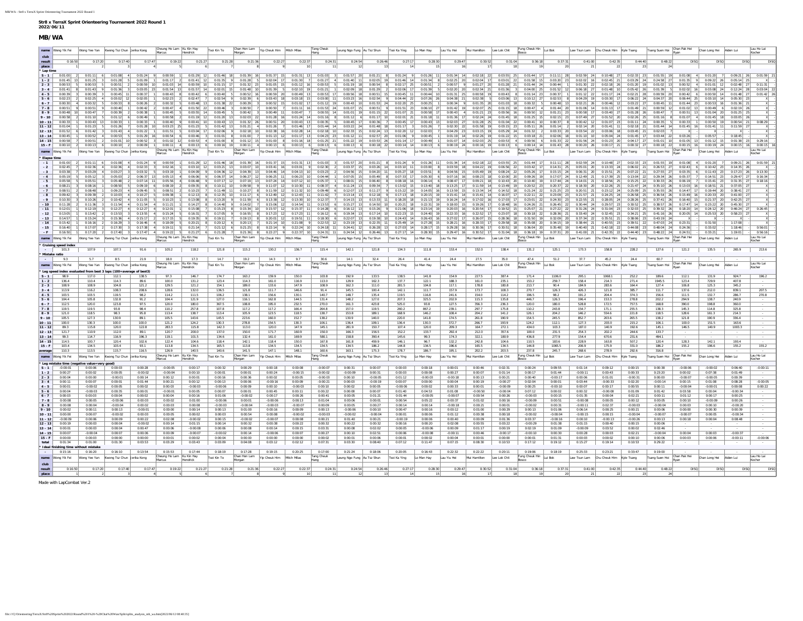| MB/WA                                   |                                      |                                             |                                                                  |                                             |                         |                                                               |                                                                                                                                                                                                                                                 |                              |                               |                               |                              |                                                  |                                          |                                                     |                              |                                                                                             |                            |                                                                                                                                                                                                                                                                                                                                                       |                                |                                       |                          |                                                                  |                                                                                                                                                                                                                                                                                                                                                                                                                                                                                                                                        |                            |                              |                              |                      |
|-----------------------------------------|--------------------------------------|---------------------------------------------|------------------------------------------------------------------|---------------------------------------------|-------------------------|---------------------------------------------------------------|-------------------------------------------------------------------------------------------------------------------------------------------------------------------------------------------------------------------------------------------------|------------------------------|-------------------------------|-------------------------------|------------------------------|--------------------------------------------------|------------------------------------------|-----------------------------------------------------|------------------------------|---------------------------------------------------------------------------------------------|----------------------------|-------------------------------------------------------------------------------------------------------------------------------------------------------------------------------------------------------------------------------------------------------------------------------------------------------------------------------------------------------|--------------------------------|---------------------------------------|--------------------------|------------------------------------------------------------------|----------------------------------------------------------------------------------------------------------------------------------------------------------------------------------------------------------------------------------------------------------------------------------------------------------------------------------------------------------------------------------------------------------------------------------------------------------------------------------------------------------------------------------------|----------------------------|------------------------------|------------------------------|----------------------|
| name Wong Yik Fei                       |                                      |                                             | Wong Yee Yan Kwong Tsz Chun Jerika Kong                          | Cheung Ho Lam Ku Kin Hay                    | lendrick                | Tsoi Kin To                                                   | Chan Hon Lam<br>Morgan                                                                                                                                                                                                                          | Yip Cheuk Him Mitch Milas    |                               | Tang Cheuk                    | Leung Ngo Fung Au Tsz Shun   |                                                  | Tsoi Ka Ying                             | Lo Man Hay                                          | Lau Yiu Hei                  | Mui Hamilton                                                                                | Lee Lok Chit               | Fung Cheuk Hin Lui Bok                                                                                                                                                                                                                                                                                                                                |                                | Law Tsun Lam Chu Cheuk Him Kyle Tsang |                          |                                                                  | Tsang Suen Hoi                                                                                                                                                                                                                                                                                                                                                                                                                                                                                                                         | Chan Pak Hei               | Chan Long Hei Aiden Lui      |                              | Lau Ho La<br>Kocher  |
| club<br>result<br>place                 | 0:16:50                              | 0:17:20                                     | 0:17:40                                                          | 0:19:22<br>0:17:47                          | 0:21:27                 | 0:21:28                                                       | 0:21:36                                                                                                                                                                                                                                         | 0:22:2                       | 0:22:3                        | 0:24:31                       | 0:24:54                      | 0:26:46                                          | 0:27:17                                  | 0:28:30                                             | 0:29:47                      | 0:30:52                                                                                     | 0:31:04                    | 0:36:18                                                                                                                                                                                                                                                                                                                                               | 0:37:31                        | 0:41:00                               | 0:42:35                  | 0:44:40                                                          | 0:48:22                                                                                                                                                                                                                                                                                                                                                                                                                                                                                                                                | DISC                       | <b>DISC</b>                  | DISO                         |                      |
| Lap time<br>$S - 1$                     |                                      | $0:01:00$ 2 $0:01:11$ 6                     | $0:01:08$ 4<br>$0:01:24$ 9                                       |                                             |                         |                                                               | 0:00:59 1 0:01:29 12 0:01:46 18 0:01:39 16 0:01:37 15                                                                                                                                                                                           |                              | $0:01:31$ 13                  | $0:01:03$ 3                   |                              |                                                  |                                          |                                                     |                              |                                                                                             |                            | $0.01:57 \begin{bmatrix} 20 & 0.01:21 \end{bmatrix} \begin{bmatrix} 8 & 0.01:24 \end{bmatrix} \begin{bmatrix} 9 & 0.01:26 \end{bmatrix} \begin{bmatrix} 11 & 0.01:34 \end{bmatrix} \begin{bmatrix} 14 & 0.02:18 \end{bmatrix} \begin{bmatrix} 22 & 0:03:55 \end{bmatrix} \begin{bmatrix} 25 & 0:01:44 \end{bmatrix} \begin{bmatrix} 17 \end{bmatrix}$ | $0:11:11$ 28                   |                                       |                          |                                                                  | $0.02:59$ 24 $0.10:48$ 27 $0.02:33$ 23 $0.01:55$ 19 $0.01:08$ 4                                                                                                                                                                                                                                                                                                                                                                                                                                                                        |                            | $0:01:20$ 7                  | $0:09:21$ 26                 |                      |
| $1 - 2$<br>$2 - 3$                      | 0:00:53                              | $0:01:45$ 13 $0:01:25$ 3<br>0.00.53         | $0:01:28$ 5<br>0:01:09<br>0:00:51<br>0:00:59                     | $0.01 - 0.3$ 14                             | 0:00:59 10              | $0.01 - 15$ 17                                                | $0.01:17$ 2 $0.01:41$ 12 $0.01:35$ 9 $0.01:28$ 5<br>$0.01.32$ 23                                                                                                                                                                                | $0:02:04$ 17<br>$0.01 - 05$  | $0:01:30$ 7<br>$0.01 - 12$ 16 | $0:01:27$ 4<br>0.00.53        | $0.01.19$ 18                 | $0:00:54$ 8                                      | $0.02.17$ 25                             | $0:00:51$ 2                                         | $0.00.57$ 9                  | 0:01:40 11 0:02:05 19 0:01:46 14 0:01:34 8 0:02:25 20 0:02:04 17 0:03:01 22<br>$0:01:27$ 20 | 0:01:28                    | $0:01:58$ 15<br>$0.01 - 44$ 24                                                                                                                                                                                                                                                                                                                        | $0:00:44$ 1                    | $0:01:30$ 22                          |                          | $0:02:18$ 26 $0:01:20$ 19                                        | 0:03:20 23 0:02:02 16 0:02:45 21 0:03:29 24 0:24:58 27 0:01:35 9 0:09:22 26 0:05:14 25<br>$0.01 - 02$ 13                                                                                                                                                                                                                                                                                                                                                                                                                               | 0:00:52                    | $0.01.01$ 12                 | $0-02-48$ 2                  |                      |
| $3 - 4$<br>$4 - 5$                      | 0:00:39                              | $0:01:41$ 8 $0:01:43$ 9<br>0:00:39          | 0:01:36<br>$0:03:05$ 23<br>$0:00:45$ 11<br>0:00:37               | $0:00:43$ 8                                 | 0:00:42                 | 0:00:40                                                       | $0:01:54$ 13 $0:01:57$ 14 $0:02:01$ 15 $0:01:48$ 10<br>$0:00:52$ 16                                                                                                                                                                             | 0:01:39<br>0:00:59           | $0:02:10$ 19<br>$0:00:49$ 13  | $0:01:21$ 1<br>$0:00:53$ 17   | $0:00:56$ 18                 | $0:02:09$ 18 $0:01:29$ 2 $0:02:06$ 17<br>0:00:51 | $0:00:45$ 11                             | $0:00:44$ 10                                        | $0:01:31$ 25                 | $0:01:39$ 5 $0:02:20$ 20 $0:02:34$ 21 $0:01:36$<br>$0:00:58$ 19                             | 0:00:43                    | $0:04:00$ 25<br>$0:01:14$ 23                                                                                                                                                                                                                                                                                                                          | $0:01:52$ 12<br>0:00:37        | $0:01:12$ 22                          | $0:01:17$ 24             | $0:02:21$ 28                                                     | 0:00:59                                                                                                                                                                                                                                                                                                                                                                                                                                                                                                                                | 0:00:42                    | $0:00:50$ 14                 | 0:01:48                      | 0:03:04 22           |
| $5 - 6$                                 | 0:02:23                              | 0:02:25                                     | $0:03:02$ 12<br>0:02:05                                          | $0:02:23$ 2                                 | $0:02:47$ 7             | $0:02:54$ 9                                                   | 0:02:39                                                                                                                                                                                                                                         | $0:03:43$ 18                 | $0:03:18$ 15                  | $0:03:00$ 11                  | $0:03:23$ 16                 | $0:02:54$ 9                                      | $0:04:44$ 22                             | $0:07:26$ 26                                        | $0:04:38$ 21                 | 5<br>0:02:38                                                                                | 0:03:06                    | $0:10:12$ 27                                                                                                                                                                                                                                                                                                                                          | $0:02:53$ 8                    | $0:04:29$ 19                          |                          |                                                                  | $0.03:30$ 17 $0.06:22$ 24 $0.04:37$ 20                                                                                                                                                                                                                                                                                                                                                                                                                                                                                                 | $0:06:44$ 25               | $0:03:10$ 14                 | 0:05:30                      |                      |
| $6 - 7$<br>$7 - 8$                      | 0:00:30<br>0.00.51                   | 0:00:32<br>9 0:00:51 9                      | 0:00:33<br>0:00:26<br>$0.00 - 40$<br>$0.00-42$                   | 0:00:32<br>$0.00-47$ 4                      | $0:00:48$ 13            | $0:01:38$ 22<br>0:01:50 22 0:00:46 3                          | 0:00:29<br>0:00:50                                                                                                                                                                                                                              | 0:00:52<br>0:00:50           | 0:01:02<br>$0:01:11$ 16       | 0:01:12<br>$0 - 01 - 53$ 24   | $0:00:43$ 10<br>$0.01.07$ 15 | $0:01:53$ 24                                     | $0:02:20$ 25<br>0:00:51 9 0:01:51 23     | 0:00:25<br>0:06:10   27                             | 0:00:34                      | 0:01:35<br>$0:01:42$ 19 $0:02:07$ 25                                                        | 0:01:03<br>0:01:15 18      | 0:00:32<br>0:00:47                                                                                                                                                                                                                                                                                                                                    | $0:00:48$ 13<br>$0.01 - 44$ 20 | $0:02:21$ 26                          | $0:00:46$ 12             | $0:03:22$ 27                                                     | 0:00:45<br>0:01:06 14 0:01:13 17 0:01:49 21 0:00:59 12                                                                                                                                                                                                                                                                                                                                                                                                                                                                                 | $0:01:44$ 23<br>0-01-02 13 | 0:00:53<br>0:00:49 6         | $0.02 - 19$ 7                |                      |
| $8 - 9$                                 | $0:00:48$ 10                         | 0:00:47                                     | 0:00:39<br>0:00:38                                               | $0:00:45$ 5                                 |                         | $0:00:55$ 14 $0:00:45$ 5                                      | 0:00:42                                                                                                                                                                                                                                         | $0:00:49$ 11                 | 0:00:47                       | $0:00:55$ 14                  | $0:01:01$ 19                 | $0:01:15$ 22                                     | $0:01:07$ 21                             | $0:00:58$ 17                                        |                              | $0:00:43$ 4 $0:01:21$ 23                                                                    | $0:00:56$ 16               | 0:00:50                                                                                                                                                                                                                                                                                                                                               | $0:01:21$ 23                   | $0:00:58$ 17                          | $0:03:40$ 27             | $0:01:28$ 26                                                     | 0:00:47                                                                                                                                                                                                                                                                                                                                                                                                                                                                                                                                | $0:00:51$ 13               | $0:01:04$ 20                 | $0:01:25$ 2                  |                      |
| $9 - 10$<br>$10 - 11$                   | $0.00 - 58$<br>0.00.33               | $0.01 - 10$<br>$0:00:43$ 13                 | 0:01:12<br>0:00:49<br>0:00:33<br>0:00:33                         | $0.00 - 58$<br>$0:00:40$ 9                  | $0:01:19$ 12            | $0:01:20$ 13                                                  | $0:02:03$ 22<br>$0:00:41$ 10 $0:00:43$ 13 $0:01:32$ 26                                                                                                                                                                                          | 0:01:28<br>0:00:51 20        | 0:01:24<br>$0:00:43$ 13       | $0:01:16$ 8<br>$0.00.35 - 5$  | $0:01:12$ 6<br>$0:00:45$ 17  | $0:01:17$ 10<br>$0:00:36$ 7                      | $0:02:01$ 21<br>$0:00:45$ 17             | $0:01:18$ 11<br>$0:00:43$ 13                        | $0:01:36$ 17                 | $0:02:24$ 24<br>$0:02:03$ 27 $0:01:28$ 25 $0:01:04$ 22                                      | 0:01:45                    | 0:01:25<br>$0.00 - 41$ 10                                                                                                                                                                                                                                                                                                                             | $0:02:15$ 23<br>$0:00:37$ 8    | $0:07:49$ 27                          | $0:01:52$ 20             | $0:02:26$ 25<br>$0:00:42$ 12 $0:01:07$ 23 $0:01:11$ 24 $0:00:35$ | 0:01:16                                                                                                                                                                                                                                                                                                                                                                                                                                                                                                                                | 0:01:07<br>$0:00:33$ 1     | $0.01 - 45$ 18<br>0:00:50 19 | 0-03-05 26<br>$0:00:54$ 21   | $0 - 08 - 29$        |
| $11 - 12$                               | 0:01:04                              | 0:01:23                                     | 0:01:26<br>0:01:28                                               | $0:03:23$ 25                                | 0:01:23                 | $0:01:42$ 13                                                  | 0:01:21                                                                                                                                                                                                                                         | 0:01:26                      | 0:01:46                       | $0:01:44$ 14                  | $0:03:22$ 24                 | $0:01:48$ 18                                     | $0:01:17$ 3                              | 0:01:26                                             | $0:02:30$ 22                 | $0:01:58$ 19                                                                                | $0:03:15$ 23               | $0:05:11$ 26                                                                                                                                                                                                                                                                                                                                          | $0:01:14$ 2                    | $0:02:14$ 20                          | $0:01:41$ 11             | $0:02:18$ 21                                                     | 0:01:44                                                                                                                                                                                                                                                                                                                                                                                                                                                                                                                                | $0:01:45$ 16               | $0:01:41$ 11                 | $0:11:59$ 2                  |                      |
| $12 - 13$<br>$13 - 14$                  | 0:00:45                              | 0:01:42<br>0:00:52                          | 0:01:43<br>0:01:22<br>0:01:29<br>0:00:53                         | $0:01:51$ 5<br>0:00:54                      | $0:03:04$ 17<br>0:00:46 | $0:02:06$ 9<br>0:01:01                                        | $0:02:18$ 10<br>0:01:00                                                                                                                                                                                                                         | 0:02:38<br>0:01:13           | $0:02:28$ 14<br>$0:01:17$ 13  | $0:02:18$ 10<br>$0:04:23$ 23  | $0:02:33$ 15<br>$0:01:12$ 11 | $0:02:57$ 20                                     | $0:02:24$ 13 $0:02:20$ 12<br>0:01:06     | $0:02:03$ 7<br>0:00:45                              | $0:04:29$ 23<br>$0:01:19$ 14 | $0:03:15$ 19<br>0:02:26                                                                     | $0:05:29$ 24<br>0:01:22    | $0:01:32$ 2<br>$0:03:18$ 21                                                                                                                                                                                                                                                                                                                           | $0:03:33$ 20<br>$0:02:06$ 18   | $0:03:54$ 22<br>$0:01:10$ 10          | $0:05:04$ 24             | $0:03:06$ 18 $0:03:45$ 21 $0:02:03$<br>$0:01:45$ 17              | $0:03:44$ 22                                                                                                                                                                                                                                                                                                                                                                                                                                                                                                                           | 0:03:26                    | 0:05:57                      |                              |                      |
| $14 - 15$ 0:00:58                       |                                      | $7$ 0:00:51 2                               | $0:01:01$ 10<br>0:00:52                                          |                                             |                         |                                                               | $0:01:02$ 12 $0:00:53$ 4 $0:01:00$ 8 $0:01:12$ 15 $0:01:00$                                                                                                                                                                                     |                              | 8 0:01:16 18                  |                               | $0:01:25$ 21 $0:01:22$ 19    |                                                  |                                          | $0.03:53$ 26 $0.01:14$ 17 $0.00:49$ 1               |                              | $0:01:07$ 14 $0:02:03$ 25 $0:00:53$                                                         |                            | $0:00:56$ 6                                                                                                                                                                                                                                                                                                                                           | $0:01:33$ 22                   |                                       |                          |                                                                  |                                                                                                                                                                                                                                                                                                                                                                                                                                                                                                                                        |                            | $0:01:12$ 15                 | $0:01:38$ 23                 |                      |
|                                         |                                      |                                             | 15 - F 0:00:10 2 0:00:13 6 0:00:10 2<br>0:00:09                  | Cheung Ho Lam Ku Kin Hay                    |                         |                                                               | 0.00:11 4 0.00:13 6 0.00:16 19 0.00:11 4 0.00:13 6 0.00:13 6 0.00:13 6 0.00:13 6 0.00:13 6 0.00:13 6 0.00:13 6 0.00:16 22 0.00:14 14 0.00:16 0.00:16 0.00:16 0.00:16 0.00:16 0.00:16 0.00:17 21 0.00:22 27 0.00:18 22 0.00:16 0<br>Chan Hon Lam |                              |                               | Tang Cheuk                    |                              |                                                  |                                          |                                                     |                              |                                                                                             |                            |                                                                                                                                                                                                                                                                                                                                                       |                                |                                       |                          |                                                                  |                                                                                                                                                                                                                                                                                                                                                                                                                                                                                                                                        | Chan Pak Hei               |                              |                              |                      |
| name Wong Yik Fei<br><b>Elapse time</b> |                                      | Wong Yee Yan                                | Kwong Tsz Chun Jerika Kong                                       |                                             |                         | Tsoi Kin To                                                   |                                                                                                                                                                                                                                                 | Yip Cheuk Him                | Mitch Milas                   |                               | Leung Ngo Fung Au Tsz Shun   |                                                  | Tsoi Ka Ying                             | Lo Man Hay                                          | Lau Yiu Hei                  | Mui Hamilton                                                                                | Lee Lok Chit               | Fung Cheuk Hin                                                                                                                                                                                                                                                                                                                                        | Lui Bok                        | Law Tsun Lam Chu Cheuk Him Kyle Tsang |                          |                                                                  | Tsang Suen Hoi                                                                                                                                                                                                                                                                                                                                                                                                                                                                                                                         |                            | Chan Long Hei                | Aiden Lui                    |                      |
| $-1$ 0:01:00<br>$-2$                    | 0:02:45                              | $7$ 0:02:36 4                               | $0:01:11$ 6 $0:01:08$ 4<br>$0:01:24$ 9<br>$0:02:36$ 4<br>0:02:33 |                                             |                         |                                                               | 0:00:59 1 0:01:29 12 0:01:46 18 0:01:39 16 0:01:37 15 0:01:31 13                                                                                                                                                                                |                              |                               | $0:01:03$ 3<br>$0:02:30$ 2    | $0:01:57$ 20<br>$0:03:37$ 15 |                                                  |                                          | $0:01:21$ 8 $0:01:24$ 9 $0:01:26$ 11                |                              |                                                                                             |                            | $0.01:34$ 14 $0.02:18$ 22 $0.03:55$ 25 $0.01:44$ 17                                                                                                                                                                                                                                                                                                   |                                |                                       |                          |                                                                  | $0:11:11$ 28 $0:02:59$ 24 $0:10:48$ 27 $0:02:33$ 23 $0:01:55$ 19 $0:01:08$ 4 $0:01:20$ 7<br>$\textbf{0}\cdot 03\cdot 26 \quad \textbf{14} \qquad \textbf{0}\cdot 03\cdot 10 \quad \textbf{11} \qquad \textbf{0}\cdot 03\cdot 00 \quad \textbf{8} \qquad \textbf{0}\cdot 03\cdot 59 \quad \textbf{18} \qquad \textbf{0}\cdot 04\cdot 22 \quad \textbf{19} \qquad \textbf{0}\cdot 06\cdot 56 \quad \textbf{22} \qquad \textbf{0}\cdot 03\cdot 42 \quad \textbf{17} \qquad \textbf{0}\cdot 14\cdot 31 \quad \textbf{25} \qquad \textbf{0$ |                            |                              | $0:09:21$ 26                 | 0:01:59              |
| $-3$                                    | 0:03:38                              | 7 0:03:29 4 0:03:27                         | 0:03:32                                                          | $0:03:19$ 1                                 |                         |                                                               | 0:04:09 9 0:04:36 12 0:04:39 13 0:04:46 14                                                                                                                                                                                                      |                              | $0:04:13$ 10                  | $0:03:23$ 2                   | $0:04:56$ 15                 | $0:04:20$ 11 $0:05:27$ 18                        |                                          |                                                     |                              | 0:03:51 8 0:04:56 15 0:05:49 19 0:08:24 22                                                  |                            | $0:05:26$ 17                                                                                                                                                                                                                                                                                                                                          | $0:15:15$ 24                   |                                       |                          |                                                                  | 0:06:31 20 0:15:51 25 0:07:22 21 0:27:55 27 0:03:35 6 0:11:43 23 0:17:23 26                                                                                                                                                                                                                                                                                                                                                                                                                                                            |                            |                              |                              | 0:13:30              |
| $-4$<br>$-5$                            | $0.05 - 19$<br>0:05:58               | 0:05:12<br>$5$ 0:05:51 3                    | 0:05:03<br>0:06:37<br>$0:07:14$ 11<br>0:05:48                    | 0:05:13                                     | 0:06:06                 | $0:06:37$ 14                                                  | $0:06:27$ 12                                                                                                                                                                                                                                    | 0:06:25<br>$0:07:24$ 14      | $0:06:23$ 10<br>$0:07:12$ 10  | $0 - 0.4 - 44$<br>$0:05:37$ 1 | $0:07:05$ 15<br>$0:08:01$ 15 | 0:05:49<br>$0:06:40$ 8 $0:08:18$ 16              | $0:07:33$ 17                             | 0:05:30<br>$0:06:14$ 6                              | $0:07:16$ 16                 | 0:08:23<br>18<br>$0:08:47$ 17 $0:09:21$ 18 $0:10:43$ 20                                     | 0:10:00                    | $0:09:26$ 19<br>$0:10:40$ 19                                                                                                                                                                                                                                                                                                                          | $0.17 - 07$ 24<br>$0:17:44$ 24 | $0:12:49$ 21                          | $0:17:39$ 25             | $0:13:04$ 22                                                     | $0:29:34$ 26<br>0:14:01 21 0:18:56 25 0:15:25 22 0:30:33 26 0:06:19 7 0:15:41 23 0:31:35 27                                                                                                                                                                                                                                                                                                                                                                                                                                            | 0:05:37                    | $0.14 - 51$ 23               | $0.29 - 47$                  |                      |
| $-6$                                    | 0:08:21                              | 0:08:16                                     | 0:08:50<br>0:09:19                                               | 0:08:19                                     | 0:09:35                 | 0:10:11                                                       | 0:09:58                                                                                                                                                                                                                                         | 0:11:07                      | 0:10:30                       | 0:08:37                       | 0:11:24                      | 0:09:34                                          | 0:13:02                                  | 0:13:40                                             | $0:13:25$ 17                 | $0:11:59$ 14                                                                                | 0:13:49                    | $0:20:52$ 23                                                                                                                                                                                                                                                                                                                                          | $0:20:37$ 22                   | $0:18:30$ 20                          | $0:22:26$ 25             | $0:21:47$ 24                                                     | $0:35:10$ 26                                                                                                                                                                                                                                                                                                                                                                                                                                                                                                                           | 0:13:03                    | 0:18:51                      | 0.37:05                      |                      |
| $-7$                                    | 0:08:51                              | 0:08:48                                     | 0:09:23<br>0:09:45                                               | 0:08:51                                     | $0:10:23$ 7             | $0:11:49$ 11                                                  | $0:10:27$ 8<br>0:11:17                                                                                                                                                                                                                          | $0:11:59$ 12                 | $0:11:32$ 10                  | 0:09:49                       | $0:12:07$ 13                 | 0:11:27                                          | $0:15:22$ 19                             | $0:14:05$ 16                                        | $0:13:59$ 15                 |                                                                                             | $0:13:34$ 14 $0:14:52$ 18  | $0:21:24$ 22                                                                                                                                                                                                                                                                                                                                          | $0:21:25$ 23                   |                                       |                          |                                                                  | 0:20:51 21 0:23:12 24 0:25:09 25 0:35:55 26 0:14:47 17 0:19:44 20                                                                                                                                                                                                                                                                                                                                                                                                                                                                      |                            |                              | 0:38:41                      |                      |
| $-8$<br>$-9$                            | 0:09:42<br>$0.10 - 30$               | 0:09:39<br>0:10:26                          | 0:10:27<br>0:10:03<br>0:10:42<br>0:11:05                         | $0:09:38$ 1<br>$0.10 - 23$                  |                         | $0:12:13$ 8 $0:12:35$ 10<br>$0:13:08$ 8 $0:13:20$ 9 $0:11:59$ | 6                                                                                                                                                                                                                                               | $0:12:49$ 12<br>$0:13:38$ 12 | $0:12:43$ 11<br>$0:13:30$ 10  | 0:11:42<br>$0-12-37$          | $0:13:14$ 13<br>$0.14.15$ 13 | $0:13:33$ 11                                     | $0:12:18$ 9 $0:17:13$ 18<br>$0:18:20$ 18 | $0:20:15$ 19<br>$0:21:13$ 19                        |                              | 0:15:41 14 0:15:41 14 0:16:07 17<br>$0:16:24$ 14 $0:17:02$ 16                               | $0.17.03$ 17               | $0:22:11$ 22<br>$0:23:01$ 22                                                                                                                                                                                                                                                                                                                          | $0:23:09$ 23<br>$0:24:30$ 23   | $0:21:57$ 21<br>$0:22:55$ 21          |                          |                                                                  | 0:24:25 24 0:26:58 25 0:36:54 26 0:15:49 16 0:20:33 20<br>0:28:05 24 0:28:26 25 0:37:41 26 0:16:40 15                                                                                                                                                                                                                                                                                                                                                                                                                                  |                            | $0.21 - 37$ 20               | $0:41:00$ 2<br>$0.42 - 25$ 7 |                      |
| $-10$<br>$-11$                          | 0:11:28<br>0:12:01                   | 0:11:36<br>$0.12 - 19$                      | 0:11:54<br>0:11:54<br>$0:12-27$<br>$0.12 - 27$                   | $0:11:21$ 1<br>$0.12 - 01$                  | $0.15 - 0.8$            | $0:14:27$ 8 $0:14:40$ 9 $0:14:02$<br>0:15:23                  | $\overline{7}$<br>$0.15 - 34$                                                                                                                                                                                                                   | $0:15:06$ 12<br>$0.15 - 57$  | $0:14:54$ 11<br>0:15:37       | $0:13:53$ 6<br>0.14.28        | $0:15:27$ 13<br>$0.16.12$ 13 | $0:14:50$ 10<br>$0.15 - 26$                      | $0:20:21$ 18<br>$0.21:06$ 18             | $0:22:31$ 19<br>$0:23:14$ 19                        | $0.20:03$ 16                 | $0:18:00$ 15 $0:19:26$ 17<br>0.20.54                                                        | $0:18:48$ 16<br>0.19.52    | $0:24:26$ 21<br>$0.25 - 07$ 21                                                                                                                                                                                                                                                                                                                        | $0:26:45$ 22<br>$0.27.22$ 22   | $0:30:44$ 24<br>$0.31 - 26$ 24        | $0.31 - 04$ 23           | $0.32 - 03$ 25                                                   | 0:29:57 23 0:30:52 25 0:38:57 26 0:17:47 14 0:23:22 20<br>$0.39-32$ 26                                                                                                                                                                                                                                                                                                                                                                                                                                                                 | $0.18 - 20$ 14             | $0.24 - 12$ 20               | $0:45:30$ 2<br>$0.46 - 24$   |                      |
| $-12$                                   | 0:13:05                              | $1$ 0:13:42 2                               | 0:13:53<br>0:13:55                                               | $0:15:24$ 5                                 |                         | $0:16:31$ 7 $0:17:05$ 9                                       | $0:16:55$ 8                                                                                                                                                                                                                                     | $0:17:23$ 12                 | $0:17:23$ 11                  | $0:16:12$ 6                   | $0:19:34$ 13                 | $0:17:14$ 10                                     | $0:22:23$ 15                             | $0:24:40$ 19                                        |                              | $0:22:33$ 16 $0:22:52$ 17 $0:23:07$ 18                                                      |                            | $0:30:18$ 22                                                                                                                                                                                                                                                                                                                                          | $0:28:36$ 21                   |                                       |                          |                                                                  |                                                                                                                                                                                                                                                                                                                                                                                                                                                                                                                                        |                            |                              | $0:25:53$ 20 $0:58:23$ 27    |                      |
| $-13$                                   | 0:14:57                              | 0:15:24                                     | 0:15:36<br>0:15:17                                               | 0:17:15                                     | 0:19:35                 | 0:19:11                                                       | 0:19:13                                                                                                                                                                                                                                         | 0:20:01<br>$0:21:14$ 10      | 0:19:51<br>0:21:08            | 0:18:30                       | $0:22:07$ 13                 | $0:19:38$ 10<br>$0:22:35$ 11                     | $0:24:43$ 14                             | $0:26:43$ 16<br>$0:25:49$ 14 $0:27:28$ 15           | $0:27:02$ 17                 | 0:26:07<br>$0:28:21$ 16 $0:28:33$ 17                                                        | 0:28:36<br>$0:29:58$ 18    | $0:31:50$ 19<br>$0:35:08$ 20                                                                                                                                                                                                                                                                                                                          | $0:32:09$ 20<br>$0:34:15$ 19   | $0:37:34$ 22<br>$0:38:44$ 21          | $0:35:51$ 21             | $0:38:06$ 23                                                     | $0:43:19$ 24                                                                                                                                                                                                                                                                                                                                                                                                                                                                                                                           |                            | 0:31:50                      |                              |                      |
| $-14$<br>- 15                           | 0:15:42<br>0:16:40                   | 0:16:16<br>10:17:07                         | 0:16:29<br>0:16:46<br>0:17:30<br>0:17:38                         | 0:18:09<br>$0:19:11$ 5                      |                         | $0:20:21$ 8 $0:20:12$                                         | 0:20:13<br>$0:21:14$ 7 $0:21:12$ 6 0:21:25<br>8                                                                                                                                                                                                 | 0:22:14                      | $0:22:24$ 10                  | $0:22:53$ 12<br>$0:24:18$ 11  | $0:23:19$ 13<br>$0:24:41$ 12 | $0:26:28$ 13                                     |                                          | $0:27:03$ 14 $0:28:17$ 15                           |                              |                                                                                             |                            |                                                                                                                                                                                                                                                                                                                                                       |                                |                                       |                          |                                                                  | 0:40:55 23 0:39:51 22 0:47:03 24 0:23:31                                                                                                                                                                                                                                                                                                                                                                                                                                                                                               |                            | 0:33:02                      | 1:18:46                      | 0:56:01              |
| $-F$                                    | 0:16:50                              | 1 0:17:20 2 0:17:40                         | 0:17:47                                                          |                                             |                         |                                                               |                                                                                                                                                                                                                                                 |                              |                               | $0:24:31$ 11                  |                              |                                                  |                                          | $0:24:54$ 12 $0:26:46$ 13 $0:27:17$ 14 $0:28:30$ 15 |                              |                                                                                             |                            |                                                                                                                                                                                                                                                                                                                                                       |                                |                                       |                          |                                                                  |                                                                                                                                                                                                                                                                                                                                                                                                                                                                                                                                        |                            | 0:33:21                      | 1:19:01                      | 0:56:16              |
| name Wong Yik Fei                       |                                      | Wong Yee Yan                                | Kwong Tsz Chun Jerika Kong                                       | Cheung Ho Lam Ku Kin Hay<br>Marcus Hendrick |                         | Tsoi Kin To                                                   | Chan Hon Lam<br>Morgan                                                                                                                                                                                                                          | Yip Cheuk Him Mitch Milas    |                               | Tang Cheuk<br>Hang            | Leung Ngo Fung Au Tsz Shun   |                                                  | Tsoi Ka Ying                             | Lo Man Hay                                          | Lau Yiu Hei                  | Mui Hamilton                                                                                | Lee Lok Chit               | Fung Cheuk Hin Lui Bok                                                                                                                                                                                                                                                                                                                                |                                | Law Tsun Lam Chu Cheuk Him Kyle Tsang |                          |                                                                  | Tsang Suen Hoi Chan Pak Hei                                                                                                                                                                                                                                                                                                                                                                                                                                                                                                            |                            | Chan Long Hei                | Aiden Lui                    | Lau Ho Lai<br>Kocher |
| * Cruising speed index<br>Mistake ratio | 101.3                                | 107.9                                       | 91.6<br>107.3                                                    | 105.2                                       | 118.2                   | 121.8                                                         | 115.2                                                                                                                                                                                                                                           | 130.2                        | 136.7                         | 115.4                         | 142.1                        | 121.8                                            | 134.3                                    | 111.8                                               | 153.4                        | 152.0                                                                                       | 138.4                      | 131.2                                                                                                                                                                                                                                                                                                                                                 | 125.1                          | 173.3                                 | 158.8                    | 228.2                                                            | 127.6                                                                                                                                                                                                                                                                                                                                                                                                                                                                                                                                  | 121.2                      | 135.5                        | 265.9                        | 213.6                |
|                                         |                                      |                                             | 8.5<br>21.9                                                      |                                             | 17.3                    | 14.7                                                          | 19.2                                                                                                                                                                                                                                            | 14.3                         | 9.7                           | 30.6                          | 14.1                         | 32.4                                             | 26.4                                     | 41.4                                                | 24.4                         | 27.5                                                                                        | 35.0                       | 47.4                                                                                                                                                                                                                                                                                                                                                  | 51.2                           | 37.7                                  | 45.2                     | 24.4                                                             | 60.7                                                                                                                                                                                                                                                                                                                                                                                                                                                                                                                                   |                            |                              |                              |                      |
|                                         | 9.3                                  |                                             |                                                                  | 18.0                                        |                         |                                                               |                                                                                                                                                                                                                                                 |                              |                               |                               |                              |                                                  |                                          |                                                     |                              |                                                                                             |                            |                                                                                                                                                                                                                                                                                                                                                       |                                |                                       |                          |                                                                  |                                                                                                                                                                                                                                                                                                                                                                                                                                                                                                                                        |                            |                              |                              |                      |
| name Wong Yik Fei                       |                                      | Nong Yee Yan                                | Kwong Tsz Chun Jerika Kong                                       | Cheung Ho Lam Ku Kin Hay<br>Marcus Hendrick |                         | Tsoi Kin To                                                   | Chan Hon Lam<br>Morgan                                                                                                                                                                                                                          | Yip Cheuk Him Mitch Milas    |                               | Tang Cheuk<br>Hang            | Leung Ngo Fung Au Tsz Shun   |                                                  | Tsoi Ka Ying                             | Lo Man Hay                                          | Lau Yiu Hei                  | Mui Hamilton                                                                                | Lee Lok Chit               | Fung Cheuk Hin                                                                                                                                                                                                                                                                                                                                        | Lui Bok                        | Law Tsun Lam                          | Chu Cheuk Him Kyle Tsang |                                                                  | Tsang Suen Hoi                                                                                                                                                                                                                                                                                                                                                                                                                                                                                                                         | Chan Pak Hei<br>Ryan       | Chan Long Hei                | Aiden Lui                    | Lau Ho Lai<br>Kocher |
|                                         | Leg speed index eva                  | ed from best :                              | laps (100=average of best3)                                      |                                             |                         |                                                               |                                                                                                                                                                                                                                                 |                              |                               |                               |                              |                                                  |                                          |                                                     |                              |                                                                                             |                            |                                                                                                                                                                                                                                                                                                                                                       |                                |                                       |                          |                                                                  |                                                                                                                                                                                                                                                                                                                                                                                                                                                                                                                                        |                            |                              |                              |                      |
| $S - 1$<br>$1 - 2$                      | 98.9<br>136.4                        | 117.0<br>110.4                              | 112.1<br>138.5<br>114.3<br>89.6                                  | 97.3<br>100.0                               | 146.7<br>131.2          | 174.7<br>123.4                                                | 163.2<br>114.3                                                                                                                                                                                                                                  | 159.9<br>161.0               | 150.0<br>116.9                | 103.8<br>113.0                | 192.9<br>129.9               | 133.5<br>162.3                                   | 138.5<br>137.7                           | 141.8<br>122.1                                      | 154.9<br>188.3               | 227.5<br>161.0                                                                              | 387.4<br>235.1             | 171.4<br>153.2                                                                                                                                                                                                                                                                                                                                        | 1106.0<br>259.7                | 295.1<br>158.4                        | 1068.1<br>214.3          | 252.2<br>271.4                                                   | 189.6<br>1945.5                                                                                                                                                                                                                                                                                                                                                                                                                                                                                                                        | 112.1<br>123.4             | 131.9<br>729.9               | 924.7<br>407.8               | 196.2                |
| $2 - 3$                                 | 108.9                                | 108.9                                       | 104.8<br>121.2                                                   | 129.5                                       | 121.2                   | 154.1                                                         | 189.0                                                                                                                                                                                                                                           | 133.6                        | 147.9                         | 108.9                         | 162.3                        | 111.0                                            | 281.5                                    | 104.8                                               | 1171                         | 178.8                                                                                       | 180.8                      | 213.7                                                                                                                                                                                                                                                                                                                                                 | 90.4                           | 184.9                                 | 283.6                    | 164.4                                                            | 127.4                                                                                                                                                                                                                                                                                                                                                                                                                                                                                                                                  | 106.8                      | 125.3                        | 345.2                        |                      |
| $3 - 4$<br>$4 - 5$                      | 113.9<br>103.5                       | 116.2<br>103.5                              | 108.3<br>208.6<br>98.2<br>119.5                                  | 128.6<br>114.2                              | 132.0<br>111.5          | 136.5<br>106.2                                                | 121.8<br>138.1                                                                                                                                                                                                                                  | 111.7<br>156.6               | 146.6<br>130.1                | 91.4<br>140.7                 | 145.5<br>148.7               | 100.4<br>135.4                                   | 142.1<br>119.5                           | 1117<br>116.8                                       | 157.9<br>241.6               | 173.7<br>154.0                                                                              | 108.3<br>114.2             | 270.7<br>196.5                                                                                                                                                                                                                                                                                                                                        | 126.3<br>98.2                  | 426.3<br>191.2                        | 121.8<br>204.4           | 385.7<br>374.3                                                   | 1117<br>156.6                                                                                                                                                                                                                                                                                                                                                                                                                                                                                                                          | 137.6<br>111.5             | 212.0<br>132.7               | 839.1<br>286.7               | 207.5<br>270.8       |
| $5 - 6$                                 | 104.4                                | 105.8                                       | 91.2<br>132.8                                                    | 104.4                                       | 121.9                   | 127.0                                                         | 116.1                                                                                                                                                                                                                                           | 162.8                        | 144.5                         | 131.4                         | 148.2                        | 127.0                                            | 207.3                                    | 325.5                                               | 202.9                        | 115.3                                                                                       | 135.8                      | 446.7                                                                                                                                                                                                                                                                                                                                                 | 126.3                          | 196.4                                 | 153.3                    | 278.8                                                            | 202.2                                                                                                                                                                                                                                                                                                                                                                                                                                                                                                                                  | 294.9                      | 138.7                        | 240.9                        |                      |
| $6 - 7$<br>$7 - 8$                      | 112.5<br>119.5                       | 120.0<br>119.5                              | 123.8<br>97.5<br>93.8<br>98.4                                    | 120.0<br>110.2                              | 180.0<br>257.8          | 367.5<br>107.8                                                | 108.8<br>117.2                                                                                                                                                                                                                                  | 195.0<br>117.2               | 232.5<br>166.4                | 270.0<br>264.8                | 161.3<br>157.0               | 423.8<br>119.5                                   | 525.0<br>260.2                           | 93.8<br>867.2                                       | 127.5<br>239.1               | 356.3<br>297.7                                                                              | 236.3<br>175.8             | 120.0<br>110.2                                                                                                                                                                                                                                                                                                                                        | 180.0<br>243.8                 | 528.8<br>154.7                        | 172.5<br>171.1           | 757.5<br>255.5                                                   | 168.8<br>138.3                                                                                                                                                                                                                                                                                                                                                                                                                                                                                                                         | 390.C<br>145.3             | 198.8<br>114.8               | 360.0<br>325.8               |                      |
| $8 - 9$                                 | 121.0                                | 118.5                                       | 98.3<br>95.8                                                     | 113.4                                       | 138.7                   | 113.4                                                         | 105.9                                                                                                                                                                                                                                           | 123.5                        | 118.5                         | 138.7                         | 153.8                        | 189.1                                            | 168.9                                    | 146.2                                               | 108.4                        | 204.2                                                                                       | 141.2                      | 126.1                                                                                                                                                                                                                                                                                                                                                 | 204.2                          | 146.2                                 | 554.6                    | 221.8                                                            | 118.5                                                                                                                                                                                                                                                                                                                                                                                                                                                                                                                                  | 128.6                      | 161.3                        | 214.3                        |                      |
| $9 - 10$<br>$10 - 11$                   | 105.5<br>1000                        | 127.3<br>130.3                              | 130.9<br>89.1<br>10000<br>100.0                                  | 105.5<br>121.2                              | 143.6<br>124.2          | 145.5<br>130.3                                                | 223.6<br>278 R                                                                                                                                                                                                                                  | 160.0<br>154.5               | 152.7<br>130.3                | 138.2<br>106.1                | 130.9<br>136.4               | 140.0<br>109.1                                   | 220.0<br>136.4                           | 141.8<br>130.3                                      | 174.5<br>372.7               | 261.8<br>266.7                                                                              | 190.9<br>193.9             | 154.5<br>124.2                                                                                                                                                                                                                                                                                                                                        | 245.5<br>1121                  | 852.7<br>1273                         | 203.6<br>203.0           | 265.5<br>215.2                                                   | 138.2<br>106.1                                                                                                                                                                                                                                                                                                                                                                                                                                                                                                                         | 121.8<br>1000              | 190.9<br>151.5               | 336.4<br>163.6               |                      |
| $11 - 12$                               | 893                                  | 115.8                                       | 120.0<br>122.8                                                   | 283.3                                       | 115.8                   | 142.3                                                         | 113.0                                                                                                                                                                                                                                           | 1200                         | 1479                          | 145 1                         | 281.9                        | 150.7                                            | 107.4                                    | 1200                                                | 209.3                        | 164.7                                                                                       | 272.1                      | 434.0                                                                                                                                                                                                                                                                                                                                                 | 103.3                          | 1870                                  | 140.9                    | 192.6                                                            | 145.1                                                                                                                                                                                                                                                                                                                                                                                                                                                                                                                                  | 146.5                      | 140.9                        | 1003.3                       |                      |
| $12 - 13$<br>$13 - 14$                  | 121.7<br>99.3                        | 110.9<br>114.7                              | 112.0<br>89.1<br>116.9<br>196.3                                  | 120.7<br>119.1                              | 200.0<br>101.5          | 137.0<br>134.6                                                | 150.0<br>132.4                                                                                                                                                                                                                                  | 171.7<br>161.0               | 160.9<br>169.9                | 150.0<br>580.1                | 166.3<br>158.8               | 156.5<br>390.4                                   | 152.2<br>145.6                           | 133.7<br>99.3                                       | 292.4<br>174.3               | 212.0<br>322.1                                                                              | 357.6<br>180.9             | 100.0<br>436.8                                                                                                                                                                                                                                                                                                                                        | 231.5<br>277.9                 | 254.3<br>154.4                        | 202.2<br>670.6           | 244.6<br>231.6                                                   | 133.7<br>494.1                                                                                                                                                                                                                                                                                                                                                                                                                                                                                                                         |                            |                              |                              |                      |
| $14 - 15$                               | 114.5                                | 100.7                                       | 120.4<br>102.6                                                   | 122.4                                       | 104.6                   | 118.4                                                         | 142.1                                                                                                                                                                                                                                           | 118.4                        | 150.0                         | 167.8                         | 161.8                        | 459.9                                            | 146.1                                    | 96.7                                                | 132.2                        | 242.8                                                                                       | 104.6                      | 110.5                                                                                                                                                                                                                                                                                                                                                 | 183.6                          | 228.9                                 | 163.8                    | 507.2                                                            | 120.4                                                                                                                                                                                                                                                                                                                                                                                                                                                                                                                                  | 128.3                      | 142.1                        | 193.4                        |                      |
| $15 - F$                                | 103.4<br>110.3                       | 134.5<br>113.5                              | 103.4<br>93.1<br>115.7<br>116.5                                  | 113.8<br>126.9                              | 134.5<br>140.5          | 165.5<br>140.6                                                | 113.8<br>141.5                                                                                                                                                                                                                                  | 134.5<br>147.1               | 134.5<br>148.1                | 134.5<br>160.6                | 134.5<br>163.1               | 186.2<br>175.3                                   | 144.8<br>178.7                           | 134.5<br>186.7                                      | 196.6<br>195.1               | 165.5                                                                                       | 134.5<br>203.5             | 144.8<br>237.8                                                                                                                                                                                                                                                                                                                                        | 1065.5<br>245.7                | 206.9<br>268.6                        | 175.9<br>278.9           | 331.0                                                            | 186.2<br>316.8                                                                                                                                                                                                                                                                                                                                                                                                                                                                                                                         | 155.2                      | 196.6                        | 155.2                        | 155.2                |
| average<br>name W                       | ong Yik Fei                          | ong Yee Yan                                 | wong Tsz Chur<br>erika Kong                                      | Cheung Ho Lam Ku Kin Hay                    |                         | <b>Tsoi Kin To</b>                                            | Chan Hon Lam<br>Aorgan                                                                                                                                                                                                                          | Yip Cheuk Him                | Aitch Milas                   | Tang Cheuk                    | ung Ngo Fung Au Tsz Shur     |                                                  | <b>Soi Ka Ying</b>                       | o Man Hay                                           | au Yiu Hei                   | 202.2<br>Mui Hamilton                                                                       | Lee Lok Chit               | Fung Cheuk Hin                                                                                                                                                                                                                                                                                                                                        | Lui Bok                        | aw Tsun Lam                           | Chu Cheuk Him            | 292.6<br>Kyle Tsang                                              | ang Suen Hoi                                                                                                                                                                                                                                                                                                                                                                                                                                                                                                                           | Chan Pak Hei               | an Long He                   | Aiden Lui                    | Lau Ho Lai           |
|                                         |                                      | Leg mistake time (negative value=very good) |                                                                  |                                             |                         |                                                               |                                                                                                                                                                                                                                                 |                              |                               |                               |                              |                                                  |                                          |                                                     |                              |                                                                                             |                            |                                                                                                                                                                                                                                                                                                                                                       |                                |                                       |                          |                                                                  |                                                                                                                                                                                                                                                                                                                                                                                                                                                                                                                                        |                            |                              |                              |                      |
| $S - 1$<br>$1 - 2$                      | $-0:00:01$<br>0:00:27                | 0:00:06<br>0:00:02                          | 0:00:03<br>0:00:28<br>0:00:05<br>$-0:00:02$                      | 0:00:05<br>$-0:00:04$                       | 0:00:17<br>0:00:10      | 0:00:32<br>0:00:01                                            | 0:00:29<br>0:00:01                                                                                                                                                                                                                              | 0:00:18<br>0:00:24           | 0:00:08<br>$-0:00:15$         | $-0:00:07$<br>$-0:00:02$      | 0:00:31<br>$-0:00:09$        | 0:00:07<br>0:00:31                               | 0:00:03<br>0:00:03                       | 0:00:18<br>0:00:08                                  | 0:00:01<br>0:00:27           | 0:00:46<br>0:00:07                                                                          | 0:02:31<br>0:01:14         | 0:00:24<br>0:00:17                                                                                                                                                                                                                                                                                                                                    | 0:09:55<br>0:01:44             | 0:01:14<br>$-0:00:11$                 | 0:09:12<br>0:00:43       | 0:00:15<br>0:00:33                                               | 0:00:38<br>0:23:20                                                                                                                                                                                                                                                                                                                                                                                                                                                                                                                     | $-0:00:06$<br>0:00:02      | $-0:00:02$<br>0:07:38        | 0:06:40<br>0:01:49           | $-0:00:1$            |
| $2 - 3$                                 | $0 - 00 - 04$                        | 0:00:00                                     | $-0.00 - 01$<br>0:00:14                                          | 0:00:12                                     | 0:00:01                 | 0:00:16                                                       | 0:00:36                                                                                                                                                                                                                                         | 0:00:02                      | 0:00:05                       | $-0.00 - 03$                  | 0:00:10                      | $-0.00 - 05$                                     | 0:01:12                                  | $-0.00 - 03$                                        | $-0.00 - 18$                 | 0:00:13                                                                                     | $0 - 00 - 21$              | $0 - 00 - 40$                                                                                                                                                                                                                                                                                                                                         | $-0.00 - 17$                   | 0:00:06                               | 0:01:01                  | $-0.00:31$                                                       | 0:00:00                                                                                                                                                                                                                                                                                                                                                                                                                                                                                                                                | $-0.00.07$                 | $-0.00 - 05$                 | 0:00:39                      |                      |
| $3 - 4$<br>$4 - 5$                      | 0:00:11<br>$0 - 00 - 01$             | 0:00:07<br>0.00.02                          | 0:01:44<br>0:00:01<br>0:00:05<br>0:00:02                         | 0:00:21<br>0:00:03                          | 0:00:12<br>$-0.00.03$   | 0:00:13<br>$-0.00 - 06$                                       | 0:00:06<br>0:00:09                                                                                                                                                                                                                              | $-0:00:16$<br>0:00:10        | 0:00:09<br>$-0.00 - 03$       | $-0:00:21$<br>0:00:10         | 0:00:03<br>0:00:02           | $-0:00:19$<br>0:00:05                            | 0:00:07<br>$-0.00 - 06$                  | 0:00:00<br>0:00:02                                  | 0:00:04<br>0:00:33           | 0:00:19<br>0:00:01                                                                          | $-0:00:27$<br>$-0.00 - 09$ | 0:02:04<br>0:00:25                                                                                                                                                                                                                                                                                                                                    | 0:00:01<br>$-0.00 - 10$        | 0:03:44<br>0:00:07                    | $-0:00:33$<br>0:00:17    | 0:02:20<br>0:00:55                                               | $-0:00:14$<br>0:00:11                                                                                                                                                                                                                                                                                                                                                                                                                                                                                                                  | 0:00:15<br>$-0.00:04$      | 0:01:08<br>$-0.00 - 01$      | 0:08:28<br>0:00:08           | $-0:00:05$           |
| $5 - 6$                                 | 0:00:04                              | $-0:00:03$                                  | 0:00:35<br>0:00:01                                               | $-0:00:01$                                  | 0:00:05                 | 0:00:07                                                       | 0:00:01                                                                                                                                                                                                                                         | 0:00:45                      | 0:00:11                       | 0:00:22                       | 0:00:08                      | 0:00:07                                          | 0:01:40                                  | 0:04:53                                             | 0:01:08                      | $-0:00:50$                                                                                  | $-0:00:04$                 | 0:07:12                                                                                                                                                                                                                                                                                                                                               | 0:00:02                        | 0:00:32                               | $-0:00:08$               | 0:01:09                                                          | 0:01:42                                                                                                                                                                                                                                                                                                                                                                                                                                                                                                                                | 0:03:58                    | 0:00:04                      | $-0:00:34$                   |                      |
| $6 - 7$<br>$7 - 8$                      | 0:00:03<br>0:00:08                   | 0:00:03<br>0:00:05                          | 0:00:04<br>0:00:02<br>$-0:00:06$<br>$0.00 - 03$                  | 0:00:04<br>0:00:02                          | 0:00:16<br>0:01:00      | 0:01:06<br>$-0:00:06$                                         | $-0:00:02$<br>0:00:01                                                                                                                                                                                                                           | 0:00:17<br>$-0:00:06$        | 0:00:26<br>0:00:13            | 0:00:41<br>0:01:04            | 0:00:05<br>0:00:06           | 0:01:21<br>0:00:01                               | 0:01:44<br>0:00:54                       | $-0:00:05$<br>0:05:22                               | $-0:00:07$<br>0:00:37        | 0:00:54<br>0:01:02                                                                          | 0:00:26<br>0:00:16         | $-0:00:03$<br>$-0:00:09$                                                                                                                                                                                                                                                                                                                              | 0:00:15<br>0:00:51             | 0:01:35<br>$-0:00:08$                 | 0:00:04<br>0:00:05       | 0:02:21<br>0:00:12                                               | 0:00:11<br>0:00:05                                                                                                                                                                                                                                                                                                                                                                                                                                                                                                                     | 0:01:12<br>0:00:10         | 0:00:17<br>$-0:00:09$        | 0:00:25<br>0:00:26           |                      |
| $8 - 9$                                 | 0:00:08                              | 0:00:04                                     | $-0:00:04$<br>0:00:02                                            | 0:00:03                                     | 0:00:08                 | $-0:00:03$                                                    | $-0:00:04$                                                                                                                                                                                                                                      | $-0:00:03$                   | $-0:00:07$                    | 0:00:09                       | 0:00:05                      | 0:00:27                                          | 0:00:14                                  | 0:00:14                                             | $-0:00:18$                   | 0:00:21                                                                                     | 0:00:01                    | $-0:00:02$                                                                                                                                                                                                                                                                                                                                            | 0:00:31                        | $-0:00:11$                            | 0:02:37                  | $-0:00:03$                                                       | $-0:00:04$                                                                                                                                                                                                                                                                                                                                                                                                                                                                                                                             | 0:00:03                    | 0:00:10                      | $-0:00:20$                   |                      |
| $9 - 10$<br>$10 - 11$                   | 0:00:02<br>$0.00-00$                 | 0:00:11<br>0:00:07                          | 0:00:13<br>$-0:00:01$<br>$-0.00 - 02$<br>0:00:03                 | 0:00:00<br>0:00:05                          | 0:00:14<br>0:00:02      | 0:00:13<br>0:00:03                                            | 0:01:00<br>0:00:54                                                                                                                                                                                                                              | 0:00:16<br>$0 - 00 - 08$     | 0:00:09<br>$-0.00 - 02$       | 0:00:13<br>$-0.00 - 03$       | $-0:00:06$<br>$-0.00 - 02$   | 0:00:10<br>$-0:00:04$                            | 0:00:47<br>0:00:01                       | 0:00:16<br>$0.00 - 06$                              | 0:00:12<br>0:01:12           | 0:01:00<br>0.00.38                                                                          | 0:00:29<br>0:00:18         | 0:00:13<br>$-0.00 - 02$                                                                                                                                                                                                                                                                                                                               | 0:01:06<br>$-0.00 - 04$        | 0:06:14<br>$-0.00 - 15$               | 0:00:25<br>0:00:15       | 0:00:21<br>$-0.00 - 04$                                          | 0:00:06<br>$-0.00 - 07$                                                                                                                                                                                                                                                                                                                                                                                                                                                                                                                | 0:00:00<br>$-0.00 - 07$    | 0:00:30<br>0:00:05           | 0:00:39<br>$-0.00 - 34$      |                      |
| $11 - 12$                               | $-0:00:05$                           | 0:00:06                                     | 0:00:09<br>0:00:22                                               | 0:02:08                                     | $-0:00:02$              | 0:00:15                                                       | $-0:00:02$                                                                                                                                                                                                                                      | $-0:00:07$                   | 0:00:08                       | 0:00:21                       | 0:01:40                      | 0:00:21                                          | $-0:00:19$                               | 0:00:06                                             | 0:00:40                      | 0:00:09                                                                                     | 0:01:36                    | 0:03:37                                                                                                                                                                                                                                                                                                                                               | 0:00:16                        | 0:00:10                               | $-0:00:13$               | $-0:00:26$                                                       | 0:00:13                                                                                                                                                                                                                                                                                                                                                                                                                                                                                                                                | 0:00:18                    | 0:00:04                      | 0:08:48                      |                      |
| $12 - 13$<br>$13 - 14$                  | 0:00:19<br>0:00:01                   | 0:00:03<br>0:00:03                          | 0:00:04<br>0:00:02<br>0:00:04<br>0:00:47                         | 0:00:14<br>0:00:06                          | 0:01:15<br>$-0:00:08$   | 0:00:14<br>0:00:06                                            | 0:00:32<br>0:00:08                                                                                                                                                                                                                              | 0:00:38<br>0:00:14           | 0:00:22<br>0:00:15            | 0:00:32<br>0:03:31            | 0:00:22<br>0:00:08           | 0:00:32<br>0:02:02                               | 0:00:16<br>0:00:05                       | 0:00:20<br>$-0:00:06$                               | 0:02:08<br>0:00:09           | 0:00:55<br>0:01:17                                                                          | 0:03:22<br>0:00:19         | $-0:00:29$<br>0:02:19                                                                                                                                                                                                                                                                                                                                 | 0:01:38<br>0:01:09             | 0:01:15<br>$-0:00:09$                 | 0:00:40<br>0:03:52       | 0:00:15<br>0:00:02                                               | 0:00:06<br>0:02:46                                                                                                                                                                                                                                                                                                                                                                                                                                                                                                                     |                            |                              |                              |                      |
| $14 - 15$                               | 0:00:07                              | $-0:00:04$                                  | 0:00:07<br>0:00:06                                               | 0:00:09                                     | $-0:00:07$              | $-0:00:02$                                                    | 0:00:14                                                                                                                                                                                                                                         | $-0:00:06$                   | 0:00:07                       | 0:00:27                       | 0:00:10                      | 0:02:51                                          | 0:00:06                                  | $-0:00:08$                                          | $-0:00:11$                   | 0:00:46                                                                                     | $-0:00:17$                 | $-0:00:10$                                                                                                                                                                                                                                                                                                                                            | 0:00:30                        | 0:00:28                               | 0:00:03                  | 0:02:21                                                          | $-0:00:04$                                                                                                                                                                                                                                                                                                                                                                                                                                                                                                                             | 0:00:04                    | 0:00:03                      | $-0:00:37$                   |                      |
| $15 - F$ 0.00.00<br>total               | 0:01:34                              | 0:00:03<br>0:01:00                          | 0:00:00<br>0:00:00                                               | $0 - 00 - 01$                               | $0 - 00 - 02$           | 0.00:04                                                       | $0.00 - 00$                                                                                                                                                                                                                                     | 0.00:00                      | 0.00:00                       | 0:00:02                       | 0:00:01                      | $0.00 - 06$                                      | 0:00:01                                  | 0:00:02                                             | 0:00:04                      | 0:00:01                                                                                     | $0.00 - 00$                | 0:00:01                                                                                                                                                                                                                                                                                                                                               | 0:01:31                        | 0:00:03                               | 0:00:02                  | $0 - 00 - 10$                                                    | 0:00:06                                                                                                                                                                                                                                                                                                                                                                                                                                                                                                                                | 0:00:03                    | 0:00:06                      | $-0:00:11$                   | $-0:00:06$           |
|                                         | Ideal finishing time without mistake |                                             | 0:01:30<br>0:03:53                                               | 0:03:29                                     | 0:03:43                 | 0:03:09                                                       | 0:04:08                                                                                                                                                                                                                                         | 0:03:12                      | 0:02:12                       | 0:07:31                       | 0:03:30                      | 0:08:40                                          | 0:07:12                                  | 0:11:47                                             | 0:07:15                      | 0:08:30                                                                                     | 0:10:53                    | 0:17:12                                                                                                                                                                                                                                                                                                                                               | 0:19:12                        | 0:15:27                               | 0:19:14                  | 0:10:53                                                          | 0:29:22                                                                                                                                                                                                                                                                                                                                                                                                                                                                                                                                |                            |                              |                              |                      |
|                                         | 0:15:16                              | 0:16:20                                     | 0:16:10<br>0:13:54                                               | 0:15:53<br>Cheung Ho Lam                    | 0:17:44<br>Ku Kin Hay   | 0:18:19                                                       | 0:17:28<br>Chan Hon Lam                                                                                                                                                                                                                         | 0:19:15                      | 0:20:25                       | 0:17:00<br>Tang Cheuk         | 0:21:24                      | 0:18:06                                          | 0:20:05                                  | 0:16:43                                             | 0:22:32                      | 0:22:22                                                                                     | 0:20:11                    | 0:19:06<br>Fung Cheuk Hin                                                                                                                                                                                                                                                                                                                             | 0:18:19                        | 0:25:33                               | 0:23:21                  | 0:33:47                                                          | 0:19:00                                                                                                                                                                                                                                                                                                                                                                                                                                                                                                                                | han Pak Hei                |                              |                              | Lau Ho La            |
| name<br>club                            | ong Yik Fei                          | Vong Yee Yan                                | Kwong Tsz Chun Jerika Kong                                       | Marcus                                      | endrick                 | Tsoi Kin To                                                   | Morgan                                                                                                                                                                                                                                          | Yip Cheuk Him                | Mitch Milas                   | lang                          | eung Ngo Fung Au Tsz Shun    |                                                  | Tsoi Ka Ying                             | Lo Man Hay                                          | Lau Yiu Hei                  | Mui Hamilton                                                                                | Lee Lok Chit               |                                                                                                                                                                                                                                                                                                                                                       | Lui Bok                        | Law Tsun Lam                          | Chu Cheuk Him Kyle Tsang |                                                                  | sang Suen Hoi                                                                                                                                                                                                                                                                                                                                                                                                                                                                                                                          |                            | Chan Long Hei                | Aiden Lui                    | Kocher               |

Made with LapCombat Ver.2

file:///C|/Orienteering/TerraX/Str8%20Sprint%202022/Round%201%20-%20Chai%20Wan/Split/splits\_analysis\_mb\_wa.htm[2022/06/12 08:40:35]

**Str8 x TerraX Sprint Orienteering Tournament 2022 Round 1 2022/06/11**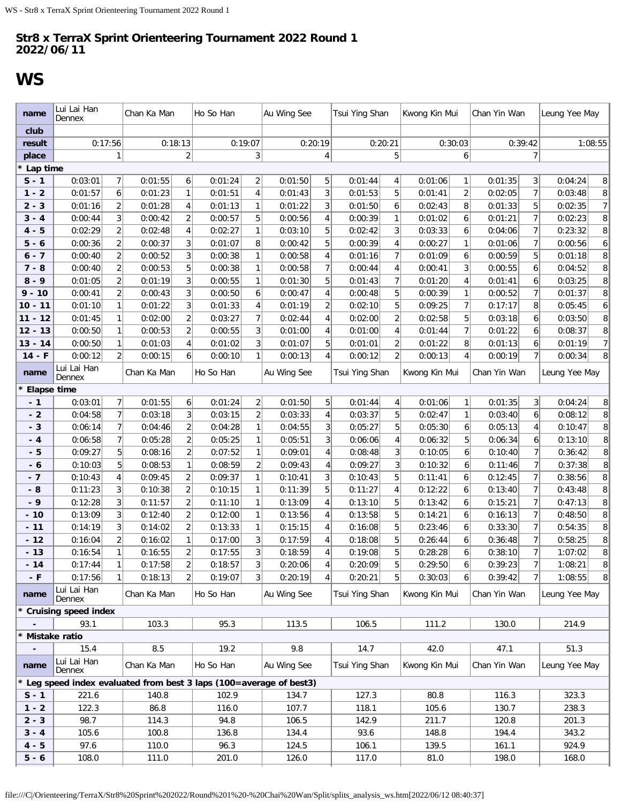## <span id="page-20-0"></span>**WS**

| name               | Lui Lai Han<br>Dennex                                               |                | Chan Ka Man |                | Ho So Han |                | Au Wing See |                | Tsui Ying Shan |                | Kwong Kin Mui |                | Chan Yin Wan |                | Leung Yee May |                |
|--------------------|---------------------------------------------------------------------|----------------|-------------|----------------|-----------|----------------|-------------|----------------|----------------|----------------|---------------|----------------|--------------|----------------|---------------|----------------|
| club               |                                                                     |                |             |                |           |                |             |                |                |                |               |                |              |                |               |                |
| result             | 0:17:56                                                             |                |             | 0:18:13        |           | 0:19:07        |             | 0:20:19        |                | 0:20:21        |               | 0:30:03        |              | 0:39:42        | 1:08:55       |                |
| place              |                                                                     |                |             | $\overline{2}$ |           | 3              |             | 4              |                | 5              |               | 6              |              | $\overline{7}$ |               |                |
| Lap time           |                                                                     |                |             |                |           |                |             |                |                |                |               |                |              |                |               |                |
| $S - 1$            | 0:03:01                                                             | $\overline{7}$ | 0:01:55     | 6              | 0:01:24   | $\overline{c}$ | 0:01:50     | 5              | 0:01:44        | $\overline{4}$ | 0:01:06       | $\mathbf{1}$   | 0:01:35      | 3              | 0:04:24       | 8              |
| $1 - 2$            | 0:01:57                                                             | 6 <sup>1</sup> | 0:01:23     | 1              | 0:01:51   | $\overline{4}$ | 0:01:43     | 3              | 0:01:53        | 5              | 0:01:41       | $\overline{2}$ | 0:02:05      | $\overline{7}$ | 0:03:48       | 8              |
| $2 - 3$            | 0:01:16                                                             | $\overline{2}$ | 0:01:28     | 4              | 0:01:13   | $\mathbf{1}$   | 0:01:22     | 3              | 0:01:50        | 6              | 0:02:43       | 8              | 0:01:33      | 5              | 0:02:35       | $\overline{7}$ |
| $3 - 4$            | 0:00:44                                                             | 3              | 0:00:42     | $\overline{2}$ | 0:00:57   | 5              | 0:00:56     | 4              | 0:00:39        | $\mathbf{1}$   | 0:01:02       | 6              | 0:01:21      | $\overline{7}$ | 0:02:23       | 8              |
| $4 - 5$            | 0:02:29                                                             | $\overline{2}$ | 0:02:48     | 4              | 0:02:27   | $\mathbf{1}$   | 0:03:10     | 5              | 0:02:42        | 3              | 0:03:33       | 6              | 0:04:06      | 7 <sup>1</sup> | 0:23:32       | 8              |
| $5 - 6$            | 0:00:36                                                             | $\overline{2}$ | 0:00:37     | 3              | 0:01:07   | 8              | 0:00:42     | 5              | 0:00:39        | 4              | 0:00:27       | $\mathbf{1}$   | 0:01:06      | $\overline{7}$ | 0:00:56       | 6              |
| $6 - 7$            | 0:00:40                                                             | 2              | 0:00:52     | 3              | 0:00:38   | 1              | 0:00:58     | 4              | 0:01:16        | 7              | 0:01:09       | 6              | 0:00:59      | 5              | 0:01:18       | 8              |
| $7 - 8$            | 0:00:40                                                             | $\overline{2}$ | 0:00:53     | 5              | 0:00:38   | $\mathbf{1}$   | 0:00:58     | $\overline{7}$ | 0:00:44        | 4              | 0:00:41       | 3              | 0:00:55      | 6              | 0:04:52       | 8              |
| $8 - 9$            | 0:01:05                                                             | $\overline{2}$ | 0:01:19     | 3              | 0:00:55   | 1              | 0:01:30     | 5              | 0:01:43        | 7              | 0:01:20       | 4              | 0:01:41      | 6              | 0:03:25       | 8              |
| $9 - 10$           | 0:00:41                                                             | $\overline{2}$ | 0:00:43     | 3              | 0:00:50   | 6              | 0:00:47     | 4              | 0:00:48        | 5              | 0:00:39       | $\mathbf{1}$   | 0:00:52      | $\overline{7}$ | 0:01:37       | 8              |
| $10 - 11$          | 0:01:10                                                             | 1              | 0:01:22     | 3              | 0:01:33   | 4              | 0:01:19     | $\overline{2}$ | 0:02:10        | 5              | 0:09:25       | $\overline{7}$ | 0:17:17      | 8              | 0:05:45       | 6              |
| $11 - 12$          | 0:01:45                                                             | 1              | 0:02:00     | $\overline{c}$ | 0:03:27   | $\overline{7}$ | 0:02:44     | 4              | 0:02:00        | $\overline{2}$ | 0:02:58       | 5              | 0:03:18      | 6              | 0:03:50       | 8              |
| $12 - 13$          | 0:00:50                                                             | $\mathbf{1}$   | 0:00:53     | $\overline{2}$ | 0:00:55   | 3 <sup>1</sup> | 0:01:00     | 4              | 0:01:00        | 4              | 0:01:44       | $\overline{7}$ | 0:01:22      | 6              | 0:08:37       | 8              |
| $13 - 14$          | 0:00:50                                                             | 1              | 0:01:03     | 4              | 0:01:02   | $\overline{3}$ | 0:01:07     | 5              | 0:01:01        | $\overline{2}$ | 0:01:22       | 8              | 0:01:13      | 6              | 0:01:19       | $\overline{7}$ |
| $14 - F$           | 0:00:12                                                             | $\overline{2}$ | 0:00:15     | 6              | 0:00:10   | $\mathbf{1}$   | 0:00:13     | 4              | 0:00:12        | $\overline{2}$ | 0:00:13       | $\overline{4}$ | 0:00:19      | 7 <sup>1</sup> | 0:00:34       | 8              |
| name               | Lui Lai Han<br>Dennex                                               |                | Chan Ka Man |                | Ho So Han |                | Au Wing See |                | Tsui Ying Shan |                | Kwong Kin Mui |                | Chan Yin Wan |                | Leung Yee May |                |
| <b>Elapse time</b> |                                                                     |                |             |                |           |                |             |                |                |                |               |                |              |                |               |                |
| $-1$               | 0:03:01                                                             | 7 <sup>1</sup> | 0:01:55     | 6              | 0:01:24   | $\overline{2}$ | 0:01:50     | 5              | 0:01:44        | 4              | 0:01:06       | 1              | 0:01:35      | 3 <sup>2</sup> | 0:04:24       | 8              |
| $-2$               | 0:04:58                                                             | 7              | 0:03:18     | 3              | 0:03:15   | $\overline{2}$ | 0:03:33     | $\overline{4}$ | 0:03:37        | 5              | 0:02:47       | $\mathbf{1}$   | 0:03:40      | 6 <sup>1</sup> | 0:08:12       | 8              |
| $-3$               | 0:06:14                                                             | 71             | 0:04:46     | $\overline{2}$ | 0:04:28   | 1              | 0:04:55     | 3              | 0:05:27        | 5              | 0:05:30       | 6              | 0:05:13      | 41             | 0:10:47       | 8              |
| - 4                | 0:06:58                                                             | 7              | 0:05:28     | $\overline{2}$ | 0:05:25   | 1              | 0:05:51     | 3              | 0:06:06        | 4              | 0:06:32       | 5              | 0:06:34      | 6 <sup>1</sup> | 0:13:10       | 8              |
| - 5                | 0:09:27                                                             | 5 <sup>1</sup> | 0:08:16     | $\overline{2}$ | 0:07:52   | 1              | 0:09:01     | $\overline{4}$ | 0:08:48        | 3              | 0:10:05       | 6              | 0:10:40      | $\overline{7}$ | 0:36:42       | 8              |
| - 6                | 0:10:03                                                             | 5 <sup>1</sup> | 0:08:53     | $\mathbf{1}$   | 0:08:59   | $\overline{2}$ | 0:09:43     | $\overline{4}$ | 0:09:27        | 3              | 0:10:32       | 6              | 0:11:46      | 7 <sup>1</sup> | 0:37:38       | $\bf{8}$       |
| - 7                | 0:10:43                                                             | 4              | 0:09:45     | $\overline{2}$ | 0:09:37   | $\mathbf{1}$   | 0:10:41     | 3              | 0:10:43        | 5              | 0:11:41       | 6              | 0:12:45      | $\overline{7}$ | 0:38:56       | 8              |
| - 8                | 0:11:23                                                             | 3 <sup>1</sup> | 0:10:38     | $\overline{2}$ | 0:10:15   | $\mathbf{1}$   | 0:11:39     | 5              | 0:11:27        | 4              | 0:12:22       | 6              | 0:13:40      | $\overline{7}$ | 0:43:48       | 8              |
| $-9$               | 0:12:28                                                             | 3              | 0:11:57     | $\sqrt{2}$     | 0:11:10   | $\mathbf{1}$   | 0:13:09     | 4              | 0:13:10        | 5              | 0:13:42       | 6              | 0:15:21      | $\overline{7}$ | 0:47:13       | $\, 8$         |
| $-10$              | 0:13:09                                                             | 3              | 0:12:40     | $\overline{2}$ | 0:12:00   | 1              | 0:13:56     | 4              | 0:13:58        | 5              | 0:14:21       | 6              | 0:16:13      | $\overline{7}$ | 0:48:50       | 8              |
| $-11$              | 0:14:19                                                             | 3              | 0:14:02     | $\overline{2}$ | 0:13:33   | 1              | 0:15:15     | 4              | 0:16:08        | 5              | 0:23:46       | 6              | 0:33:30      | $\overline{7}$ | 0:54:35       | 8              |
| $-12$              | 0:16:04                                                             | $\overline{2}$ | 0:16:02     | 1              | 0:17:00   | 3              | 0:17:59     | 4              | 0:18:08        | 5              | 0:26:44       | 6              | 0:36:48      | $\overline{7}$ | 0:58:25       | 8              |
| $-13$              | 0:16:54                                                             | 1              | 0:16:55     | $\overline{2}$ | 0:17:55   | 3              | 0:18:59     | 4              | 0:19:08        | 5              | 0:28:28       | 6              | 0:38:10      | $\overline{7}$ | 1:07:02       | 8              |
| $-14$              | 0:17:44                                                             | 1              | 0:17:58     | $\overline{c}$ | 0:18:57   | 3 <sup>1</sup> | 0:20:06     | 4              | 0:20:09        | 5              | 0:29:50       | 6              | 0:39:23      | 7 <sup>1</sup> | 1:08:21       | 8 <sup>1</sup> |
| $-F$               | 0:17:56                                                             | 1              | 0:18:13     | 2              | 0:19:07   | $\overline{3}$ | 0:20:19     | 4              | 0:20:21        | 5              | 0:30:03       | 6              | 0:39:42      | 7 <sup>1</sup> | 1:08:55       | 8 <sup>1</sup> |
| name               | Lui Lai Han<br>Dennex                                               |                | Chan Ka Man |                | Ho So Han |                | Au Wing See |                | Tsui Ying Shan |                | Kwong Kin Mui |                | Chan Yin Wan |                | Leung Yee May |                |
|                    | <b>Cruising speed index</b>                                         |                |             |                |           |                |             |                |                |                |               |                |              |                |               |                |
|                    | 93.1                                                                |                | 103.3       |                | 95.3      |                | 113.5       |                | 106.5          |                | 111.2         |                | 130.0        |                | 214.9         |                |
|                    | Mistake ratio                                                       |                |             |                |           |                |             |                |                |                |               |                |              |                |               |                |
|                    | 15.4                                                                |                | 8.5         |                | 19.2      |                | 9.8         |                | 14.7           |                | 42.0          |                | 47.1         |                | 51.3          |                |
| name               | Lui Lai Han<br>Dennex                                               |                | Chan Ka Man |                | Ho So Han |                | Au Wing See |                | Tsui Ying Shan |                | Kwong Kin Mui |                | Chan Yin Wan |                | Leung Yee May |                |
|                    | * Leg speed index evaluated from best 3 laps (100=average of best3) |                |             |                |           |                |             |                |                |                |               |                |              |                |               |                |
| $S - 1$            | 221.6                                                               |                | 140.8       |                | 102.9     |                | 134.7       |                | 127.3          |                | 80.8          |                | 116.3        |                | 323.3         |                |
| $1 - 2$            | 122.3                                                               |                | 86.8        |                | 116.0     |                | 107.7       |                | 118.1          |                | 105.6         |                | 130.7        |                | 238.3         |                |
| $2 - 3$            | 98.7                                                                |                | 114.3       |                | 94.8      |                | 106.5       |                | 142.9          |                | 211.7         |                | 120.8        |                | 201.3         |                |
| $3 - 4$            | 105.6                                                               |                | 100.8       |                | 136.8     |                | 134.4       |                | 93.6           |                | 148.8         |                | 194.4        |                | 343.2         |                |
| $4 - 5$            | 97.6                                                                |                | 110.0       |                | 96.3      |                | 124.5       |                | 106.1          |                | 139.5         |                | 161.1        |                | 924.9         |                |
| $5 - 6$            | 108.0                                                               |                | 111.0       |                | 201.0     |                | 126.0       |                | 117.0          |                | 81.0          |                | 198.0        |                | 168.0         |                |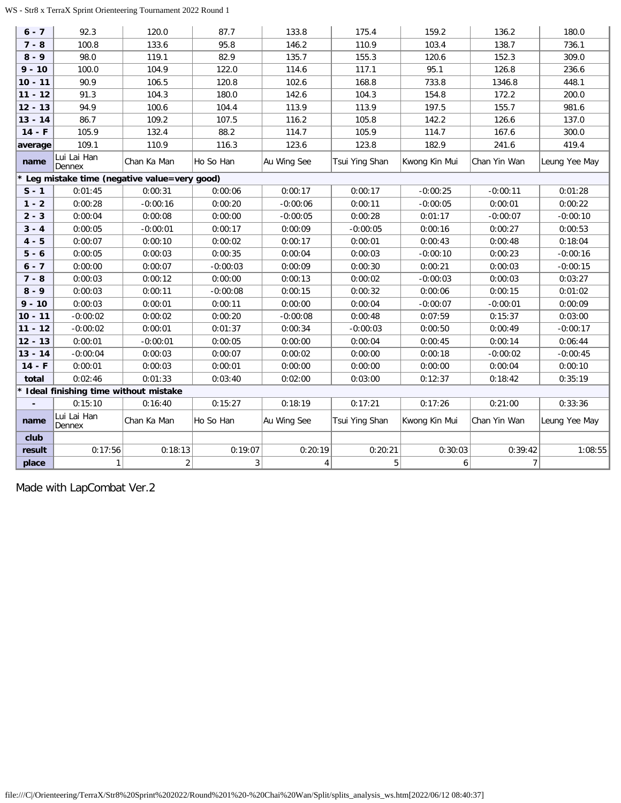### WS - Str8 x TerraX Sprint Orienteering Tournament 2022 Round 1

| $6 - 7$   | 92.3                                   | 120.0                                         | 87.7         | 133.8          | 175.4          | 159.2            | 136.2          | 180.0         |
|-----------|----------------------------------------|-----------------------------------------------|--------------|----------------|----------------|------------------|----------------|---------------|
| $7 - 8$   | 100.8                                  | 133.6                                         | 95.8         | 146.2          | 110.9          | 103.4            | 138.7          | 736.1         |
| $8 - 9$   | 98.0                                   | 119.1                                         | 82.9         | 135.7          | 155.3          | 120.6            | 152.3          | 309.0         |
| $9 - 10$  | 100.0                                  | 104.9                                         | 122.0        | 114.6          | 117.1          | 95.1             | 126.8          | 236.6         |
| $10 - 11$ | 90.9                                   | 106.5                                         | 120.8        | 102.6          | 168.8          | 733.8            | 1346.8         | 448.1         |
| $11 - 12$ | 91.3                                   | 104.3                                         | 180.0        | 142.6          | 104.3          | 154.8            | 172.2          | 200.0         |
| $12 - 13$ | 94.9                                   | 100.6                                         | 104.4        | 113.9          | 113.9          | 197.5            | 155.7          | 981.6         |
| $13 - 14$ | 86.7                                   | 109.2                                         | 107.5        | 116.2          | 105.8          | 142.2            | 126.6          | 137.0         |
| $14 - F$  | 105.9                                  | 132.4                                         | 88.2         | 114.7          | 105.9          | 114.7            | 167.6          | 300.0         |
| average   | 109.1                                  | 110.9                                         | 116.3        | 123.6          | 123.8          | 182.9            | 241.6          | 419.4         |
| name      | Lui Lai Han<br>Dennex                  | Chan Ka Man                                   | Ho So Han    | Au Wing See    | Tsui Ying Shan | Kwong Kin Mui    | Chan Yin Wan   | Leung Yee May |
|           |                                        | * Leg mistake time (negative value=very good) |              |                |                |                  |                |               |
| $S - 1$   | 0:01:45                                | 0:00:31                                       | 0:00:06      | 0:00:17        | 0:00:17        | $-0:00:25$       | $-0:00:11$     | 0:01:28       |
| $1 - 2$   | 0:00:28                                | $-0:00:16$                                    | 0:00:20      | $-0:00:06$     | 0:00:11        | $-0:00:05$       | 0:00:01        | 0:00:22       |
| $2 - 3$   | 0:00:04                                | 0:00:08                                       | 0:00:00      | $-0:00:05$     | 0:00:28        | 0:01:17          | $-0:00:07$     | $-0:00:10$    |
| $3 - 4$   | 0:00:05                                | $-0:00:01$                                    | 0:00:17      | 0:00:09        | $-0:00:05$     | 0:00:16          | 0:00:27        | 0:00:53       |
| $4 - 5$   | 0:00:07                                | 0:00:10                                       | 0:00:02      | 0:00:17        | 0:00:01        | 0:00:43          | 0:00:48        | 0:18:04       |
| $5 - 6$   | 0:00:05                                | 0:00:03                                       | 0:00:35      | 0:00:04        | 0:00:03        | $-0:00:10$       | 0:00:23        | $-0:00:16$    |
| $6 - 7$   | 0:00:00                                | 0:00:07                                       | $-0:00:03$   | 0:00:09        | 0:00:30        | 0:00:21          | 0:00:03        | $-0:00:15$    |
| $7 - 8$   | 0:00:03                                | 0:00:12                                       | 0:00:00      | 0:00:13        | 0:00:02        | $-0:00:03$       | 0:00:03        | 0:03:27       |
| $8 - 9$   | 0:00:03                                | 0:00:11                                       | $-0:00:08$   | 0:00:15        | 0:00:32        | 0:00:06          | 0:00:15        | 0:01:02       |
| $9 - 10$  | 0:00:03                                | 0:00:01                                       | 0:00:11      | 0:00:00        | 0:00:04        | $-0:00:07$       | $-0:00:01$     | 0:00:09       |
| $10 - 11$ | $-0:00:02$                             | 0:00:02                                       | 0:00:20      | $-0:00:08$     | 0:00:48        | 0:07:59          | 0:15:37        | 0:03:00       |
| $11 - 12$ | $-0:00:02$                             | 0:00:01                                       | 0:01:37      | 0:00:34        | $-0:00:03$     | 0:00:50          | 0:00:49        | $-0:00:17$    |
| $12 - 13$ | 0:00:01                                | $-0:00:01$                                    | 0:00:05      | 0:00:00        | 0:00:04        | 0:00:45          | 0:00:14        | 0:06:44       |
| $13 - 14$ | $-0:00:04$                             | 0:00:03                                       | 0:00:07      | 0:00:02        | 0:00:00        | 0:00:18          | $-0:00:02$     | $-0:00:45$    |
| $14 - F$  | 0:00:01                                | 0:00:03                                       | 0:00:01      | 0:00:00        | 0:00:00        | 0:00:00          | 0:00:04        | 0:00:10       |
| total     | 0:02:46                                | 0:01:33                                       | 0:03:40      | 0:02:00        | 0:03:00        | 0:12:37          | 0:18:42        | 0:35:19       |
|           | * Ideal finishing time without mistake |                                               |              |                |                |                  |                |               |
|           | 0:15:10                                | 0:16:40                                       | 0:15:27      | 0:18:19        | 0:17:21        | 0:17:26          | 0:21:00        | 0:33:36       |
| name      | Lui Lai Han<br>Dennex                  | Chan Ka Man                                   | Ho So Han    | Au Wing See    | Tsui Ying Shan | Kwong Kin Mui    | Chan Yin Wan   | Leung Yee May |
| club      |                                        |                                               |              |                |                |                  |                |               |
| result    | 0:17:56                                | 0:18:13                                       | 0:19:07      | 0:20:19        | 0:20:21        | 0:30:03          | 0:39:42        | 1:08:55       |
| place     | $\mathbf{1}$                           | $\overline{2}$                                | $\mathbf{3}$ | 4 <sup>1</sup> | $\sqrt{5}$     | $\boldsymbol{6}$ | $\overline{7}$ |               |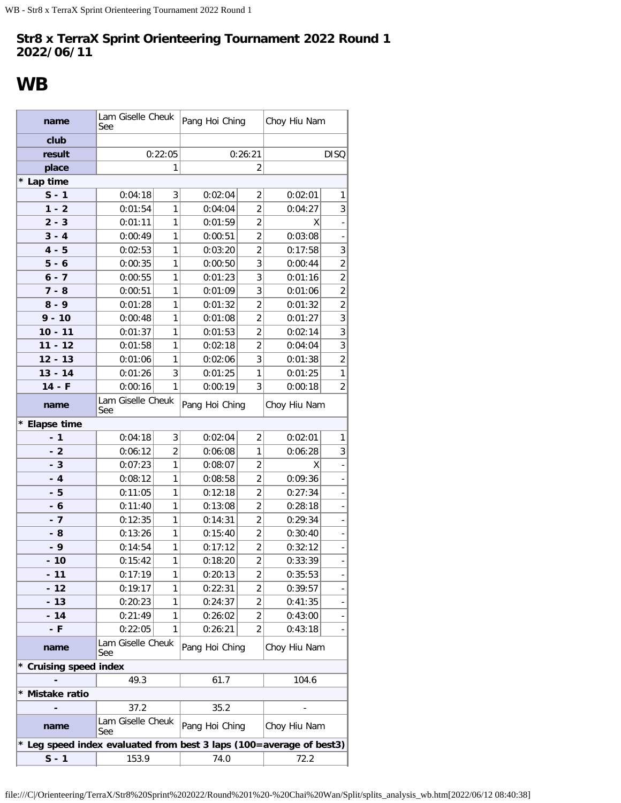## <span id="page-22-0"></span>**WB**

| name                                                                | Lam Giselle Cheuk<br>See |                | Pang Hoi Ching |                | Choy Hiu Nam |                              |
|---------------------------------------------------------------------|--------------------------|----------------|----------------|----------------|--------------|------------------------------|
| club                                                                |                          |                |                |                |              |                              |
| result                                                              |                          | 0:22:05        |                | 0:26:21        |              | <b>DISQ</b>                  |
| place                                                               |                          | 1              |                | $\overline{2}$ |              |                              |
| * Lap time                                                          |                          |                |                |                |              |                              |
| $S - 1$                                                             | 0:04:18                  | 3              | 0:02:04        | 2              | 0:02:01      | 1                            |
| $1 - 2$                                                             | 0:01:54                  | 1              | 0:04:04        | $\overline{2}$ | 0:04:27      | 3                            |
| $2 - 3$                                                             | 0:01:11                  | 1              | 0:01:59        | $\overline{2}$ | X            |                              |
| $3 - 4$                                                             | 0:00:49                  | 1              | 0:00:51        | $\overline{2}$ | 0:03:08      |                              |
| $4 - 5$                                                             | 0:02:53                  | 1              | 0:03:20        | $\overline{2}$ | 0:17:58      | 3                            |
| $5 - 6$                                                             | 0:00:35                  | 1              | 0:00:50        | 3              | 0:00:44      | $\overline{2}$               |
| $6 - 7$                                                             | 0:00:55                  | 1              | 0:01:23        | 3              | 0:01:16      | $\overline{2}$               |
| $7 - 8$                                                             | 0:00:51                  | 1              | 0:01:09        | 3              | 0:01:06      | $\overline{2}$               |
| $8 - 9$                                                             | 0:01:28                  | 1              | 0:01:32        | $\overline{2}$ | 0:01:32      | $\overline{2}$               |
| $9 - 10$                                                            | 0:00:48                  | 1              | 0:01:08        | $\overline{2}$ | 0:01:27      | $\overline{3}$               |
| $10 - 11$                                                           | 0:01:37                  | 1              | 0:01:53        | $\overline{2}$ | 0:02:14      | $\overline{3}$               |
| $11 - 12$                                                           | 0:01:58                  | 1              | 0:02:18        | $\overline{2}$ | 0:04:04      | $\overline{3}$               |
| $12 - 13$                                                           | 0:01:06                  | 1              | 0:02:06        | 3              | 0:01:38      | $\overline{2}$               |
| $13 - 14$                                                           | 0:01:26                  | 3              | 0:01:25        | $\mathbf{1}$   | 0:01:25      | $\mathbf{1}$                 |
| $14 - F$                                                            | 0:00:16                  | 1              | 0:00:19        | 3              | 0:00:18      | $\overline{2}$               |
| name                                                                | Lam Giselle Cheuk<br>See |                | Pang Hoi Ching |                | Choy Hiu Nam |                              |
| * Elapse time                                                       |                          |                |                |                |              |                              |
| $-1$                                                                | 0:04:18                  | 3              | 0:02:04        | $\overline{2}$ | 0:02:01      | 1                            |
| - 2                                                                 | 0:06:12                  | $\overline{2}$ | 0:06:08        | 1              | 0:06:28      | 3                            |
| $-3$                                                                | 0:07:23                  | 1              | 0:08:07        | $\overline{2}$ | Χ            |                              |
| $-4$                                                                | 0:08:12                  | 1              | 0:08:58        | $\overline{2}$ | 0:09:36      |                              |
| - 5                                                                 | 0:11:05                  | 1              | 0:12:18        | $\overline{2}$ | 0:27:34      |                              |
| - 6                                                                 | 0:11:40                  | 1              | 0:13:08        | 2              | 0:28:18      |                              |
| $-7$                                                                | 0:12:35                  | 1              | 0:14:31        | 2              | 0:29:34      |                              |
| - 8                                                                 | 0:13:26                  | 1              | 0:15:40        | $\overline{2}$ | 0:30:40      |                              |
| $-9$                                                                | 0:14:54                  | 1              | 0:17:12        | $\overline{c}$ | 0:32:12      | ÷,                           |
| - 10                                                                | 0:15:42                  | 1              | 0:18:20        | $\overline{2}$ | 0:33:39      |                              |
| - 11                                                                | 0:17:19                  | 1              | 0:20:13        | 2              | 0:35:53      |                              |
| $-12$                                                               | 0:19:17                  | 1              | 0:22:31        | 2              | 0:39:57      |                              |
| - 13                                                                | 0:20:23                  | 1              | 0:24:37        | 2              | 0:41:35      |                              |
| $-14$                                                               | 0:21:49                  | 1              | 0:26:02        | 2              | 0:43:00      | $\qquad \qquad \blacksquare$ |
| - F                                                                 | 0:22:05                  | 1              | 0:26:21        | 2              | 0:43:18      |                              |
| name                                                                | Lam Giselle Cheuk<br>See |                | Pang Hoi Ching |                | Choy Hiu Nam |                              |
| * Cruising speed index                                              |                          |                |                |                |              |                              |
|                                                                     | 49.3                     |                | 61.7           |                | 104.6        |                              |
| * Mistake ratio                                                     |                          |                |                |                |              |                              |
|                                                                     | 37.2                     |                | 35.2           |                |              |                              |
| name                                                                | Lam Giselle Cheuk<br>See |                | Pang Hoi Ching |                | Choy Hiu Nam |                              |
| * Leg speed index evaluated from best 3 laps (100=average of best3) |                          |                |                |                |              |                              |
| $S - 1$                                                             | 153.9                    |                | 74.0           |                | 72.2         |                              |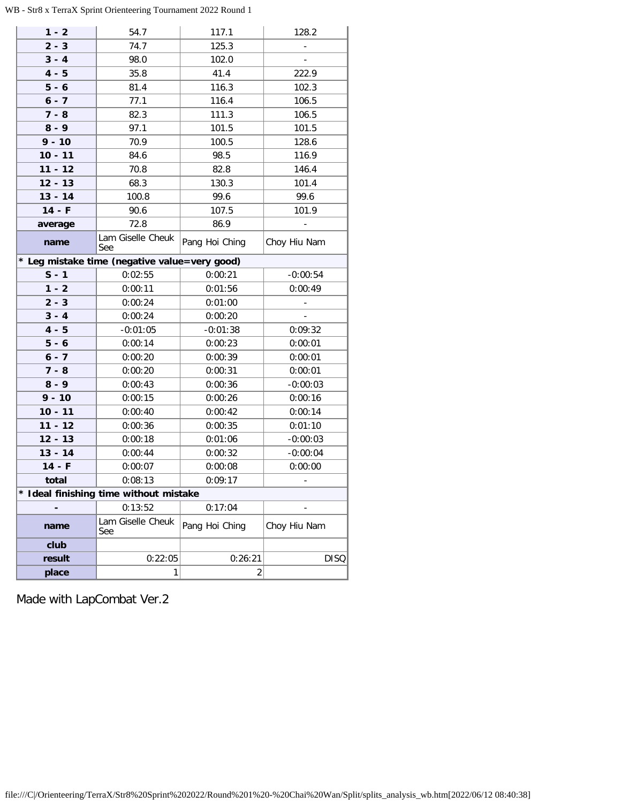## WB - Str8 x TerraX Sprint Orienteering Tournament 2022 Round 1

in L

| $1 - 2$   | 54.7                                          | 117.1          | 128.2                    |
|-----------|-----------------------------------------------|----------------|--------------------------|
| $2 - 3$   | 74.7                                          | 125.3          | $\blacksquare$           |
| $3 - 4$   | 98.0                                          | 102.0          | $\overline{\phantom{a}}$ |
| $4 - 5$   | 35.8                                          | 41.4           | 222.9                    |
| $5 - 6$   | 81.4                                          | 116.3          | 102.3                    |
| $6 - 7$   | 77.1                                          | 116.4          | 106.5                    |
| $7 - 8$   | 82.3                                          | 111.3          | 106.5                    |
| $8 - 9$   | 97.1                                          | 101.5          | 101.5                    |
| $9 - 10$  | 70.9                                          | 100.5          | 128.6                    |
| $10 - 11$ | 84.6                                          | 98.5           | 116.9                    |
| $11 - 12$ | 70.8                                          | 82.8           | 146.4                    |
| $12 - 13$ | 68.3                                          | 130.3          | 101.4                    |
| $13 - 14$ | 100.8                                         | 99.6           | 99.6                     |
| $14 - F$  | 90.6                                          | 107.5          | 101.9                    |
| average   | 72.8                                          | 86.9           | $\Box$                   |
| name      | Lam Giselle Cheuk<br>See                      | Pang Hoi Ching | Choy Hiu Nam             |
|           | * Leg mistake time (negative value=very good) |                |                          |
| $S - 1$   | 0:02:55                                       | 0:00:21        | $-0:00:54$               |
| $1 - 2$   | 0:00:11                                       | 0:01:56        | 0:00:49                  |
| $2 - 3$   | 0:00:24                                       | 0:01:00        | $\blacksquare$           |
| $3 - 4$   | 0:00:24                                       | 0:00:20        | $\overline{a}$           |
| $4 - 5$   | $-0:01:05$                                    | $-0:01:38$     | 0:09:32                  |
| $5 - 6$   | 0:00:14                                       | 0:00:23        | 0:00:01                  |
| $6 - 7$   | 0:00:20                                       | 0:00:39        | 0:00:01                  |
| $7 - 8$   | 0:00:20                                       | 0:00:31        | 0:00:01                  |
| $8 - 9$   | 0:00:43                                       | 0:00:36        | $-0:00:03$               |
| $9 - 10$  | 0:00:15                                       | 0:00:26        | 0:00:16                  |
| $10 - 11$ | 0:00:40                                       | 0:00:42        | 0:00:14                  |
| $11 - 12$ | 0:00:36                                       | 0:00:35        | 0:01:10                  |
| $12 - 13$ | 0:00:18                                       | 0:01:06        | $-0:00:03$               |
| $13 - 14$ | 0:00:44                                       | 0:00:32        | $-0:00:04$               |
| $14 - F$  | 0:00:07                                       | 0:00:08        | 0:00:00                  |
| total     | 0:08:13                                       | 0:09:17        |                          |
|           | Ideal finishing time without mistake          |                |                          |
|           | 0:13:52                                       | 0:17:04        |                          |
| name      | Lam Giselle Cheuk<br>See                      | Pang Hoi Ching | Choy Hiu Nam             |
| club      |                                               |                |                          |
| result    | 0:22:05                                       | 0:26:21        | <b>DISQ</b>              |
| place     | 1                                             | 2              |                          |
|           |                                               |                |                          |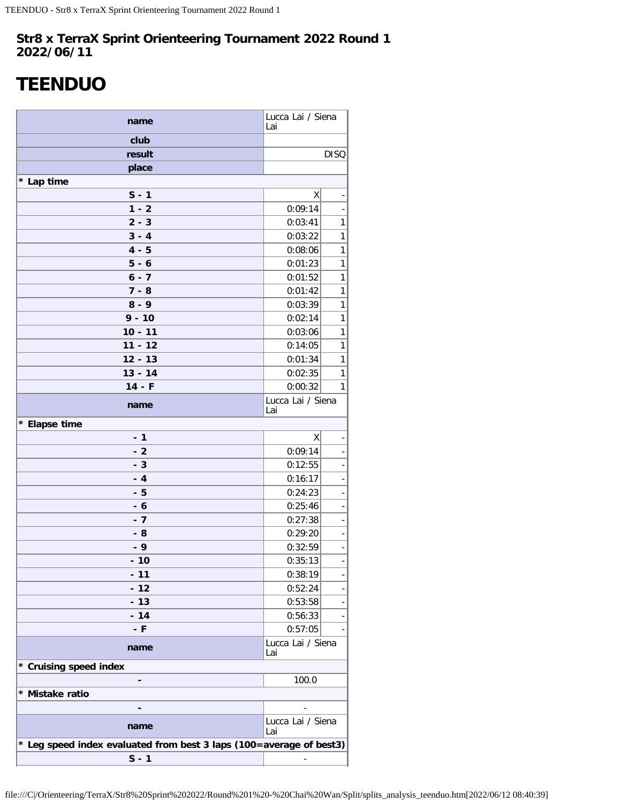## <span id="page-24-0"></span>**TEENDUO**

| name                                                                | Lucca Lai / Siena<br>Lai |                              |  |  |  |  |
|---------------------------------------------------------------------|--------------------------|------------------------------|--|--|--|--|
| club                                                                |                          |                              |  |  |  |  |
| result                                                              |                          | <b>DISQ</b>                  |  |  |  |  |
| place                                                               |                          |                              |  |  |  |  |
| * Lap time                                                          |                          |                              |  |  |  |  |
| $S - 1$                                                             | Χ                        |                              |  |  |  |  |
| $1 - 2$                                                             | 0:09:14                  | ÷                            |  |  |  |  |
| $2 - 3$                                                             | 0:03:41                  | $\mathbf{1}$                 |  |  |  |  |
| $3 - 4$                                                             | 0:03:22                  | $\mathbf{1}$                 |  |  |  |  |
| $4 - 5$                                                             | 0:08:06                  | $\mathbf{1}$                 |  |  |  |  |
| $5 - 6$                                                             | 0:01:23                  | $\mathbf{1}$                 |  |  |  |  |
| $6 - 7$                                                             | 0:01:52                  | 1                            |  |  |  |  |
| $7 - 8$                                                             | 0:01:42                  | $\mathbf{1}$                 |  |  |  |  |
| $8 - 9$                                                             | 0:03:39                  | 1                            |  |  |  |  |
| $9 - 10$                                                            | 0:02:14                  | $\mathbf{1}$                 |  |  |  |  |
| $10 - 11$                                                           | 0:03:06                  | $\mathbf{1}$                 |  |  |  |  |
| $11 - 12$                                                           | 0:14:05                  | $\mathbf{1}$                 |  |  |  |  |
| $12 - 13$<br>$13 - 14$                                              | 0:01:34<br>0:02:35       | 1<br>1                       |  |  |  |  |
| $14 - F$                                                            | 0:00:32                  | $\mathbf{1}$                 |  |  |  |  |
|                                                                     | Lucca Lai / Siena        |                              |  |  |  |  |
| name                                                                | Lai                      |                              |  |  |  |  |
| * Elapse time                                                       |                          |                              |  |  |  |  |
| - 1                                                                 | X                        |                              |  |  |  |  |
| - 2                                                                 | 0:09:14                  |                              |  |  |  |  |
| $-3$                                                                | 0:12:55                  |                              |  |  |  |  |
| - 4                                                                 | 0:16:17                  | $\blacksquare$               |  |  |  |  |
| - 5                                                                 | 0:24:23                  |                              |  |  |  |  |
| - 6                                                                 | 0:25:46                  | $\overline{\phantom{m}}$     |  |  |  |  |
| $-7$                                                                | 0:27:38                  | $\overline{\phantom{a}}$     |  |  |  |  |
| - 8                                                                 | 0:29:20                  | ۰                            |  |  |  |  |
| - 9                                                                 | 0:32:59                  | $\qquad \qquad \blacksquare$ |  |  |  |  |
| - 10                                                                | 0:35:13                  | $\overline{\phantom{a}}$     |  |  |  |  |
| $-11$                                                               | 0:38:19                  |                              |  |  |  |  |
| $-12$<br>$-13$                                                      | 0:52:24                  |                              |  |  |  |  |
| $-14$                                                               | 0:53:58<br>0:56:33       |                              |  |  |  |  |
| - F                                                                 | 0:57:05                  | $\blacksquare$               |  |  |  |  |
|                                                                     | Lucca Lai / Siena        |                              |  |  |  |  |
| name                                                                | Lai                      |                              |  |  |  |  |
| * Cruising speed index                                              |                          |                              |  |  |  |  |
|                                                                     | 100.0                    |                              |  |  |  |  |
| * Mistake ratio                                                     |                          |                              |  |  |  |  |
|                                                                     |                          |                              |  |  |  |  |
| name                                                                | Lucca Lai / Siena<br>Lai |                              |  |  |  |  |
| * Leg speed index evaluated from best 3 laps (100=average of best3) |                          |                              |  |  |  |  |
| $S - 1$                                                             |                          |                              |  |  |  |  |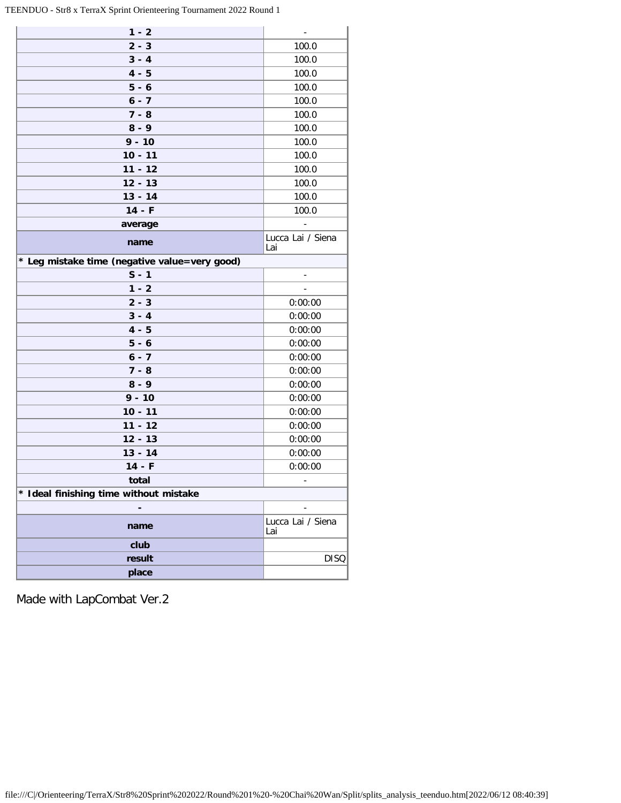TEENDUO - Str8 x TerraX Sprint Orienteering Tournament 2022 Round 1

÷.

| $1 - 2$                                       | $\blacksquare$           |
|-----------------------------------------------|--------------------------|
| $2 - 3$                                       | 100.0                    |
| $3 - 4$                                       | 100.0                    |
| $4 - 5$                                       | 100.0                    |
| $5 - 6$                                       | 100.0                    |
| $6 - 7$                                       | 100.0                    |
| $7 - 8$                                       | 100.0                    |
| $8 - 9$                                       | 100.0                    |
| $9 - 10$                                      | 100.0                    |
| $10 - 11$                                     | 100.0                    |
| $11 - 12$                                     | 100.0                    |
| $12 - 13$                                     | 100.0                    |
| $13 - 14$                                     | 100.0                    |
| $14 - F$                                      | 100.0                    |
| average                                       |                          |
| name                                          | Lucca Lai / Siena<br>Lai |
| * Leg mistake time (negative value=very good) |                          |
| $S - 1$                                       | $\blacksquare$           |
| $1 - 2$                                       |                          |
| $2 - 3$                                       | 0:00:00                  |
| $3 - 4$                                       | 0:00:00                  |
| $4 - 5$                                       | 0:00:00                  |
| $5 - 6$                                       | 0:00:00                  |
| $6 - 7$                                       | 0:00:00                  |
| $7 - 8$                                       | 0:00:00                  |
| $8 - 9$                                       | 0:00:00                  |
| $9 - 10$                                      | 0:00:00                  |
| $10 - 11$                                     | 0:00:00                  |
| $11 - 12$                                     | 0:00:00                  |
| $12 - 13$                                     | 0:00:00                  |
| $13 - 14$                                     | 0:00:00                  |
| $14 - F$                                      | 0:00:00                  |
| total                                         |                          |
| * Ideal finishing time without mistake        |                          |
|                                               |                          |
| name                                          | Lucca Lai / Siena<br>Lai |
| club                                          |                          |
|                                               |                          |
| result                                        | <b>DISQ</b>              |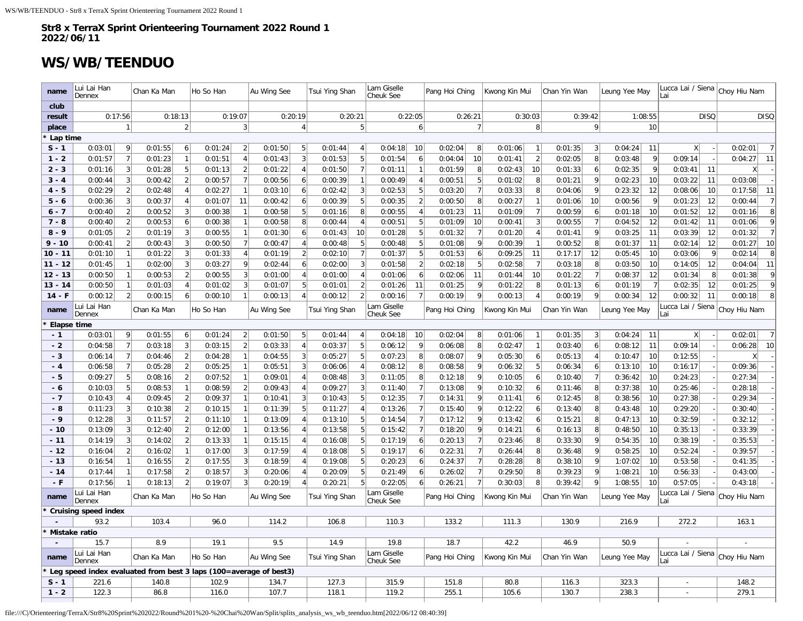## **WS/WB/TEENDUO**

| name               | Lui Lai Han<br>Dennex                                             |                | Chan Ka Man        |                     | Ho So Han          |                | Au Wing See        |                | Tsui Ying Shan     |                | Lam Giselle<br>Cheuk See |                     | Pang Hoi Ching     |                 | Kwong Kin Mui      |                                  | Chan Yin Wan       |                     | Leung Yee May      |                 | Lucca Lai / Siena<br>Lai     |             | Choy Hiu Nam       |                     |
|--------------------|-------------------------------------------------------------------|----------------|--------------------|---------------------|--------------------|----------------|--------------------|----------------|--------------------|----------------|--------------------------|---------------------|--------------------|-----------------|--------------------|----------------------------------|--------------------|---------------------|--------------------|-----------------|------------------------------|-------------|--------------------|---------------------|
| club               |                                                                   |                |                    |                     |                    |                |                    |                |                    |                |                          |                     |                    |                 |                    |                                  |                    |                     |                    |                 |                              |             |                    |                     |
| result             | 0:17:56                                                           |                | 0:18:13            |                     |                    | 0:19:07        |                    | 0:20:19        | 0:20:21            |                |                          | 0:22:05             |                    | 0:26:21         | 0:30:03            |                                  |                    | 0:39:42             | 1:08:55            |                 |                              | <b>DISQ</b> |                    | <b>DISQ</b>         |
| place              |                                                                   |                |                    | $\overline{2}$      |                    | 3              |                    | $\overline{4}$ |                    | 5              |                          | 6                   |                    | 7               |                    | 8                                |                    | 9                   |                    | 10              |                              |             |                    |                     |
| Lap time           |                                                                   |                |                    |                     |                    |                |                    |                |                    |                |                          |                     |                    |                 |                    |                                  |                    |                     |                    |                 |                              |             |                    |                     |
| $S - 1$            | 0:03:01                                                           | 9              | 0:01:55            | 6                   | 0:01:24            | $\overline{2}$ | 0:01:50            | 5              | 0:01:44            | $\overline{4}$ | 0:04:18                  | 10                  | 0:02:04            | 8 <sup>1</sup>  | 0:01:06            | $\mathbf{1}$                     | 0:01:35            | 3                   | 0:04:24            | 11              | x                            |             | 0:02:01            | $\overline{7}$      |
| $1 - 2$            | 0:01:57                                                           | $\overline{7}$ | 0:01:23            |                     | 0:01:51            | $\overline{4}$ | 0:01:43            | 3              | 0:01:53            | 5              | 0:01:54                  | 6                   | 0:04:04            | 10              | 0:01:41            | $\overline{2}$                   | 0:02:05            | 8                   | 0:03:48            | $\vert$         | 0:09:14                      |             | 0:04:27            | 11                  |
| $2 - 3$            | 0:01:16                                                           | 3              | 0:01:28            | 5                   | 0:01:13            | $\overline{2}$ | 0:01:22            | $\overline{4}$ | 0:01:50            |                | 0:01:11                  | $\overline{1}$      | 0:01:59            | 8               | 0:02:43            | 10                               | 0:01:33            | 6                   | 0:02:35            | $\vert 9 \vert$ | 0:03:41                      | 11          | x                  |                     |
| $3 - 4$            | 0:00:44                                                           | $\overline{3}$ | 0:00:42            | $\overline{2}$      | 0:00:57            | $\overline{7}$ | 0:00:56            | 6              | 0:00:39            | $\overline{1}$ | 0:00:49                  | $\overline{4}$      | 0:00:51            | 5 <sub>5</sub>  | 0:01:02            | 8                                | 0:01:21            | 9                   | 0:02:23            | 10              | 0:03:22                      | 11          | 0:03:08            |                     |
| $4 - 5$            | 0:02:29                                                           |                | 0:02:48            | $\overline{4}$      | 0:02:27            | $\overline{1}$ | 0:03:10            | 6              | 0:02:42            | 3              | 0:02:53                  | 5                   | 0:03:20            | $\overline{7}$  | 0:03:33            | 8                                | 0:04:06            | 9                   | 0:23:32            | 12              | 0:08:06                      | 10          | 0:17:58            | 11                  |
| $5 - 6$<br>$6 - 7$ | 0:00:36                                                           | 3              | 0:00:37            | $\overline{4}$<br>3 | 0:01:07            | 11             | 0:00:42            | 6<br>5         | 0:00:39            | 5<br>8         | 0:00:35                  | $\overline{2}$      | 0:00:50            | 8<br>11         | 0:00:27            | $\overline{1}$<br>$\overline{7}$ | 0:01:06            | 10                  | 0:00:56            | 9<br>10         | 0:01:23                      | 12          | 0:00:44            | $\overline{7}$<br>8 |
| $7 - 8$            | 0:00:40<br>0:00:40                                                | $\overline{2}$ | 0:00:52<br>0:00:53 | 6                   | 0:00:38<br>0:00:38 |                | 0:00:58<br>0:00:58 | 8              | 0:01:16<br>0:00:44 | $\overline{4}$ | 0:00:55<br>0:00:51       | $\overline{4}$<br>5 | 0:01:23<br>0:01:09 | 10              | 0:01:09<br>0:00:41 | $\overline{3}$                   | 0:00:59<br>0:00:55 | 6<br>$\overline{7}$ | 0:01:18<br>0:04:52 | 12              | 0:01:52<br>0:01:42           | 12<br>11    | 0:01:16<br>0:01:06 | 9                   |
| $8 - 9$            | 0:01:05                                                           | $\overline{2}$ | 0:01:19            | 3                   | 0:00:55            | $\mathbf{1}$   | 0:01:30            | 6              | 0:01:43            | 10             | 0:01:28                  | 5                   | 0:01:32            | $\overline{7}$  | 0:01:20            | $\overline{4}$                   | 0:01:41            | 9                   | 0:03:25            | 11              | 0:03:39                      | 12          | 0:01:32            | $\overline{7}$      |
| $9 - 10$           | 0:00:41                                                           | $\overline{2}$ | 0:00:43            | 3                   | 0:00:50            | $\overline{7}$ | 0:00:47            | $\overline{4}$ | 0:00:48            | 5              | 0:00:48                  | 5                   | 0:01:08            | 9               | 0:00:39            | $\overline{1}$                   | 0:00:52            | 8                   | 0:01:37            | 11              | 0:02:14                      | 12          | 0:01:27            | 10                  |
| $10 - 11$          | 0:01:10                                                           | $\overline{1}$ | 0:01:22            | 3                   | 0:01:33            | 4              | 0:01:19            | $\overline{2}$ | 0:02:10            | 7              | 0:01:37                  | 5                   | 0:01:53            | 6               | 0:09:25            | 11                               | 0:17:17            | 12                  | 0:05:45            | 10              | 0:03:06                      | 9           | 0:02:14            | 8                   |
| $11 - 12$          | 0:01:45                                                           | $\overline{1}$ | 0:02:00            | $\overline{3}$      | 0:03:27            | 9              | 0:02:44            | 6              | 0:02:00            | 3              | 0:01:58                  | $\vert$ 2           | 0:02:18            | 5               | 0:02:58            | $\overline{7}$                   | 0:03:18            | 8                   | 0:03:50            | 10              | 0:14:05                      | 12          | 0:04:04            | 11                  |
| $12 - 13$          | 0:00:50                                                           | $\overline{1}$ | 0:00:53            | $\overline{2}$      | 0:00:55            | 3              | 0:01:00            | $\overline{4}$ | 0:01:00            | $\overline{4}$ | 0:01:06                  | 6                   | 0:02:06            | 11              | 0:01:44            | 10                               | 0:01:22            | $\overline{7}$      | 0:08:37            | 12              | 0:01:34                      | 8           | 0:01:38            | 9                   |
| $13 - 14$          | 0:00:50                                                           | $\overline{1}$ | 0:01:03            | $\overline{4}$      | 0:01:02            | $\vert$ 3      | 0:01:07            | 5              | 0:01:01            | $\overline{2}$ | 0:01:26                  | 11                  | 0:01:25            | -9              | 0:01:22            | 8                                | 0:01:13            | $6 \mid$            | 0:01:19            | 7               | 0:02:35                      | 12          | 0:01:25            | 9                   |
| $14 - F$           | 0:00:12                                                           | $\overline{2}$ | 0:00:15            | 6                   | 0:00:10            | $\mathbf{1}$   | 0:00:13            | $\overline{4}$ | 0:00:12            | $\overline{2}$ | 0:00:16                  | $\overline{7}$      | 0:00:19            | $\vert 9 \vert$ | 0:00:13            | $\overline{4}$                   | 0:00:19            | 9                   | 0:00:34            | 12              | 0:00:32                      | 11          | 0:00:18            | 8                   |
| name               | Lui Lai Han                                                       |                | Chan Ka Man        |                     | Ho So Han          |                | Au Wing See        |                | Tsui Ying Shan     |                | Lam Giselle<br>Cheuk See |                     | Pang Hoi Ching     |                 | Kwong Kin Mui      |                                  | Chan Yin Wan       |                     | Leung Yee May      |                 | Lucca Lai / Siena<br>Lai     |             | Choy Hiu Nam       |                     |
| <b>Elapse time</b> | Dennex                                                            |                |                    |                     |                    |                |                    |                |                    |                |                          |                     |                    |                 |                    |                                  |                    |                     |                    |                 |                              |             |                    |                     |
| $-1$               | 0:03:01                                                           | 9              | 0:01:55            | 6                   | 0:01:24            | $\overline{2}$ | 0:01:50            | 5              | 0:01:44            | $\overline{4}$ | 0:04:18                  | 10                  | 0:02:04            | 8               | 0:01:06            | $\mathbf{1}$                     | 0:01:35            | $\overline{3}$      | 0:04:24            | 11              | x                            |             | 0:02:01            | $\overline{7}$      |
| $-2$               | 0:04:58                                                           | $\overline{7}$ | 0:03:18            | $\overline{3}$      | 0:03:15            | $\overline{2}$ | 0:03:33            | $\overline{4}$ | 0:03:37            | 5              | 0:06:12                  | 9                   | 0:06:08            | 8               | 0:02:47            | $\mathbf{1}$                     | 0:03:40            | $6 \mid$            | 0:08:12            | 11              | 0:09:14                      |             | 0:06:28            | 10                  |
| $-3$               | 0:06:14                                                           | $\overline{7}$ | 0:04:46            | $\overline{2}$      | 0:04:28            | $\mathbf{1}$   | 0:04:55            | 3              | 0:05:27            | 5              | 0:07:23                  | 8                   | 0:08:07            | -9              | 0:05:30            | 6                                | 0:05:13            | $\overline{4}$      | 0:10:47            | 10              | 0:12:55                      |             | $\mathsf{X}$       |                     |
| $-4$               | 0:06:58                                                           | $\overline{7}$ | 0:05:28            | $\overline{2}$      | 0:05:25            | $\mathbf{1}$   | 0:05:51            | 3              | 0:06:06            | $\overline{4}$ | 0:08:12                  | 8                   | 0:08:58            | 9               | 0:06:32            | 5                                | 0:06:34            | 6                   | 0:13:10            | 10              | 0:16:17                      |             | 0:09:36            |                     |
| $-5$               | 0:09:27                                                           | 5              | 0:08:16            | $\overline{2}$      | 0:07:52            | $\mathbf{1}$   | 0:09:01            | $\overline{4}$ | 0:08:48            | 3              | 0:11:05                  | 8                   | 0:12:18            | 9               | 0:10:05            | 6                                | 0:10:40            | $\overline{7}$      | 0:36:42            | 10              | 0:24:23                      |             | 0:27:34            |                     |
| - 6                | 0:10:03                                                           | 5              | 0:08:53            |                     | 0:08:59            | $\overline{2}$ | 0:09:43            | $\overline{4}$ | 0:09:27            | 3              | 0:11:40                  | $\overline{7}$      | 0:13:08            | 9               | 0:10:32            | 6                                | 0:11:46            | 8 <sup>1</sup>      | 0:37:38            | 10              | 0:25:46                      |             | 0:28:18            |                     |
| $-7$               | 0:10:43                                                           | $\overline{A}$ | 0:09:45            | $\overline{2}$      | 0:09:37            |                | 0:10:41            | $\overline{3}$ | 0:10:43            | 5              | 0:12:35                  | $\overline{7}$      | 0:14:31            | 9               | 0:11:41            | 6                                | 0:12:45            | 8                   | 0:38:56            | 10              | 0:27:38                      |             | 0:29:34            |                     |
| - 8                | 0:11:23                                                           | 3              | 0:10:38            | $\overline{2}$      | 0:10:15            | $\mathbf{1}$   | 0:11:39            | 5              | 0:11:27            | 4              | 0:13:26                  | $\overline{7}$      | 0:15:40            | 9               | 0:12:22            | 6                                | 0:13:40            | 8                   | 0:43:48            | 10              | 0:29:20                      |             | 0:30:40            |                     |
| $-9$               | 0:12:28                                                           | 3              | 0:11:57            | $\overline{2}$      | 0:11:10            | $\mathbf{1}$   | 0:13:09            | $\overline{4}$ | 0:13:10            | 5              | 0:14:54                  | $\overline{7}$      | 0:17:12            | 9               | 0:13:42            | 6                                | 0:15:21            | 8                   | 0:47:13            | 10              | 0:32:59                      |             | 0:32:12            |                     |
| $-10$              | 0:13:09                                                           | 3              | 0:12:40            | $\overline{2}$      | 0:12:00            | $\overline{1}$ | 0:13:56            | $\overline{4}$ | 0:13:58            | 5              | 0:15:42                  | 7                   | 0:18:20            | 9               | 0:14:21            | 6                                | 0:16:13            | 8                   | 0:48:50            | 10              | 0:35:13                      |             | 0:33:39            |                     |
| $-11$              | 0:14:19                                                           | 3              | 0:14:02            | $\overline{2}$      | 0:13:33            | $\overline{1}$ | 0:15:15            | $\overline{4}$ | 0:16:08            | 5              | 0:17:19                  | $6 \mid$            | 0:20:13            | 7               | 0:23:46            | 8                                | 0:33:30            | 9                   | 0:54:35            | 10              | 0:38:19                      |             | 0:35:53            |                     |
| $-12$              | 0:16:04                                                           | $\overline{2}$ | 0:16:02            | $\mathbf{1}$        | 0:17:00            | 3              | 0:17:59            | $\overline{4}$ | 0:18:08            | 5              | 0:19:17                  | $6 \mid$            | 0:22:31            | 7               | 0:26:44            | 8                                | 0:36:48            | 9                   | 0:58:25            | 10              | 0:52:24                      |             | 0:39:57            |                     |
| $-13$              | 0:16:54                                                           |                | 0:16:55            |                     | 0:17:55            | $\overline{3}$ | 0:18:59            |                | 0:19:08            | 5              | 0:20:23                  | $6 \mid$            | 0:24:37            | 7               | 0:28:28            | 8 <sup>1</sup>                   | 0:38:10            | 9                   | 1:07:02            | 10              | 0:53:58                      |             | 0:41:35            |                     |
| $-14$              | 0:17:44                                                           |                | 0:17:58            | $\overline{2}$      | 0:18:57            | 3              | 0:20:06            | $\overline{4}$ | 0:20:09            | 5              | 0:21:49                  | $6 \mid$            | 0:26:02            | 7               | 0:29:50            | 8                                | 0:39:23            | 9                   | 1:08:21            | 10              | 0:56:33                      |             | 0:43:00            |                     |
| $-F$               | 0:17:56<br>Lui Lai Han                                            |                | 0:18:13            | $\overline{2}$      | 0:19:07            | 3              | 0:20:19            | $\overline{4}$ | 0:20:21            | 5              | 0:22:05<br>Lam Giselle   | $\vert 6 \vert$     | 0:26:21            | 7               | 0:30:03            | 8                                | 0:39:42            | 9                   | 1:08:55            | 10              | 0:57:05<br>Lucca Lai / Siena |             | 0:43:18            |                     |
| name               | Dennex                                                            |                | Chan Ka Man        |                     | Ho So Han          |                | Au Wing See        |                | Tsui Ying Shan     |                | Cheuk See                |                     | Pang Hoi Ching     |                 | Kwong Kin Mui      |                                  | Chan Yin Wan       |                     | Leung Yee May      |                 | Lai                          |             | Choy Hiu Nam       |                     |
|                    | <b>Cruising speed index</b>                                       |                |                    |                     |                    |                |                    |                |                    |                |                          |                     |                    |                 |                    |                                  |                    |                     |                    |                 |                              |             |                    |                     |
|                    | 93.2                                                              |                | 103.4              |                     | 96.0               |                | 114.2              |                | 106.8              |                | 110.3                    |                     | 133.2              |                 | 111.3              |                                  | 130.9              |                     | 216.9              |                 | 272.2                        |             | 163.1              |                     |
| Mistake ratio      |                                                                   |                |                    |                     |                    |                |                    |                |                    |                |                          |                     |                    |                 |                    |                                  |                    |                     |                    |                 |                              |             |                    |                     |
|                    | 15.7<br>Lui Lai Han                                               |                | 8.9                |                     | 19.1               |                | 9.5                |                | 14.9               |                | 19.8<br>Lam Giselle      |                     | 18.7               |                 | 42.2               |                                  | 46.9               |                     | 50.9               |                 | Lucca Lai / Siena            |             |                    |                     |
| name               | Dennex                                                            |                | Chan Ka Man        |                     | Ho So Han          |                | Au Wing See        |                | Tsui Ying Shan     |                | Cheuk See                |                     | Pang Hoi Ching     |                 | Kwong Kin Mui      |                                  | Chan Yin Wan       |                     | Leung Yee May      |                 | Lai                          |             | Choy Hiu Nam       |                     |
|                    | Leg speed index evaluated from best 3 laps (100=average of best3) |                |                    |                     |                    |                |                    |                |                    |                |                          |                     |                    |                 |                    |                                  |                    |                     |                    |                 |                              |             |                    |                     |
| $S - 1$            | 221.6                                                             |                | 140.8              |                     | 102.9              |                | 134.7              |                | 127.3              |                | 315.9                    |                     | 151.8              |                 | 80.8               |                                  | 116.3              |                     | 323.3              |                 |                              |             | 148.2              |                     |
| $1 - 2$            | 122.3                                                             |                | 86.8               |                     | 116.0              |                | 107.7              |                | 118.1              |                | 119.2                    |                     | 255.1              |                 | 105.6              |                                  | 130.7              |                     | 238.3              |                 |                              |             | 279.1              |                     |

file:///C|/Orienteering/TerraX/Str8%20Sprint%202022/Round%201%20-%20Chai%20Wan/Split/splits\_analysis\_ws\_wb\_teenduo.htm[2022/06/12 08:40:39]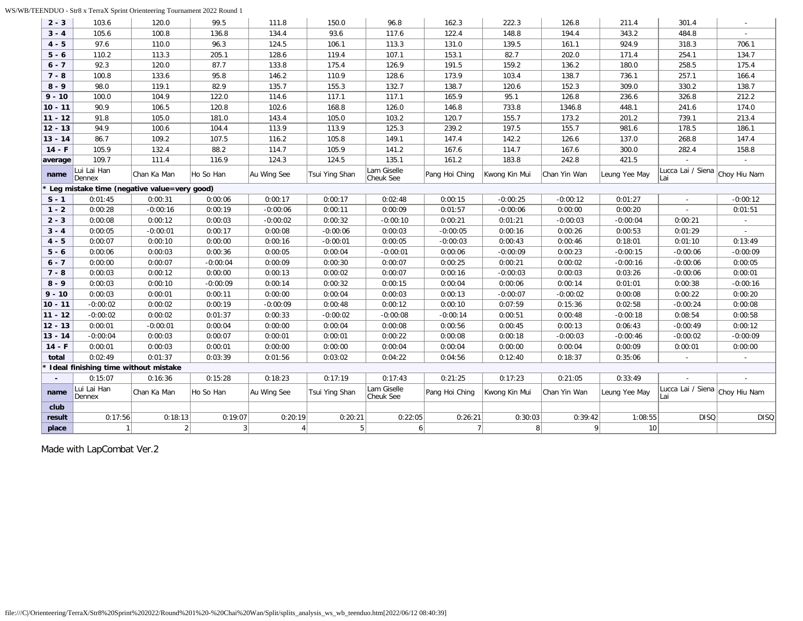WS/WB/TEENDUO - Str8 x TerraX Sprint Orienteering Tournament 2022 Round 1

| $2 - 3$   | 103.6                                       | 120.0       | 99.5       | 111.8       | 150.0          | 96.8                     | 162.3          | 222.3          | 126.8        | 211.4         | 301.4                                 |                          |
|-----------|---------------------------------------------|-------------|------------|-------------|----------------|--------------------------|----------------|----------------|--------------|---------------|---------------------------------------|--------------------------|
| $3 - 4$   | 105.6                                       | 100.8       | 136.8      | 134.4       | 93.6           | 117.6                    | 122.4          | 148.8          | 194.4        | 343.2         | 484.8                                 |                          |
| $4 - 5$   | 97.6                                        | 110.0       | 96.3       | 124.5       | 106.1          | 113.3                    | 131.0          | 139.5          | 161.1        | 924.9         | 318.3                                 | 706.1                    |
| $5 - 6$   | 110.2                                       | 113.3       | 205.1      | 128.6       | 119.4          | 107.1                    | 153.1          | 82.7           | 202.0        | 171.4         | 254.1                                 | 134.7                    |
| $6 - 7$   | 92.3                                        | 120.0       | 87.7       | 133.8       | 175.4          | 126.9                    | 191.5          | 159.2          | 136.2        | 180.0         | 258.5                                 | 175.4                    |
| $7 - 8$   | 100.8                                       | 133.6       | 95.8       | 146.2       | 110.9          | 128.6                    | 173.9          | 103.4          | 138.7        | 736.1         | 257.1                                 | 166.4                    |
| $8 - 9$   | 98.0                                        | 119.1       | 82.9       | 135.7       | 155.3          | 132.7                    | 138.7          | 120.6          | 152.3        | 309.0         | 330.2                                 | 138.7                    |
| $9 - 10$  | 100.0                                       | 104.9       | 122.0      | 114.6       | 117.1          | 117.1                    | 165.9          | 95.1           | 126.8        | 236.6         | 326.8                                 | 212.2                    |
| $10 - 11$ | 90.9                                        | 106.5       | 120.8      | 102.6       | 168.8          | 126.0                    | 146.8          | 733.8          | 1346.8       | 448.1         | 241.6                                 | 174.0                    |
| $11 - 12$ | 91.8                                        | 105.0       | 181.0      | 143.4       | 105.0          | 103.2                    | 120.7          | 155.7          | 173.2        | 201.2         | 739.1                                 | 213.4                    |
| $12 - 13$ | 94.9                                        | 100.6       | 104.4      | 113.9       | 113.9          | 125.3                    | 239.2          | 197.5          | 155.7        | 981.6         | 178.5                                 | 186.1                    |
| $13 - 14$ | 86.7                                        | 109.2       | 107.5      | 116.2       | 105.8          | 149.1                    | 147.4          | 142.2          | 126.6        | 137.0         | 268.8                                 | 147.4                    |
| $14 - F$  | 105.9                                       | 132.4       | 88.2       | 114.7       | 105.9          | 141.2                    | 167.6          | 114.7          | 167.6        | 300.0         | 282.4                                 | 158.8                    |
| average   | 109.7                                       | 111.4       | 116.9      | 124.3       | 124.5          | 135.1                    | 161.2          | 183.8          | 242.8        | 421.5         |                                       |                          |
| name      | Lui Lai Han<br>Dennex                       | Chan Ka Man | Ho So Han  | Au Wing See | Tsui Ying Shan | Lam Giselle<br>Cheuk See | Pang Hoi Ching | Kwong Kin Mui  | Chan Yin Wan | Leung Yee May | Lucca Lai / Siena<br>Lai              | Choy Hiu Nam             |
|           | Leg mistake time (negative value=very good) |             |            |             |                |                          |                |                |              |               |                                       |                          |
| $S - 1$   | 0:01:45                                     | 0:00:31     | 0:00:06    | 0:00:17     | 0:00:17        | 0:02:48                  | 0:00:15        | $-0:00:25$     | $-0:00:12$   | 0:01:27       |                                       | $-0:00:12$               |
| $1 - 2$   | 0:00:28                                     | $-0:00:16$  | 0:00:19    | $-0:00:06$  | 0:00:11        | 0:00:09                  | 0:01:57        | $-0:00:06$     | 0:00:00      | 0:00:20       |                                       | 0:01:51                  |
| $2 - 3$   | 0:00:08                                     | 0:00:12     | 0:00:03    | $-0:00:02$  | 0:00:32        | $-0:00:10$               | 0:00:21        | 0:01:21        | $-0:00:03$   | $-0:00:04$    | 0:00:21                               | $\overline{\phantom{a}}$ |
| $3 - 4$   | 0:00:05                                     | $-0:00:01$  | 0:00:17    | 0:00:08     | $-0:00:06$     | 0:00:03                  | $-0:00:05$     | 0:00:16        | 0:00:26      | 0:00:53       | 0:01:29                               |                          |
| $4 - 5$   | 0:00:07                                     | 0:00:10     | 0:00:00    | 0:00:16     | $-0:00:01$     | 0:00:05                  | $-0:00:03$     | 0:00:43        | 0:00:46      | 0:18:01       | 0:01:10                               | 0:13:49                  |
| $5 - 6$   | 0:00:06                                     | 0:00:03     | 0:00:36    | 0:00:05     | 0:00:04        | $-0:00:01$               | 0:00:06        | $-0:00:09$     | 0:00:23      | $-0:00:15$    | $-0:00:06$                            | $-0:00:09$               |
| $6 - 7$   | 0:00:00                                     | 0:00:07     | $-0:00:04$ | 0:00:09     | 0:00:30        | 0:00:07                  | 0:00:25        | 0:00:21        | 0:00:02      | $-0:00:16$    | $-0:00:06$                            | 0:00:05                  |
| $7 - 8$   | 0:00:03                                     | 0:00:12     | 0:00:00    | 0:00:13     | 0:00:02        | 0:00:07                  | 0:00:16        | $-0:00:03$     | 0:00:03      | 0:03:26       | $-0:00:06$                            | 0:00:01                  |
| $8 - 9$   | 0:00:03                                     | 0:00:10     | $-0:00:09$ | 0:00:14     | 0:00:32        | 0:00:15                  | 0:00:04        | 0:00:06        | 0:00:14      | 0:01:01       | 0:00:38                               | $-0:00:16$               |
| $9 - 10$  | 0:00:03                                     | 0:00:01     | 0:00:11    | 0:00:00     | 0:00:04        | 0:00:03                  | 0:00:13        | $-0:00:07$     | $-0:00:02$   | 0:00:08       | 0:00:22                               | 0:00:20                  |
| $10 - 11$ | $-0:00:02$                                  | 0:00:02     | 0:00:19    | $-0:00:09$  | 0:00:48        | 0:00:12                  | 0:00:10        | 0:07:59        | 0:15:36      | 0:02:58       | $-0:00:24$                            | 0:00:08                  |
| $11 - 12$ | $-0:00:02$                                  | 0:00:02     | 0:01:37    | 0:00:33     | $-0:00:02$     | $-0:00:08$               | $-0:00:14$     | 0:00:51        | 0:00:48      | $-0:00:18$    | 0:08:54                               | 0:00:58                  |
| $12 - 13$ | 0:00:01                                     | $-0:00:01$  | 0:00:04    | 0:00:00     | 0:00:04        | 0:00:08                  | 0:00:56        | 0:00:45        | 0:00:13      | 0:06:43       | $-0:00:49$                            | 0:00:12                  |
| $13 - 14$ | $-0:00:04$                                  | 0:00:03     | 0:00:07    | 0:00:01     | 0:00:01        | 0:00:22                  | 0:00:08        | 0:00:18        | $-0:00:03$   | $-0:00:46$    | $-0:00:02$                            | $-0:00:09$               |
| $14 - F$  | 0:00:01                                     | 0:00:03     | 0:00:01    | 0:00:00     | 0:00:00        | 0:00:04                  | 0:00:04        | 0:00:00        | 0:00:04      | 0:00:09       | 0:00:01                               | 0:00:00                  |
| total     | 0:02:49                                     | 0:01:37     | 0:03:39    | 0:01:56     | 0:03:02        | 0:04:22                  | 0:04:56        | 0:12:40        | 0:18:37      | 0:35:06       |                                       |                          |
|           | Ideal finishing time without mistake        |             |            |             |                |                          |                |                |              |               |                                       |                          |
|           | 0:15:07                                     | 0:16:36     | 0:15:28    | 0:18:23     | 0:17:19        | 0:17:43                  | 0:21:25        | 0:17:23        | 0:21:05      | 0:33:49       |                                       |                          |
| name      | Lui Lai Han<br>Dennex                       | Chan Ka Man | Ho So Han  | Au Wing See | Tsui Ying Shan | Lam Giselle<br>Cheuk See | Pang Hoi Ching | Kwong Kin Mui  | Chan Yin Wan | Leung Yee May | Lucca Lai / Siena Choy Hiu Nam<br>Lai |                          |
| club      |                                             |             |            |             |                |                          |                |                |              |               |                                       |                          |
| result    | 0:17:56                                     | 0:18:13     | 0:19:07    | 0:20:19     | 0:20:21        | 0:22:05                  | 0:26:21        | 0:30:03        | 0:39:42      | 1:08:55       | <b>DISQ</b>                           | <b>DISQ</b>              |
| place     |                                             |             | 3          | 4           | 5              | 6                        | $\overline{7}$ | 8 <sup>1</sup> | 9            | 10            |                                       |                          |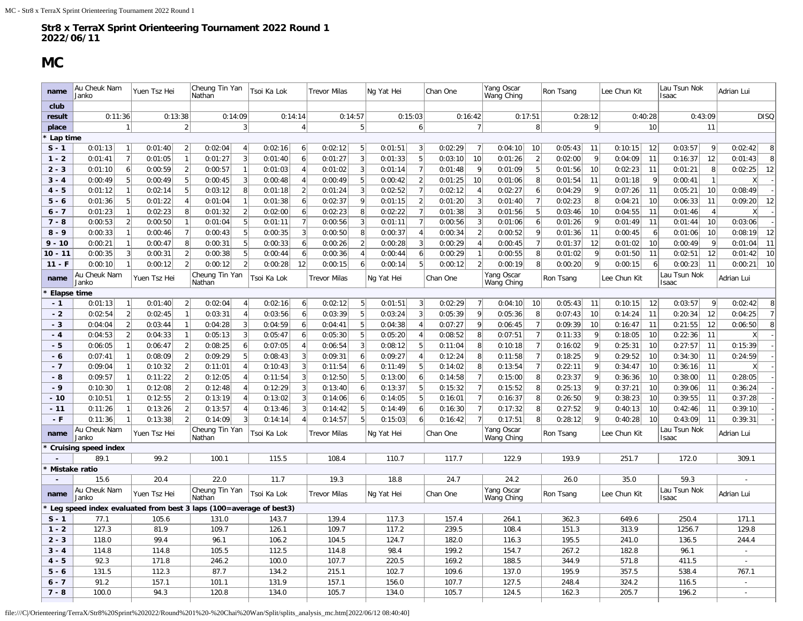## **MC**

<span id="page-28-0"></span>

| club<br>0:13:38<br>0:14:14<br>0:15:03<br>0:16:42<br>0:17:51<br>0:28:12<br>0:40:28<br>0:43:09<br>0:11:36<br>0:14:09<br>0:14:57<br>result<br>9 <sup>1</sup><br>$\vert$ 2<br>3<br>$\overline{4}$<br>5 <sup>1</sup><br>6 <sup>1</sup><br>7<br>8 <sup>1</sup><br>10<br>11<br>$\mathbf{1}$<br>place<br>Lap time<br>$S - 1$<br>0:01:13<br>0:01:40<br>$\overline{2}$<br>0:02:04<br>0:02:16<br>0:02:12<br>5<br>0:01:51<br>3<br>0:02:29<br>$\overline{7}$<br>0:04:10<br>10<br>0:05:43<br>11<br>0:10:15<br>12<br>0:03:57<br>9<br>0:02:42<br>$\overline{1}$<br>6<br>$\overline{4}$<br>$\overline{3}$<br>6<br> 9 <br>$\overline{7}$<br>$\overline{1}$<br>$\overline{3}$<br>5 <sup>5</sup><br>10<br>$\overline{2}$<br>11<br>12<br>$1 - 2$<br>0:01:05<br>0:01:27<br>0:01:40<br>0:01:27<br>0:01:33<br>0:03:10<br>0:01:26<br>0:02:00<br>0:04:09<br>0:16:37<br>0:01:43<br>0:01:41<br>$2 - 3$<br>2<br>0:00:57<br>0:01:03<br>0:01:02<br>3<br>0:01:14<br>$\overline{7}$<br>0:01:48<br>9<br>0:01:09<br>5<br>0:01:56<br>10 <sup>1</sup><br>0:02:23<br>0:01:21<br>8 <sup>1</sup><br>0:02:25<br>0:01:10<br>0:00:59<br>$\overline{1}$<br>$\overline{4}$<br>11<br>6<br>5<br>3<br>5<br>$\overline{2}$<br>$\vert 9 \vert$<br>$3 - 4$<br>5<br>$\overline{4}$<br>8 <sup>1</sup><br>0:01:54<br>11<br>0:01:18<br>0:00:41<br>$\mathbf{1}$<br>0:00:49<br>0:00:49<br>0:00:45<br>0:00:48<br>0:00:49<br>0:00:42<br>0:01:25<br>10<br>0:01:06<br> 9 <br>$4 - 5$<br>5<br>8<br>2<br>0:01:24<br>3<br>0:02:52<br>$\overline{7}$<br>0:02:12<br>0:02:27<br>0:04:29<br>0:07:26<br>11<br>0:05:21<br>10 <sup>1</sup><br>0:08:49<br>0:01:12<br>0:02:14<br>0:03:12<br>0:01:18<br>$\overline{4}$<br>6<br>$\overline{\phantom{0}}$<br>5<br>$\overline{1}$<br>$\boldsymbol{6}$<br>$\vert$ 9<br>$\vert$ 2<br>$\vert$ 3<br>$\overline{7}$<br> 8 <br>$5 - 6$<br>0:01:22<br>$\overline{4}$<br>0:01:04<br>0:01:38<br>0:02:37<br>0:01:15<br>0:01:20<br>0:01:40<br>0:02:23<br>0:04:21<br>10<br>0:06:33<br>11<br>0:09:20<br>0:01:36<br>$\overline{2}$<br>8 <sup>1</sup><br>7<br>$\overline{3}$<br>5<br>10<br>11<br>0:01:46<br>$\vert$<br>$6 - 7$<br>0:01:23<br>0:02:23<br>8<br>0:01:32<br>0:02:00<br>6<br>0:02:23<br>0:02:22<br>0:01:38<br>0:01:56<br>0:03:46<br>0:04:55<br>$\overline{\phantom{0}}$<br>5<br>$\overline{7}$<br>7<br>$7 - 8$<br>0:00:53<br>0:00:50<br>$\overline{1}$<br>0:01:04<br>0:01:11<br>$\overline{3}$<br>0:01:11<br>0:00:56<br>$\overline{3}$<br>0:01:06<br>6<br>0:01:26<br> 9 <br>0:01:49<br>11<br>0:01:44<br>10 <sup>1</sup><br>0:03:06<br>$\mathcal{P}$<br>0:00:56<br>0:08:19<br>$8 - 9$<br>0:00:33<br>0:00:46<br>$\overline{7}$<br>0:00:43<br>5<br>0:00:35<br>3<br>0:00:50<br>8 <sup>1</sup><br>0:00:37<br>0:00:34<br>2<br>0:00:52<br>9<br>0:01:36<br>11<br>0:00:45<br>6<br>0:01:06<br>10<br>$\overline{4}$<br>$9 - 10$<br>0:00:31<br>5<br>$\overline{2}$<br>3<br>0:00:45<br>0:01:37<br>12<br>0:01:02<br>10<br>0:00:49<br>9<br>0:01:04<br>0:00:21<br>0:00:47<br>8<br>0:00:33<br>6<br>0:00:26<br>0:00:28<br>0:00:29<br>$\overline{4}$<br>$\overline{7}$<br>$10 - 11$<br>0:00:35<br>0:00:31<br>0:00:38<br>.5<br>0:00:44<br>0:00:36<br>0:00:44<br>0:00:29<br>0:00:55<br>8<br>0:01:02<br>9<br>0:01:50<br>11<br>0:02:51<br>12<br>0:01:42<br>$\overline{2}$<br>$\overline{4}$<br>$\mathbf{1}$<br>6<br>6<br>5<br>$11 - F$<br>0:00:10<br>0:00:12<br>$\overline{2}$<br>12<br>0:00:12<br>$\overline{2}$<br>0:00:19<br>8 <sup>1</sup><br>0:00:20<br> 9 <br>0:00:15<br>6 <sup>1</sup><br>0:00:23<br>11<br>0:00:12<br>$\overline{2}$<br>0:00:28<br>0:00:15<br>6 <sup>1</sup><br>0:00:14<br>Yang Oscar<br>Au Cheuk Nam<br>Cheung Tin Yan<br>Lau Tsun Nok<br>Yuen Tsz Hei<br>Tsoi Ka Lok<br><b>Trevor Milas</b><br>Ng Yat Hei<br>Chan One<br>Ron Tsang<br>Lee Chun Kit<br>Adrian Lui<br>name<br>Wang Ching<br>Janko<br>Nathan<br>Isaac<br><b>Elapse time</b><br>$\overline{2}$<br>5<br>$\overline{3}$<br>$\overline{7}$<br>9<br>0:01:40<br>0:02:04<br>0:02:16<br>6<br>0:02:12<br>0:01:51<br>0:02:29<br>0:04:10<br>10<br>0:05:43<br>11<br>0:10:15<br>12<br>0:03:57<br>$-1$<br>0:01:13<br>$\overline{A}$<br>5<br>$\overline{3}$<br>9<br>$-2$<br>6<br>0:03:39<br>0:05:36<br>8<br>10<br>11<br>0:20:34<br>12<br>0:02:54<br>0:02:45<br>0:03:31<br>0:03:56<br>0:03:24<br>0:05:39<br>0:07:43<br>0:14:24<br>$\overline{A}$<br>5<br>$-3$<br>$\overline{1}$<br>3<br>9<br>$\overline{7}$<br>10<br>11<br>0:21:55<br>12<br>0:04:04<br>$\overline{2}$<br>0:03:44<br>0:04:28<br>0:04:59<br>6<br>0:04:41<br>0:04:38<br>$\overline{4}$<br>0:07:27<br>0:06:45<br>0:09:39<br>0:16:47<br>$\overline{3}$<br>5<br>$\overline{7}$<br>9<br>0:22:36<br>$-4$<br>0:04:53<br>0:04:33<br>$\overline{1}$<br>0:05:13<br>0:05:47<br>0:05:30<br>0:05:20<br>$\overline{4}$<br>0:08:52<br>8<br>0:07:51<br>0:11:33<br>0:18:05<br>10<br>11<br>6<br>5<br>$-5$<br>$\overline{2}$<br>0:08:25<br>0:07:05<br>0:06:54<br>3<br>0:08:12<br>0:10:18<br>$\overline{7}$<br>0:16:02<br>9<br>0:25:31<br>10<br>0:27:57<br>11<br>0:06:05<br>0:06:47<br>6<br>$\overline{4}$<br>0:11:04<br>8 |                           |
|------------------------------------------------------------------------------------------------------------------------------------------------------------------------------------------------------------------------------------------------------------------------------------------------------------------------------------------------------------------------------------------------------------------------------------------------------------------------------------------------------------------------------------------------------------------------------------------------------------------------------------------------------------------------------------------------------------------------------------------------------------------------------------------------------------------------------------------------------------------------------------------------------------------------------------------------------------------------------------------------------------------------------------------------------------------------------------------------------------------------------------------------------------------------------------------------------------------------------------------------------------------------------------------------------------------------------------------------------------------------------------------------------------------------------------------------------------------------------------------------------------------------------------------------------------------------------------------------------------------------------------------------------------------------------------------------------------------------------------------------------------------------------------------------------------------------------------------------------------------------------------------------------------------------------------------------------------------------------------------------------------------------------------------------------------------------------------------------------------------------------------------------------------------------------------------------------------------------------------------------------------------------------------------------------------------------------------------------------------------------------------------------------------------------------------------------------------------------------------------------------------------------------------------------------------------------------------------------------------------------------------------------------------------------------------------------------------------------------------------------------------------------------------------------------------------------------------------------------------------------------------------------------------------------------------------------------------------------------------------------------------------------------------------------------------------------------------------------------------------------------------------------------------------------------------------------------------------------------------------------------------------------------------------------------------------------------------------------------------------------------------------------------------------------------------------------------------------------------------------------------------------------------------------------------------------------------------------------------------------------------------------------------------------------------------------------------------------------------------------------------------------------------------------------------------------------------------------------------------------------------------------------------------------------------------------------------------------------------------------------------------------------------------------------------------------------------------------------------------------------------------------------------------------------------------------------------------------------------------------------------------------------------------------------------------------------------------------------------------------------------------------------------------------------------------------------------------------------------------------------------------------------------------------------------------------------------------------------------------------------------------------------------------------------------------------------------------------------------------------------------------------------------------------------------------------------------------------------------------------------------------------------------------------------------------------------------------------------------------|---------------------------|
|                                                                                                                                                                                                                                                                                                                                                                                                                                                                                                                                                                                                                                                                                                                                                                                                                                                                                                                                                                                                                                                                                                                                                                                                                                                                                                                                                                                                                                                                                                                                                                                                                                                                                                                                                                                                                                                                                                                                                                                                                                                                                                                                                                                                                                                                                                                                                                                                                                                                                                                                                                                                                                                                                                                                                                                                                                                                                                                                                                                                                                                                                                                                                                                                                                                                                                                                                                                                                                                                                                                                                                                                                                                                                                                                                                                                                                                                                                                                                                                                                                                                                                                                                                                                                                                                                                                                                                                                                                                                                                                                                                                                                                                                                                                                                                                                                                                                                                                                                                                    |                           |
|                                                                                                                                                                                                                                                                                                                                                                                                                                                                                                                                                                                                                                                                                                                                                                                                                                                                                                                                                                                                                                                                                                                                                                                                                                                                                                                                                                                                                                                                                                                                                                                                                                                                                                                                                                                                                                                                                                                                                                                                                                                                                                                                                                                                                                                                                                                                                                                                                                                                                                                                                                                                                                                                                                                                                                                                                                                                                                                                                                                                                                                                                                                                                                                                                                                                                                                                                                                                                                                                                                                                                                                                                                                                                                                                                                                                                                                                                                                                                                                                                                                                                                                                                                                                                                                                                                                                                                                                                                                                                                                                                                                                                                                                                                                                                                                                                                                                                                                                                                                    | <b>DISQ</b>               |
|                                                                                                                                                                                                                                                                                                                                                                                                                                                                                                                                                                                                                                                                                                                                                                                                                                                                                                                                                                                                                                                                                                                                                                                                                                                                                                                                                                                                                                                                                                                                                                                                                                                                                                                                                                                                                                                                                                                                                                                                                                                                                                                                                                                                                                                                                                                                                                                                                                                                                                                                                                                                                                                                                                                                                                                                                                                                                                                                                                                                                                                                                                                                                                                                                                                                                                                                                                                                                                                                                                                                                                                                                                                                                                                                                                                                                                                                                                                                                                                                                                                                                                                                                                                                                                                                                                                                                                                                                                                                                                                                                                                                                                                                                                                                                                                                                                                                                                                                                                                    |                           |
|                                                                                                                                                                                                                                                                                                                                                                                                                                                                                                                                                                                                                                                                                                                                                                                                                                                                                                                                                                                                                                                                                                                                                                                                                                                                                                                                                                                                                                                                                                                                                                                                                                                                                                                                                                                                                                                                                                                                                                                                                                                                                                                                                                                                                                                                                                                                                                                                                                                                                                                                                                                                                                                                                                                                                                                                                                                                                                                                                                                                                                                                                                                                                                                                                                                                                                                                                                                                                                                                                                                                                                                                                                                                                                                                                                                                                                                                                                                                                                                                                                                                                                                                                                                                                                                                                                                                                                                                                                                                                                                                                                                                                                                                                                                                                                                                                                                                                                                                                                                    |                           |
|                                                                                                                                                                                                                                                                                                                                                                                                                                                                                                                                                                                                                                                                                                                                                                                                                                                                                                                                                                                                                                                                                                                                                                                                                                                                                                                                                                                                                                                                                                                                                                                                                                                                                                                                                                                                                                                                                                                                                                                                                                                                                                                                                                                                                                                                                                                                                                                                                                                                                                                                                                                                                                                                                                                                                                                                                                                                                                                                                                                                                                                                                                                                                                                                                                                                                                                                                                                                                                                                                                                                                                                                                                                                                                                                                                                                                                                                                                                                                                                                                                                                                                                                                                                                                                                                                                                                                                                                                                                                                                                                                                                                                                                                                                                                                                                                                                                                                                                                                                                    | 8                         |
|                                                                                                                                                                                                                                                                                                                                                                                                                                                                                                                                                                                                                                                                                                                                                                                                                                                                                                                                                                                                                                                                                                                                                                                                                                                                                                                                                                                                                                                                                                                                                                                                                                                                                                                                                                                                                                                                                                                                                                                                                                                                                                                                                                                                                                                                                                                                                                                                                                                                                                                                                                                                                                                                                                                                                                                                                                                                                                                                                                                                                                                                                                                                                                                                                                                                                                                                                                                                                                                                                                                                                                                                                                                                                                                                                                                                                                                                                                                                                                                                                                                                                                                                                                                                                                                                                                                                                                                                                                                                                                                                                                                                                                                                                                                                                                                                                                                                                                                                                                                    | 8 <sup>1</sup>            |
|                                                                                                                                                                                                                                                                                                                                                                                                                                                                                                                                                                                                                                                                                                                                                                                                                                                                                                                                                                                                                                                                                                                                                                                                                                                                                                                                                                                                                                                                                                                                                                                                                                                                                                                                                                                                                                                                                                                                                                                                                                                                                                                                                                                                                                                                                                                                                                                                                                                                                                                                                                                                                                                                                                                                                                                                                                                                                                                                                                                                                                                                                                                                                                                                                                                                                                                                                                                                                                                                                                                                                                                                                                                                                                                                                                                                                                                                                                                                                                                                                                                                                                                                                                                                                                                                                                                                                                                                                                                                                                                                                                                                                                                                                                                                                                                                                                                                                                                                                                                    | 12                        |
|                                                                                                                                                                                                                                                                                                                                                                                                                                                                                                                                                                                                                                                                                                                                                                                                                                                                                                                                                                                                                                                                                                                                                                                                                                                                                                                                                                                                                                                                                                                                                                                                                                                                                                                                                                                                                                                                                                                                                                                                                                                                                                                                                                                                                                                                                                                                                                                                                                                                                                                                                                                                                                                                                                                                                                                                                                                                                                                                                                                                                                                                                                                                                                                                                                                                                                                                                                                                                                                                                                                                                                                                                                                                                                                                                                                                                                                                                                                                                                                                                                                                                                                                                                                                                                                                                                                                                                                                                                                                                                                                                                                                                                                                                                                                                                                                                                                                                                                                                                                    | X                         |
|                                                                                                                                                                                                                                                                                                                                                                                                                                                                                                                                                                                                                                                                                                                                                                                                                                                                                                                                                                                                                                                                                                                                                                                                                                                                                                                                                                                                                                                                                                                                                                                                                                                                                                                                                                                                                                                                                                                                                                                                                                                                                                                                                                                                                                                                                                                                                                                                                                                                                                                                                                                                                                                                                                                                                                                                                                                                                                                                                                                                                                                                                                                                                                                                                                                                                                                                                                                                                                                                                                                                                                                                                                                                                                                                                                                                                                                                                                                                                                                                                                                                                                                                                                                                                                                                                                                                                                                                                                                                                                                                                                                                                                                                                                                                                                                                                                                                                                                                                                                    | 12                        |
|                                                                                                                                                                                                                                                                                                                                                                                                                                                                                                                                                                                                                                                                                                                                                                                                                                                                                                                                                                                                                                                                                                                                                                                                                                                                                                                                                                                                                                                                                                                                                                                                                                                                                                                                                                                                                                                                                                                                                                                                                                                                                                                                                                                                                                                                                                                                                                                                                                                                                                                                                                                                                                                                                                                                                                                                                                                                                                                                                                                                                                                                                                                                                                                                                                                                                                                                                                                                                                                                                                                                                                                                                                                                                                                                                                                                                                                                                                                                                                                                                                                                                                                                                                                                                                                                                                                                                                                                                                                                                                                                                                                                                                                                                                                                                                                                                                                                                                                                                                                    | x                         |
|                                                                                                                                                                                                                                                                                                                                                                                                                                                                                                                                                                                                                                                                                                                                                                                                                                                                                                                                                                                                                                                                                                                                                                                                                                                                                                                                                                                                                                                                                                                                                                                                                                                                                                                                                                                                                                                                                                                                                                                                                                                                                                                                                                                                                                                                                                                                                                                                                                                                                                                                                                                                                                                                                                                                                                                                                                                                                                                                                                                                                                                                                                                                                                                                                                                                                                                                                                                                                                                                                                                                                                                                                                                                                                                                                                                                                                                                                                                                                                                                                                                                                                                                                                                                                                                                                                                                                                                                                                                                                                                                                                                                                                                                                                                                                                                                                                                                                                                                                                                    |                           |
|                                                                                                                                                                                                                                                                                                                                                                                                                                                                                                                                                                                                                                                                                                                                                                                                                                                                                                                                                                                                                                                                                                                                                                                                                                                                                                                                                                                                                                                                                                                                                                                                                                                                                                                                                                                                                                                                                                                                                                                                                                                                                                                                                                                                                                                                                                                                                                                                                                                                                                                                                                                                                                                                                                                                                                                                                                                                                                                                                                                                                                                                                                                                                                                                                                                                                                                                                                                                                                                                                                                                                                                                                                                                                                                                                                                                                                                                                                                                                                                                                                                                                                                                                                                                                                                                                                                                                                                                                                                                                                                                                                                                                                                                                                                                                                                                                                                                                                                                                                                    | 12                        |
|                                                                                                                                                                                                                                                                                                                                                                                                                                                                                                                                                                                                                                                                                                                                                                                                                                                                                                                                                                                                                                                                                                                                                                                                                                                                                                                                                                                                                                                                                                                                                                                                                                                                                                                                                                                                                                                                                                                                                                                                                                                                                                                                                                                                                                                                                                                                                                                                                                                                                                                                                                                                                                                                                                                                                                                                                                                                                                                                                                                                                                                                                                                                                                                                                                                                                                                                                                                                                                                                                                                                                                                                                                                                                                                                                                                                                                                                                                                                                                                                                                                                                                                                                                                                                                                                                                                                                                                                                                                                                                                                                                                                                                                                                                                                                                                                                                                                                                                                                                                    | 11                        |
|                                                                                                                                                                                                                                                                                                                                                                                                                                                                                                                                                                                                                                                                                                                                                                                                                                                                                                                                                                                                                                                                                                                                                                                                                                                                                                                                                                                                                                                                                                                                                                                                                                                                                                                                                                                                                                                                                                                                                                                                                                                                                                                                                                                                                                                                                                                                                                                                                                                                                                                                                                                                                                                                                                                                                                                                                                                                                                                                                                                                                                                                                                                                                                                                                                                                                                                                                                                                                                                                                                                                                                                                                                                                                                                                                                                                                                                                                                                                                                                                                                                                                                                                                                                                                                                                                                                                                                                                                                                                                                                                                                                                                                                                                                                                                                                                                                                                                                                                                                                    | 10                        |
|                                                                                                                                                                                                                                                                                                                                                                                                                                                                                                                                                                                                                                                                                                                                                                                                                                                                                                                                                                                                                                                                                                                                                                                                                                                                                                                                                                                                                                                                                                                                                                                                                                                                                                                                                                                                                                                                                                                                                                                                                                                                                                                                                                                                                                                                                                                                                                                                                                                                                                                                                                                                                                                                                                                                                                                                                                                                                                                                                                                                                                                                                                                                                                                                                                                                                                                                                                                                                                                                                                                                                                                                                                                                                                                                                                                                                                                                                                                                                                                                                                                                                                                                                                                                                                                                                                                                                                                                                                                                                                                                                                                                                                                                                                                                                                                                                                                                                                                                                                                    | 0:00:21<br>10             |
|                                                                                                                                                                                                                                                                                                                                                                                                                                                                                                                                                                                                                                                                                                                                                                                                                                                                                                                                                                                                                                                                                                                                                                                                                                                                                                                                                                                                                                                                                                                                                                                                                                                                                                                                                                                                                                                                                                                                                                                                                                                                                                                                                                                                                                                                                                                                                                                                                                                                                                                                                                                                                                                                                                                                                                                                                                                                                                                                                                                                                                                                                                                                                                                                                                                                                                                                                                                                                                                                                                                                                                                                                                                                                                                                                                                                                                                                                                                                                                                                                                                                                                                                                                                                                                                                                                                                                                                                                                                                                                                                                                                                                                                                                                                                                                                                                                                                                                                                                                                    |                           |
|                                                                                                                                                                                                                                                                                                                                                                                                                                                                                                                                                                                                                                                                                                                                                                                                                                                                                                                                                                                                                                                                                                                                                                                                                                                                                                                                                                                                                                                                                                                                                                                                                                                                                                                                                                                                                                                                                                                                                                                                                                                                                                                                                                                                                                                                                                                                                                                                                                                                                                                                                                                                                                                                                                                                                                                                                                                                                                                                                                                                                                                                                                                                                                                                                                                                                                                                                                                                                                                                                                                                                                                                                                                                                                                                                                                                                                                                                                                                                                                                                                                                                                                                                                                                                                                                                                                                                                                                                                                                                                                                                                                                                                                                                                                                                                                                                                                                                                                                                                                    |                           |
|                                                                                                                                                                                                                                                                                                                                                                                                                                                                                                                                                                                                                                                                                                                                                                                                                                                                                                                                                                                                                                                                                                                                                                                                                                                                                                                                                                                                                                                                                                                                                                                                                                                                                                                                                                                                                                                                                                                                                                                                                                                                                                                                                                                                                                                                                                                                                                                                                                                                                                                                                                                                                                                                                                                                                                                                                                                                                                                                                                                                                                                                                                                                                                                                                                                                                                                                                                                                                                                                                                                                                                                                                                                                                                                                                                                                                                                                                                                                                                                                                                                                                                                                                                                                                                                                                                                                                                                                                                                                                                                                                                                                                                                                                                                                                                                                                                                                                                                                                                                    | 0:02:42<br>8 <sup>1</sup> |
|                                                                                                                                                                                                                                                                                                                                                                                                                                                                                                                                                                                                                                                                                                                                                                                                                                                                                                                                                                                                                                                                                                                                                                                                                                                                                                                                                                                                                                                                                                                                                                                                                                                                                                                                                                                                                                                                                                                                                                                                                                                                                                                                                                                                                                                                                                                                                                                                                                                                                                                                                                                                                                                                                                                                                                                                                                                                                                                                                                                                                                                                                                                                                                                                                                                                                                                                                                                                                                                                                                                                                                                                                                                                                                                                                                                                                                                                                                                                                                                                                                                                                                                                                                                                                                                                                                                                                                                                                                                                                                                                                                                                                                                                                                                                                                                                                                                                                                                                                                                    | $\overline{7}$<br>0:04:25 |
|                                                                                                                                                                                                                                                                                                                                                                                                                                                                                                                                                                                                                                                                                                                                                                                                                                                                                                                                                                                                                                                                                                                                                                                                                                                                                                                                                                                                                                                                                                                                                                                                                                                                                                                                                                                                                                                                                                                                                                                                                                                                                                                                                                                                                                                                                                                                                                                                                                                                                                                                                                                                                                                                                                                                                                                                                                                                                                                                                                                                                                                                                                                                                                                                                                                                                                                                                                                                                                                                                                                                                                                                                                                                                                                                                                                                                                                                                                                                                                                                                                                                                                                                                                                                                                                                                                                                                                                                                                                                                                                                                                                                                                                                                                                                                                                                                                                                                                                                                                                    | 0:06:50<br>8              |
|                                                                                                                                                                                                                                                                                                                                                                                                                                                                                                                                                                                                                                                                                                                                                                                                                                                                                                                                                                                                                                                                                                                                                                                                                                                                                                                                                                                                                                                                                                                                                                                                                                                                                                                                                                                                                                                                                                                                                                                                                                                                                                                                                                                                                                                                                                                                                                                                                                                                                                                                                                                                                                                                                                                                                                                                                                                                                                                                                                                                                                                                                                                                                                                                                                                                                                                                                                                                                                                                                                                                                                                                                                                                                                                                                                                                                                                                                                                                                                                                                                                                                                                                                                                                                                                                                                                                                                                                                                                                                                                                                                                                                                                                                                                                                                                                                                                                                                                                                                                    | Χ                         |
|                                                                                                                                                                                                                                                                                                                                                                                                                                                                                                                                                                                                                                                                                                                                                                                                                                                                                                                                                                                                                                                                                                                                                                                                                                                                                                                                                                                                                                                                                                                                                                                                                                                                                                                                                                                                                                                                                                                                                                                                                                                                                                                                                                                                                                                                                                                                                                                                                                                                                                                                                                                                                                                                                                                                                                                                                                                                                                                                                                                                                                                                                                                                                                                                                                                                                                                                                                                                                                                                                                                                                                                                                                                                                                                                                                                                                                                                                                                                                                                                                                                                                                                                                                                                                                                                                                                                                                                                                                                                                                                                                                                                                                                                                                                                                                                                                                                                                                                                                                                    | 0:15:39                   |
| 0:09:29<br>3<br>0:09:27<br>$\overline{7}$<br>9<br>0:29:52<br>10<br>0:34:30<br>$-6$<br>0:07:41<br>0:08:09<br>$\overline{2}$<br>5<br>0:08:43<br>0:09:31<br>$6 \mid$<br>$\overline{4}$<br>0:12:24<br>0:11:58<br>0:18:25<br>11<br>8<br>- 1                                                                                                                                                                                                                                                                                                                                                                                                                                                                                                                                                                                                                                                                                                                                                                                                                                                                                                                                                                                                                                                                                                                                                                                                                                                                                                                                                                                                                                                                                                                                                                                                                                                                                                                                                                                                                                                                                                                                                                                                                                                                                                                                                                                                                                                                                                                                                                                                                                                                                                                                                                                                                                                                                                                                                                                                                                                                                                                                                                                                                                                                                                                                                                                                                                                                                                                                                                                                                                                                                                                                                                                                                                                                                                                                                                                                                                                                                                                                                                                                                                                                                                                                                                                                                                                                                                                                                                                                                                                                                                                                                                                                                                                                                                                                             | 0:24:59                   |
| $\overline{5}$<br>0:10:32<br>$\overline{2}$<br>0:10:43<br>3<br>0:11:49<br>$\overline{7}$<br>0:22:11<br>9<br>0:34:47<br>10<br>0:36:16<br>11<br>$-7$<br>0:09:04<br>0:11:01<br>$\overline{4}$<br>0:11:54<br>$\vert 6 \vert$<br>0:14:02<br>8<br>0:13:54<br>- 1                                                                                                                                                                                                                                                                                                                                                                                                                                                                                                                                                                                                                                                                                                                                                                                                                                                                                                                                                                                                                                                                                                                                                                                                                                                                                                                                                                                                                                                                                                                                                                                                                                                                                                                                                                                                                                                                                                                                                                                                                                                                                                                                                                                                                                                                                                                                                                                                                                                                                                                                                                                                                                                                                                                                                                                                                                                                                                                                                                                                                                                                                                                                                                                                                                                                                                                                                                                                                                                                                                                                                                                                                                                                                                                                                                                                                                                                                                                                                                                                                                                                                                                                                                                                                                                                                                                                                                                                                                                                                                                                                                                                                                                                                                                         | X                         |
| 3<br>5<br>8<br>0:23:37<br> 9 <br>0:38:00<br>$-8$<br>0:09:57<br>0:11:22<br>2<br>0:12:05<br>0:11:54<br>0:12:50<br>0:13:00<br>0:14:58<br>0:15:00<br>0:36:36<br>10<br>11<br>6<br>$\overline{7}$<br>$\overline{4}$                                                                                                                                                                                                                                                                                                                                                                                                                                                                                                                                                                                                                                                                                                                                                                                                                                                                                                                                                                                                                                                                                                                                                                                                                                                                                                                                                                                                                                                                                                                                                                                                                                                                                                                                                                                                                                                                                                                                                                                                                                                                                                                                                                                                                                                                                                                                                                                                                                                                                                                                                                                                                                                                                                                                                                                                                                                                                                                                                                                                                                                                                                                                                                                                                                                                                                                                                                                                                                                                                                                                                                                                                                                                                                                                                                                                                                                                                                                                                                                                                                                                                                                                                                                                                                                                                                                                                                                                                                                                                                                                                                                                                                                                                                                                                                      | 0:28:05                   |
| $\mathbf{3}$<br> 9 <br>$-9$<br>0:12:08<br>$\vert$ 2<br>0:12:48<br>0:12:29<br>0:13:40<br>$6 \mid$<br>0:13:37<br>5<br>0:15:32<br>7<br>0:15:52<br>8 <sup>1</sup><br>0:25:13<br>0:37:21<br>10<br>0:39:06<br>11<br>0:10:30<br>$\overline{4}$                                                                                                                                                                                                                                                                                                                                                                                                                                                                                                                                                                                                                                                                                                                                                                                                                                                                                                                                                                                                                                                                                                                                                                                                                                                                                                                                                                                                                                                                                                                                                                                                                                                                                                                                                                                                                                                                                                                                                                                                                                                                                                                                                                                                                                                                                                                                                                                                                                                                                                                                                                                                                                                                                                                                                                                                                                                                                                                                                                                                                                                                                                                                                                                                                                                                                                                                                                                                                                                                                                                                                                                                                                                                                                                                                                                                                                                                                                                                                                                                                                                                                                                                                                                                                                                                                                                                                                                                                                                                                                                                                                                                                                                                                                                                            | 0:36:24                   |
| $\overline{3}$<br> 9 <br>0:39:55<br>$-10$<br>0:10:51<br>0:12:55<br>$\vert$ 2<br>0:13:19<br>0:13:02<br>0:14:06<br>0:14:05<br>5<br>0:16:01<br>7<br>0:16:37<br>8<br>0:26:50<br>0:38:23<br>10<br>11<br>$\overline{4}$<br>$6 \mid$                                                                                                                                                                                                                                                                                                                                                                                                                                                                                                                                                                                                                                                                                                                                                                                                                                                                                                                                                                                                                                                                                                                                                                                                                                                                                                                                                                                                                                                                                                                                                                                                                                                                                                                                                                                                                                                                                                                                                                                                                                                                                                                                                                                                                                                                                                                                                                                                                                                                                                                                                                                                                                                                                                                                                                                                                                                                                                                                                                                                                                                                                                                                                                                                                                                                                                                                                                                                                                                                                                                                                                                                                                                                                                                                                                                                                                                                                                                                                                                                                                                                                                                                                                                                                                                                                                                                                                                                                                                                                                                                                                                                                                                                                                                                                      | 0:37:28                   |
| $\overline{3}$<br>0:13:26<br>$\overline{2}$<br>0:13:57<br>5<br>7<br>0:17:32<br>8 <sup>1</sup><br>0:27:52<br> 9 <br>0:40:13<br>10<br>0:42:46<br>$-11$<br>0:11:26<br>$\overline{4}$<br>0:13:46<br>0:14:42<br>0:14:49<br>$6 \mid$<br>0:16:30<br>11                                                                                                                                                                                                                                                                                                                                                                                                                                                                                                                                                                                                                                                                                                                                                                                                                                                                                                                                                                                                                                                                                                                                                                                                                                                                                                                                                                                                                                                                                                                                                                                                                                                                                                                                                                                                                                                                                                                                                                                                                                                                                                                                                                                                                                                                                                                                                                                                                                                                                                                                                                                                                                                                                                                                                                                                                                                                                                                                                                                                                                                                                                                                                                                                                                                                                                                                                                                                                                                                                                                                                                                                                                                                                                                                                                                                                                                                                                                                                                                                                                                                                                                                                                                                                                                                                                                                                                                                                                                                                                                                                                                                                                                                                                                                    | 0:39:10                   |
| $\overline{2}$<br>3<br>5 <sup>1</sup><br>7<br>0:17:51<br> 9 <br>10<br>$-F$<br>0:13:38<br>0:14:09<br>$\overline{4}$<br>0:14:57<br>0:15:03<br>6<br>8 <sup>1</sup><br>0:28:12<br>0:40:28<br>0:43:09<br>11<br>0:11:36<br>0:14:14<br>0:16:42<br>-1                                                                                                                                                                                                                                                                                                                                                                                                                                                                                                                                                                                                                                                                                                                                                                                                                                                                                                                                                                                                                                                                                                                                                                                                                                                                                                                                                                                                                                                                                                                                                                                                                                                                                                                                                                                                                                                                                                                                                                                                                                                                                                                                                                                                                                                                                                                                                                                                                                                                                                                                                                                                                                                                                                                                                                                                                                                                                                                                                                                                                                                                                                                                                                                                                                                                                                                                                                                                                                                                                                                                                                                                                                                                                                                                                                                                                                                                                                                                                                                                                                                                                                                                                                                                                                                                                                                                                                                                                                                                                                                                                                                                                                                                                                                                      | 0:39:31                   |
| Au Cheuk Nam<br>Cheung Tin Yan<br>Yang Oscar<br>Lau Tsun Nok<br>Yuen Tsz Hei<br>Tsoi Ka Lok<br>Trevor Milas<br>Ng Yat Hei<br>Chan One<br>Ron Tsang<br>Lee Chun Kit<br>Adrian Lui<br>name<br>Nathan<br>Wang Ching<br>Janko<br>Isaac                                                                                                                                                                                                                                                                                                                                                                                                                                                                                                                                                                                                                                                                                                                                                                                                                                                                                                                                                                                                                                                                                                                                                                                                                                                                                                                                                                                                                                                                                                                                                                                                                                                                                                                                                                                                                                                                                                                                                                                                                                                                                                                                                                                                                                                                                                                                                                                                                                                                                                                                                                                                                                                                                                                                                                                                                                                                                                                                                                                                                                                                                                                                                                                                                                                                                                                                                                                                                                                                                                                                                                                                                                                                                                                                                                                                                                                                                                                                                                                                                                                                                                                                                                                                                                                                                                                                                                                                                                                                                                                                                                                                                                                                                                                                                 |                           |
| <b>Cruising speed index</b><br>89.1<br>99.2<br>100.1<br>115.5<br>108.4<br>110.7<br>117.7<br>122.9<br>193.9<br>251.7<br>172.0                                                                                                                                                                                                                                                                                                                                                                                                                                                                                                                                                                                                                                                                                                                                                                                                                                                                                                                                                                                                                                                                                                                                                                                                                                                                                                                                                                                                                                                                                                                                                                                                                                                                                                                                                                                                                                                                                                                                                                                                                                                                                                                                                                                                                                                                                                                                                                                                                                                                                                                                                                                                                                                                                                                                                                                                                                                                                                                                                                                                                                                                                                                                                                                                                                                                                                                                                                                                                                                                                                                                                                                                                                                                                                                                                                                                                                                                                                                                                                                                                                                                                                                                                                                                                                                                                                                                                                                                                                                                                                                                                                                                                                                                                                                                                                                                                                                       | 309.1                     |
| Mistake ratio                                                                                                                                                                                                                                                                                                                                                                                                                                                                                                                                                                                                                                                                                                                                                                                                                                                                                                                                                                                                                                                                                                                                                                                                                                                                                                                                                                                                                                                                                                                                                                                                                                                                                                                                                                                                                                                                                                                                                                                                                                                                                                                                                                                                                                                                                                                                                                                                                                                                                                                                                                                                                                                                                                                                                                                                                                                                                                                                                                                                                                                                                                                                                                                                                                                                                                                                                                                                                                                                                                                                                                                                                                                                                                                                                                                                                                                                                                                                                                                                                                                                                                                                                                                                                                                                                                                                                                                                                                                                                                                                                                                                                                                                                                                                                                                                                                                                                                                                                                      |                           |
| 15.6<br>22.0<br>24.2<br>35.0<br>59.3<br>20.4<br>11.7<br>19.3<br>18.8<br>24.7<br>26.0                                                                                                                                                                                                                                                                                                                                                                                                                                                                                                                                                                                                                                                                                                                                                                                                                                                                                                                                                                                                                                                                                                                                                                                                                                                                                                                                                                                                                                                                                                                                                                                                                                                                                                                                                                                                                                                                                                                                                                                                                                                                                                                                                                                                                                                                                                                                                                                                                                                                                                                                                                                                                                                                                                                                                                                                                                                                                                                                                                                                                                                                                                                                                                                                                                                                                                                                                                                                                                                                                                                                                                                                                                                                                                                                                                                                                                                                                                                                                                                                                                                                                                                                                                                                                                                                                                                                                                                                                                                                                                                                                                                                                                                                                                                                                                                                                                                                                               |                           |
| Au Cheuk Nam<br>Yang Oscar<br>Cheung Tin Yan<br>Lau Tsun Nok<br>Yuen Tsz Hei<br>Tsoi Ka Lok<br><b>Trevor Milas</b><br>Ng Yat Hei<br>Chan One<br>Lee Chun Kit<br>Adrian Lui<br>Ron Tsang<br>name<br>Nathan<br>Janko<br>Wang Ching<br>Isaac                                                                                                                                                                                                                                                                                                                                                                                                                                                                                                                                                                                                                                                                                                                                                                                                                                                                                                                                                                                                                                                                                                                                                                                                                                                                                                                                                                                                                                                                                                                                                                                                                                                                                                                                                                                                                                                                                                                                                                                                                                                                                                                                                                                                                                                                                                                                                                                                                                                                                                                                                                                                                                                                                                                                                                                                                                                                                                                                                                                                                                                                                                                                                                                                                                                                                                                                                                                                                                                                                                                                                                                                                                                                                                                                                                                                                                                                                                                                                                                                                                                                                                                                                                                                                                                                                                                                                                                                                                                                                                                                                                                                                                                                                                                                          |                           |
| Leg speed index evaluated from best 3 laps (100=average of best3)                                                                                                                                                                                                                                                                                                                                                                                                                                                                                                                                                                                                                                                                                                                                                                                                                                                                                                                                                                                                                                                                                                                                                                                                                                                                                                                                                                                                                                                                                                                                                                                                                                                                                                                                                                                                                                                                                                                                                                                                                                                                                                                                                                                                                                                                                                                                                                                                                                                                                                                                                                                                                                                                                                                                                                                                                                                                                                                                                                                                                                                                                                                                                                                                                                                                                                                                                                                                                                                                                                                                                                                                                                                                                                                                                                                                                                                                                                                                                                                                                                                                                                                                                                                                                                                                                                                                                                                                                                                                                                                                                                                                                                                                                                                                                                                                                                                                                                                  |                           |
| 157.4<br>362.3<br>250.4<br>$S - 1$<br>77.1<br>105.6<br>131.0<br>143.7<br>139.4<br>117.3<br>264.1<br>649.6                                                                                                                                                                                                                                                                                                                                                                                                                                                                                                                                                                                                                                                                                                                                                                                                                                                                                                                                                                                                                                                                                                                                                                                                                                                                                                                                                                                                                                                                                                                                                                                                                                                                                                                                                                                                                                                                                                                                                                                                                                                                                                                                                                                                                                                                                                                                                                                                                                                                                                                                                                                                                                                                                                                                                                                                                                                                                                                                                                                                                                                                                                                                                                                                                                                                                                                                                                                                                                                                                                                                                                                                                                                                                                                                                                                                                                                                                                                                                                                                                                                                                                                                                                                                                                                                                                                                                                                                                                                                                                                                                                                                                                                                                                                                                                                                                                                                          | 171.1                     |
| $1 - 2$<br>127.3<br>126.1<br>109.7<br>239.5<br>108.4<br>151.3<br>313.9<br>1256.7<br>81.9<br>109.7<br>117.2                                                                                                                                                                                                                                                                                                                                                                                                                                                                                                                                                                                                                                                                                                                                                                                                                                                                                                                                                                                                                                                                                                                                                                                                                                                                                                                                                                                                                                                                                                                                                                                                                                                                                                                                                                                                                                                                                                                                                                                                                                                                                                                                                                                                                                                                                                                                                                                                                                                                                                                                                                                                                                                                                                                                                                                                                                                                                                                                                                                                                                                                                                                                                                                                                                                                                                                                                                                                                                                                                                                                                                                                                                                                                                                                                                                                                                                                                                                                                                                                                                                                                                                                                                                                                                                                                                                                                                                                                                                                                                                                                                                                                                                                                                                                                                                                                                                                         | 129.8                     |
| 136.5<br>$2 - 3$<br>118.0<br>99.4<br>96.1<br>106.2<br>104.5<br>124.7<br>182.0<br>116.3<br>195.5<br>241.0                                                                                                                                                                                                                                                                                                                                                                                                                                                                                                                                                                                                                                                                                                                                                                                                                                                                                                                                                                                                                                                                                                                                                                                                                                                                                                                                                                                                                                                                                                                                                                                                                                                                                                                                                                                                                                                                                                                                                                                                                                                                                                                                                                                                                                                                                                                                                                                                                                                                                                                                                                                                                                                                                                                                                                                                                                                                                                                                                                                                                                                                                                                                                                                                                                                                                                                                                                                                                                                                                                                                                                                                                                                                                                                                                                                                                                                                                                                                                                                                                                                                                                                                                                                                                                                                                                                                                                                                                                                                                                                                                                                                                                                                                                                                                                                                                                                                           | 244.4                     |
| $3 - 4$<br>105.5<br>112.5<br>98.4<br>199.2<br>154.7<br>267.2<br>182.8<br>96.1<br>114.8<br>114.8<br>114.8                                                                                                                                                                                                                                                                                                                                                                                                                                                                                                                                                                                                                                                                                                                                                                                                                                                                                                                                                                                                                                                                                                                                                                                                                                                                                                                                                                                                                                                                                                                                                                                                                                                                                                                                                                                                                                                                                                                                                                                                                                                                                                                                                                                                                                                                                                                                                                                                                                                                                                                                                                                                                                                                                                                                                                                                                                                                                                                                                                                                                                                                                                                                                                                                                                                                                                                                                                                                                                                                                                                                                                                                                                                                                                                                                                                                                                                                                                                                                                                                                                                                                                                                                                                                                                                                                                                                                                                                                                                                                                                                                                                                                                                                                                                                                                                                                                                                           | $\sim$                    |
| $4 - 5$<br>92.3<br>171.8<br>246.2<br>100.0<br>107.7<br>220.5<br>169.2<br>188.5<br>344.9<br>571.8<br>411.5                                                                                                                                                                                                                                                                                                                                                                                                                                                                                                                                                                                                                                                                                                                                                                                                                                                                                                                                                                                                                                                                                                                                                                                                                                                                                                                                                                                                                                                                                                                                                                                                                                                                                                                                                                                                                                                                                                                                                                                                                                                                                                                                                                                                                                                                                                                                                                                                                                                                                                                                                                                                                                                                                                                                                                                                                                                                                                                                                                                                                                                                                                                                                                                                                                                                                                                                                                                                                                                                                                                                                                                                                                                                                                                                                                                                                                                                                                                                                                                                                                                                                                                                                                                                                                                                                                                                                                                                                                                                                                                                                                                                                                                                                                                                                                                                                                                                          | $\sim$                    |
| $5 - 6$<br>112.3<br>87.7<br>134.2<br>215.1<br>102.7<br>137.0<br>195.9<br>357.5<br>538.4<br>131.5<br>109.6                                                                                                                                                                                                                                                                                                                                                                                                                                                                                                                                                                                                                                                                                                                                                                                                                                                                                                                                                                                                                                                                                                                                                                                                                                                                                                                                                                                                                                                                                                                                                                                                                                                                                                                                                                                                                                                                                                                                                                                                                                                                                                                                                                                                                                                                                                                                                                                                                                                                                                                                                                                                                                                                                                                                                                                                                                                                                                                                                                                                                                                                                                                                                                                                                                                                                                                                                                                                                                                                                                                                                                                                                                                                                                                                                                                                                                                                                                                                                                                                                                                                                                                                                                                                                                                                                                                                                                                                                                                                                                                                                                                                                                                                                                                                                                                                                                                                          | 767.1                     |
| 324.2<br>$6 - 7$<br>91.2<br>157.1<br>101.1<br>131.9<br>157.1<br>156.0<br>107.7<br>127.5<br>248.4<br>116.5                                                                                                                                                                                                                                                                                                                                                                                                                                                                                                                                                                                                                                                                                                                                                                                                                                                                                                                                                                                                                                                                                                                                                                                                                                                                                                                                                                                                                                                                                                                                                                                                                                                                                                                                                                                                                                                                                                                                                                                                                                                                                                                                                                                                                                                                                                                                                                                                                                                                                                                                                                                                                                                                                                                                                                                                                                                                                                                                                                                                                                                                                                                                                                                                                                                                                                                                                                                                                                                                                                                                                                                                                                                                                                                                                                                                                                                                                                                                                                                                                                                                                                                                                                                                                                                                                                                                                                                                                                                                                                                                                                                                                                                                                                                                                                                                                                                                          | $\overline{\phantom{a}}$  |
| $7 - 8$<br>100.0<br>94.3<br>120.8<br>134.0<br>105.7<br>134.0<br>105.7<br>124.5<br>162.3<br>205.7<br>196.2                                                                                                                                                                                                                                                                                                                                                                                                                                                                                                                                                                                                                                                                                                                                                                                                                                                                                                                                                                                                                                                                                                                                                                                                                                                                                                                                                                                                                                                                                                                                                                                                                                                                                                                                                                                                                                                                                                                                                                                                                                                                                                                                                                                                                                                                                                                                                                                                                                                                                                                                                                                                                                                                                                                                                                                                                                                                                                                                                                                                                                                                                                                                                                                                                                                                                                                                                                                                                                                                                                                                                                                                                                                                                                                                                                                                                                                                                                                                                                                                                                                                                                                                                                                                                                                                                                                                                                                                                                                                                                                                                                                                                                                                                                                                                                                                                                                                          | $\sim$                    |

file:///C|/Orienteering/TerraX/Str8%20Sprint%202022/Round%201%20-%20Chai%20Wan/Split/splits\_analysis\_mc.htm[2022/06/12 08:40:40]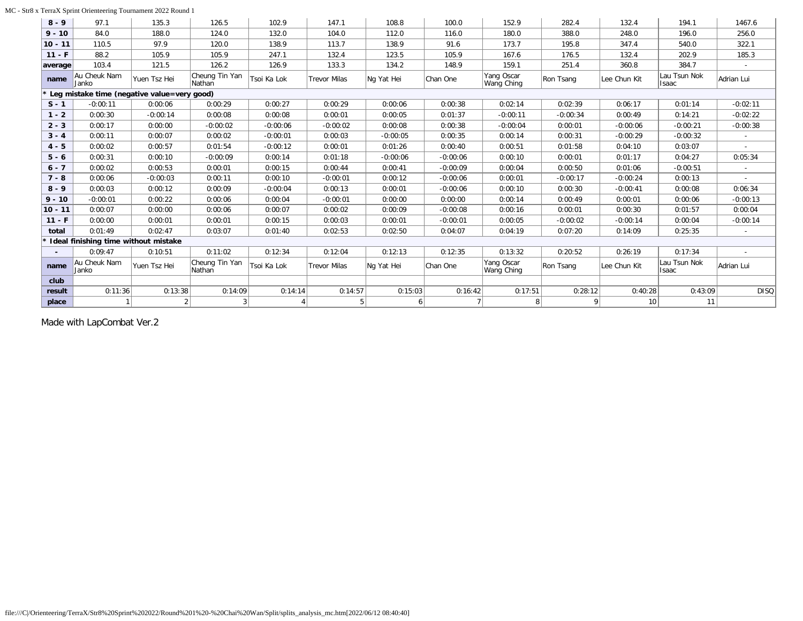### MC - Str8 x TerraX Sprint Orienteering Tournament 2022 Round 1

| $8 - 9$   | 97.1                                          | 135.3        | 126.5                    | 102.9       | 147.1               | 108.8      | 100.0          | 152.9                    | 282.4      | 132.4           | 194.1                        | 1467.6         |
|-----------|-----------------------------------------------|--------------|--------------------------|-------------|---------------------|------------|----------------|--------------------------|------------|-----------------|------------------------------|----------------|
| $9 - 10$  | 84.0                                          | 188.0        | 124.0                    | 132.0       | 104.0               | 112.0      | 116.0          | 180.0                    | 388.0      | 248.0           | 196.0                        | 256.0          |
| $10 - 11$ | 110.5                                         | 97.9         | 120.0                    | 138.9       | 113.7               | 138.9      | 91.6           | 173.7                    | 195.8      | 347.4           | 540.0                        | 322.1          |
| $11 - F$  | 88.2                                          | 105.9        | 105.9                    | 247.1       | 132.4               | 123.5      | 105.9          | 167.6                    | 176.5      | 132.4           | 202.9                        | 185.3          |
| average   | 103.4                                         | 121.5        | 126.2                    | 126.9       | 133.3               | 134.2      | 148.9          | 159.1                    | 251.4      | 360.8           | 384.7                        |                |
| name      | Au Cheuk Nam<br>Janko                         | Yuen Tsz Hei | Cheung Tin Yan<br>Nathan | Tsoi Ka Lok | <b>Trevor Milas</b> | Ng Yat Hei | Chan One       | Yang Oscar<br>Wang Ching | Ron Tsang  | Lee Chun Kit    | Lau Tsun Nok<br>Isaac        | Adrian Lui     |
|           | * Leg mistake time (negative value=very good) |              |                          |             |                     |            |                |                          |            |                 |                              |                |
| $S - 1$   | $-0:00:11$                                    | 0:00:06      | 0:00:29                  | 0:00:27     | 0:00:29             | 0:00:06    | 0:00:38        | 0:02:14                  | 0:02:39    | 0:06:17         | 0:01:14                      | $-0:02:11$     |
| $1 - 2$   | 0:00:30                                       | $-0:00:14$   | 0:00:08                  | 0:00:08     | 0:00:01             | 0:00:05    | 0:01:37        | $-0:00:11$               | $-0:00:34$ | 0:00:49         | 0:14:21                      | $-0:02:22$     |
| $2 - 3$   | 0:00:17                                       | 0:00:00      | $-0:00:02$               | $-0:00:06$  | $-0:00:02$          | 0:00:08    | 0:00:38        | $-0:00:04$               | 0:00:01    | $-0:00:06$      | $-0:00:21$                   | $-0:00:38$     |
| $3 - 4$   | 0:00:11                                       | 0:00:07      | 0:00:02                  | $-0:00:01$  | 0:00:03             | $-0:00:05$ | 0:00:35        | 0:00:14                  | 0:00:31    | $-0:00:29$      | $-0:00:32$                   |                |
| $4 - 5$   | 0:00:02                                       | 0:00:57      | 0:01:54                  | $-0:00:12$  | 0:00:01             | 0:01:26    | 0:00:40        | 0:00:51                  | 0:01:58    | 0:04:10         | 0:03:07                      |                |
| $5 - 6$   | 0:00:31                                       | 0:00:10      | $-0:00:09$               | 0:00:14     | 0:01:18             | $-0:00:06$ | $-0:00:06$     | 0:00:10                  | 0:00:01    | 0:01:17         | 0:04:27                      | 0:05:34        |
| $6 - 7$   | 0:00:02                                       | 0:00:53      | 0:00:01                  | 0:00:15     | 0:00:44             | 0:00:41    | $-0:00:09$     | 0:00:04                  | 0:00:50    | 0:01:06         | $-0:00:51$                   |                |
| $7 - 8$   | 0:00:06                                       | $-0:00:03$   | 0:00:11                  | 0:00:10     | $-0:00:01$          | 0:00:12    | $-0:00:06$     | 0:00:01                  | $-0:00:17$ | $-0:00:24$      | 0:00:13                      |                |
| $8 - 9$   | 0:00:03                                       | 0:00:12      | 0:00:09                  | $-0:00:04$  | 0:00:13             | 0:00:01    | $-0:00:06$     | 0:00:10                  | 0:00:30    | $-0:00:41$      | 0:00:08                      | 0:06:34        |
| $9 - 10$  | $-0:00:01$                                    | 0:00:22      | 0:00:06                  | 0:00:04     | $-0:00:01$          | 0:00:00    | 0:00:00        | 0:00:14                  | 0:00:49    | 0:00:01         | 0:00:06                      | $-0:00:13$     |
| $10 - 11$ | 0:00:07                                       | 0:00:00      | 0:00:06                  | 0:00:07     | 0:00:02             | 0:00:09    | $-0:00:08$     | 0:00:16                  | 0:00:01    | 0:00:30         | 0:01:57                      | 0:00:04        |
| $11 - F$  | 0:00:00                                       | 0:00:01      | 0:00:01                  | 0:00:15     | 0:00:03             | 0:00:01    | $-0:00:01$     | 0:00:05                  | $-0:00:02$ | $-0:00:14$      | 0:00:04                      | $-0:00:14$     |
| total     | 0:01:49                                       | 0:02:47      | 0:03:07                  | 0:01:40     | 0:02:53             | 0:02:50    | 0:04:07        | 0:04:19                  | 0:07:20    | 0:14:09         | 0:25:35                      |                |
|           | Ideal finishing time without mistake          |              |                          |             |                     |            |                |                          |            |                 |                              |                |
|           | 0:09:47                                       | 0:10:51      | 0:11:02                  | 0:12:34     | 0:12:04             | 0:12:13    | 0:12:35        | 0:13:32                  | 0:20:52    | 0:26:19         | 0:17:34                      | $\overline{a}$ |
| name      | Au Cheuk Nam<br>Janko                         | Yuen Tsz Hei | Cheung Tin Yan<br>Nathan | Tsoi Ka Lok | <b>Trevor Milas</b> | Ng Yat Hei | Chan One       | Yang Oscar<br>Wang Ching | Ron Tsang  | Lee Chun Kit    | Lau Tsun Nok<br><b>Isaac</b> | Adrian Lui     |
| club      |                                               |              |                          |             |                     |            |                |                          |            |                 |                              |                |
| result    | 0:11:36                                       | 0:13:38      | 0:14:09                  | 0:14:14     | 0:14:57             | 0:15:03    | 0:16:42        | 0:17:51                  | 0:28:12    | 0:40:28         | 0:43:09                      | <b>DISQ</b>    |
| place     |                                               | 2            |                          |             | 5                   | 6          | $\overline{7}$ | 8 <sup>1</sup>           | 9          | 10 <sup>1</sup> | 11                           |                |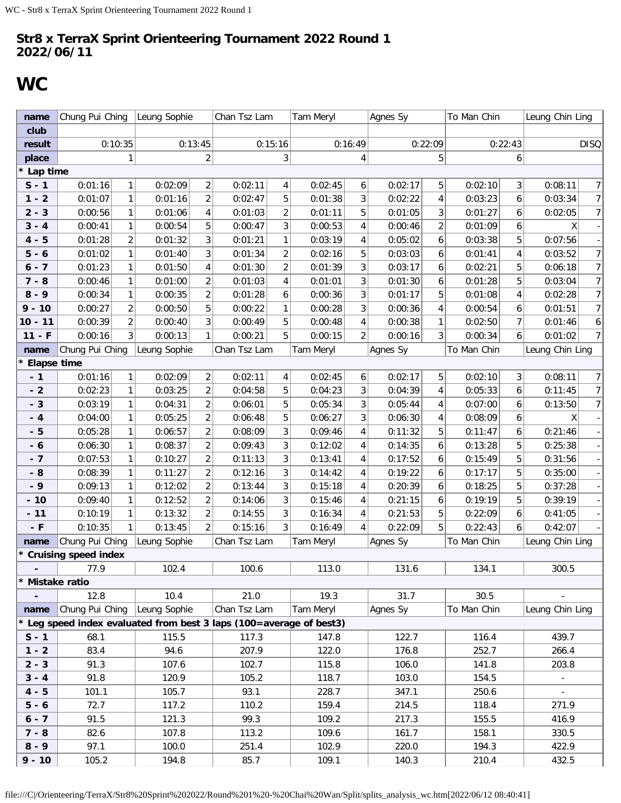## <span id="page-30-0"></span>**WC**

| name                        | Chung Pui Ching        |                | Leung Sophie |                         | Chan Tsz Lam                                                        |                | Tam Meryl |                | Agnes Sy                |                         | To Man Chin  |                         | Leung Chin Ling          |                |
|-----------------------------|------------------------|----------------|--------------|-------------------------|---------------------------------------------------------------------|----------------|-----------|----------------|-------------------------|-------------------------|--------------|-------------------------|--------------------------|----------------|
| club                        |                        |                |              |                         |                                                                     |                |           |                |                         |                         |              |                         |                          |                |
| result                      |                        | 0:10:35        |              | 0:13:45                 |                                                                     | 0:15:16        |           | 0:16:49        |                         | 0:22:09                 |              | 0:22:43                 |                          | <b>DISQ</b>    |
| place                       |                        | 1              |              | $\overline{c}$          |                                                                     | 3              |           | 4              | 5                       |                         |              | 6                       |                          |                |
| * Lap time                  |                        |                |              |                         |                                                                     |                |           |                |                         |                         |              |                         |                          |                |
| $S - 1$                     | 0:01:16                | 1              | 0:02:09      | $\overline{\mathbf{c}}$ | 0:02:11                                                             | 4              | 0:02:45   | 6              | 0:02:17                 | 5                       | 0:02:10<br>3 |                         | 0:08:11                  | 7              |
| $1 - 2$                     | 0:01:07                | $\mathbf{1}$   | 0:01:16      | $\overline{2}$          | 0:02:47                                                             | 5              | 0:01:38   | 3              | 0:02:22                 | $\overline{\mathbf{4}}$ | 0:03:23      | 6                       | 0:03:34                  | 7 <sup>1</sup> |
| $2 - 3$                     | 0:00:56                | $\mathbf{1}$   | 0:01:06      | 4                       | 0:01:03                                                             | $\overline{2}$ | 0:01:11   | 5              |                         | 3                       | 0:01:27      | 6                       | 0:02:05                  | 7 <sup>1</sup> |
| $3 - 4$                     | 0:00:41                | $\mathbf{1}$   | 0:00:54      | 5                       | 0:00:47                                                             | 3              | 0:00:53   | 4              | 0:00:46                 | $\overline{c}$          | 0:01:09      | 6                       |                          | Χ              |
| $4 - 5$                     | 0:01:28                | $\overline{c}$ | 0:01:32      | 3                       | 0:01:21                                                             | $\mathbf{1}$   | 0:03:19   | 4              | 0:05:02                 | 6                       | 0:03:38      | 5                       | 0:07:56                  |                |
| $5 - 6$                     | 0:01:02                | $\mathbf{1}$   | 0:01:40      | 3                       | 0:01:34                                                             | $\overline{c}$ | 0:02:16   | 5              | 0:03:03                 | $\boldsymbol{6}$        | 0:01:41      | $\overline{\mathbf{4}}$ | 0:03:52                  | 7 <sup>1</sup> |
| $6 - 7$                     | 0:01:23                | 1              | 0:01:50      | $\overline{\mathbf{4}}$ | 0:01:30                                                             | $\overline{2}$ | 0:01:39   | 3              | 0:03:17                 | 6                       | 0:02:21      | 5                       | 0:06:18                  | 7              |
| $7 - 8$                     | 0:00:46                | $\mathbf{1}$   | 0:01:00      | $\overline{2}$          | 0:01:03                                                             | 4              | 0:01:01   | 3              | 0:01:30                 | 6                       | 0:01:28      | 5                       | 0:03:04                  | 7 <sup>1</sup> |
| $8 - 9$                     | 0:00:34                | $\mathbf{1}$   | 0:00:35      | $\overline{2}$          | 0:01:28                                                             | 6              | 0:00:36   | 3              | 0:01:17                 | 5                       | 0:01:08      | 4                       | 0:02:28                  | 7              |
| $9 - 10$                    | 0:00:27                | $\overline{c}$ | 0:00:50      | 5                       | 0:00:22                                                             | $\mathbf{1}$   | 0:00:28   | 3              | 0:00:36                 | $\pmb{4}$               | 0:00:54      | 6                       | 0:01:51                  | 7 <sup>1</sup> |
| $10 - 11$                   | 0:00:39                | $\overline{c}$ | 0:00:40      | 3                       | 0:00:49                                                             | 5              | 0:00:48   | 4              | 0:00:38                 | $\mathbf{1}$            | 0:02:50      | $\overline{7}$          | 0:01:46                  | 6              |
| $11 - F$                    | 0:00:16                | 3 <sup>1</sup> | 0:00:13      | 1                       | 0:00:21                                                             | 5              | 0:00:15   | $\overline{c}$ | 0:00:16                 | 3                       | 0:00:34      | 6                       | 0:01:02                  | 7              |
| name                        | Chung Pui Ching        |                | Leung Sophie |                         | Chan Tsz Lam                                                        |                | Tam Meryl |                | To Man Chin<br>Agnes Sy |                         |              | Leung Chin Ling         |                          |                |
| <b>Elapse time</b>          |                        |                |              |                         |                                                                     |                |           |                |                         |                         |              |                         |                          |                |
| $-1$                        | 0:01:16                | $\mathbf{1}$   | 0:02:09      | $\overline{c}$          | 0:02:11                                                             | 4              | 0:02:45   | 6              | 0:02:17                 | 5                       | 0:02:10      | 3                       | 0:08:11                  | 7 <sup>1</sup> |
| $-2$                        | 0:02:23                | $\mathbf{1}$   | 0:03:25      | $\overline{2}$          | 0:04:58                                                             | 5              | 0:04:23   | 3              | 0:04:39                 | $\pmb{4}$               | 0:05:33      | 6                       | 0:11:45                  | 7 <sup>1</sup> |
| $-3$                        | 0:03:19                | $\mathbf{1}$   | 0:04:31      | $\overline{c}$          | 0:06:01                                                             | 5              | 0:05:34   | 3              | 0:05:44                 | 4                       | 0:07:00      | 6                       | 0:13:50                  | 7              |
| $-4$                        | 0:04:00                | 1              | 0:05:25      | $\overline{2}$          | 0:06:48                                                             | 5              | 0:06:27   | 3              | 0:06:30                 | $\pmb{4}$               | 0:08:09      | 6                       | X                        |                |
| $-5$                        | 0:05:28                | $\mathbf{1}$   | 0:06:57      | $\overline{c}$          | 0:08:09                                                             | 3              |           | 4              | 0:11:32                 | 5                       | 0:11:47      | 6                       | 0:21:46                  |                |
| $-6$                        | 0:06:30                | $\mathbf{1}$   | 0:08:37      | $\overline{\mathbf{c}}$ | 0:09:43                                                             | 3              | 0:12:02   | 4              | 0:14:35                 | $\boldsymbol{6}$        | 0:13:28      | 5                       | 0:25:38                  |                |
| $-7$                        | 0:07:53                | $\mathbf{1}$   | 0:10:27      | $\overline{c}$          | 0:11:13                                                             | 3              | 0:13:41   | 4              | 0:17:52                 | 6                       | 0:15:49      | 5                       | 0:31:56                  |                |
| $-8$                        | 0:08:39                | 1              | 0:11:27      | $\overline{c}$          | 0:12:16                                                             | 3              | 0:14:42   | 4              | 0:19:22                 | $\boldsymbol{6}$        | 0:17:17      | 5                       | 0:35:00                  |                |
| $-9$                        | 0:09:13                | $\mathbf{1}$   | 0:12:02      | $\overline{2}$          | 0:13:44                                                             | 3              | 0:15:18   | 4              | 0:20:39                 | 6                       | 0:18:25      | 5                       | 0:37:28                  |                |
| $-10$                       | 0:09:40                | $\mathbf{1}$   | 0:12:52      | $\overline{c}$          | 0:14:06                                                             | 3              | 0:15:46   | 4              | 0:21:15                 | 6                       | 0:19:19      | 5                       | 0:39:19                  |                |
| $-11$                       | 0:10:19                | $\mathbf{1}$   | 0:13:32      | $\overline{2}$          | 0:14:55                                                             | 3              | 0:16:34   | 4              | 0:21:53                 | 5                       | 0:22:09      | 6                       | 0:41:05                  |                |
| $-$ F                       | 0:10:35                | $\mathbf{1}$   | 0:13:45      | $\overline{2}$          | 0:15:16                                                             | $\overline{3}$ | 0:16:49   | 4              | 0:22:09                 | 5                       | 0:22:43      | 6                       | 0:42:07                  |                |
| name                        | Chung Pui Ching        |                | Leung Sophie |                         | Chan Tsz Lam                                                        |                | Tam Meryl |                | Agnes Sy                |                         | To Man Chin  |                         | Leung Chin Ling          |                |
|                             | * Cruising speed index |                |              |                         |                                                                     |                |           |                |                         |                         |              |                         |                          |                |
|                             | 77.9                   |                | 102.4        |                         | 100.6                                                               |                | 113.0     |                | 131.6                   |                         | 134.1        |                         | 300.5                    |                |
| * Mistake ratio             |                        |                |              |                         |                                                                     |                |           |                |                         |                         |              |                         |                          |                |
| $\mathcal{L}_{\mathcal{A}}$ | 12.8                   |                | 10.4         |                         | 21.0                                                                |                | 19.3      |                | 31.7                    |                         | 30.5         |                         |                          |                |
| name                        | Chung Pui Ching        |                | Leung Sophie |                         | Chan Tsz Lam                                                        |                | Tam Meryl |                | Agnes Sy                |                         | To Man Chin  |                         | Leung Chin Ling          |                |
|                             |                        |                |              |                         | * Leg speed index evaluated from best 3 laps (100=average of best3) |                |           |                |                         |                         |              |                         |                          |                |
| $S - 1$                     | 68.1                   |                | 115.5        |                         | 117.3                                                               |                | 147.8     |                | 122.7                   |                         | 116.4        |                         | 439.7                    |                |
| $1 - 2$                     | 83.4                   |                | 94.6         |                         | 207.9                                                               |                | 122.0     |                | 176.8                   |                         | 252.7        |                         | 266.4                    |                |
| $2 - 3$                     | 91.3                   |                | 107.6        |                         | 102.7                                                               |                | 115.8     |                | 106.0                   |                         | 141.8        |                         | 203.8                    |                |
| $3 - 4$                     | 91.8                   |                | 120.9        |                         | 105.2                                                               |                | 118.7     |                | 103.0                   |                         | 154.5        |                         |                          |                |
| $4 - 5$                     | 101.1                  |                | 105.7        |                         | 93.1                                                                |                | 228.7     |                | 347.1                   |                         | 250.6        |                         | $\overline{\phantom{a}}$ |                |
| $5 - 6$                     | 72.7                   |                | 117.2        |                         | 110.2                                                               |                | 159.4     |                | 214.5                   |                         | 118.4        |                         | 271.9                    |                |
| $6 - 7$                     | 91.5                   |                | 121.3        |                         | 99.3                                                                |                | 109.2     |                | 217.3                   |                         | 155.5        |                         | 416.9                    |                |
| $7 - 8$                     | 82.6                   |                | 107.8        |                         | 113.2                                                               |                | 109.6     |                | 161.7                   |                         | 158.1        |                         | 330.5                    |                |
| $8 - 9$                     | 97.1                   |                | 100.0        |                         | 251.4                                                               |                | 102.9     |                | 220.0                   |                         | 194.3        |                         | 422.9                    |                |
| $9 - 10$                    | 105.2                  |                | 194.8        |                         | 85.7                                                                |                | 109.1     |                | 140.3                   |                         |              |                         | 432.5                    |                |

file:///C|/Orienteering/TerraX/Str8%20Sprint%202022/Round%201%20-%20Chai%20Wan/Split/splits\_analysis\_wc.htm[2022/06/12 08:40:41]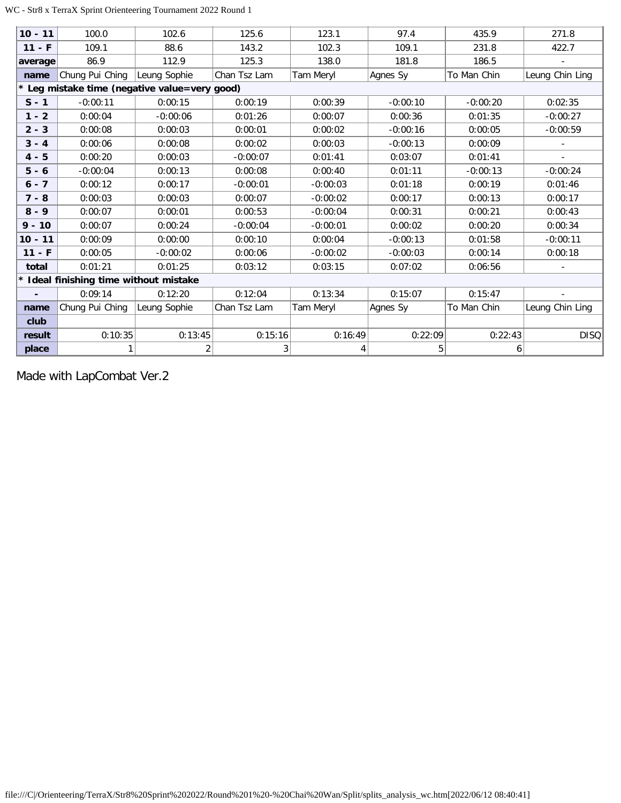### WC - Str8 x TerraX Sprint Orienteering Tournament 2022 Round 1

| $10 - 11$ | 100.0                                | 102.6                                         | 125.6        | 123.1      | 97.4       | 435.9       | 271.8           |
|-----------|--------------------------------------|-----------------------------------------------|--------------|------------|------------|-------------|-----------------|
| $11 - F$  | 109.1                                | 88.6                                          | 143.2        | 102.3      | 109.1      | 231.8       | 422.7           |
| average   | 86.9                                 | 112.9                                         | 125.3        | 138.0      | 181.8      | 186.5       |                 |
| name      | Chung Pui Ching                      | Leung Sophie                                  | Chan Tsz Lam | Tam Meryl  | Agnes Sy   | To Man Chin | Leung Chin Ling |
|           |                                      | * Leg mistake time (negative value=very good) |              |            |            |             |                 |
| $S - 1$   | $-0:00:11$                           | 0:00:15                                       | 0:00:19      | 0:00:39    | $-0:00:10$ | $-0:00:20$  | 0:02:35         |
| $1 - 2$   | 0:00:04                              | $-0:00:06$                                    | 0:01:26      | 0:00:07    | 0:00:36    | 0:01:35     | $-0:00:27$      |
| $2 - 3$   | 0:00:08                              | 0:00:03                                       | 0:00:01      | 0:00:02    | $-0:00:16$ | 0:00:05     | $-0:00:59$      |
| $3 - 4$   | 0:00:06                              | 0:00:08                                       | 0:00:02      | 0:00:03    | $-0:00:13$ | 0:00:09     |                 |
| $4 - 5$   | 0:00:20                              | 0:00:03                                       | $-0:00:07$   | 0:01:41    | 0:03:07    | 0:01:41     |                 |
| $5 - 6$   | $-0:00:04$                           | 0:00:13                                       | 0:00:08      | 0:00:40    | 0:01:11    | $-0:00:13$  | $-0:00:24$      |
| $6 - 7$   | 0:00:12                              | 0:00:17                                       | $-0:00:01$   | $-0:00:03$ | 0:01:18    | 0:00:19     | 0:01:46         |
| $7 - 8$   | 0:00:03                              | 0:00:03                                       | 0:00:07      | $-0:00:02$ | 0:00:17    | 0:00:13     | 0:00:17         |
| $8 - 9$   | 0:00:07                              | 0:00:01                                       | 0:00:53      | $-0:00:04$ | 0:00:31    | 0:00:21     | 0:00:43         |
| $9 - 10$  | 0:00:07                              | 0:00:24                                       | $-0:00:04$   | $-0:00:01$ | 0:00:02    | 0:00:20     | 0:00:34         |
| $10 - 11$ | 0:00:09                              | 0:00:00                                       | 0:00:10      | 0:00:04    | $-0:00:13$ | 0:01:58     | $-0:00:11$      |
| $11 - F$  | 0:00:05                              | $-0:00:02$                                    | 0:00:06      | $-0:00:02$ | $-0:00:03$ | 0:00:14     | 0:00:18         |
| total     | 0:01:21                              | 0:01:25                                       | 0:03:12      | 0:03:15    | 0:07:02    | 0:06:56     |                 |
|           | Ideal finishing time without mistake |                                               |              |            |            |             |                 |
|           | 0:09:14                              | 0:12:20                                       | 0:12:04      | 0:13:34    | 0:15:07    | 0:15:47     |                 |
| name      | Chung Pui Ching                      | Leung Sophie                                  | Chan Tsz Lam | Tam Meryl  | Agnes Sy   | To Man Chin | Leung Chin Ling |
| club      |                                      |                                               |              |            |            |             |                 |
| result    | 0:10:35                              | 0:13:45                                       | 0:15:16      | 0:16:49    | 0:22:09    | 0:22:43     | <b>DISQ</b>     |
| place     | 1                                    | $\overline{2}$                                | 3            | 4          | 5          | 6           |                 |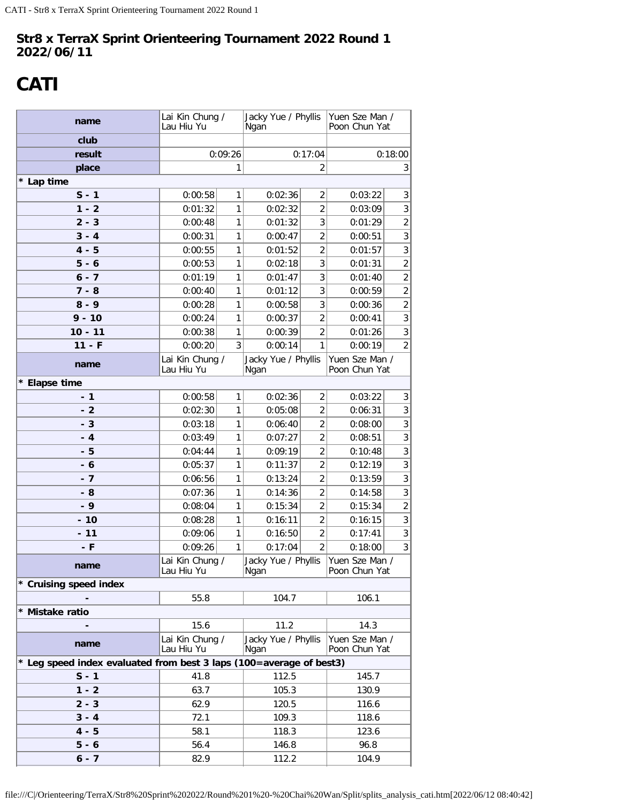# <span id="page-32-0"></span>**CATI**

| name                                                                | Lai Kin Chung /<br>Lau Hiu Yu |              | Jacky Yue / Phyllis<br>Ngan |                                  | Yuen Sze Man /<br>Poon Chun Yat      |                              |  |  |
|---------------------------------------------------------------------|-------------------------------|--------------|-----------------------------|----------------------------------|--------------------------------------|------------------------------|--|--|
| club                                                                |                               |              |                             |                                  |                                      |                              |  |  |
| result                                                              |                               | 0:09:26      |                             | 0:17:04                          |                                      | 0:18:00                      |  |  |
| place                                                               |                               | 1            |                             | 2                                | 3                                    |                              |  |  |
| * Lap time                                                          |                               |              |                             |                                  |                                      |                              |  |  |
| $S - 1$                                                             | 0:00:58                       | 1            | 0:02:36                     | $\overline{2}$                   | 0:03:22                              | 3                            |  |  |
| $1 - 2$                                                             | 0:01:32                       | 1            | 0:02:32                     | $\overline{2}$                   | 0:03:09                              | $\mathfrak{Z}$               |  |  |
| $2 - 3$                                                             | 0:00:48                       | 1            | 0:01:32                     | 3                                | 0:01:29                              | $\overline{c}$               |  |  |
| $3 - 4$                                                             | 0:00:31                       | 1            | 0:00:47                     | $\overline{2}$                   | 0:00:51                              | $\mathbf{3}$                 |  |  |
| $4 - 5$                                                             | 0:00:55                       | 1            | 0:01:52                     | $\overline{2}$                   | 0:01:57                              | $\sqrt{3}$                   |  |  |
| $5 - 6$                                                             | 0:00:53                       | 1            | 0:02:18                     | 3                                | 0:01:31                              | $\overline{2}$               |  |  |
| $6 - 7$                                                             | 0:01:19                       | 1            | 0:01:47                     | 3                                | 0:01:40                              | $\overline{c}$               |  |  |
| $7 - 8$                                                             | 0:00:40                       | 1            | 0:01:12                     | 3                                | 0:00:59                              | $\overline{2}$               |  |  |
| $8 - 9$                                                             | 0:00:28                       | $\mathbf{1}$ | 0:00:58                     | 3                                | 0:00:36                              | $\sqrt{2}$                   |  |  |
| $9 - 10$                                                            | 0:00:24                       | 1            | 0:00:37                     | $\overline{2}$                   | 0:00:41                              | $\mathfrak{Z}$               |  |  |
| $10 - 11$                                                           | 0:00:38                       | 1            | 0:00:39                     | $\overline{2}$                   | 0:01:26                              | $\sqrt{3}$                   |  |  |
| $11 - F$                                                            | 0:00:20                       | 3            | 0:00:14                     | 1                                | 0:00:19                              | $\overline{2}$               |  |  |
| name                                                                | Lai Kin Chung /<br>Lau Hiu Yu |              | Jacky Yue / Phyllis<br>Ngan |                                  | Yuen Sze Man /<br>Poon Chun Yat      |                              |  |  |
| * Elapse time                                                       |                               |              |                             |                                  |                                      |                              |  |  |
| $-1$                                                                | 0:00:58                       | 1            | 0:02:36                     | $\overline{2}$                   | 0:03:22                              | 3                            |  |  |
| - 2                                                                 | 0:02:30                       | 1            | 0:05:08                     | $\overline{2}$                   | 0:06:31                              | 3                            |  |  |
| $-3$                                                                | 0:03:18                       | 1            | 0:06:40                     | $\overline{2}$                   | 0:08:00                              | $\overline{3}$               |  |  |
| $-4$                                                                | 0:03:49                       | 1            | 0:07:27                     | $\overline{2}$                   | 0:08:51                              | $\overline{3}$               |  |  |
| - 5                                                                 | 0:04:44                       | 1            | 0:09:19                     | $\overline{2}$                   | 0:10:48                              | $\mathfrak{Z}$               |  |  |
| - 6                                                                 | 0:05:37                       | 1            | 0:11:37                     | $\overline{2}$                   | 0:12:19                              | $\sqrt{3}$                   |  |  |
| - 7                                                                 | 0:06:56                       | 1            | 0:13:24                     | $\overline{2}$                   | 0:13:59                              | $\overline{3}$               |  |  |
| - 8                                                                 | 0:07:36                       | 1            | 0:14:36                     | $\overline{2}$                   | 0:14:58                              | $\overline{3}$               |  |  |
| $-9$                                                                | 0:08:04                       | 1            | 0:15:34                     | $\overline{2}$                   | 0:15:34                              | $\overline{c}$               |  |  |
| $-10$                                                               | 0:08:28                       | 1<br>1       | 0:16:11                     | $\overline{2}$<br>$\overline{2}$ | 0:16:15                              | $\sqrt{3}$<br>$\mathfrak{Z}$ |  |  |
| $-11$<br>- F                                                        | 0:09:06<br>0:09:26            | 1            | 0:16:50<br>0:17:04          | $\overline{2}$                   | 0:17:41<br>0:18:00                   | $\mathbf{3}$                 |  |  |
| name                                                                | Lai Kin Chung /               |              |                             |                                  | Jacky Yue / Phyllis   Yuen Sze Man / |                              |  |  |
| * Cruising speed index                                              | Lau Hiu Yu                    |              | Ngan                        |                                  | Poon Chun Yat                        |                              |  |  |
|                                                                     | 55.8                          |              | 104.7                       |                                  | 106.1                                |                              |  |  |
| * Mistake ratio                                                     |                               |              |                             |                                  |                                      |                              |  |  |
|                                                                     | 15.6                          |              | 11.2                        |                                  | 14.3                                 |                              |  |  |
| name                                                                | Lai Kin Chung /<br>Lau Hiu Yu |              | Jacky Yue / Phyllis<br>Ngan |                                  | Yuen Sze Man /<br>Poon Chun Yat      |                              |  |  |
| * Leg speed index evaluated from best 3 laps (100=average of best3) |                               |              |                             |                                  |                                      |                              |  |  |
| $S - 1$                                                             | 41.8                          |              | 112.5                       |                                  | 145.7                                |                              |  |  |
| $1 - 2$                                                             | 63.7                          |              | 105.3                       |                                  | 130.9                                |                              |  |  |
| $2 - 3$                                                             | 62.9                          |              | 120.5                       |                                  | 116.6                                |                              |  |  |
| $3 - 4$                                                             | 72.1                          |              | 109.3                       |                                  | 118.6                                |                              |  |  |
| $4 - 5$                                                             | 58.1                          |              | 118.3                       |                                  | 123.6                                |                              |  |  |
| $5 - 6$                                                             | 56.4                          |              | 146.8                       |                                  | 96.8                                 |                              |  |  |
| $6 - 7$                                                             | 82.9                          |              | 112.2                       |                                  | 104.9                                |                              |  |  |

file:///C|/Orienteering/TerraX/Str8%20Sprint%202022/Round%201%20-%20Chai%20Wan/Split/splits\_analysis\_cati.htm[2022/06/12 08:40:42]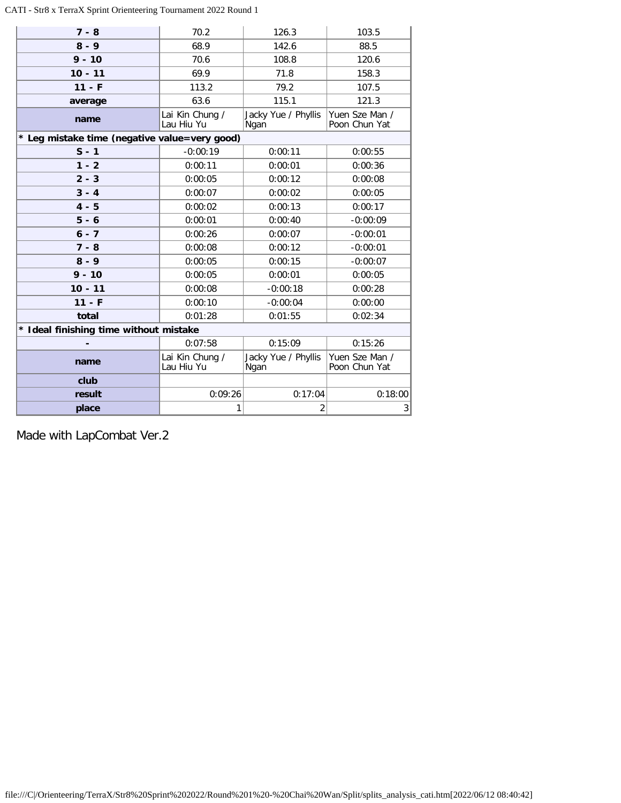### CATI - Str8 x TerraX Sprint Orienteering Tournament 2022 Round 1

| $7 - 8$                                       | 70.2                          | 126.3                       | 103.5                           |
|-----------------------------------------------|-------------------------------|-----------------------------|---------------------------------|
| $8 - 9$                                       | 68.9                          | 142.6                       | 88.5                            |
| $9 - 10$                                      | 70.6                          | 108.8                       | 120.6                           |
| $10 - 11$                                     | 69.9                          | 71.8                        | 158.3                           |
| $11 - F$                                      | 113.2                         | 79.2                        | 107.5                           |
| average                                       | 63.6                          | 115.1                       | 121.3                           |
| name                                          | Lai Kin Chung /<br>Lau Hiu Yu | Jacky Yue / Phyllis<br>Ngan | Yuen Sze Man /<br>Poon Chun Yat |
| * Leg mistake time (negative value=very good) |                               |                             |                                 |
| $S - 1$                                       | $-0:00:19$                    | 0:00:11                     | 0:00:55                         |
| $1 - 2$                                       | 0:00:11                       | 0:00:01                     | 0:00:36                         |
| $2 - 3$                                       | 0:00:05                       | 0:00:12                     | 0:00:08                         |
| $3 - 4$                                       | 0:00:07                       | 0:00:02                     | 0:00:05                         |
| $4 - 5$                                       | 0:00:02                       | 0:00:13                     | 0:00:17                         |
| $5 - 6$                                       | 0:00:01                       | 0:00:40                     | $-0:00:09$                      |
| $6 - 7$                                       | 0:00:26                       | 0:00:07                     | $-0:00:01$                      |
| $7 - 8$                                       | 0:00:08                       | 0:00:12                     | $-0:00:01$                      |
| $8 - 9$                                       | 0:00:05                       | 0:00:15                     | $-0:00:07$                      |
| $9 - 10$                                      | 0:00:05                       | 0:00:01                     | 0:00:05                         |
| $10 - 11$                                     | 0:00:08                       | $-0:00:18$                  | 0:00:28                         |
| $11 - F$                                      | 0:00:10                       | $-0:00:04$                  | 0:00:00                         |
| total                                         | 0:01:28                       | 0:01:55                     | 0:02:34                         |
| * Ideal finishing time without mistake        |                               |                             |                                 |
|                                               | 0:07:58                       | 0:15:09                     | 0:15:26                         |
| name                                          | Lai Kin Chung /<br>Lau Hiu Yu | Jacky Yue / Phyllis<br>Ngan | Yuen Sze Man /<br>Poon Chun Yat |
| club                                          |                               |                             |                                 |
| result                                        | 0:09:26                       | 0:17:04                     | 0:18:00                         |
| place                                         | 1                             | 2                           | 3                               |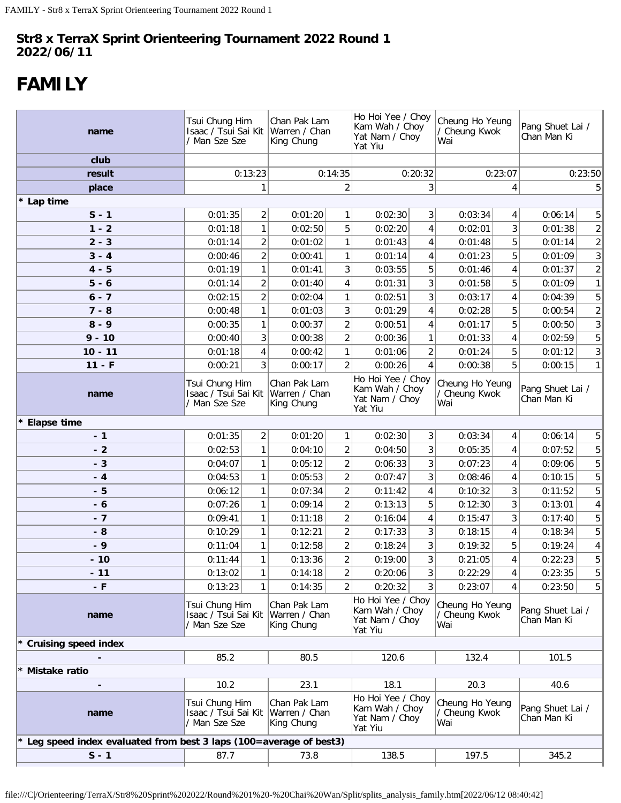# <span id="page-34-0"></span>**FAMILY**

| name                                                              |                                                         | Tsui Chung Him<br>Isaac / Tsui Sai Kit<br>/ Man Sze Sze |                                             | Chan Pak Lam<br>Warren / Chan<br>King Chung |                                                                  | Ho Hoi Yee / Choy<br>Kam Wah / Choy<br>Yat Nam / Choy<br>Yat Yiu |                                          | Cheung Ho Yeung<br>/ Cheung Kwok | Pang Shuet Lai /<br>Chan Man Ki |                 |  |  |  |  |  |  |  |  |  |  |  |  |                                 |  |
|-------------------------------------------------------------------|---------------------------------------------------------|---------------------------------------------------------|---------------------------------------------|---------------------------------------------|------------------------------------------------------------------|------------------------------------------------------------------|------------------------------------------|----------------------------------|---------------------------------|-----------------|--|--|--|--|--|--|--|--|--|--|--|--|---------------------------------|--|
| club                                                              |                                                         |                                                         |                                             |                                             |                                                                  |                                                                  |                                          |                                  |                                 |                 |  |  |  |  |  |  |  |  |  |  |  |  |                                 |  |
| result                                                            |                                                         | 0:13:23                                                 |                                             | 0:14:35                                     | 0:20:32                                                          |                                                                  | 0:23:07                                  |                                  |                                 | 0:23:50         |  |  |  |  |  |  |  |  |  |  |  |  |                                 |  |
| place                                                             |                                                         |                                                         |                                             | $\overline{2}$                              |                                                                  | 3                                                                | 4                                        |                                  |                                 | 5 <sup>1</sup>  |  |  |  |  |  |  |  |  |  |  |  |  |                                 |  |
| * Lap time                                                        |                                                         |                                                         |                                             |                                             |                                                                  |                                                                  |                                          |                                  |                                 |                 |  |  |  |  |  |  |  |  |  |  |  |  |                                 |  |
| $S - 1$                                                           | 0:01:35                                                 | 2                                                       | 0:01:20                                     | $\mathbf{1}$                                | 0:02:30                                                          | 3 <sup>1</sup>                                                   | 0:03:34                                  | 4                                | 0:06:14                         | 5 <sup>1</sup>  |  |  |  |  |  |  |  |  |  |  |  |  |                                 |  |
| $1 - 2$                                                           | 0:01:18                                                 | 1                                                       | 0:02:50                                     | 5                                           | 0:02:20                                                          | 4                                                                | 0:02:01                                  | 3                                | 0:01:38                         | $\overline{2}$  |  |  |  |  |  |  |  |  |  |  |  |  |                                 |  |
| $2 - 3$                                                           | 0:01:14                                                 | $\overline{2}$                                          | 0:01:02                                     | $\mathbf{1}$                                | 0:01:43                                                          | 4                                                                | 0:01:48                                  | 5                                | 0:01:14                         | $\overline{2}$  |  |  |  |  |  |  |  |  |  |  |  |  |                                 |  |
| $3 - 4$                                                           | 0:00:46                                                 | 2                                                       | 0:00:41                                     | $\mathbf{1}$                                | 0:01:14                                                          | 4                                                                | 0:01:23                                  | 5                                | 0:01:09                         | 3               |  |  |  |  |  |  |  |  |  |  |  |  |                                 |  |
| $4 - 5$                                                           | 0:01:19                                                 | 1                                                       | 0:01:41                                     | 3                                           | 0:03:55                                                          | 5                                                                | 0:01:46                                  | $\overline{4}$                   | 0:01:37                         | $\overline{2}$  |  |  |  |  |  |  |  |  |  |  |  |  |                                 |  |
| $5 - 6$                                                           | 0:01:14                                                 | $\overline{2}$                                          | 0:01:40                                     | 4                                           | 0:01:31                                                          | 3                                                                | 0:01:58                                  | 5                                | 0:01:09                         | 1               |  |  |  |  |  |  |  |  |  |  |  |  |                                 |  |
| $6 - 7$                                                           | 0:02:15                                                 | $\overline{2}$                                          | 0:02:04                                     | 1                                           | 0:02:51                                                          | 3                                                                | 0:03:17                                  | $\overline{4}$                   | 0:04:39                         | 5 <sup>1</sup>  |  |  |  |  |  |  |  |  |  |  |  |  |                                 |  |
| $7 - 8$                                                           | 0:00:48                                                 | 1                                                       | 0:01:03                                     | 3                                           | 0:01:29                                                          | 4                                                                | 0:02:28                                  | 5                                | 0:00:54                         | $\overline{2}$  |  |  |  |  |  |  |  |  |  |  |  |  |                                 |  |
| $8 - 9$                                                           | 0:00:35                                                 | 1                                                       | 0:00:37                                     | $\overline{2}$                              | 0:00:51                                                          | 4                                                                | 0:01:17                                  | 5                                | 0:00:50                         | 3 <sup>1</sup>  |  |  |  |  |  |  |  |  |  |  |  |  |                                 |  |
| $9 - 10$                                                          | 0:00:40                                                 | 3                                                       | 0:00:38                                     | $\overline{2}$                              | 0:00:36                                                          | 1                                                                | 0:01:33                                  | 4                                | 0:02:59                         | 5 <sup>1</sup>  |  |  |  |  |  |  |  |  |  |  |  |  |                                 |  |
| $10 - 11$                                                         | 0:01:18                                                 | 4                                                       | 0:00:42                                     | 1                                           | 0:01:06                                                          | $\overline{2}$                                                   | 0:01:24                                  | 5                                | 0:01:12                         | 3 <sup>1</sup>  |  |  |  |  |  |  |  |  |  |  |  |  |                                 |  |
| $11 - F$                                                          | 0:00:21                                                 | 3                                                       | 0:00:17                                     | $\overline{2}$                              | 0:00:26                                                          | 4                                                                | 0:00:38                                  | 5                                | 0:00:15                         | 1               |  |  |  |  |  |  |  |  |  |  |  |  |                                 |  |
| name                                                              | Tsui Chung Him<br>Isaac / Tsui Sai Kit<br>/ Man Sze Sze |                                                         | Chan Pak Lam<br>Warren / Chan<br>King Chung |                                             | Ho Hoi Yee / Choy<br>Kam Wah / Choy<br>Yat Nam / Choy<br>Yat Yiu |                                                                  | Cheung Ho Yeung<br>/ Cheung Kwok<br>Wai  |                                  |                                 |                 |  |  |  |  |  |  |  |  |  |  |  |  | Pang Shuet Lai /<br>Chan Man Ki |  |
| * Elapse time                                                     |                                                         |                                                         |                                             |                                             |                                                                  |                                                                  |                                          |                                  |                                 |                 |  |  |  |  |  |  |  |  |  |  |  |  |                                 |  |
| $-1$                                                              | 0:01:35<br>$\overline{2}$                               |                                                         | 0:01:20                                     | $\mathbf{1}$                                | 0:02:30                                                          | 3                                                                | 0:03:34                                  | 4                                | 0:06:14                         | 5 <sup>1</sup>  |  |  |  |  |  |  |  |  |  |  |  |  |                                 |  |
| $-2$                                                              | 0:02:53                                                 | 1                                                       | 0:04:10                                     | $\overline{c}$                              | 0:04:50                                                          | 3                                                                | 0:05:35                                  | 4                                | 0:07:52                         | 5 <sup>1</sup>  |  |  |  |  |  |  |  |  |  |  |  |  |                                 |  |
| $-3$                                                              | 0:04:07                                                 | 1                                                       | 0:05:12                                     | $\overline{a}$                              | 0:06:33                                                          | 3                                                                | 0:07:23                                  | 4                                | 0:09:06                         | 5 <sup>1</sup>  |  |  |  |  |  |  |  |  |  |  |  |  |                                 |  |
| $-4$                                                              | 0:04:53                                                 | $\mathbf{1}$                                            | 0:05:53                                     | $\overline{c}$                              | 0:07:47                                                          | 3                                                                | 0:08:46                                  | 4                                | 0:10:15                         | 5 <sup>1</sup>  |  |  |  |  |  |  |  |  |  |  |  |  |                                 |  |
| $-5$                                                              | 0:06:12                                                 | $\mathbf{1}$                                            | 0:07:34                                     | $\overline{a}$                              | 0:11:42                                                          | 4                                                                | 0:10:32                                  | 3                                | 0:11:52                         | 5 <sup>1</sup>  |  |  |  |  |  |  |  |  |  |  |  |  |                                 |  |
| $-6$                                                              | 0:07:26                                                 | $\mathbf{1}$                                            | 0:09:14                                     | $\overline{a}$                              | 0:13:13                                                          | 5                                                                | 0:12:30                                  | 3                                | 0:13:01                         | $\vert 4 \vert$ |  |  |  |  |  |  |  |  |  |  |  |  |                                 |  |
| $-7$                                                              | 0:09:41                                                 | $\mathbf{1}$                                            | 0:11:18                                     | $\overline{a}$                              | 0:16:04                                                          | 4                                                                | 0:15:47                                  | 3                                | 0:17:40                         | 5 <sup>1</sup>  |  |  |  |  |  |  |  |  |  |  |  |  |                                 |  |
| $-8$                                                              | 0:10:29                                                 | $\mathbf{1}$                                            | 0:12:21                                     | $\overline{2}$                              | 0:17:33                                                          | 3                                                                | 0:18:15                                  | 4                                | 0:18:34                         | 5 <sup>1</sup>  |  |  |  |  |  |  |  |  |  |  |  |  |                                 |  |
| $-9$                                                              | 0:11:04                                                 | $\mathbf{1}$                                            | 0:12:58                                     | $\overline{a}$                              | 0:18:24                                                          | 3                                                                | 0:19:32                                  | 5                                | 0:19:24                         | $\vert 4 \vert$ |  |  |  |  |  |  |  |  |  |  |  |  |                                 |  |
| $-10$                                                             | 0:11:44                                                 | $\mathbf{1}$                                            | 0:13:36                                     | $\overline{2}$                              | 0:19:00                                                          | 3                                                                | 0:21:05                                  | 4                                | 0:22:23                         | 5 <sup>1</sup>  |  |  |  |  |  |  |  |  |  |  |  |  |                                 |  |
| $-11$                                                             | 0:13:02                                                 | 1                                                       | 0:14:18                                     | $\overline{a}$                              | 0:20:06                                                          | 3                                                                | 0:22:29                                  | 4                                | 0:23:35                         | 5 <sup>1</sup>  |  |  |  |  |  |  |  |  |  |  |  |  |                                 |  |
| $-F$                                                              | 0:13:23                                                 | $\mathbf{1}$                                            | 0:14:35                                     | $\overline{2}$                              | 0:20:32                                                          | 3                                                                | 0:23:07                                  | 4                                | 0:23:50                         | 5 <sup>1</sup>  |  |  |  |  |  |  |  |  |  |  |  |  |                                 |  |
| name                                                              | Tsui Chung Him<br>Isaac / Tsui Sai Kit<br>' Man Sze Sze |                                                         | Chan Pak Lam<br>Warren / Chan<br>King Chung |                                             | Ho Hoi Yee / Choy<br>Kam Wah / Choy<br>Yat Nam / Choy<br>Yat Yiu |                                                                  | Cheung Ho Yeung<br>/ Cheung Kwok<br>Wai  |                                  | Pang Shuet Lai /<br>Chan Man Ki |                 |  |  |  |  |  |  |  |  |  |  |  |  |                                 |  |
| <b>Cruising speed index</b>                                       |                                                         |                                                         |                                             |                                             |                                                                  |                                                                  |                                          |                                  |                                 |                 |  |  |  |  |  |  |  |  |  |  |  |  |                                 |  |
|                                                                   | 85.2                                                    |                                                         | 80.5                                        |                                             | 120.6                                                            |                                                                  | 132.4                                    |                                  | 101.5                           |                 |  |  |  |  |  |  |  |  |  |  |  |  |                                 |  |
| Mistake ratio                                                     |                                                         |                                                         |                                             |                                             |                                                                  |                                                                  |                                          |                                  |                                 |                 |  |  |  |  |  |  |  |  |  |  |  |  |                                 |  |
|                                                                   | 10.2                                                    |                                                         | 23.1                                        |                                             | 18.1                                                             |                                                                  | 20.3                                     |                                  | 40.6                            |                 |  |  |  |  |  |  |  |  |  |  |  |  |                                 |  |
| name                                                              | Tsui Chung Him<br>Isaac / Tsui Sai Kit<br>Man Sze Sze   |                                                         | Chan Pak Lam<br>Warren / Chan<br>King Chung |                                             | Ho Hoi Yee / Choy<br>Kam Wah / Choy<br>Yat Nam / Choy<br>Yat Yiu |                                                                  | Cheung Ho Yeung<br>/ Cheung Kwok<br> Wai |                                  | Pang Shuet Lai /<br>Chan Man Ki |                 |  |  |  |  |  |  |  |  |  |  |  |  |                                 |  |
| Leg speed index evaluated from best 3 laps (100=average of best3) |                                                         |                                                         |                                             |                                             |                                                                  |                                                                  |                                          |                                  |                                 |                 |  |  |  |  |  |  |  |  |  |  |  |  |                                 |  |
| $S - 1$                                                           | 87.7                                                    |                                                         | 73.8                                        |                                             | 138.5                                                            |                                                                  | 197.5                                    |                                  | 345.2                           |                 |  |  |  |  |  |  |  |  |  |  |  |  |                                 |  |
|                                                                   |                                                         |                                                         |                                             |                                             |                                                                  |                                                                  |                                          |                                  |                                 |                 |  |  |  |  |  |  |  |  |  |  |  |  |                                 |  |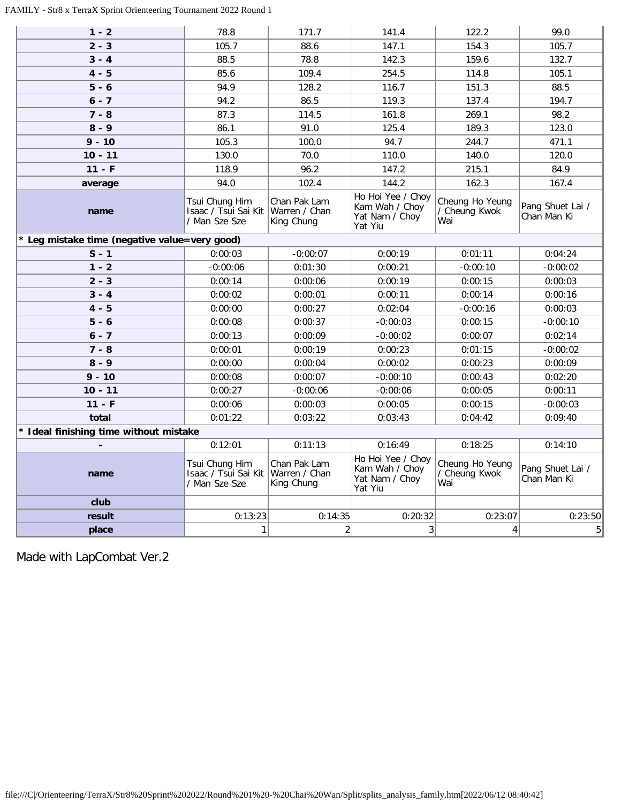## FAMILY - Str8 x TerraX Sprint Orienteering Tournament 2022 Round 1

| $1 - 2$                                       | 78.8                                                    | 171.7                                       | 141.4                                                            | 122.2                                   | 99.0                            |
|-----------------------------------------------|---------------------------------------------------------|---------------------------------------------|------------------------------------------------------------------|-----------------------------------------|---------------------------------|
| $2 - 3$                                       | 105.7                                                   | 88.6                                        | 147.1                                                            | 154.3                                   | 105.7                           |
| $3 - 4$                                       | 88.5                                                    | 78.8                                        | 142.3                                                            | 159.6                                   | 132.7                           |
| $4 - 5$                                       | 85.6                                                    | 109.4                                       | 254.5                                                            | 114.8                                   | 105.1                           |
| $5 - 6$                                       | 94.9                                                    | 128.2                                       | 116.7                                                            | 151.3                                   | 88.5                            |
| $6 - 7$                                       | 94.2                                                    | 86.5                                        | 119.3                                                            | 137.4                                   | 194.7                           |
| $7 - 8$                                       | 87.3                                                    | 114.5                                       | 161.8                                                            | 269.1                                   | 98.2                            |
| $8 - 9$                                       | 86.1                                                    | 91.0                                        | 125.4                                                            | 189.3                                   | 123.0                           |
| $9 - 10$                                      | 105.3                                                   | 100.0                                       | 94.7                                                             | 244.7                                   | 471.1                           |
| $10 - 11$                                     | 130.0                                                   | 70.0                                        | 110.0                                                            | 140.0                                   | 120.0                           |
| $11 - F$                                      | 118.9                                                   | 96.2                                        | 147.2                                                            | 215.1                                   | 84.9                            |
| average                                       | 94.0                                                    | 102.4                                       | 144.2                                                            | 162.3                                   | 167.4                           |
| name                                          | Tsui Chung Him<br>Isaac / Tsui Sai Kit<br>/ Man Sze Sze | Chan Pak Lam<br>Warren / Chan<br>King Chung | Ho Hoi Yee / Choy<br>Kam Wah / Choy<br>Yat Nam / Choy<br>Yat Yiu | Cheung Ho Yeung<br>/ Cheung Kwok<br>Wai | Pang Shuet Lai /<br>Chan Man Ki |
| * Leg mistake time (negative value=very good) |                                                         |                                             |                                                                  |                                         |                                 |
| $S - 1$                                       | 0:00:03                                                 | $-0:00:07$                                  | 0:00:19                                                          | 0:01:11                                 | 0:04:24                         |
| $1 - 2$                                       | $-0:00:06$                                              | 0:01:30                                     | 0:00:21                                                          | $-0:00:10$                              | $-0:00:02$                      |
| $2 - 3$                                       | 0:00:14                                                 | 0:00:06                                     | 0:00:19                                                          | 0:00:15                                 | 0:00:03                         |
| $3 - 4$                                       | 0:00:02                                                 | 0:00:01                                     | 0:00:11                                                          | 0:00:14                                 | 0:00:16                         |
| $4 - 5$                                       | 0:00:00                                                 | 0:00:27                                     | 0:02:04                                                          | $-0:00:16$                              | 0:00:03                         |
| $5 - 6$                                       | 0:00:08                                                 | 0:00:37                                     | $-0:00:03$                                                       | 0:00:15                                 | $-0:00:10$                      |
| $6 - 7$                                       | 0:00:13                                                 | 0:00:09                                     | $-0:00:02$                                                       | 0:00:07                                 | 0:02:14                         |
| $7 - 8$                                       | 0:00:01                                                 | 0:00:19                                     | 0:00:23                                                          | 0:01:15                                 | $-0:00:02$                      |
| $8 - 9$                                       | 0:00:00                                                 | 0:00:04                                     | 0:00:02                                                          | 0:00:23                                 | 0:00:09                         |
| $9 - 10$                                      | 0:00:08                                                 | 0:00:07                                     | $-0:00:10$                                                       | 0:00:43                                 | 0:02:20                         |
| $10 - 11$                                     | 0:00:27                                                 | $-0:00:06$                                  | $-0:00:06$                                                       | 0:00:05                                 | 0:00:11                         |
| $11 - F$                                      | 0:00:06                                                 | 0:00:03                                     | 0:00:05                                                          | 0:00:15                                 | $-0:00:03$                      |
| total                                         | 0:01:22                                                 | 0:03:22                                     | 0:03:43                                                          | 0:04:42                                 | 0:09:40                         |
| * Ideal finishing time without mistake        |                                                         |                                             |                                                                  |                                         |                                 |
|                                               | 0:12:01                                                 | 0:11:13                                     | 0:16:49                                                          | 0:18:25                                 | 0:14:10                         |
| name                                          | Tsui Chung Him<br>Isaac / Tsui Sai Kit<br>/ Man Sze Sze | Chan Pak Lam<br>Warren / Chan<br>King Chung | Ho Hoi Yee / Choy<br>Kam Wah / Choy<br>Yat Nam / Choy<br>Yat Yiu | Cheung Ho Yeung<br>/ Cheung Kwok<br>Wai | Pang Shuet Lai /<br>Chan Man Ki |
| club                                          |                                                         |                                             |                                                                  |                                         |                                 |
| result                                        | 0:13:23                                                 | 0:14:35                                     | 0:20:32                                                          | 0:23:07                                 | 0:23:50                         |
| place                                         | 1                                                       | $\overline{2}$                              | 3                                                                | 4                                       | 5                               |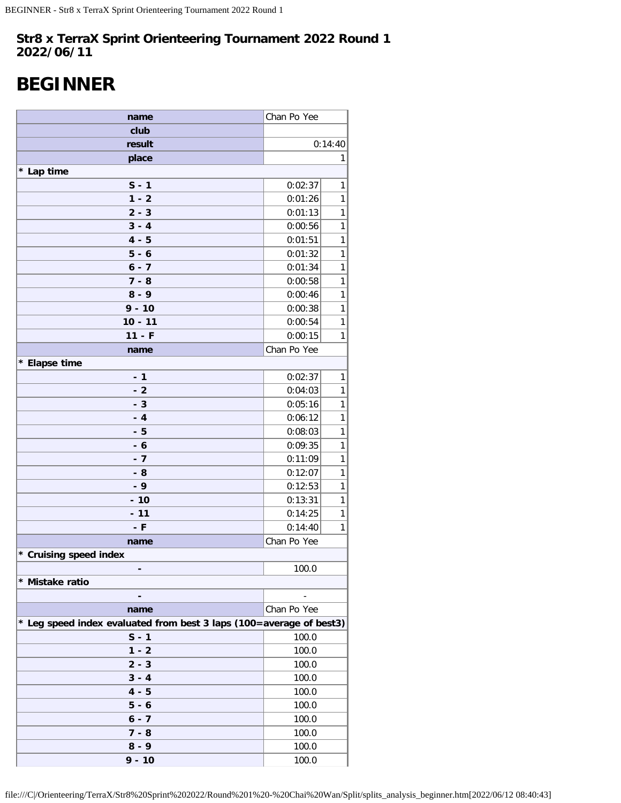# <span id="page-36-0"></span>**BEGINNER**

| name                                                                | Chan Po Yee |   |  |  |  |
|---------------------------------------------------------------------|-------------|---|--|--|--|
| club                                                                |             |   |  |  |  |
| result                                                              | 0:14:40     |   |  |  |  |
| place                                                               |             | 1 |  |  |  |
| * Lap time                                                          |             |   |  |  |  |
| $S - 1$                                                             | 0:02:37     | 1 |  |  |  |
| $1 - 2$                                                             | 0:01:26     | 1 |  |  |  |
| $2 - 3$                                                             | 0:01:13     | 1 |  |  |  |
| $3 - 4$                                                             | 0:00:56     | 1 |  |  |  |
| $4 - 5$                                                             | 0:01:51     | 1 |  |  |  |
| $5 - 6$                                                             | 0:01:32     | 1 |  |  |  |
| $6 - 7$                                                             | 0:01:34     | 1 |  |  |  |
| $7 - 8$                                                             | 0:00:58     | 1 |  |  |  |
| $8 - 9$                                                             | 0:00:46     | 1 |  |  |  |
| $9 - 10$                                                            | 0:00:38     | 1 |  |  |  |
| $10 - 11$                                                           | 0:00:54     | 1 |  |  |  |
| $11 - F$                                                            | 0:00:15     | 1 |  |  |  |
| name                                                                | Chan Po Yee |   |  |  |  |
| * Elapse time                                                       |             |   |  |  |  |
| $-1$                                                                | 0:02:37     | 1 |  |  |  |
| $-2$                                                                | 0:04:03     | 1 |  |  |  |
| $-3$                                                                | 0:05:16     | 1 |  |  |  |
| $-4$                                                                | 0:06:12     | 1 |  |  |  |
| - 5                                                                 | 0:08:03     | 1 |  |  |  |
| $-6$                                                                | 0:09:35     | 1 |  |  |  |
| $-7$                                                                | 0:11:09     | 1 |  |  |  |
| - 8                                                                 | 0:12:07     | 1 |  |  |  |
| $-9$                                                                | 0:12:53     | 1 |  |  |  |
| $-10$                                                               | 0:13:31     | 1 |  |  |  |
| $-11$                                                               | 0:14:25     | 1 |  |  |  |
| - F                                                                 | 0:14:40     | 1 |  |  |  |
| name                                                                | Chan Po Yee |   |  |  |  |
| * Cruising speed index                                              |             |   |  |  |  |
|                                                                     | 100.0       |   |  |  |  |
| * Mistake ratio                                                     |             |   |  |  |  |
|                                                                     |             |   |  |  |  |
| name                                                                | Chan Po Yee |   |  |  |  |
| * Leg speed index evaluated from best 3 laps (100=average of best3) |             |   |  |  |  |
| $S - 1$                                                             | 100.0       |   |  |  |  |
| $1 - 2$                                                             | 100.0       |   |  |  |  |
| $2 - 3$                                                             | 100.0       |   |  |  |  |
| $3 - 4$                                                             | 100.0       |   |  |  |  |
| $4 - 5$                                                             | 100.0       |   |  |  |  |
| $5 - 6$                                                             | 100.0       |   |  |  |  |
| $6 - 7$                                                             | 100.0       |   |  |  |  |
| $7 - 8$                                                             | 100.0       |   |  |  |  |
| $8 - 9$                                                             | 100.0       |   |  |  |  |
| $9 - 10$                                                            | 100.0       |   |  |  |  |

file:///C|/Orienteering/TerraX/Str8%20Sprint%202022/Round%201%20-%20Chai%20Wan/Split/splits\_analysis\_beginner.htm[2022/06/12 08:40:43]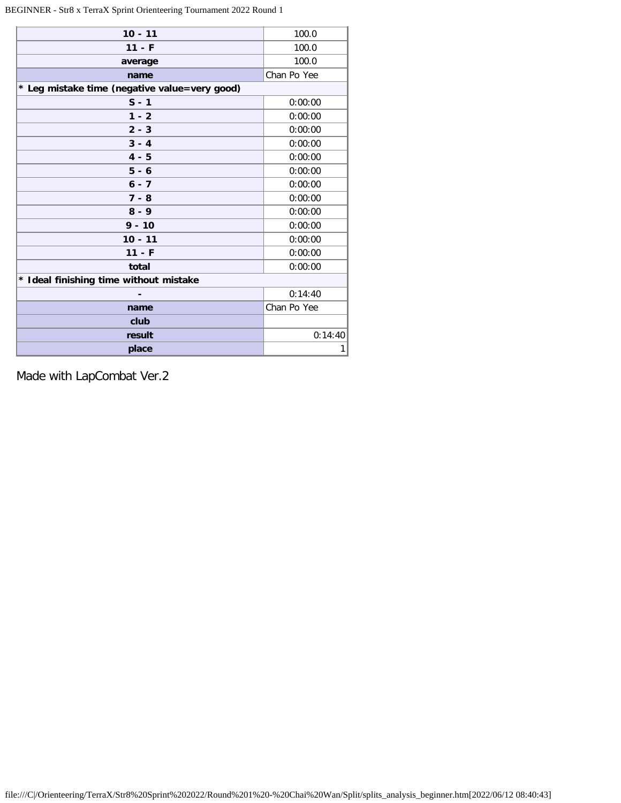## BEGINNER - Str8 x TerraX Sprint Orienteering Tournament 2022 Round 1

| $10 - 11$                                     | 100.0       |
|-----------------------------------------------|-------------|
| $11 - F$                                      | 100.0       |
| average                                       | 100.0       |
| name                                          | Chan Po Yee |
| * Leg mistake time (negative value=very good) |             |
| $S - 1$                                       | 0:00:00     |
| $1 - 2$                                       | 0:00:00     |
| $2 - 3$                                       | 0:00:00     |
| $3 - 4$                                       | 0:00:00     |
| $4 - 5$                                       | 0:00:00     |
| $5 - 6$                                       | 0:00:00     |
| $6 - 7$                                       | 0:00:00     |
| $7 - 8$                                       | 0:00:00     |
| $8 - 9$                                       | 0:00:00     |
| $9 - 10$                                      | 0:00:00     |
| $10 - 11$                                     | 0:00:00     |
| $11 - F$                                      | 0:00:00     |
| total                                         | 0:00:00     |
| * Ideal finishing time without mistake        |             |
|                                               | 0:14:40     |
| name                                          | Chan Po Yee |
| club                                          |             |
| result                                        | 0:14:40     |
| place                                         | 1           |